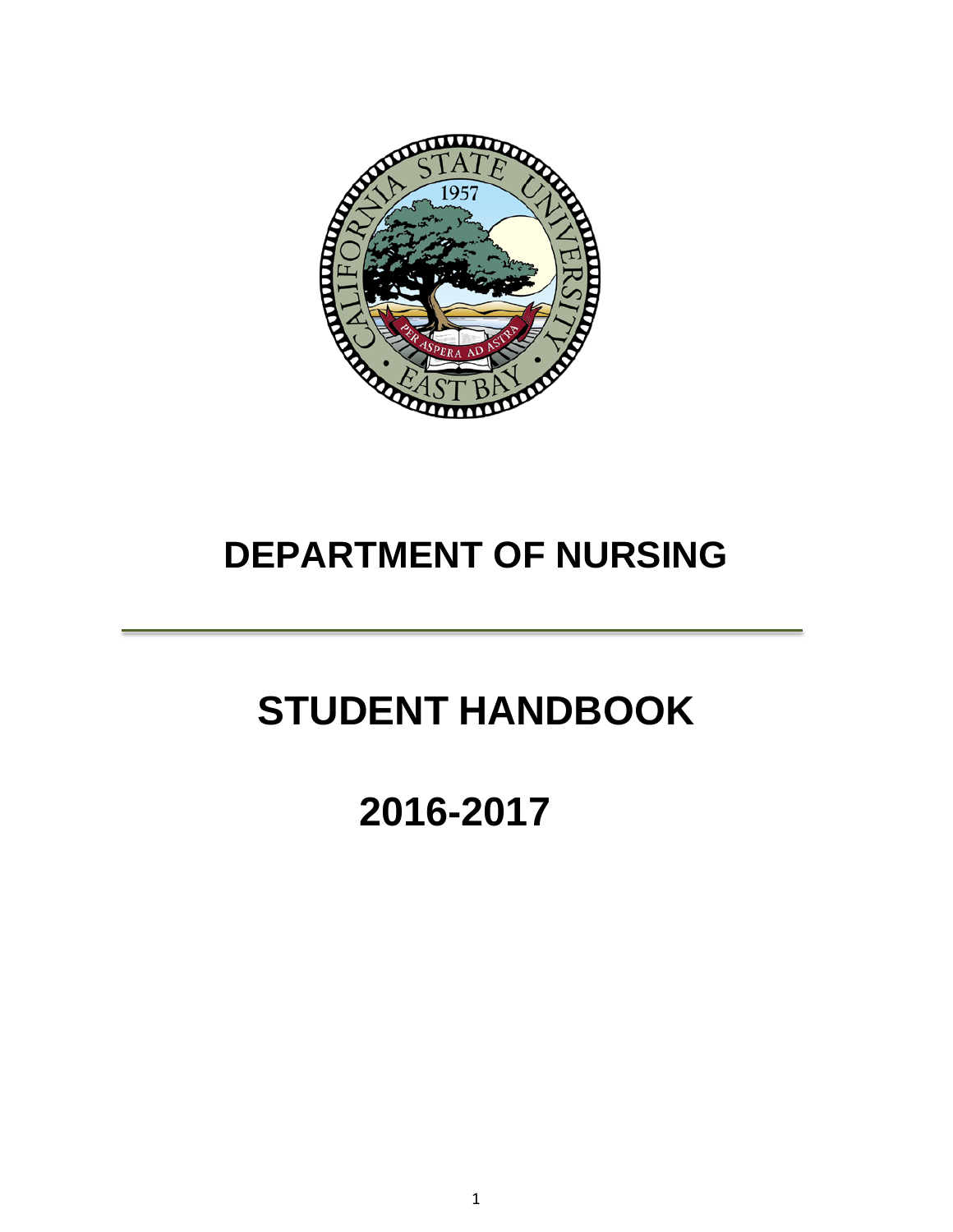

# **DEPARTMENT OF NURSING**

# **STUDENT HANDBOOK**

# **2016-2017**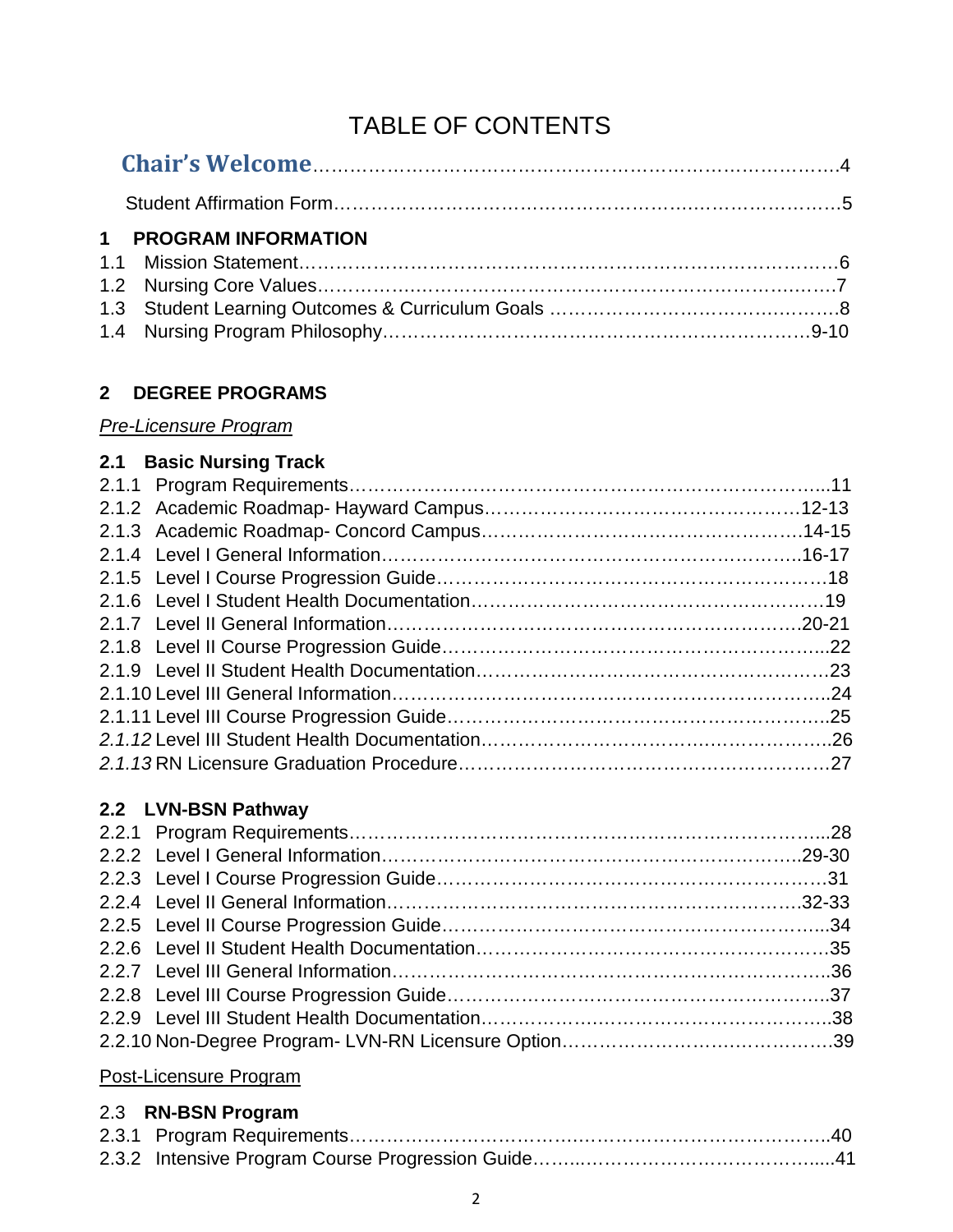# TABLE OF CONTENTS

# **1 PROGRAM INFORMATION**

# **2 DEGREE PROGRAMS**

# *Pre-Licensure Program*

# **2.1 Basic Nursing Track**

# **2.2 LVN-BSN Pathway**

# Post-Licensure Program

# 2.3 **RN-BSN Program**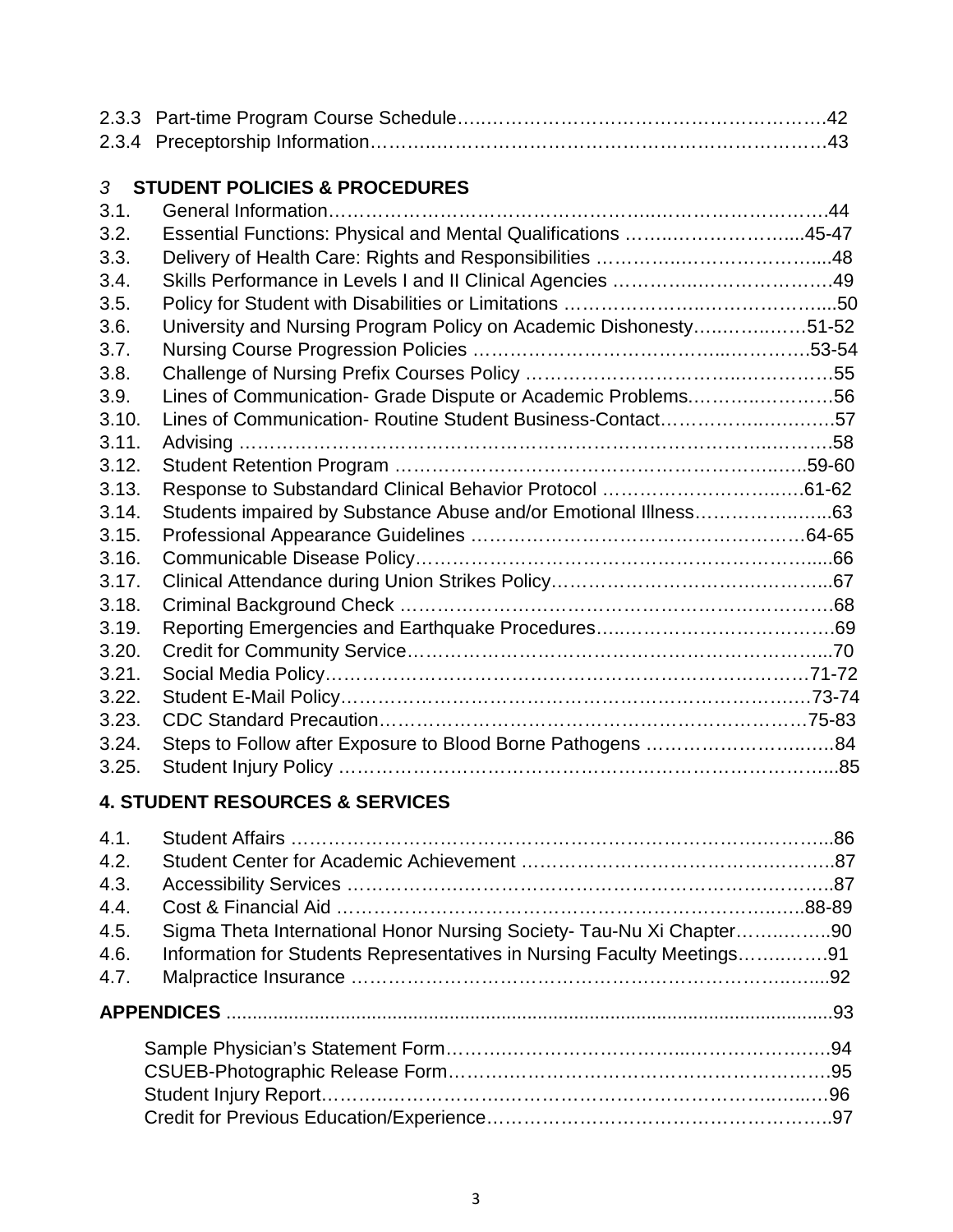# *3* **STUDENT POLICIES & PROCEDURES**

| 3.1.  |                                                                   |  |
|-------|-------------------------------------------------------------------|--|
| 3.2.  | Essential Functions: Physical and Mental Qualifications 45-47     |  |
| 3.3.  |                                                                   |  |
| 3.4.  |                                                                   |  |
| 3.5.  |                                                                   |  |
| 3.6.  | University and Nursing Program Policy on Academic Dishonesty51-52 |  |
| 3.7.  |                                                                   |  |
| 3.8.  |                                                                   |  |
| 3.9.  | Lines of Communication- Grade Dispute or Academic Problems56      |  |
| 3.10. | Lines of Communication- Routine Student Business-Contact57        |  |
| 3.11. |                                                                   |  |
| 3.12. |                                                                   |  |
| 3.13. |                                                                   |  |
| 3.14. | Students impaired by Substance Abuse and/or Emotional Illness63   |  |
| 3.15. |                                                                   |  |
| 3.16. |                                                                   |  |
| 3.17. |                                                                   |  |
| 3.18. |                                                                   |  |
| 3.19. |                                                                   |  |
| 3.20. |                                                                   |  |
| 3.21. |                                                                   |  |
| 3.22. |                                                                   |  |
| 3.23. |                                                                   |  |
| 3.24. | Steps to Follow after Exposure to Blood Borne Pathogens 84        |  |
| 3.25. |                                                                   |  |

# **4. STUDENT RESOURCES & SERVICES**

| 4.1. |                                                                        |  |
|------|------------------------------------------------------------------------|--|
| 4.2. |                                                                        |  |
| 4.3. |                                                                        |  |
| 4.4. |                                                                        |  |
| 4.5. | Sigma Theta International Honor Nursing Society- Tau-Nu Xi Chapter90   |  |
| 4.6. | Information for Students Representatives in Nursing Faculty Meetings91 |  |
| 4.7. |                                                                        |  |
|      |                                                                        |  |
|      |                                                                        |  |
|      |                                                                        |  |
|      |                                                                        |  |
|      |                                                                        |  |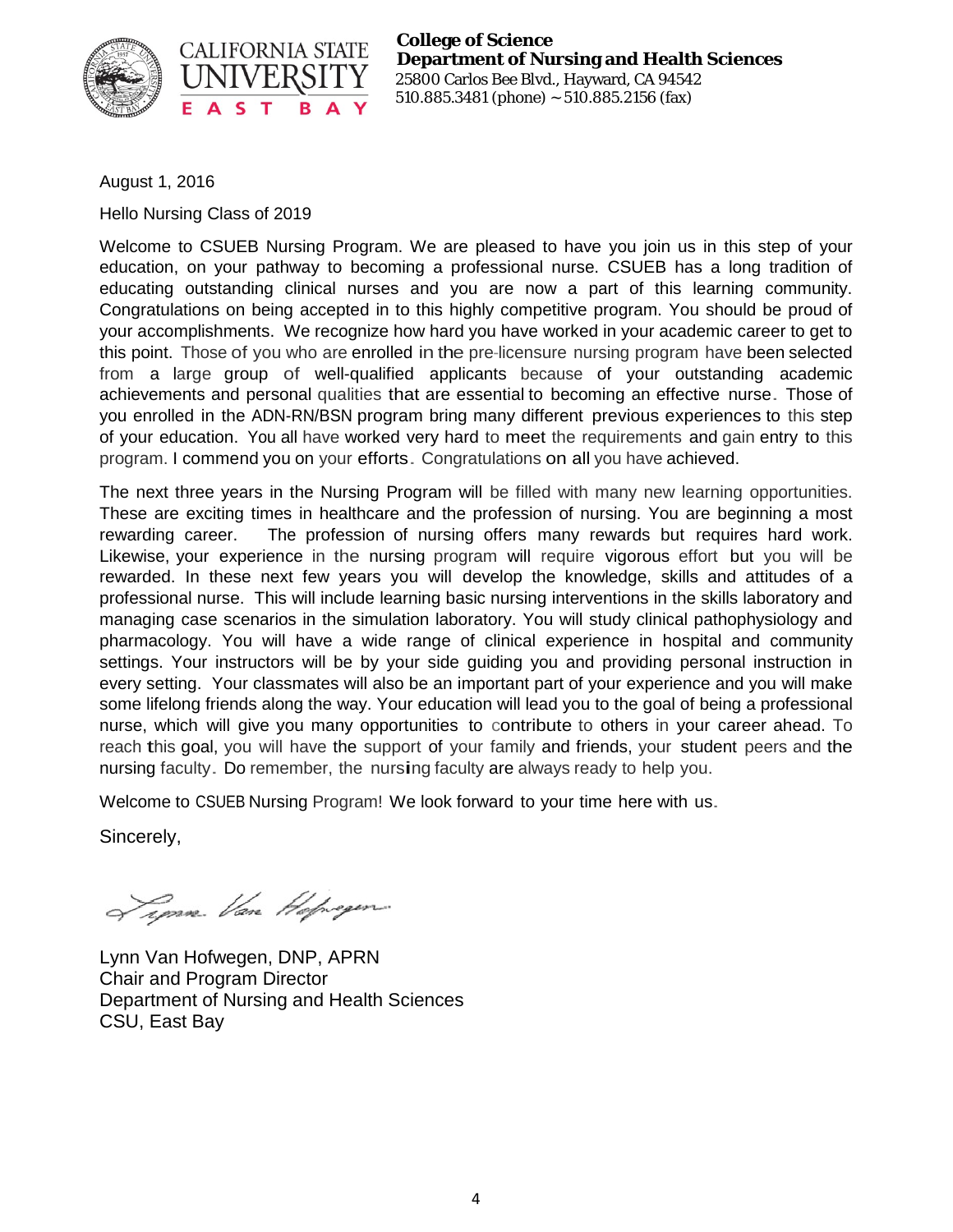

**College of Science Department of Nursing and Health Sciences** 25800 Carlos Bee Blvd., Hayward, CA 94542 510.885.3481 (phone) ~ 510.885.2156 (fax)

August 1, 2016

Hello Nursing Class of 2019

Welcome to CSUEB Nursing Program. We are pleased to have you join us in this step of your education, on your pathway to becoming a professional nurse. CSUEB has a long tradition of educating outstanding clinical nurses and you are now a part of this learning community. Congratulations on being accepted in to this highly competitive program. You should be proud of your accomplishments. We recognize how hard you have worked in your academic career to get to this point. Those of you who are enrolled in the pre-licensure nursing program have been selected from a large group of well-qualified applicants because of your outstanding academic achievements and personal qualities that are essential to becoming an effective nurse. Those of you enrolled in the ADN-RN/BSN program bring many different previous experiences to this step of your education. You all have worked very hard to meet the requirements and gain entry to this program. I commend you on your efforts. Congratulations on all you have achieved.

The next three years in the Nursing Program will be filled with many new learning opportunities. These are exciting times in healthcare and the profession of nursing. You are beginning a most rewarding career. The profession of nursing offers many rewards but requires hard work. Likewise, your experience in the nursing program will require vigorous effort but you will be rewarded. In these next few years you will develop the knowledge, skills and attitudes of a professional nurse. This will include learning basic nursing interventions in the skills laboratory and managing case scenarios in the simulation laboratory. You will study clinical pathophysiology and pharmacology. You will have a wide range of clinical experience in hospital and community settings. Your instructors will be by your side guiding you and providing personal instruction in every setting. Your classmates will also be an important part of your experience and you will make some lifelong friends along the way. Your education will lead you to the goal of being a professional nurse, which will give you many opportunities to contribute to others in your career ahead. To reach this goal, you will have the support of your family and friends, your student peers and the nursing faculty. Do remember, the nursing faculty are always ready to help you.

Welcome to CSUEB Nursing Program! We look forward to your time here with us.

Sincerely,

Lime Van Hopegen

Lynn Van Hofwegen, DNP, APRN Chair and Program Director Department of Nursing and Health Sciences CSU, East Bay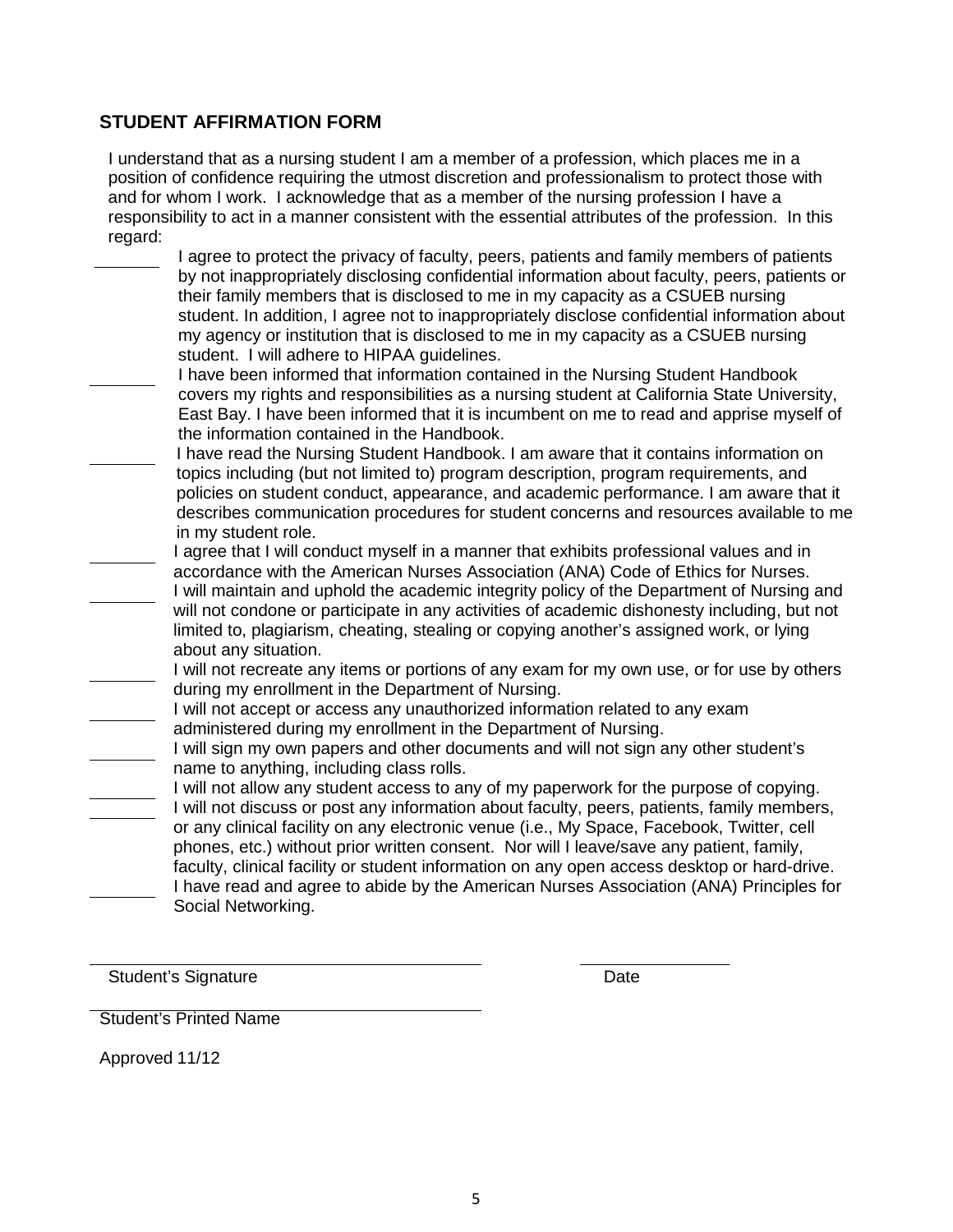# **STUDENT AFFIRMATION FORM**

I understand that as a nursing student I am a member of a profession, which places me in a position of confidence requiring the utmost discretion and professionalism to protect those with and for whom I work. I acknowledge that as a member of the nursing profession I have a responsibility to act in a manner consistent with the essential attributes of the profession. In this regard:

I agree to protect the privacy of faculty, peers, patients and family members of patients by not inappropriately disclosing confidential information about faculty, peers, patients or their family members that is disclosed to me in my capacity as a CSUEB nursing student. In addition, I agree not to inappropriately disclose confidential information about my agency or institution that is disclosed to me in my capacity as a CSUEB nursing student. I will adhere to HIPAA guidelines.

- I have been informed that information contained in the Nursing Student Handbook covers my rights and responsibilities as a nursing student at California State University, East Bay. I have been informed that it is incumbent on me to read and apprise myself of the information contained in the Handbook.
- I have read the Nursing Student Handbook. I am aware that it contains information on topics including (but not limited to) program description, program requirements, and policies on student conduct, appearance, and academic performance. I am aware that it describes communication procedures for student concerns and resources available to me in my student role.
- I agree that I will conduct myself in a manner that exhibits professional values and in accordance with the American Nurses Association (ANA) Code of Ethics for Nurses. I will maintain and uphold the academic integrity policy of the Department of Nursing and
	- will not condone or participate in any activities of academic dishonesty including, but not limited to, plagiarism, cheating, stealing or copying another's assigned work, or lying about any situation.
- I will not recreate any items or portions of any exam for my own use, or for use by others during my enrollment in the Department of Nursing.
- I will not accept or access any unauthorized information related to any exam administered during my enrollment in the Department of Nursing.
- I will sign my own papers and other documents and will not sign any other student's name to anything, including class rolls.
- I will not allow any student access to any of my paperwork for the purpose of copying. I will not discuss or post any information about faculty, peers, patients, family members, or any clinical facility on any electronic venue (i.e., My Space, Facebook, Twitter, cell phones, etc.) without prior written consent. Nor will I leave/save any patient, family, faculty, clinical facility or student information on any open access desktop or hard-drive. I have read and agree to abide by the American Nurses Association (ANA) Principles for Social Networking.

Student's Signature Date

Student's Printed Name

Approved 11/12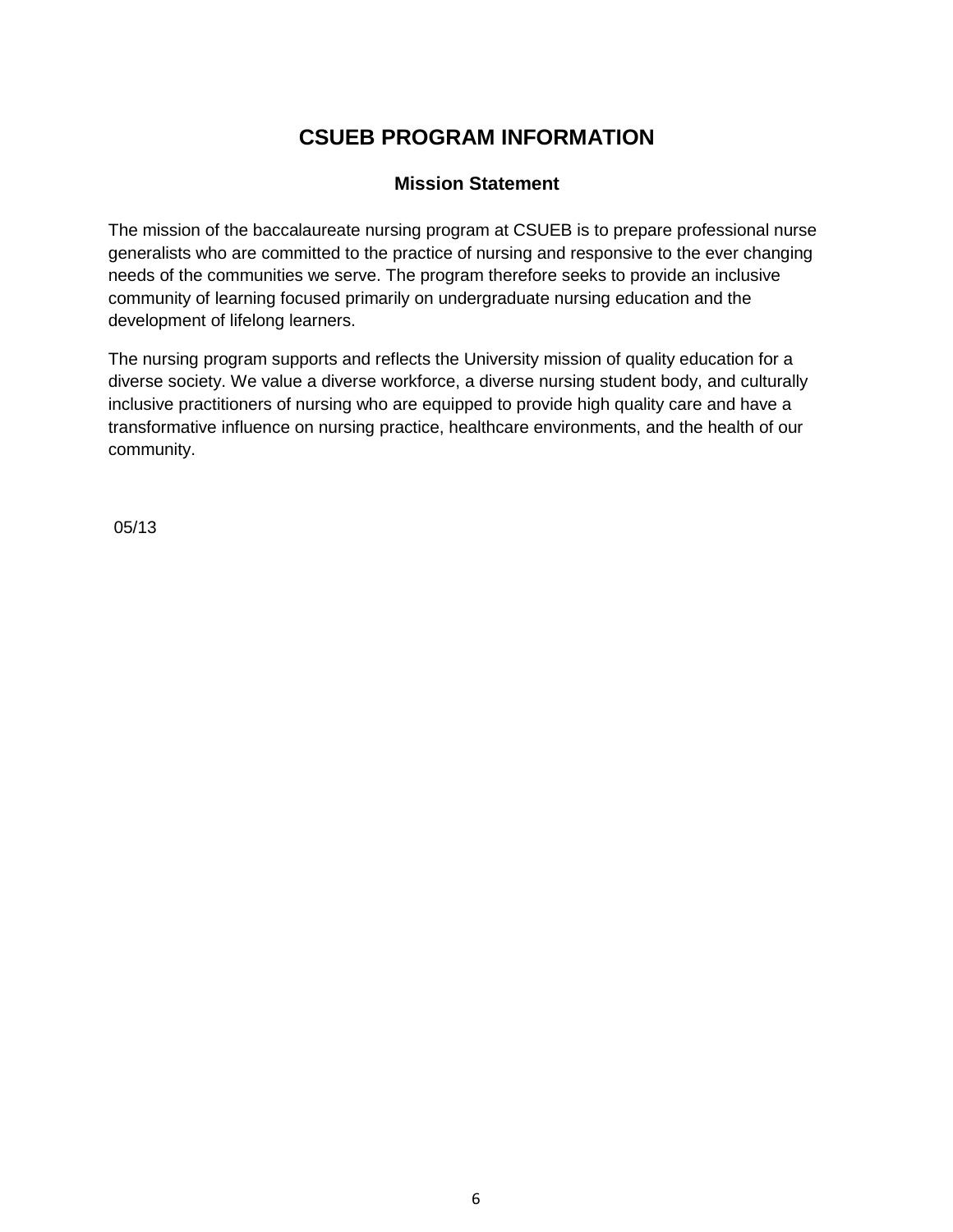# **CSUEB PROGRAM INFORMATION**

# **Mission Statement**

The mission of the baccalaureate nursing program at CSUEB is to prepare professional nurse generalists who are committed to the practice of nursing and responsive to the ever changing needs of the communities we serve. The program therefore seeks to provide an inclusive community of learning focused primarily on undergraduate nursing education and the development of lifelong learners.

The nursing program supports and reflects the University mission of quality education for a diverse society. We value a diverse workforce, a diverse nursing student body, and culturally inclusive practitioners of nursing who are equipped to provide high quality care and have a transformative influence on nursing practice, healthcare environments, and the health of our community.

05/13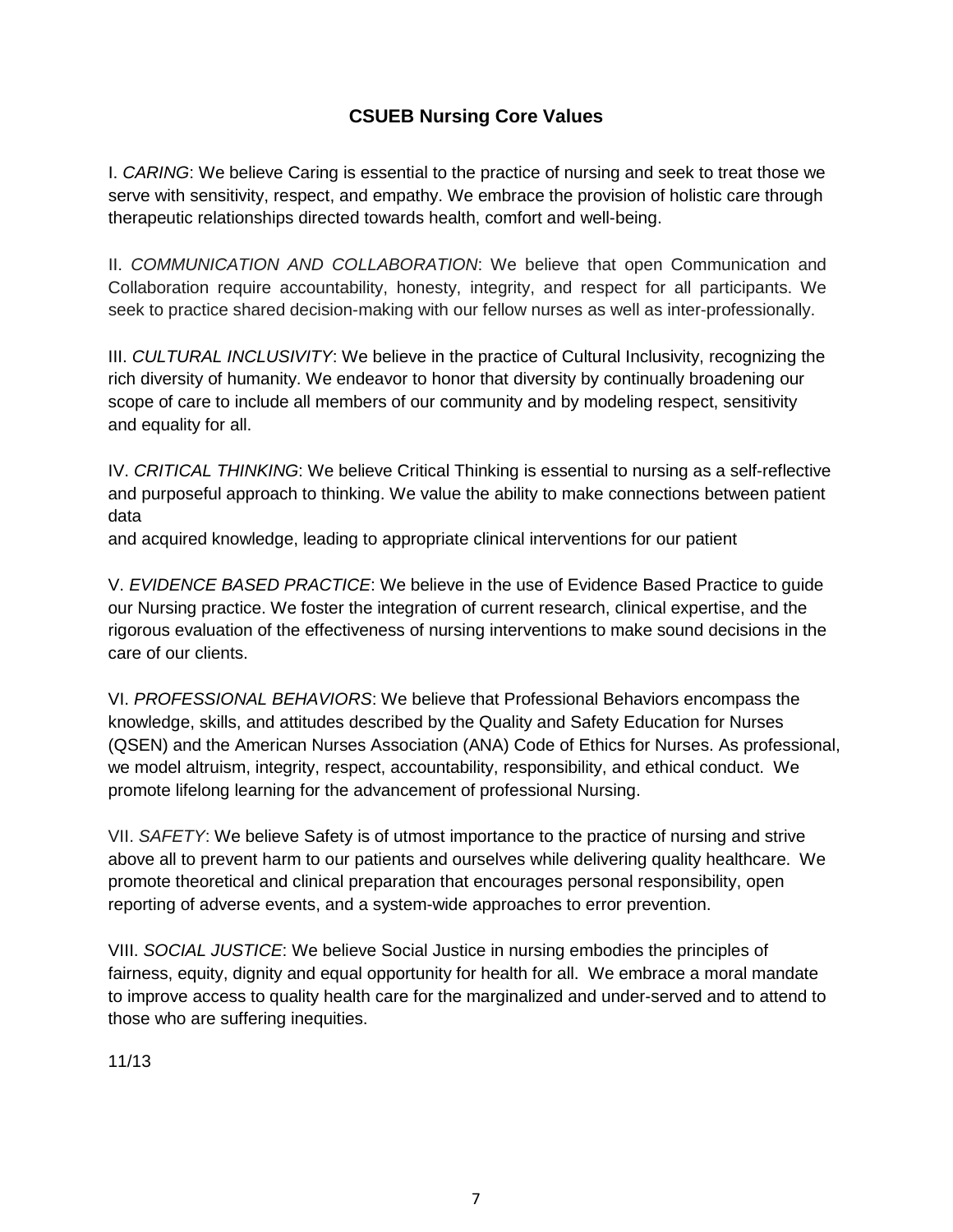# **CSUEB Nursing Core Values**

I. *CARING*: We believe Caring is essential to the practice of nursing and seek to treat those we serve with sensitivity, respect, and empathy. We embrace the provision of holistic care through therapeutic relationships directed towards health, comfort and well-being.

II. *COMMUNICATION AND COLLABORATION*: We believe that open Communication and Collaboration require accountability, honesty, integrity, and respect for all participants. We seek to practice shared decision-making with our fellow nurses as well as inter-professionally.

III. *CULTURAL INCLUSIVITY*: We believe in the practice of Cultural Inclusivity, recognizing the rich diversity of humanity. We endeavor to honor that diversity by continually broadening our scope of care to include all members of our community and by modeling respect, sensitivity and equality for all.

IV. *CRITICAL THINKING*: We believe Critical Thinking is essential to nursing as a self-reflective and purposeful approach to thinking. We value the ability to make connections between patient data

and acquired knowledge, leading to appropriate clinical interventions for our patient

V. *EVIDENCE BASED PRACTICE*: We believe in the use of Evidence Based Practice to guide our Nursing practice. We foster the integration of current research, clinical expertise, and the rigorous evaluation of the effectiveness of nursing interventions to make sound decisions in the care of our clients.

VI. *PROFESSIONAL BEHAVIORS*: We believe that Professional Behaviors encompass the knowledge, skills, and attitudes described by the Quality and Safety Education for Nurses (QSEN) and the American Nurses Association (ANA) Code of Ethics for Nurses. As professional, we model altruism, integrity, respect, accountability, responsibility, and ethical conduct. We promote lifelong learning for the advancement of professional Nursing.

VII. *SAFETY*: We believe Safety is of utmost importance to the practice of nursing and strive above all to prevent harm to our patients and ourselves while delivering quality healthcare. We promote theoretical and clinical preparation that encourages personal responsibility, open reporting of adverse events, and a system-wide approaches to error prevention.

VIII. *SOCIAL JUSTICE*: We believe Social Justice in nursing embodies the principles of fairness, equity, dignity and equal opportunity for health for all. We embrace a moral mandate to improve access to quality health care for the marginalized and under-served and to attend to those who are suffering inequities.

11/13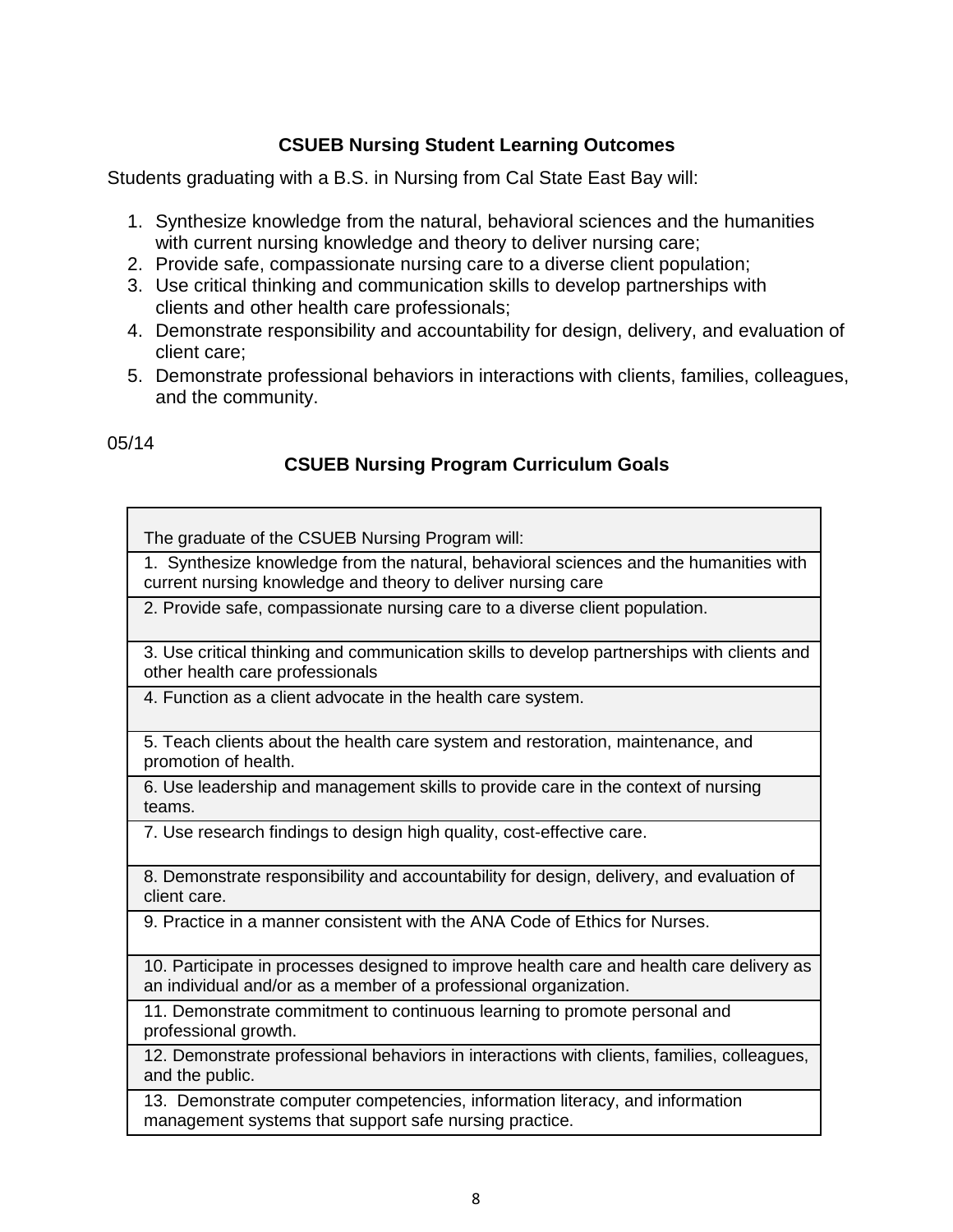# **CSUEB Nursing Student Learning Outcomes**

Students graduating with a B.S. in Nursing from Cal State East Bay will:

- 1. Synthesize knowledge from the natural, behavioral sciences and the humanities with current nursing knowledge and theory to deliver nursing care;
- 2. Provide safe, compassionate nursing care to a diverse client population;
- 3. Use critical thinking and communication skills to develop partnerships with clients and other health care professionals;
- 4. Demonstrate responsibility and accountability for design, delivery, and evaluation of client care;
- 5. Demonstrate professional behaviors in interactions with clients, families, colleagues, and the community.

# **CSUEB Nursing Program Curriculum Goals**

The graduate of the CSUEB Nursing Program will:

1. Synthesize knowledge from the natural, behavioral sciences and the humanities with current nursing knowledge and theory to deliver nursing care

2. Provide safe, compassionate nursing care to a diverse client population.

3. Use critical thinking and communication skills to develop partnerships with clients and other health care professionals

4. Function as a client advocate in the health care system.

5. Teach clients about the health care system and restoration, maintenance, and promotion of health.

6. Use leadership and management skills to provide care in the context of nursing teams.

7. Use research findings to design high quality, cost-effective care.

8. Demonstrate responsibility and accountability for design, delivery, and evaluation of client care.

9. Practice in a manner consistent with the ANA Code of Ethics for Nurses.

10. Participate in processes designed to improve health care and health care delivery as an individual and/or as a member of a professional organization.

11. Demonstrate commitment to continuous learning to promote personal and professional growth.

12. Demonstrate professional behaviors in interactions with clients, families, colleagues, and the public.

13. Demonstrate computer competencies, information literacy, and information management systems that support safe nursing practice.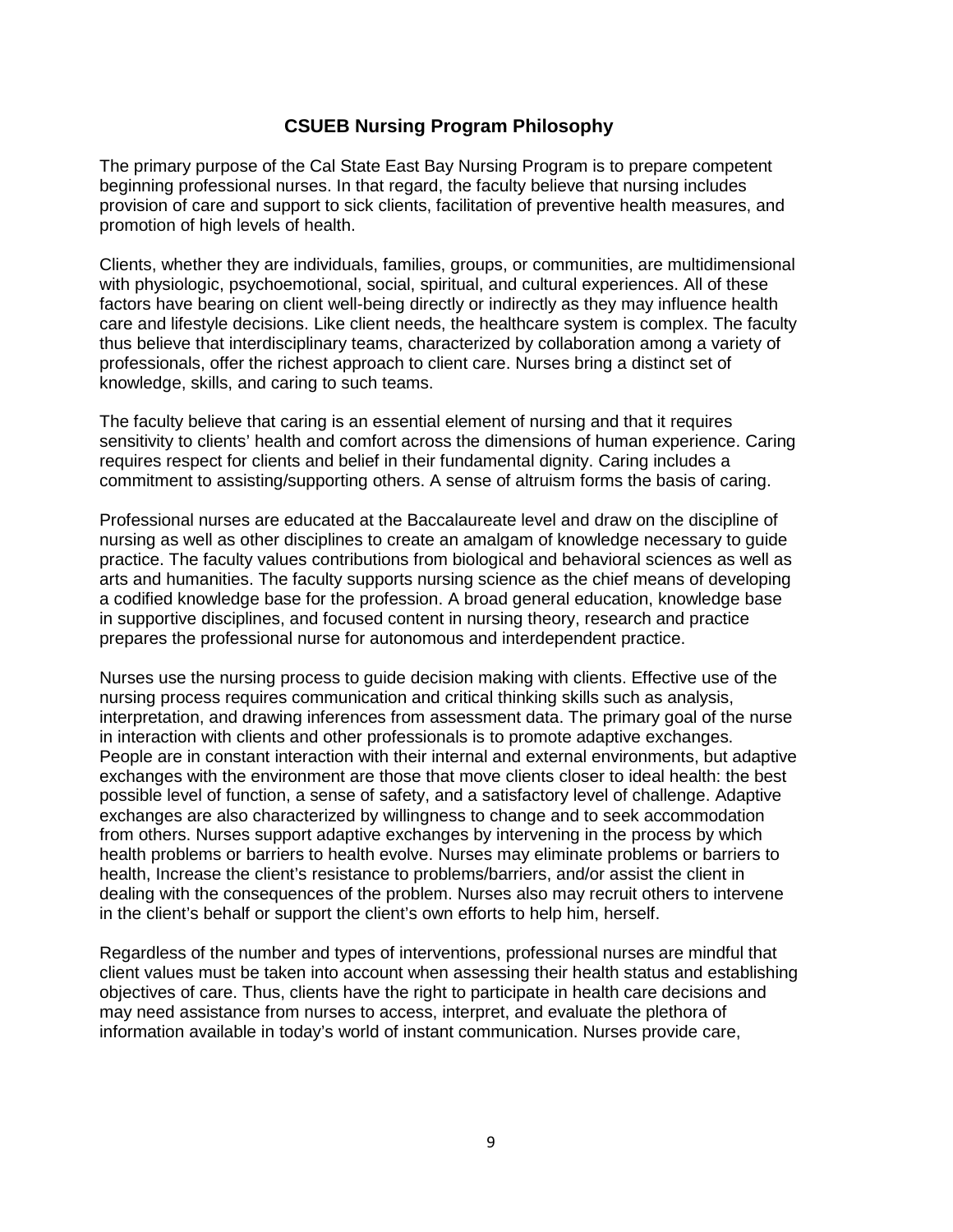#### **CSUEB Nursing Program Philosophy**

The primary purpose of the Cal State East Bay Nursing Program is to prepare competent beginning professional nurses. In that regard, the faculty believe that nursing includes provision of care and support to sick clients, facilitation of preventive health measures, and promotion of high levels of health.

Clients, whether they are individuals, families, groups, or communities, are multidimensional with physiologic, psychoemotional, social, spiritual, and cultural experiences. All of these factors have bearing on client well-being directly or indirectly as they may influence health care and lifestyle decisions. Like client needs, the healthcare system is complex. The faculty thus believe that interdisciplinary teams, characterized by collaboration among a variety of professionals, offer the richest approach to client care. Nurses bring a distinct set of knowledge, skills, and caring to such teams.

The faculty believe that caring is an essential element of nursing and that it requires sensitivity to clients' health and comfort across the dimensions of human experience. Caring requires respect for clients and belief in their fundamental dignity. Caring includes a commitment to assisting/supporting others. A sense of altruism forms the basis of caring.

Professional nurses are educated at the Baccalaureate level and draw on the discipline of nursing as well as other disciplines to create an amalgam of knowledge necessary to guide practice. The faculty values contributions from biological and behavioral sciences as well as arts and humanities. The faculty supports nursing science as the chief means of developing a codified knowledge base for the profession. A broad general education, knowledge base in supportive disciplines, and focused content in nursing theory, research and practice prepares the professional nurse for autonomous and interdependent practice.

Nurses use the nursing process to guide decision making with clients. Effective use of the nursing process requires communication and critical thinking skills such as analysis, interpretation, and drawing inferences from assessment data. The primary goal of the nurse in interaction with clients and other professionals is to promote adaptive exchanges. People are in constant interaction with their internal and external environments, but adaptive exchanges with the environment are those that move clients closer to ideal health: the best possible level of function, a sense of safety, and a satisfactory level of challenge. Adaptive exchanges are also characterized by willingness to change and to seek accommodation from others. Nurses support adaptive exchanges by intervening in the process by which health problems or barriers to health evolve. Nurses may eliminate problems or barriers to health, Increase the client's resistance to problems/barriers, and/or assist the client in dealing with the consequences of the problem. Nurses also may recruit others to intervene in the client's behalf or support the client's own efforts to help him, herself.

Regardless of the number and types of interventions, professional nurses are mindful that client values must be taken into account when assessing their health status and establishing objectives of care. Thus, clients have the right to participate in health care decisions and may need assistance from nurses to access, interpret, and evaluate the plethora of information available in today's world of instant communication. Nurses provide care,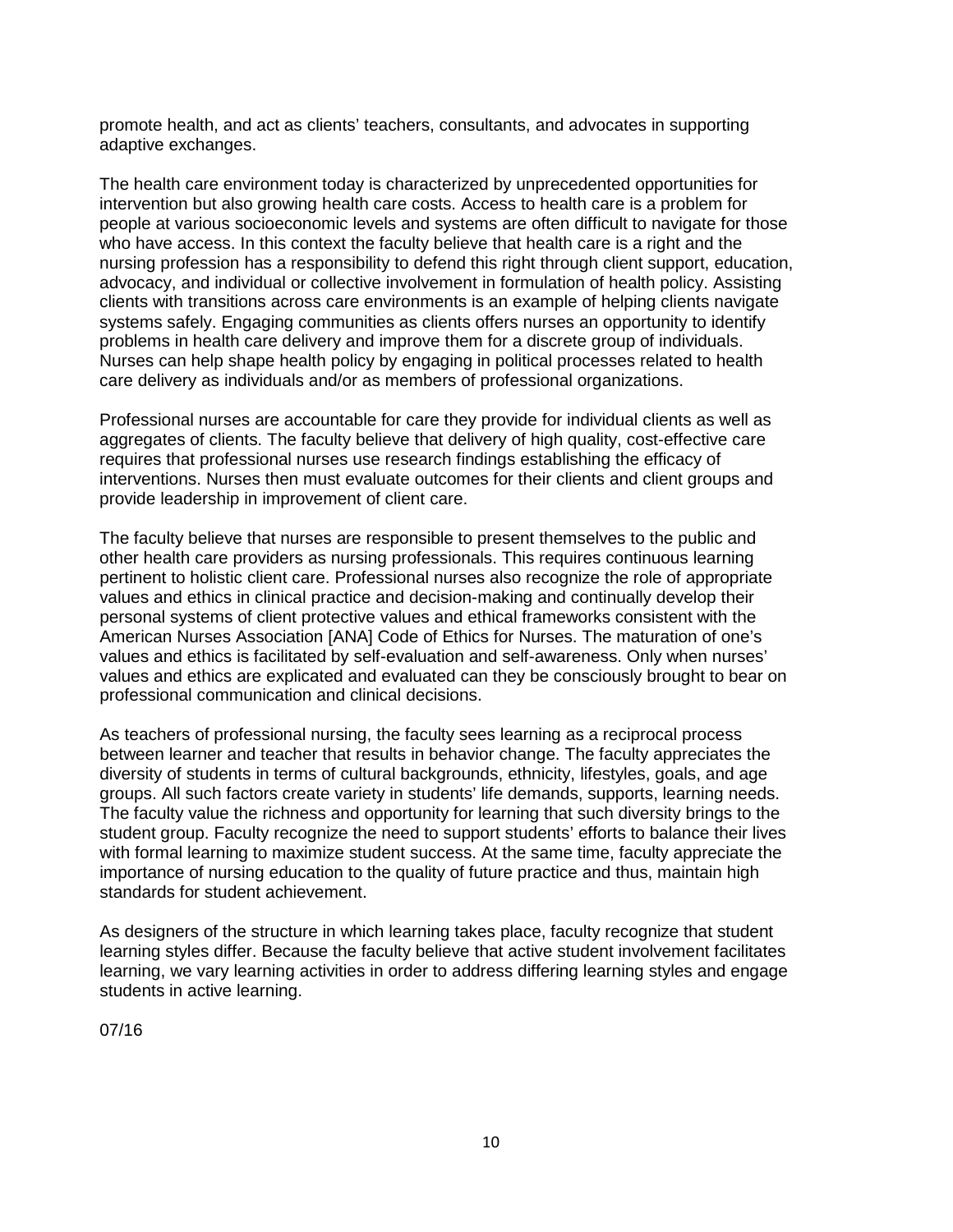promote health, and act as clients' teachers, consultants, and advocates in supporting adaptive exchanges.

The health care environment today is characterized by unprecedented opportunities for intervention but also growing health care costs. Access to health care is a problem for people at various socioeconomic levels and systems are often difficult to navigate for those who have access. In this context the faculty believe that health care is a right and the nursing profession has a responsibility to defend this right through client support, education, advocacy, and individual or collective involvement in formulation of health policy. Assisting clients with transitions across care environments is an example of helping clients navigate systems safely. Engaging communities as clients offers nurses an opportunity to identify problems in health care delivery and improve them for a discrete group of individuals. Nurses can help shape health policy by engaging in political processes related to health care delivery as individuals and/or as members of professional organizations.

Professional nurses are accountable for care they provide for individual clients as well as aggregates of clients. The faculty believe that delivery of high quality, cost-effective care requires that professional nurses use research findings establishing the efficacy of interventions. Nurses then must evaluate outcomes for their clients and client groups and provide leadership in improvement of client care.

The faculty believe that nurses are responsible to present themselves to the public and other health care providers as nursing professionals. This requires continuous learning pertinent to holistic client care. Professional nurses also recognize the role of appropriate values and ethics in clinical practice and decision-making and continually develop their personal systems of client protective values and ethical frameworks consistent with the American Nurses Association [ANA] Code of Ethics for Nurses. The maturation of one's values and ethics is facilitated by self-evaluation and self-awareness. Only when nurses' values and ethics are explicated and evaluated can they be consciously brought to bear on professional communication and clinical decisions.

As teachers of professional nursing, the faculty sees learning as a reciprocal process between learner and teacher that results in behavior change. The faculty appreciates the diversity of students in terms of cultural backgrounds, ethnicity, lifestyles, goals, and age groups. All such factors create variety in students' life demands, supports, learning needs. The faculty value the richness and opportunity for learning that such diversity brings to the student group. Faculty recognize the need to support students' efforts to balance their lives with formal learning to maximize student success. At the same time, faculty appreciate the importance of nursing education to the quality of future practice and thus, maintain high standards for student achievement.

As designers of the structure in which learning takes place, faculty recognize that student learning styles differ. Because the faculty believe that active student involvement facilitates learning, we vary learning activities in order to address differing learning styles and engage students in active learning.

07/16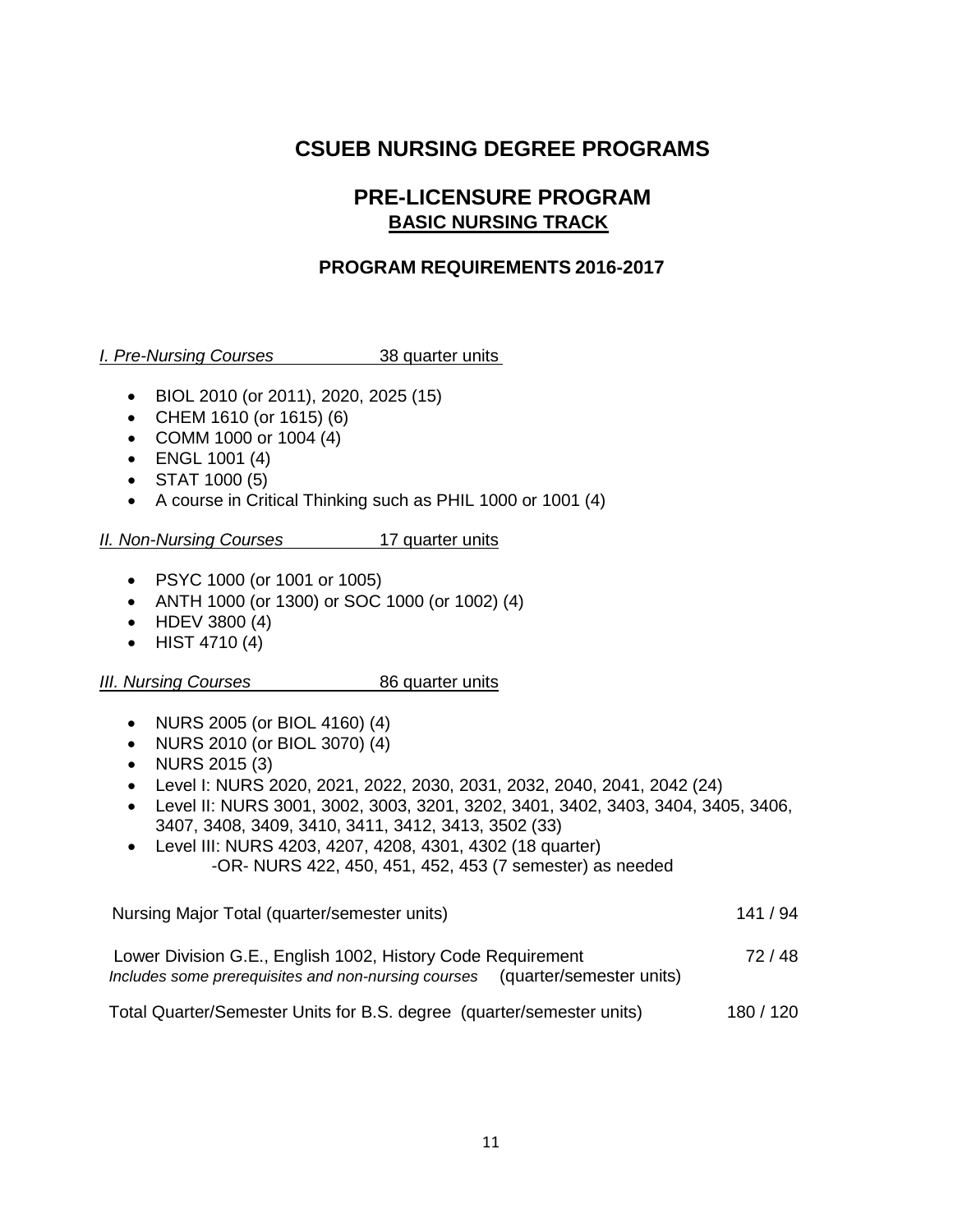# **CSUEB NURSING DEGREE PROGRAMS**

# **PRE-LICENSURE PROGRAM BASIC NURSING TRACK**

# **PROGRAM REQUIREMENTS 2016-2017**

*I. Pre-Nursing Courses* 38 quarter units

- BIOL 2010 (or 2011), 2020, 2025 (15)
- CHEM 1610 (or 1615) (6)
- COMM 1000 or 1004 (4)
- ENGL 1001 (4)
- STAT 1000 (5)
- A course in Critical Thinking such as PHIL 1000 or 1001 (4)

#### *II. Non-Nursing Courses* 17 quarter units

- PSYC 1000 (or 1001 or 1005)
- ANTH 1000 (or 1300) or SOC 1000 (or 1002) (4)
- HDEV 3800 (4)
- $\bullet$  HIST 4710 (4)

#### *III. Nursing Courses* 86 quarter units

- NURS 2005 (or BIOL 4160) (4)
- NURS 2010 (or BIOL 3070) (4)
- NURS 2015 (3)
- Level I: NURS 2020, 2021, 2022, 2030, 2031, 2032, 2040, 2041, 2042 (24)
- Level II: NURS 3001, 3002, 3003, 3201, 3202, 3401, 3402, 3403, 3404, 3405, 3406, 3407, 3408, 3409, 3410, 3411, 3412, 3413, 3502 (33)
- Level III: NURS 4203, 4207, 4208, 4301, 4302 (18 quarter) -OR- NURS 422, 450, 451, 452, 453 (7 semester) as needed

Nursing Major Total (quarter/semester units) 141 / 94

Lower Division G.E., English 1002, History Code Requirement *Includes some prerequisites and non-nursing courses* (quarter/semester units) 72 / 48

Total Quarter/Semester Units for B.S. degree (quarter/semester units) 180 / 120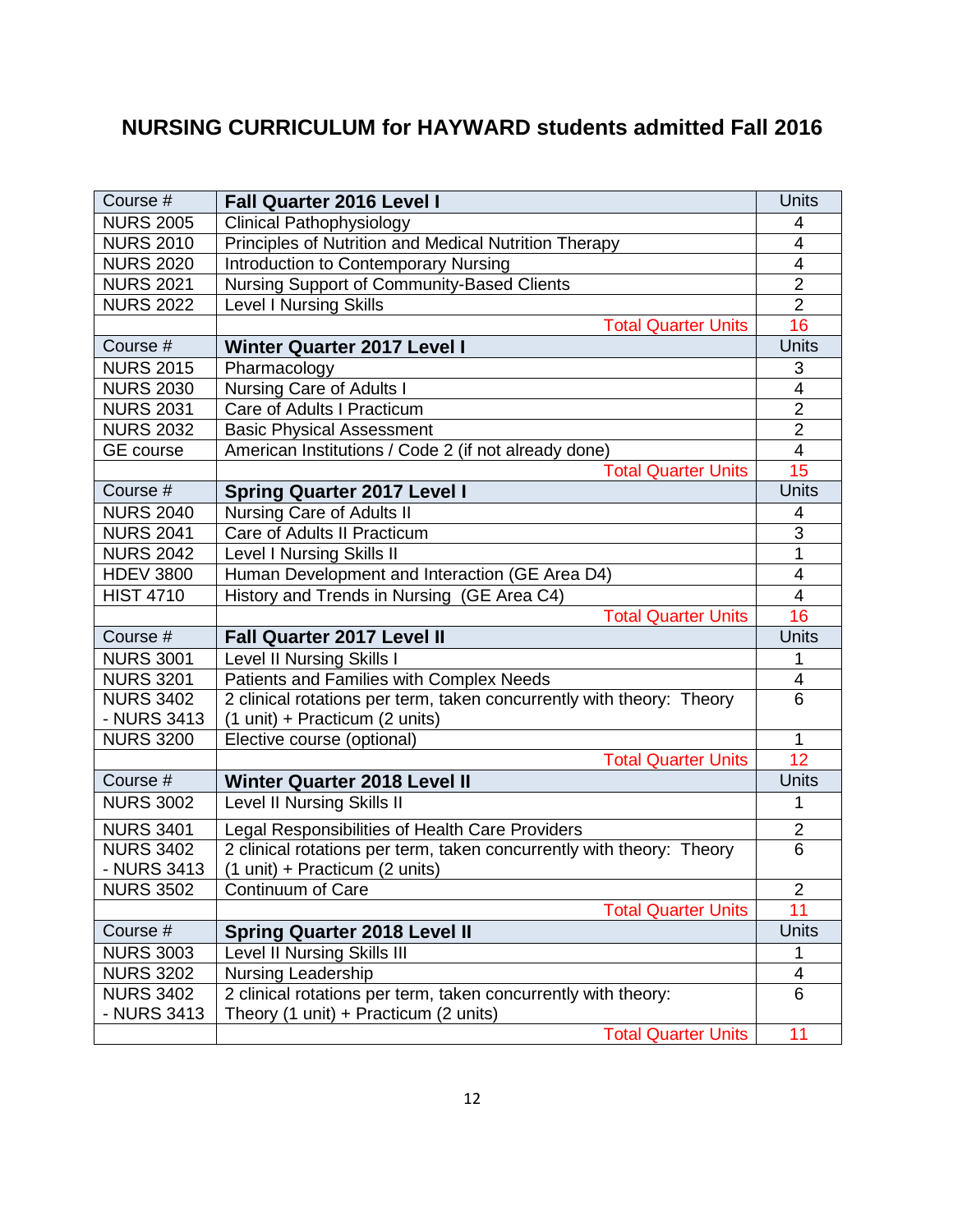# **NURSING CURRICULUM for HAYWARD students admitted Fall 2016**

| Course #         | <b>Fall Quarter 2016 Level I</b>                                      | <b>Units</b>            |
|------------------|-----------------------------------------------------------------------|-------------------------|
| <b>NURS 2005</b> | <b>Clinical Pathophysiology</b>                                       | 4                       |
| <b>NURS 2010</b> | Principles of Nutrition and Medical Nutrition Therapy                 | $\overline{4}$          |
| <b>NURS 2020</b> | Introduction to Contemporary Nursing                                  | $\frac{4}{2}$           |
| <b>NURS 2021</b> | <b>Nursing Support of Community-Based Clients</b>                     |                         |
| <b>NURS 2022</b> | <b>Level I Nursing Skills</b>                                         | $\overline{2}$          |
|                  | <b>Total Quarter Units</b>                                            | 16                      |
| Course #         | <b>Winter Quarter 2017 Level I</b>                                    | <b>Units</b>            |
| <b>NURS 2015</b> | Pharmacology                                                          | 3                       |
| <b>NURS 2030</b> | <b>Nursing Care of Adults I</b>                                       | $\overline{\mathbf{4}}$ |
| <b>NURS 2031</b> | Care of Adults I Practicum                                            | $\overline{2}$          |
| <b>NURS 2032</b> | <b>Basic Physical Assessment</b>                                      | $\mathbf 2$             |
| <b>GE</b> course | American Institutions / Code 2 (if not already done)                  | $\overline{4}$          |
|                  | <b>Total Quarter Units</b>                                            | 15                      |
| Course #         | <b>Spring Quarter 2017 Level I</b>                                    | <b>Units</b>            |
| <b>NURS 2040</b> | <b>Nursing Care of Adults II</b>                                      | 4                       |
| <b>NURS 2041</b> | Care of Adults II Practicum                                           | 3                       |
| <b>NURS 2042</b> | <b>Level I Nursing Skills II</b>                                      | 1                       |
| <b>HDEV 3800</b> | Human Development and Interaction (GE Area D4)                        | $\overline{4}$          |
| <b>HIST 4710</b> | History and Trends in Nursing (GE Area C4)                            | $\overline{4}$          |
|                  | <b>Total Quarter Units</b>                                            | 16                      |
| Course #         | <b>Fall Quarter 2017 Level II</b>                                     | <b>Units</b>            |
| <b>NURS 3001</b> | Level II Nursing Skills I                                             | 1                       |
| <b>NURS 3201</b> | Patients and Families with Complex Needs                              | $\overline{4}$          |
| <b>NURS 3402</b> | 2 clinical rotations per term, taken concurrently with theory: Theory | 6                       |
| - NURS 3413      | (1 unit) + Practicum (2 units)                                        |                         |
| <b>NURS 3200</b> | Elective course (optional)                                            | 1                       |
|                  | <b>Total Quarter Units</b>                                            | 12                      |
| Course #         | <b>Winter Quarter 2018 Level II</b>                                   | <b>Units</b>            |
| <b>NURS 3002</b> | <b>Level II Nursing Skills II</b>                                     | 1                       |
| <b>NURS 3401</b> | Legal Responsibilities of Health Care Providers                       | $\overline{2}$          |
| <b>NURS 3402</b> | 2 clinical rotations per term, taken concurrently with theory: Theory | 6                       |
| - NURS 3413      | (1 unit) + Practicum (2 units)                                        |                         |
| <b>NURS 3502</b> | Continuum of Care                                                     | 2                       |
|                  | <b>Total Quarter Units</b>                                            | 11                      |
| Course #         | <b>Spring Quarter 2018 Level II</b>                                   | <b>Units</b>            |
| <b>NURS 3003</b> | <b>Level II Nursing Skills III</b>                                    | 1                       |
| <b>NURS 3202</b> | <b>Nursing Leadership</b>                                             | $\overline{4}$          |
| <b>NURS 3402</b> | 2 clinical rotations per term, taken concurrently with theory:        | $6\phantom{1}6$         |
| - NURS 3413      | Theory (1 unit) + Practicum (2 units)                                 |                         |
|                  | <b>Total Quarter Units</b>                                            | 11                      |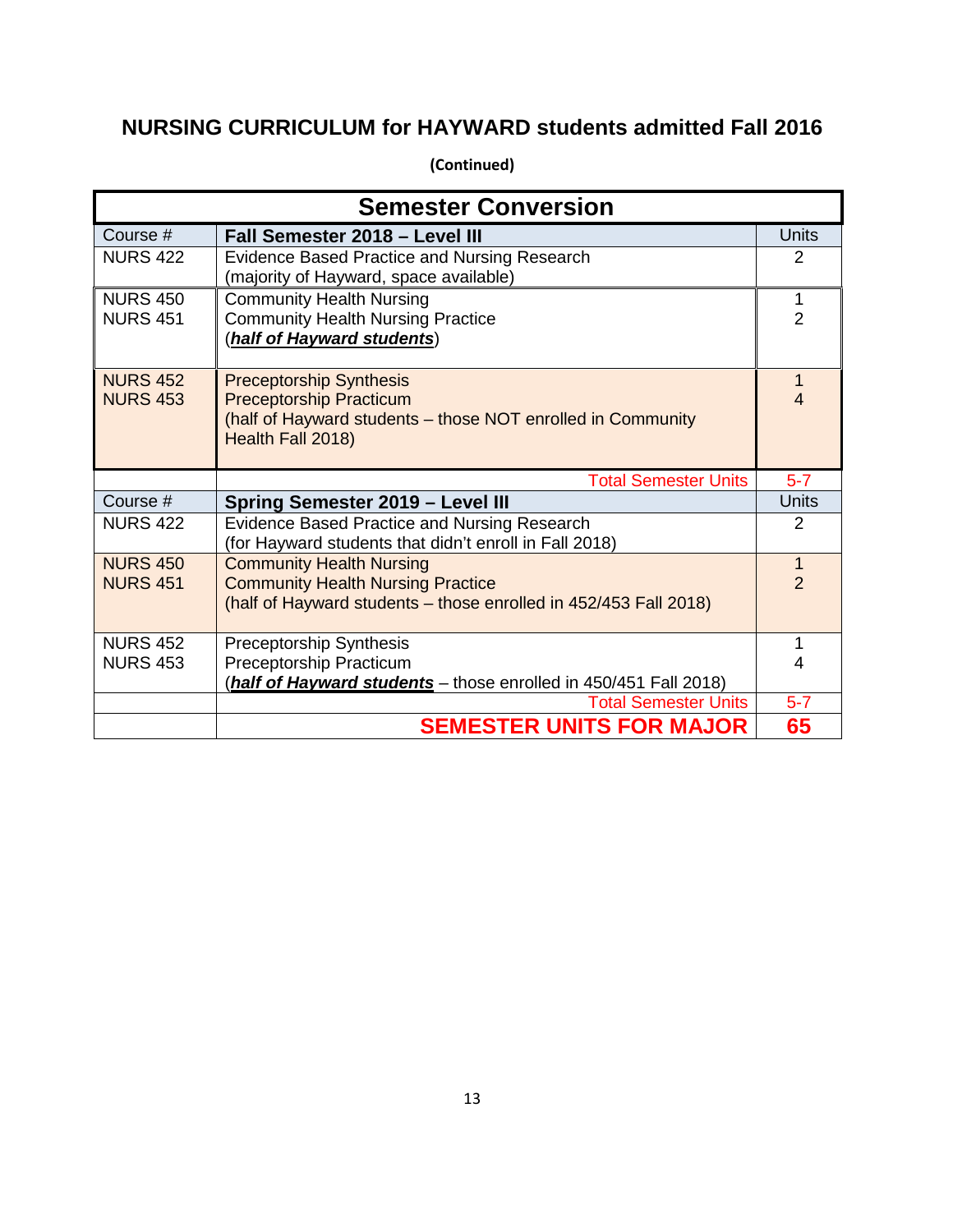# **NURSING CURRICULUM for HAYWARD students admitted Fall 2016**

| <b>Semester Conversion</b> |                                                                                        |                |
|----------------------------|----------------------------------------------------------------------------------------|----------------|
| Course #                   | Fall Semester 2018 - Level III                                                         | <b>Units</b>   |
| <b>NURS 422</b>            | Evidence Based Practice and Nursing Research<br>(majority of Hayward, space available) | 2              |
| <b>NURS 450</b>            | <b>Community Health Nursing</b>                                                        |                |
| <b>NURS 451</b>            | <b>Community Health Nursing Practice</b>                                               | $\overline{2}$ |
|                            | (half of Hayward students)                                                             |                |
| <b>NURS 452</b>            | <b>Preceptorship Synthesis</b>                                                         | 1              |
| <b>NURS 453</b>            | <b>Preceptorship Practicum</b>                                                         | 4              |
|                            | (half of Hayward students – those NOT enrolled in Community                            |                |
|                            | Health Fall 2018)                                                                      |                |
|                            | <b>Total Semester Units</b>                                                            | $5 - 7$        |
| Course #                   | Spring Semester 2019 - Level III                                                       | <b>Units</b>   |
| <b>NURS 422</b>            | Evidence Based Practice and Nursing Research                                           | 2              |
|                            | (for Hayward students that didn't enroll in Fall 2018)                                 |                |
| <b>NURS 450</b>            | <b>Community Health Nursing</b>                                                        | 1              |
| <b>NURS 451</b>            | <b>Community Health Nursing Practice</b>                                               | $\overline{2}$ |
|                            | (half of Hayward students - those enrolled in 452/453 Fall 2018)                       |                |
| <b>NURS 452</b>            | <b>Preceptorship Synthesis</b>                                                         | 1              |
| <b>NURS 453</b>            | Preceptorship Practicum                                                                | 4              |
|                            | (half of Hayward students – those enrolled in 450/451 Fall 2018)                       |                |
|                            | <b>Total Semester Units</b>                                                            | $5-7$          |
|                            | <b>SEMESTER UNITS FOR MAJOR</b>                                                        | 65             |

# **(Continued)**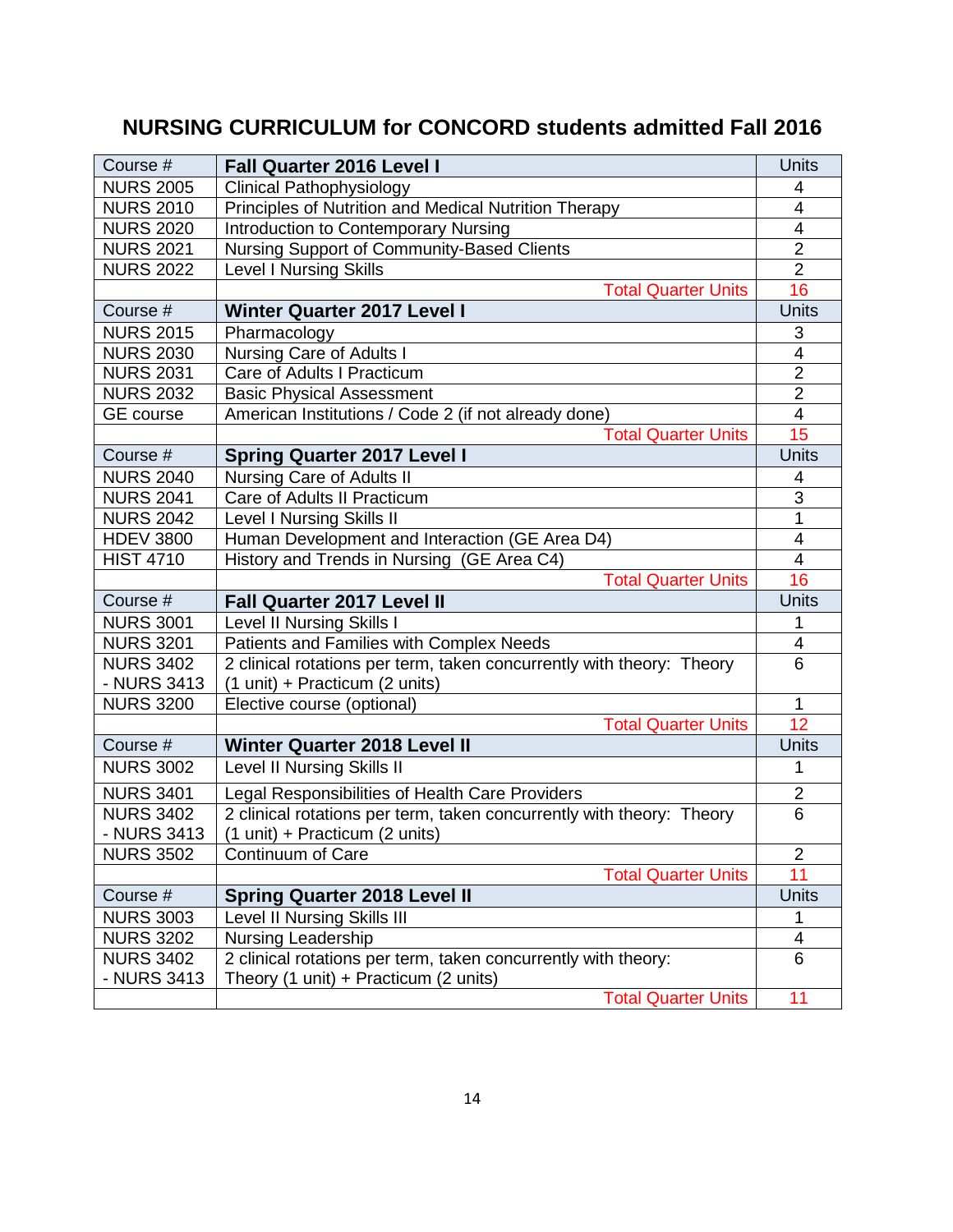# **NURSING CURRICULUM for CONCORD students admitted Fall 2016**

| Course #         | <b>Fall Quarter 2016 Level I</b>                                      | <b>Units</b>             |
|------------------|-----------------------------------------------------------------------|--------------------------|
| <b>NURS 2005</b> | <b>Clinical Pathophysiology</b>                                       | 4                        |
| <b>NURS 2010</b> | Principles of Nutrition and Medical Nutrition Therapy                 | $\overline{4}$           |
| <b>NURS 2020</b> | Introduction to Contemporary Nursing                                  | $\overline{\mathcal{A}}$ |
| <b>NURS 2021</b> | Nursing Support of Community-Based Clients                            | $\overline{2}$           |
| <b>NURS 2022</b> | <b>Level I Nursing Skills</b>                                         | $\overline{2}$           |
|                  | <b>Total Quarter Units</b>                                            | 16                       |
| Course #         | <b>Winter Quarter 2017 Level I</b>                                    | <b>Units</b>             |
| <b>NURS 2015</b> | Pharmacology                                                          | 3                        |
| <b>NURS 2030</b> | <b>Nursing Care of Adults I</b>                                       | 4                        |
| <b>NURS 2031</b> | Care of Adults I Practicum                                            | $\overline{2}$           |
| <b>NURS 2032</b> | <b>Basic Physical Assessment</b>                                      | $\overline{2}$           |
| <b>GE</b> course | American Institutions / Code 2 (if not already done)                  | $\overline{4}$           |
|                  | <b>Total Quarter Units</b>                                            | 15                       |
| Course #         | <b>Spring Quarter 2017 Level I</b>                                    | <b>Units</b>             |
| <b>NURS 2040</b> | Nursing Care of Adults II                                             | 4                        |
| <b>NURS 2041</b> | Care of Adults II Practicum                                           | 3                        |
| <b>NURS 2042</b> | <b>Level I Nursing Skills II</b>                                      | 1                        |
| <b>HDEV 3800</b> | Human Development and Interaction (GE Area D4)                        | $\overline{4}$           |
| <b>HIST 4710</b> | History and Trends in Nursing (GE Area C4)                            | $\overline{4}$           |
|                  | <b>Total Quarter Units</b>                                            | 16                       |
| Course #         | <b>Fall Quarter 2017 Level II</b>                                     | <b>Units</b>             |
| <b>NURS 3001</b> | <b>Level II Nursing Skills I</b>                                      | 1                        |
| <b>NURS 3201</b> | Patients and Families with Complex Needs                              | 4                        |
| <b>NURS 3402</b> | 2 clinical rotations per term, taken concurrently with theory: Theory | $\overline{6}$           |
| - NURS 3413      | (1 unit) + Practicum (2 units)                                        |                          |
| <b>NURS 3200</b> | Elective course (optional)                                            | 1                        |
|                  | <b>Total Quarter Units</b>                                            | 12 <sub>2</sub>          |
| Course #         | <b>Winter Quarter 2018 Level II</b>                                   | <b>Units</b>             |
| <b>NURS 3002</b> | Level II Nursing Skills II                                            | 1                        |
| <b>NURS 3401</b> | Legal Responsibilities of Health Care Providers                       | $\overline{2}$           |
| <b>NURS 3402</b> | 2 clinical rotations per term, taken concurrently with theory: Theory | 6                        |
| - NURS 3413      | $(1 \text{ unit}) + \text{Practicum}$ (2 units)                       |                          |
| <b>NURS 3502</b> | Continuum of Care                                                     | $\overline{2}$           |
|                  | <b>Total Quarter Units</b>                                            | 11                       |
| Course #         | <b>Spring Quarter 2018 Level II</b>                                   | <b>Units</b>             |
| <b>NURS 3003</b> | Level II Nursing Skills III                                           | 1                        |
| <b>NURS 3202</b> | Nursing Leadership                                                    | 4                        |
| <b>NURS 3402</b> | 2 clinical rotations per term, taken concurrently with theory:        | 6                        |
| - NURS 3413      | Theory (1 unit) + Practicum (2 units)                                 |                          |
|                  | <b>Total Quarter Units</b>                                            | 11                       |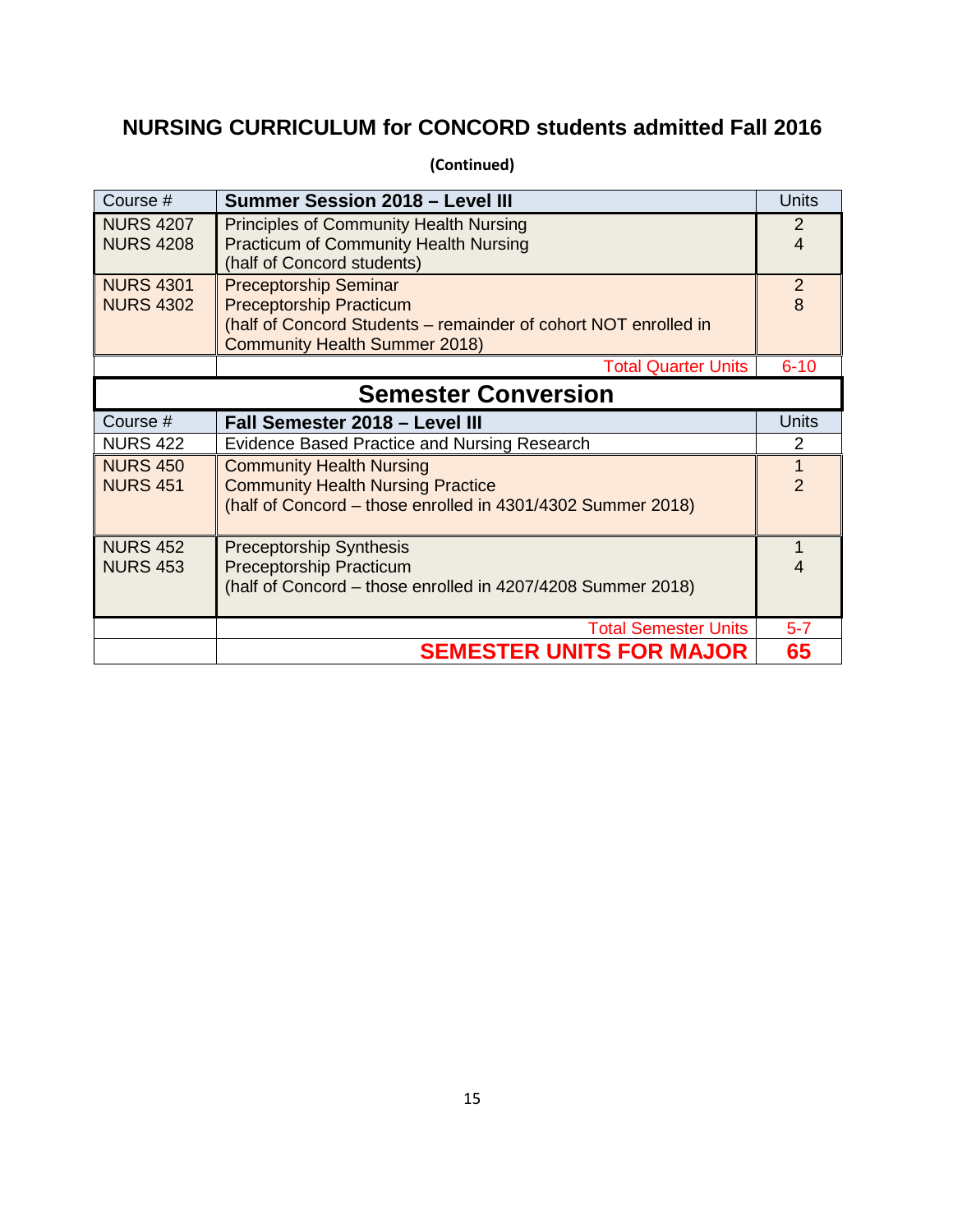# **NURSING CURRICULUM for CONCORD students admitted Fall 2016**

| Course #                             | <b>Summer Session 2018 - Level III</b>                                                                                                    | <b>Units</b>        |
|--------------------------------------|-------------------------------------------------------------------------------------------------------------------------------------------|---------------------|
| <b>NURS 4207</b><br><b>NURS 4208</b> | <b>Principles of Community Health Nursing</b><br><b>Practicum of Community Health Nursing</b>                                             | 2<br>$\overline{4}$ |
|                                      | (half of Concord students)                                                                                                                |                     |
| <b>NURS 4301</b>                     | <b>Preceptorship Seminar</b>                                                                                                              | $\overline{2}$<br>8 |
| <b>NURS 4302</b>                     | <b>Preceptorship Practicum</b><br>(half of Concord Students - remainder of cohort NOT enrolled in<br><b>Community Health Summer 2018)</b> |                     |
|                                      | <b>Total Quarter Units</b>                                                                                                                | $6 - 10$            |
|                                      | <b>Semester Conversion</b>                                                                                                                |                     |
| Course #                             | Fall Semester 2018 - Level III                                                                                                            | <b>Units</b>        |
| <b>NURS 422</b>                      | <b>Evidence Based Practice and Nursing Research</b>                                                                                       | 2                   |
| <b>NURS 450</b>                      | <b>Community Health Nursing</b>                                                                                                           | $\mathbf{1}$        |
| <b>NURS 451</b>                      | <b>Community Health Nursing Practice</b>                                                                                                  | $\overline{2}$      |
|                                      | (half of Concord – those enrolled in 4301/4302 Summer 2018)                                                                               |                     |
| <b>NURS 452</b>                      | <b>Preceptorship Synthesis</b>                                                                                                            |                     |
| <b>NURS 453</b>                      | <b>Preceptorship Practicum</b>                                                                                                            | 4                   |
|                                      | (half of Concord - those enrolled in 4207/4208 Summer 2018)                                                                               |                     |
|                                      | <b>Total Semester Units</b>                                                                                                               | $5-7$               |
|                                      | <b>SEMESTER UNITS FOR MAJOR</b>                                                                                                           | 65                  |

**(Continued)**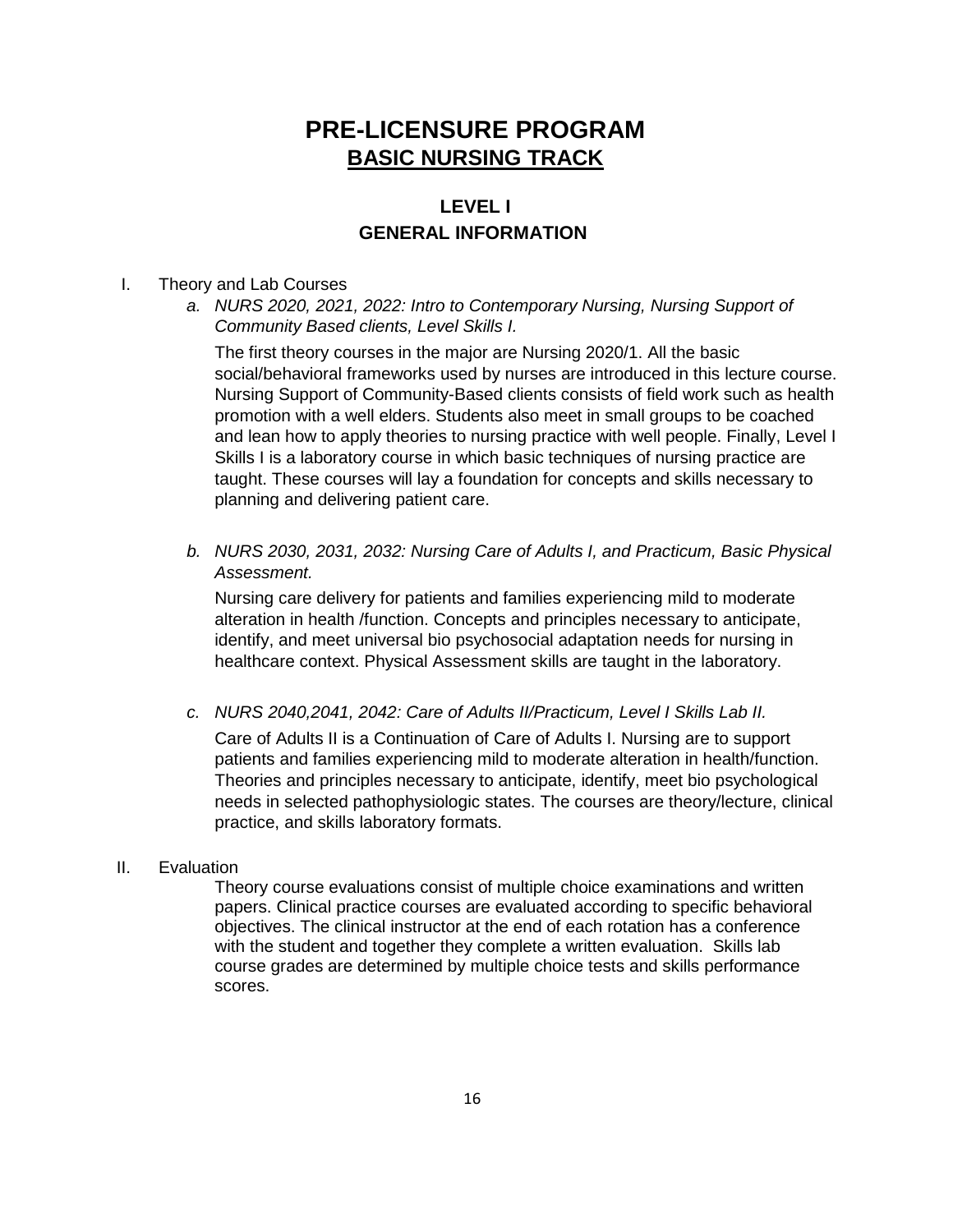# **PRE-LICENSURE PROGRAM BASIC NURSING TRACK**

# **LEVEL I GENERAL INFORMATION**

#### I. Theory and Lab Courses

*a. NURS 2020, 2021, 2022: Intro to Contemporary Nursing, Nursing Support of Community Based clients, Level Skills I.* 

The first theory courses in the major are Nursing 2020/1. All the basic social/behavioral frameworks used by nurses are introduced in this lecture course. Nursing Support of Community-Based clients consists of field work such as health promotion with a well elders. Students also meet in small groups to be coached and lean how to apply theories to nursing practice with well people. Finally, Level I Skills I is a laboratory course in which basic techniques of nursing practice are taught. These courses will lay a foundation for concepts and skills necessary to planning and delivering patient care.

*b. NURS 2030, 2031, 2032: Nursing Care of Adults I, and Practicum, Basic Physical Assessment.* 

Nursing care delivery for patients and families experiencing mild to moderate alteration in health /function. Concepts and principles necessary to anticipate, identify, and meet universal bio psychosocial adaptation needs for nursing in healthcare context. Physical Assessment skills are taught in the laboratory.

*c. NURS 2040,2041, 2042: Care of Adults II/Practicum, Level I Skills Lab II.* 

Care of Adults II is a Continuation of Care of Adults I. Nursing are to support patients and families experiencing mild to moderate alteration in health/function. Theories and principles necessary to anticipate, identify, meet bio psychological needs in selected pathophysiologic states. The courses are theory/lecture, clinical practice, and skills laboratory formats.

#### II. Evaluation

Theory course evaluations consist of multiple choice examinations and written papers. Clinical practice courses are evaluated according to specific behavioral objectives. The clinical instructor at the end of each rotation has a conference with the student and together they complete a written evaluation. Skills lab course grades are determined by multiple choice tests and skills performance scores.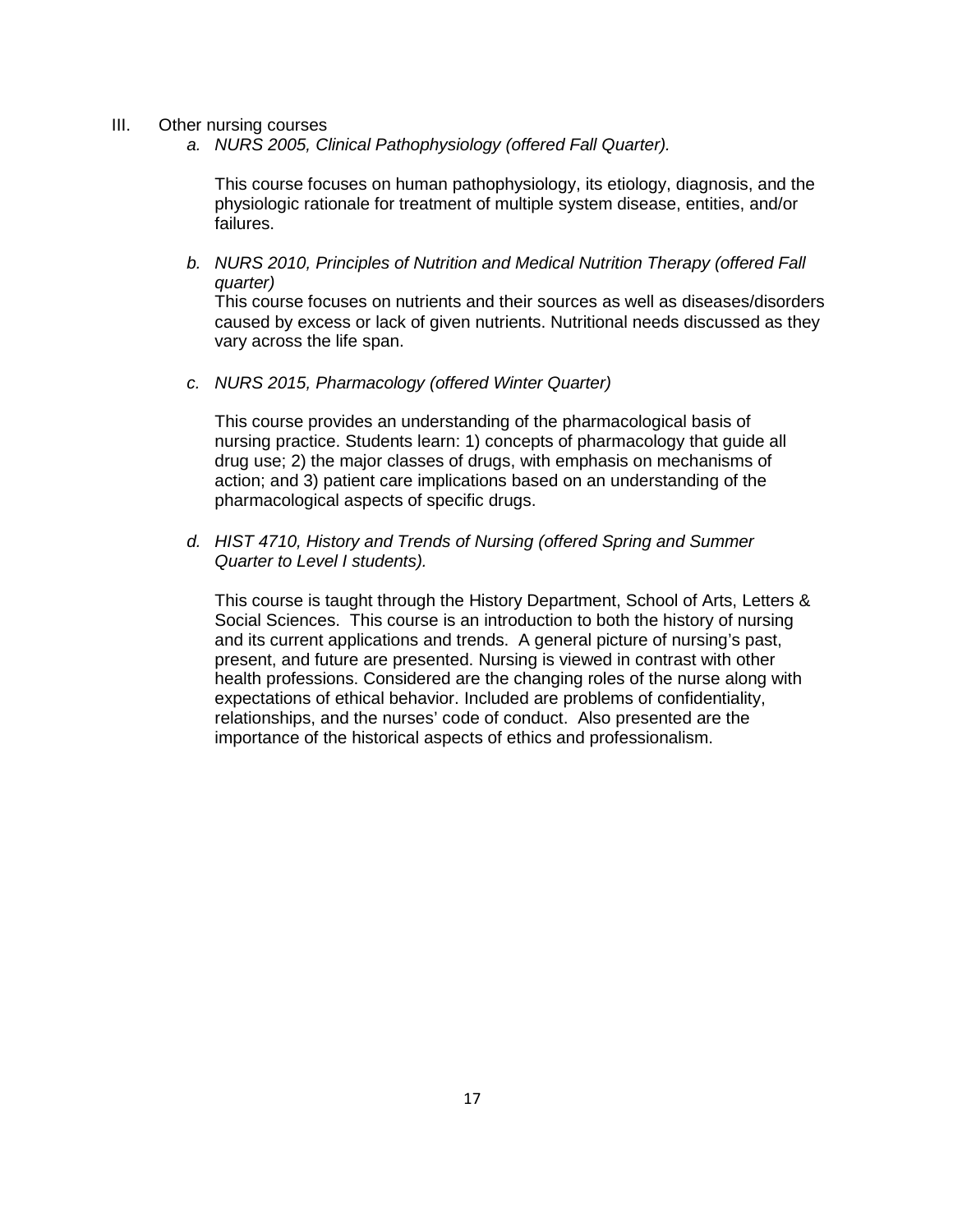- III. Other nursing courses
	- *a. NURS 2005, Clinical Pathophysiology (offered Fall Quarter).*

This course focuses on human pathophysiology, its etiology, diagnosis, and the physiologic rationale for treatment of multiple system disease, entities, and/or failures.

*b. NURS 2010, Principles of Nutrition and Medical Nutrition Therapy (offered Fall quarter)*

This course focuses on nutrients and their sources as well as diseases/disorders caused by excess or lack of given nutrients. Nutritional needs discussed as they vary across the life span.

*c. NURS 2015, Pharmacology (offered Winter Quarter)*

This course provides an understanding of the pharmacological basis of nursing practice. Students learn: 1) concepts of pharmacology that guide all drug use; 2) the major classes of drugs, with emphasis on mechanisms of action; and 3) patient care implications based on an understanding of the pharmacological aspects of specific drugs.

*d. HIST 4710, History and Trends of Nursing (offered Spring and Summer Quarter to Level I students).* 

This course is taught through the History Department, School of Arts, Letters & Social Sciences. This course is an introduction to both the history of nursing and its current applications and trends. A general picture of nursing's past, present, and future are presented. Nursing is viewed in contrast with other health professions. Considered are the changing roles of the nurse along with expectations of ethical behavior. Included are problems of confidentiality, relationships, and the nurses' code of conduct. Also presented are the importance of the historical aspects of ethics and professionalism.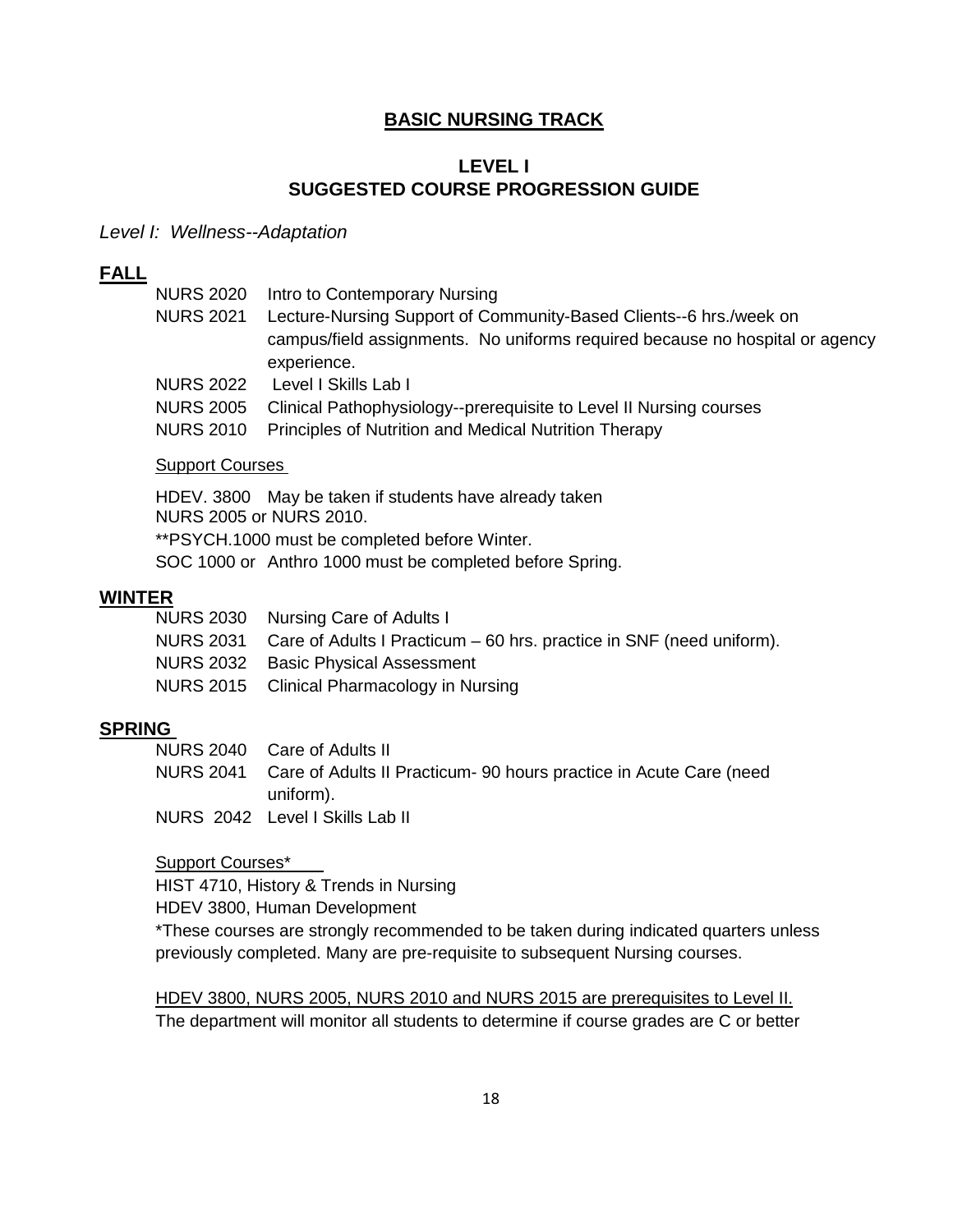## **LEVEL I SUGGESTED COURSE PROGRESSION GUIDE**

#### *Level I: Wellness--Adaptation*

#### **FALL**

| NURS 2020        | Intro to Contemporary Nursing                                                                                                                      |
|------------------|----------------------------------------------------------------------------------------------------------------------------------------------------|
| <b>NURS 2021</b> | Lecture-Nursing Support of Community-Based Clients--6 hrs./week on<br>campus/field assignments. No uniforms required because no hospital or agency |
|                  | experience.                                                                                                                                        |
| <b>NURS 2022</b> | Level I Skills Lab I                                                                                                                               |
| <b>NURS 2005</b> | Clinical Pathophysiology--prerequisite to Level II Nursing courses                                                                                 |
| NURS 2010        | Principles of Nutrition and Medical Nutrition Therapy                                                                                              |

#### **Support Courses**

HDEV. 3800 May be taken if students have already taken NURS 2005 or NURS 2010. \*\*PSYCH.1000 must be completed before Winter. SOC 1000 or Anthro 1000 must be completed before Spring.

#### **WINTER**

| NURS 2030 Nursing Care of Adults I                                             |
|--------------------------------------------------------------------------------|
| NURS 2031 Care of Adults I Practicum – 60 hrs. practice in SNF (need uniform). |
| NURS 2032 Basic Physical Assessment                                            |
| NURS 2015 Clinical Pharmacology in Nursing                                     |

#### **SPRING**

NURS 2040 Care of Adults II

NURS 2041 Care of Adults II Practicum- 90 hours practice in Acute Care (need uniform).

NURS 2042 Level I Skills Lab II

Support Courses\*

HIST 4710, History & Trends in Nursing

HDEV 3800, Human Development

\*These courses are strongly recommended to be taken during indicated quarters unless previously completed. Many are pre-requisite to subsequent Nursing courses.

HDEV 3800, NURS 2005, NURS 2010 and NURS 2015 are prerequisites to Level II. The department will monitor all students to determine if course grades are C or better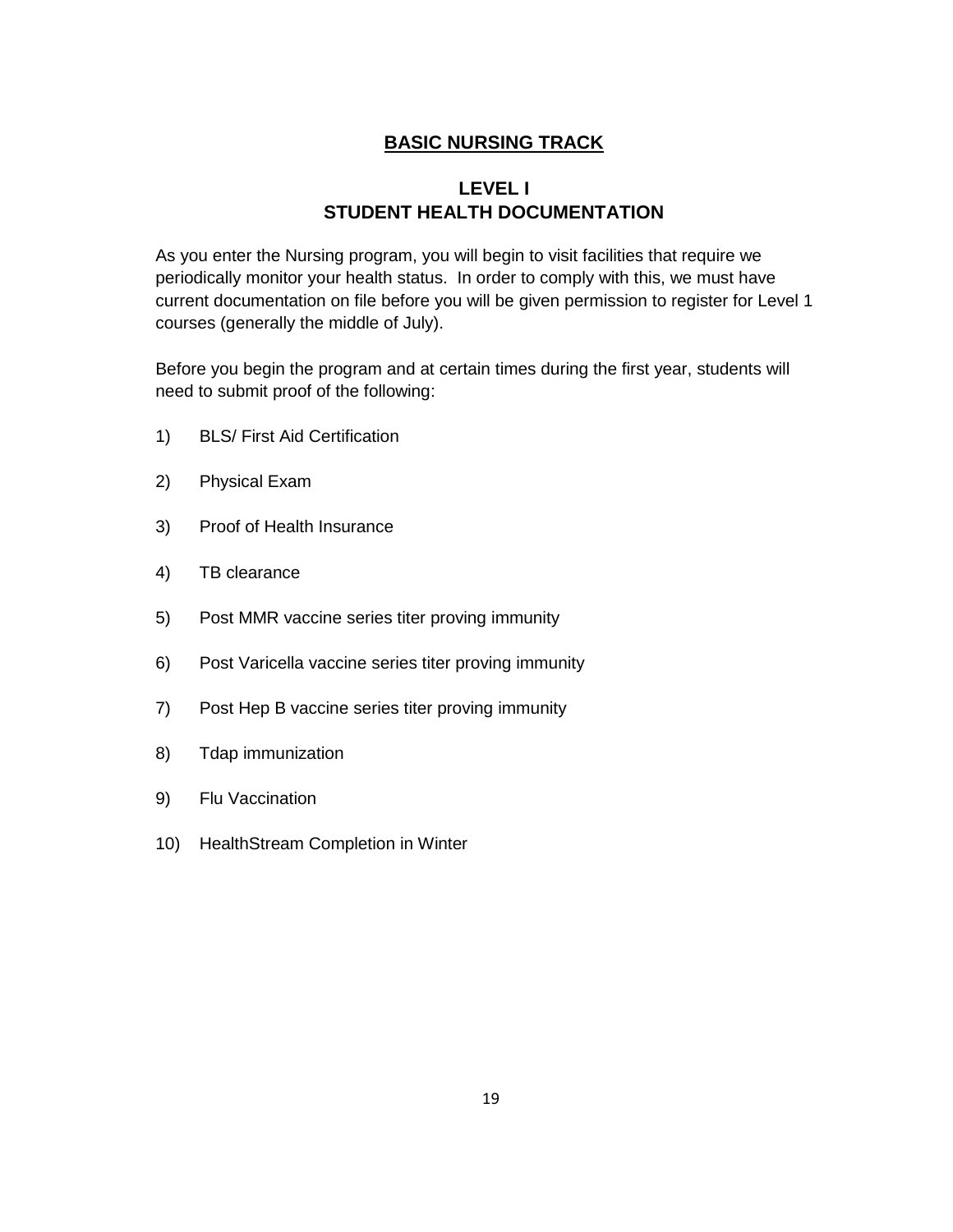# **LEVEL I STUDENT HEALTH DOCUMENTATION**

As you enter the Nursing program, you will begin to visit facilities that require we periodically monitor your health status. In order to comply with this, we must have current documentation on file before you will be given permission to register for Level 1 courses (generally the middle of July).

Before you begin the program and at certain times during the first year, students will need to submit proof of the following:

- 1) BLS/ First Aid Certification
- 2) Physical Exam
- 3) Proof of Health Insurance
- 4) TB clearance
- 5) Post MMR vaccine series titer proving immunity
- 6) Post Varicella vaccine series titer proving immunity
- 7) Post Hep B vaccine series titer proving immunity
- 8) Tdap immunization
- 9) Flu Vaccination
- 10) HealthStream Completion in Winter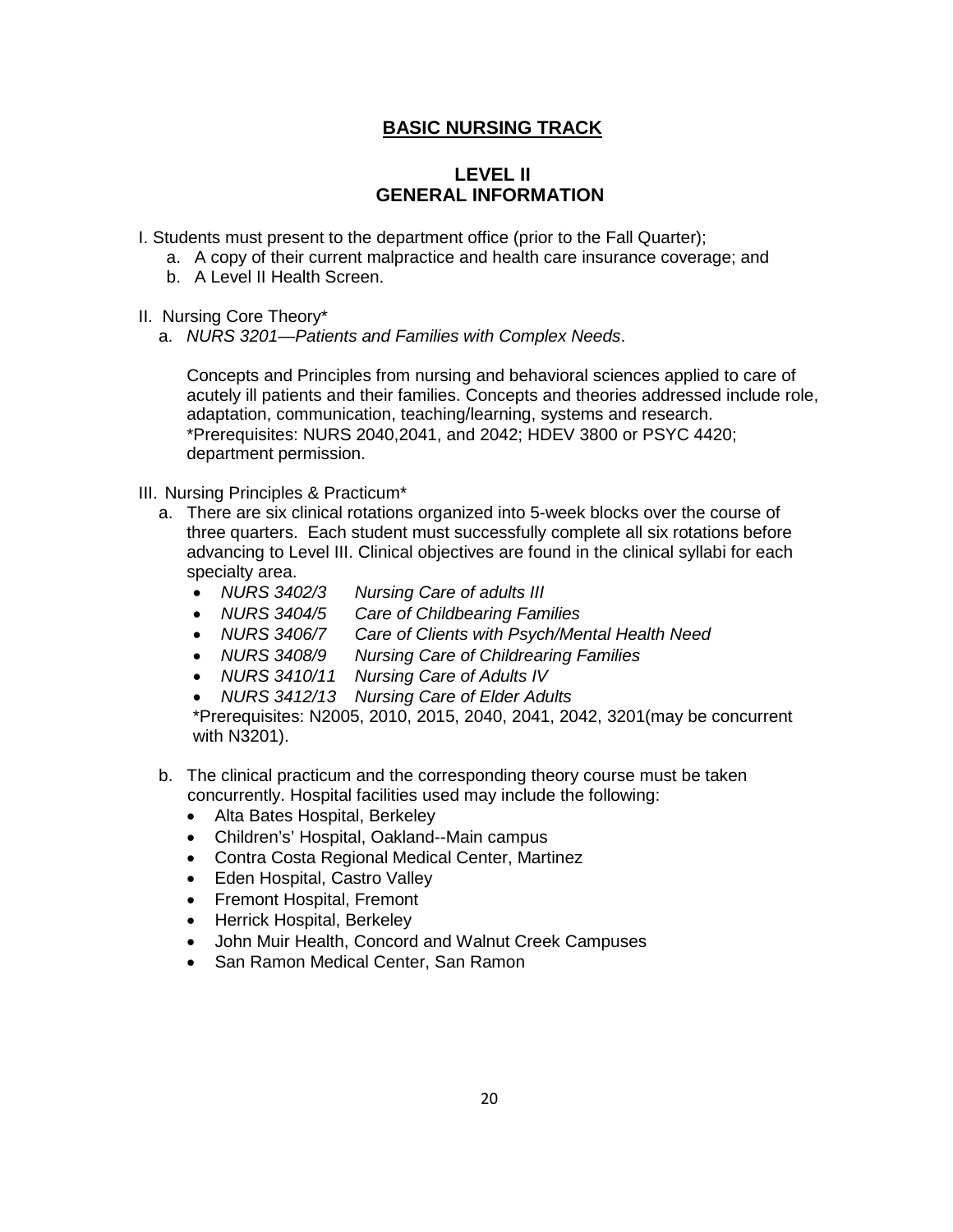## **LEVEL II GENERAL INFORMATION**

- I. Students must present to the department office (prior to the Fall Quarter);
	- a. A copy of their current malpractice and health care insurance coverage; and
	- b. A Level II Health Screen.
- II. Nursing Core Theory\*
	- a. *NURS 3201—Patients and Families with Complex Needs*.

Concepts and Principles from nursing and behavioral sciences applied to care of acutely ill patients and their families. Concepts and theories addressed include role, adaptation, communication, teaching/learning, systems and research. \*Prerequisites: NURS 2040,2041, and 2042; HDEV 3800 or PSYC 4420; department permission.

#### III. Nursing Principles & Practicum\*

- a. There are six clinical rotations organized into 5-week blocks over the course of three quarters. Each student must successfully complete all six rotations before advancing to Level III. Clinical objectives are found in the clinical syllabi for each specialty area.
	- *NURS 3402/3 Nursing Care of adults III*
	- *NURS 3404/5 Care of Childbearing Families*
	- *NURS 3406/7 Care of Clients with Psych/Mental Health Need*
	- *NURS 3408/9 Nursing Care of Childrearing Families*
	- *NURS 3410/11 Nursing Care of Adults IV*
	- *NURS 3412/13 Nursing Care of Elder Adults*

\*Prerequisites: N2005, 2010, 2015, 2040, 2041, 2042, 3201(may be concurrent with N3201).

- b. The clinical practicum and the corresponding theory course must be taken concurrently. Hospital facilities used may include the following:
	- Alta Bates Hospital, Berkeley
	- Children's' Hospital, Oakland--Main campus
	- Contra Costa Regional Medical Center, Martinez
	- Eden Hospital, Castro Valley
	- Fremont Hospital, Fremont
	- Herrick Hospital, Berkeley
	- John Muir Health, Concord and Walnut Creek Campuses
	- San Ramon Medical Center, San Ramon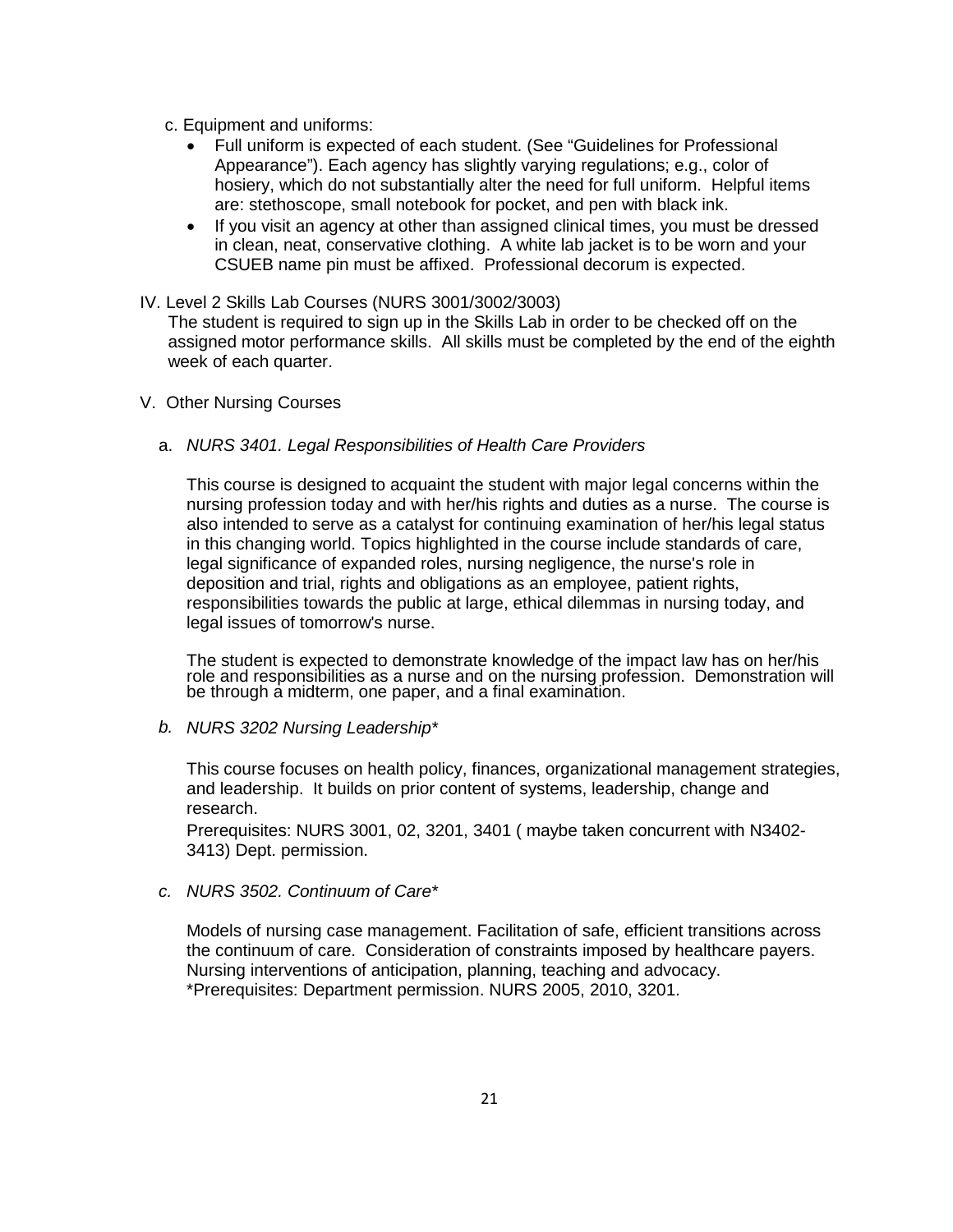- c. Equipment and uniforms:
	- Full uniform is expected of each student. (See "Guidelines for Professional Appearance"). Each agency has slightly varying regulations; e.g., color of hosiery, which do not substantially alter the need for full uniform. Helpful items are: stethoscope, small notebook for pocket, and pen with black ink.
	- If you visit an agency at other than assigned clinical times, you must be dressed in clean, neat, conservative clothing. A white lab jacket is to be worn and your CSUEB name pin must be affixed. Professional decorum is expected.
- IV. Level 2 Skills Lab Courses (NURS 3001/3002/3003) The student is required to sign up in the Skills Lab in order to be checked off on the assigned motor performance skills. All skills must be completed by the end of the eighth week of each quarter.
- V. Other Nursing Courses
	- a. *NURS 3401. Legal Responsibilities of Health Care Providers*

This course is designed to acquaint the student with major legal concerns within the nursing profession today and with her/his rights and duties as a nurse. The course is also intended to serve as a catalyst for continuing examination of her/his legal status in this changing world. Topics highlighted in the course include standards of care, legal significance of expanded roles, nursing negligence, the nurse's role in deposition and trial, rights and obligations as an employee, patient rights, responsibilities towards the public at large, ethical dilemmas in nursing today, and legal issues of tomorrow's nurse.

The student is expected to demonstrate knowledge of the impact law has on her/his role and responsibilities as a nurse and on the nursing profession. Demonstration will be through a midterm, one paper, and a final examination.

*b. NURS 3202 Nursing Leadership\**

This course focuses on health policy, finances, organizational management strategies, and leadership. It builds on prior content of systems, leadership, change and research.

Prerequisites: NURS 3001, 02, 3201, 3401 ( maybe taken concurrent with N3402- 3413) Dept. permission.

*c. NURS 3502. Continuum of Care\**

Models of nursing case management. Facilitation of safe, efficient transitions across the continuum of care. Consideration of constraints imposed by healthcare payers. Nursing interventions of anticipation, planning, teaching and advocacy. \*Prerequisites: Department permission. NURS 2005, 2010, 3201.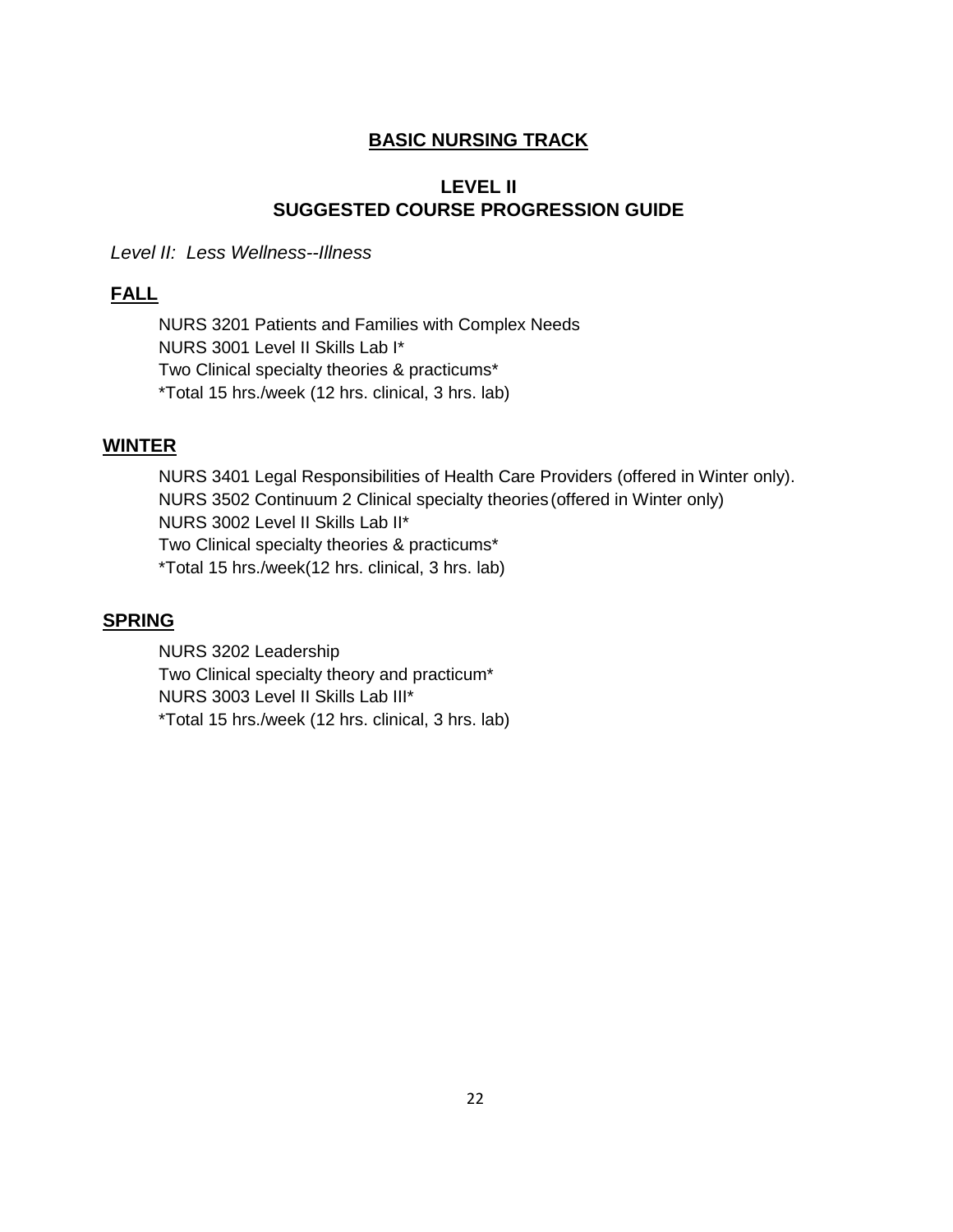## **LEVEL II SUGGESTED COURSE PROGRESSION GUIDE**

*Level II: Less Wellness--Illness*

#### **FALL**

NURS 3201 Patients and Families with Complex Needs NURS 3001 Level II Skills Lab I\* Two Clinical specialty theories & practicums\* \*Total 15 hrs./week (12 hrs. clinical, 3 hrs. lab)

#### **WINTER**

NURS 3401 Legal Responsibilities of Health Care Providers (offered in Winter only). NURS 3502 Continuum 2 Clinical specialty theories(offered in Winter only) NURS 3002 Level II Skills Lab II\* Two Clinical specialty theories & practicums\* \*Total 15 hrs./week(12 hrs. clinical, 3 hrs. lab)

#### **SPRING**

NURS 3202 Leadership Two Clinical specialty theory and practicum\* NURS 3003 Level II Skills Lab III\* \*Total 15 hrs./week (12 hrs. clinical, 3 hrs. lab)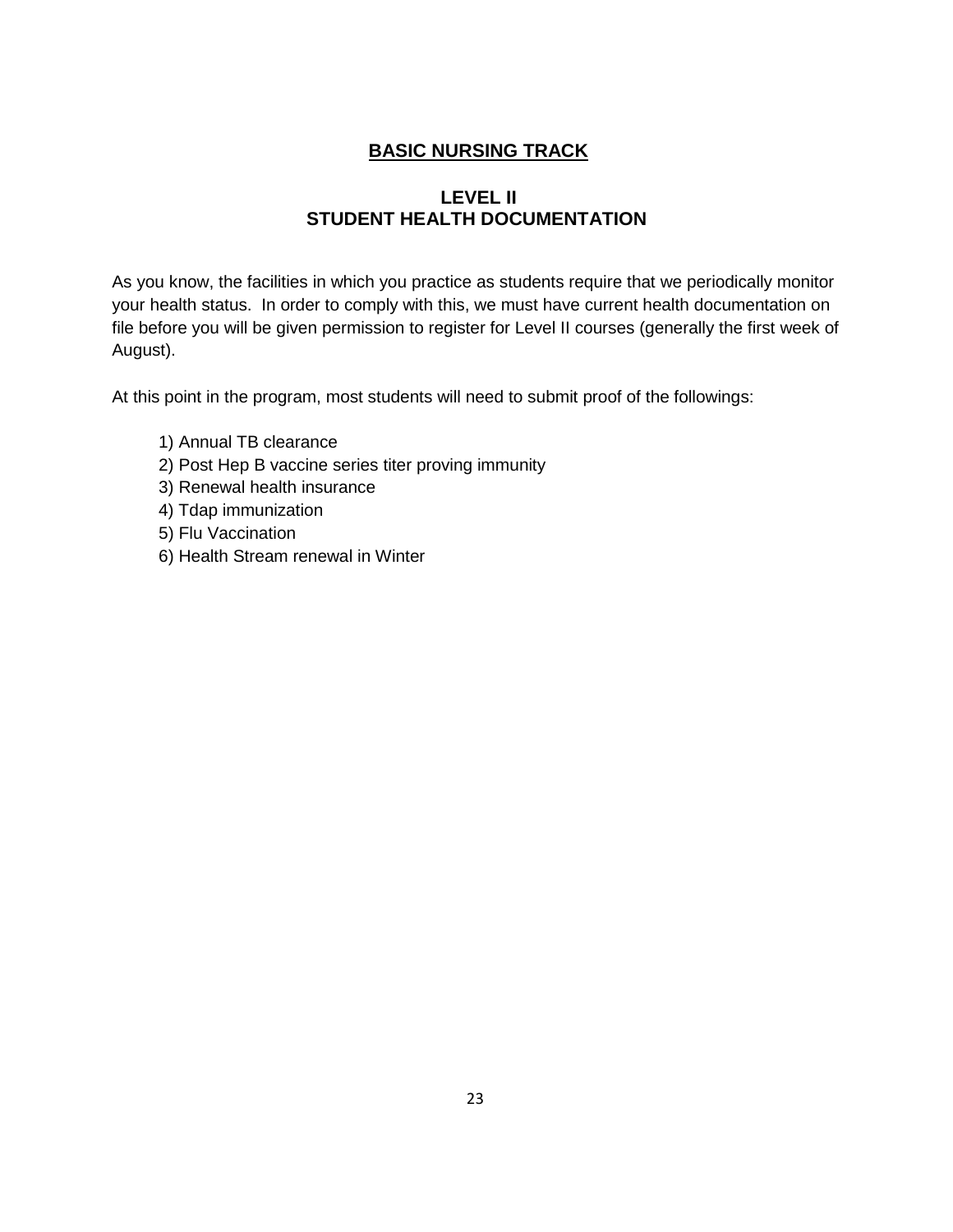# **LEVEL II STUDENT HEALTH DOCUMENTATION**

As you know, the facilities in which you practice as students require that we periodically monitor your health status. In order to comply with this, we must have current health documentation on file before you will be given permission to register for Level II courses (generally the first week of August).

At this point in the program, most students will need to submit proof of the followings:

- 1) Annual TB clearance
- 2) Post Hep B vaccine series titer proving immunity
- 3) Renewal health insurance
- 4) Tdap immunization
- 5) Flu Vaccination
- 6) Health Stream renewal in Winter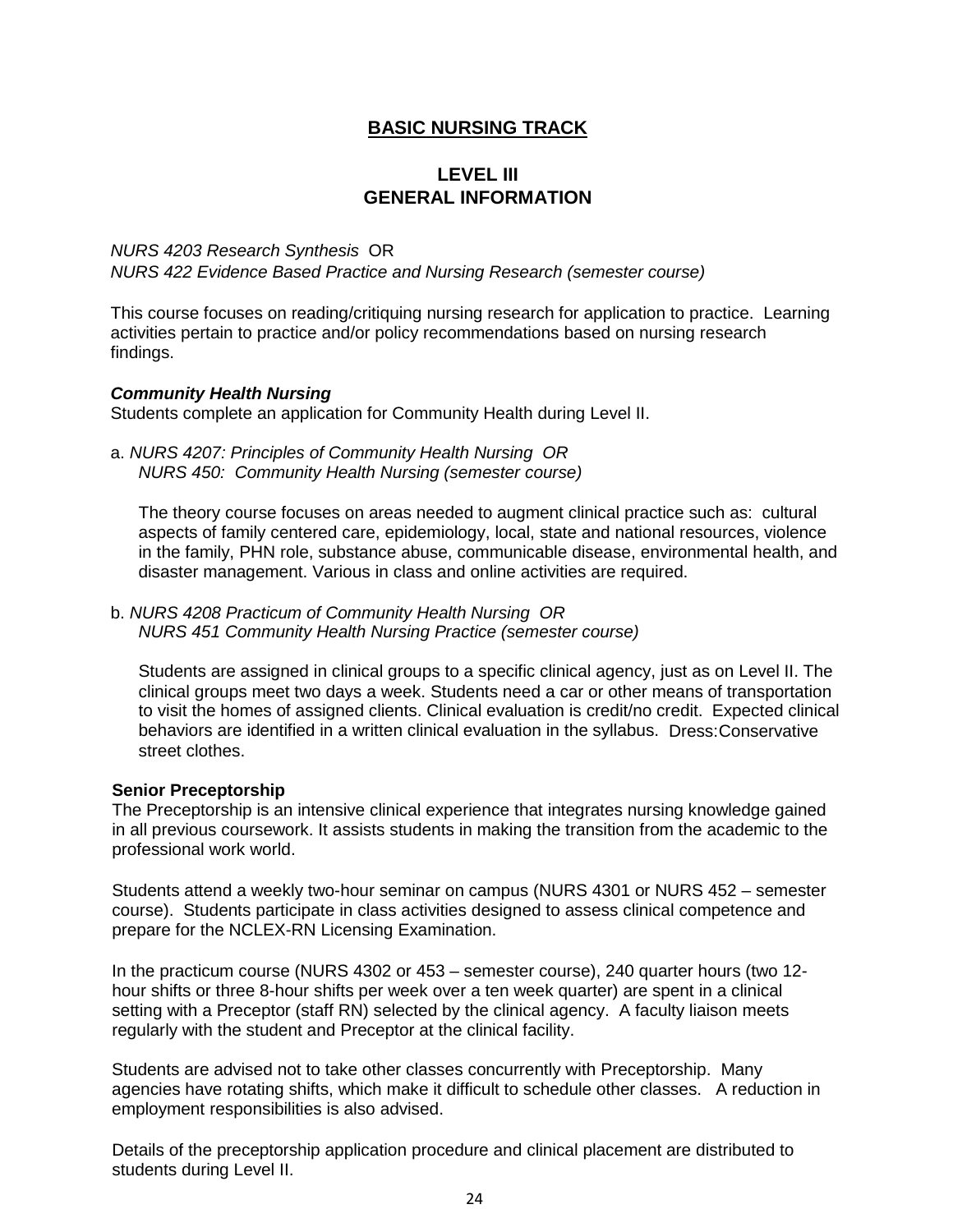# **LEVEL III GENERAL INFORMATION**

#### *NURS 4203 Research Synthesis* OR *NURS 422 Evidence Based Practice and Nursing Research (semester course)*

This course focuses on reading/critiquing nursing research for application to practice. Learning activities pertain to practice and/or policy recommendations based on nursing research findings.

#### *Community Health Nursing*

Students complete an application for Community Health during Level II.

a. *NURS 4207: Principles of Community Health Nursing OR NURS 450: Community Health Nursing (semester course)*

The theory course focuses on areas needed to augment clinical practice such as: cultural aspects of family centered care, epidemiology, local, state and national resources, violence in the family, PHN role, substance abuse, communicable disease, environmental health, and disaster management. Various in class and online activities are required.

#### b. *NURS 4208 Practicum of Community Health Nursing OR NURS 451 Community Health Nursing Practice (semester course)*

Students are assigned in clinical groups to a specific clinical agency, just as on Level II. The clinical groups meet two days a week. Students need a car or other means of transportation to visit the homes of assigned clients. Clinical evaluation is credit/no credit. Expected clinical behaviors are identified in a written clinical evaluation in the syllabus. Dress:Conservative street clothes.

#### **Senior Preceptorship**

The Preceptorship is an intensive clinical experience that integrates nursing knowledge gained in all previous coursework. It assists students in making the transition from the academic to the professional work world.

Students attend a weekly two-hour seminar on campus (NURS 4301 or NURS 452 – semester course). Students participate in class activities designed to assess clinical competence and prepare for the NCLEX-RN Licensing Examination.

In the practicum course (NURS 4302 or 453 – semester course), 240 quarter hours (two 12 hour shifts or three 8-hour shifts per week over a ten week quarter) are spent in a clinical setting with a Preceptor (staff RN) selected by the clinical agency. A faculty liaison meets regularly with the student and Preceptor at the clinical facility.

Students are advised not to take other classes concurrently with Preceptorship. Many agencies have rotating shifts, which make it difficult to schedule other classes. A reduction in employment responsibilities is also advised.

Details of the preceptorship application procedure and clinical placement are distributed to students during Level II.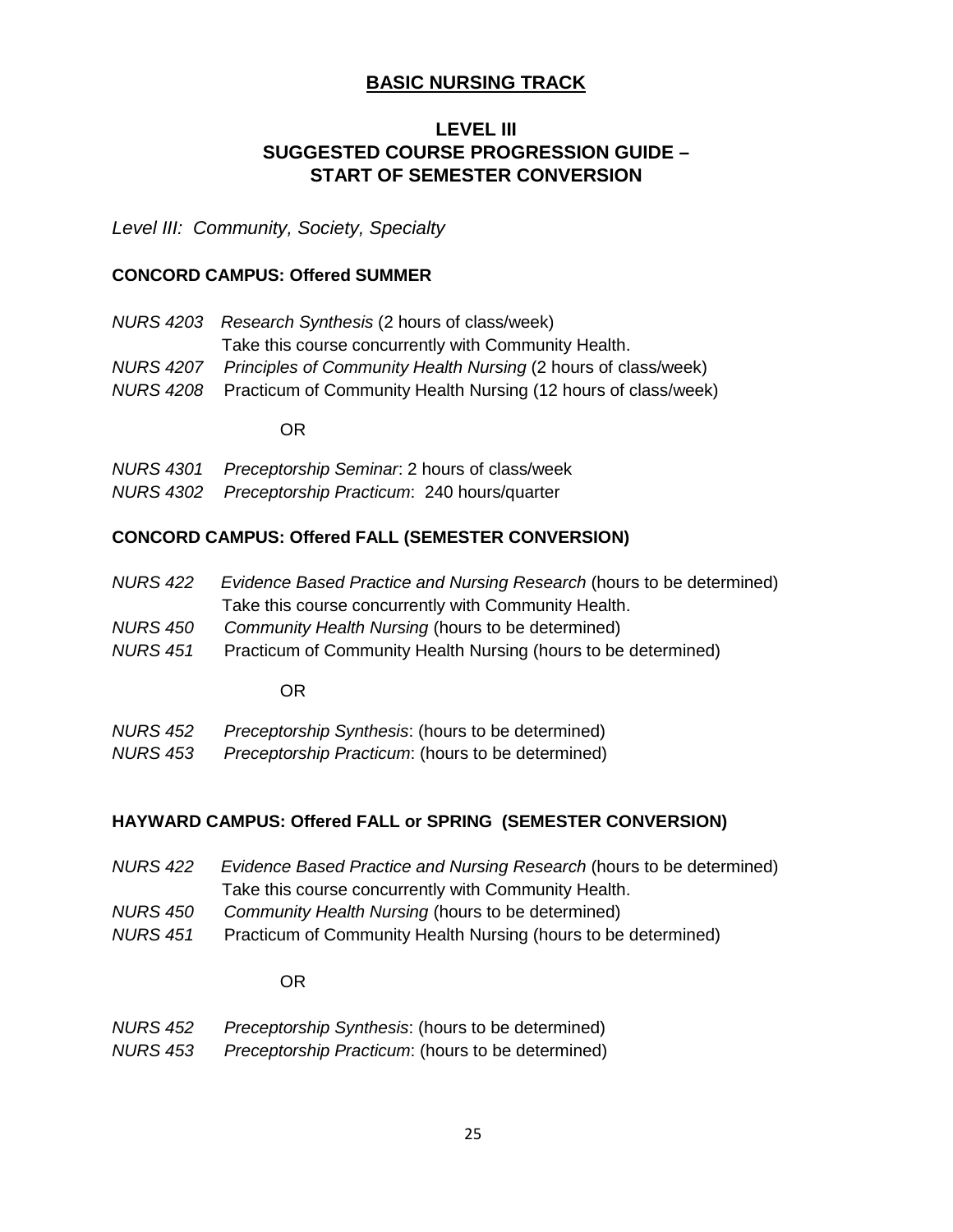# **LEVEL III SUGGESTED COURSE PROGRESSION GUIDE – START OF SEMESTER CONVERSION**

*Level III: Community, Society, Specialty*

#### **CONCORD CAMPUS: Offered SUMMER**

| NURS 4203 Research Synthesis (2 hours of class/week)                     |
|--------------------------------------------------------------------------|
| Take this course concurrently with Community Health.                     |
| NURS 4207 Principles of Community Health Nursing (2 hours of class/week) |
| NURS 4208 Practicum of Community Health Nursing (12 hours of class/week) |

OR

- *NURS 4301 Preceptorship Seminar*: 2 hours of class/week
- *NURS 4302 Preceptorship Practicum*: 240 hours/quarter

#### **CONCORD CAMPUS: Offered FALL (SEMESTER CONVERSION)**

- *NURS 422 Evidence Based Practice and Nursing Research* (hours to be determined) Take this course concurrently with Community Health.
- *NURS 450 Community Health Nursing* (hours to be determined)
- *NURS 451* Practicum of Community Health Nursing (hours to be determined)

OR

- *NURS 452 Preceptorship Synthesis*: (hours to be determined)
- *NURS 453 Preceptorship Practicum*: (hours to be determined)

#### **HAYWARD CAMPUS: Offered FALL or SPRING (SEMESTER CONVERSION)**

- *NURS 422 Evidence Based Practice and Nursing Research* (hours to be determined) Take this course concurrently with Community Health.
- *NURS 450 Community Health Nursing* (hours to be determined)
- *NURS 451* Practicum of Community Health Nursing (hours to be determined)

OR

- *NURS 452 Preceptorship Synthesis*: (hours to be determined)
- *NURS 453 Preceptorship Practicum*: (hours to be determined)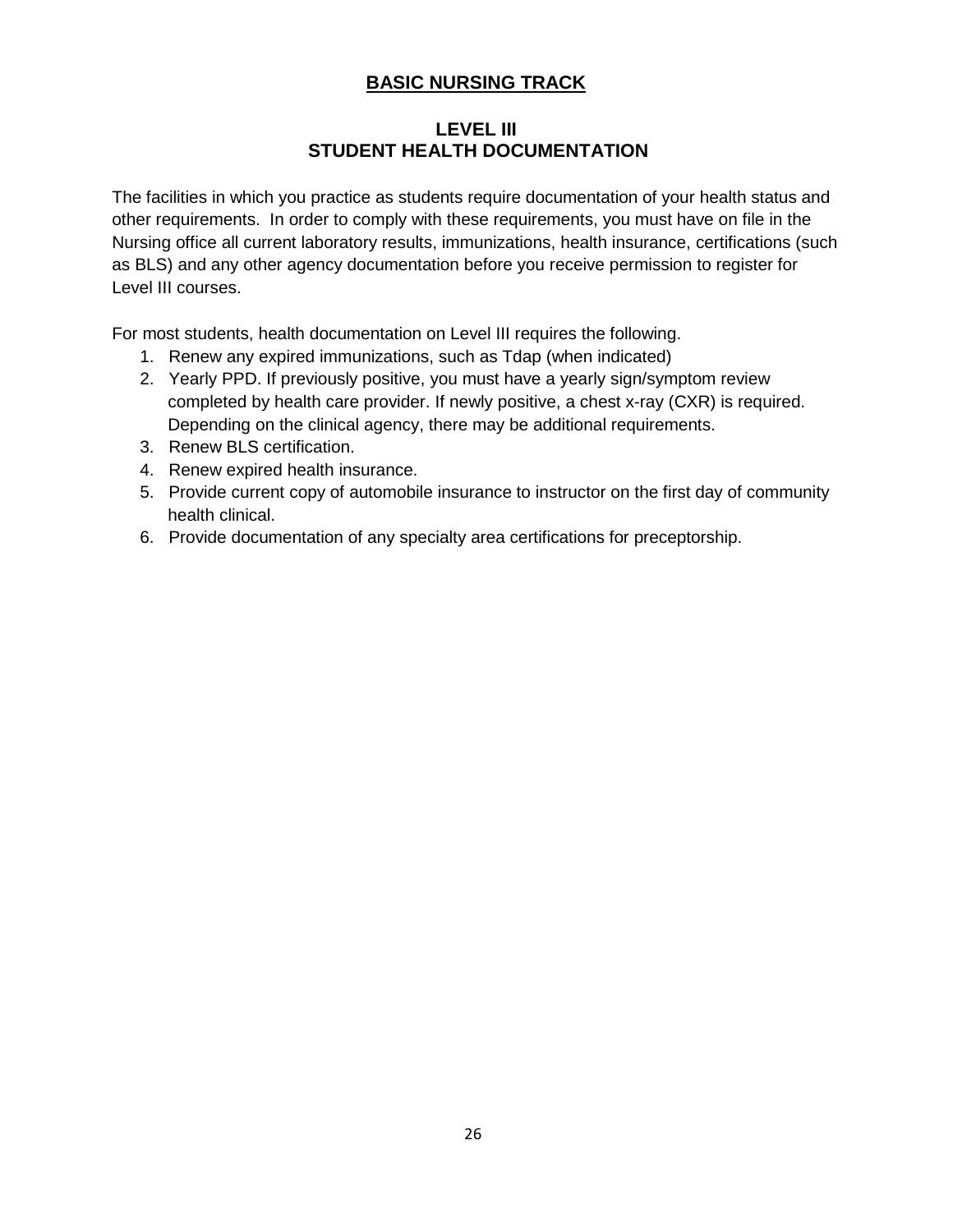# **LEVEL III STUDENT HEALTH DOCUMENTATION**

The facilities in which you practice as students require documentation of your health status and other requirements. In order to comply with these requirements, you must have on file in the Nursing office all current laboratory results, immunizations, health insurance, certifications (such as BLS) and any other agency documentation before you receive permission to register for Level III courses.

For most students, health documentation on Level III requires the following.

- 1. Renew any expired immunizations, such as Tdap (when indicated)
- 2. Yearly PPD. If previously positive, you must have a yearly sign/symptom review completed by health care provider. If newly positive, a chest x-ray (CXR) is required. Depending on the clinical agency, there may be additional requirements.
- 3. Renew BLS certification.
- 4. Renew expired health insurance.
- 5. Provide current copy of automobile insurance to instructor on the first day of community health clinical.
- 6. Provide documentation of any specialty area certifications for preceptorship.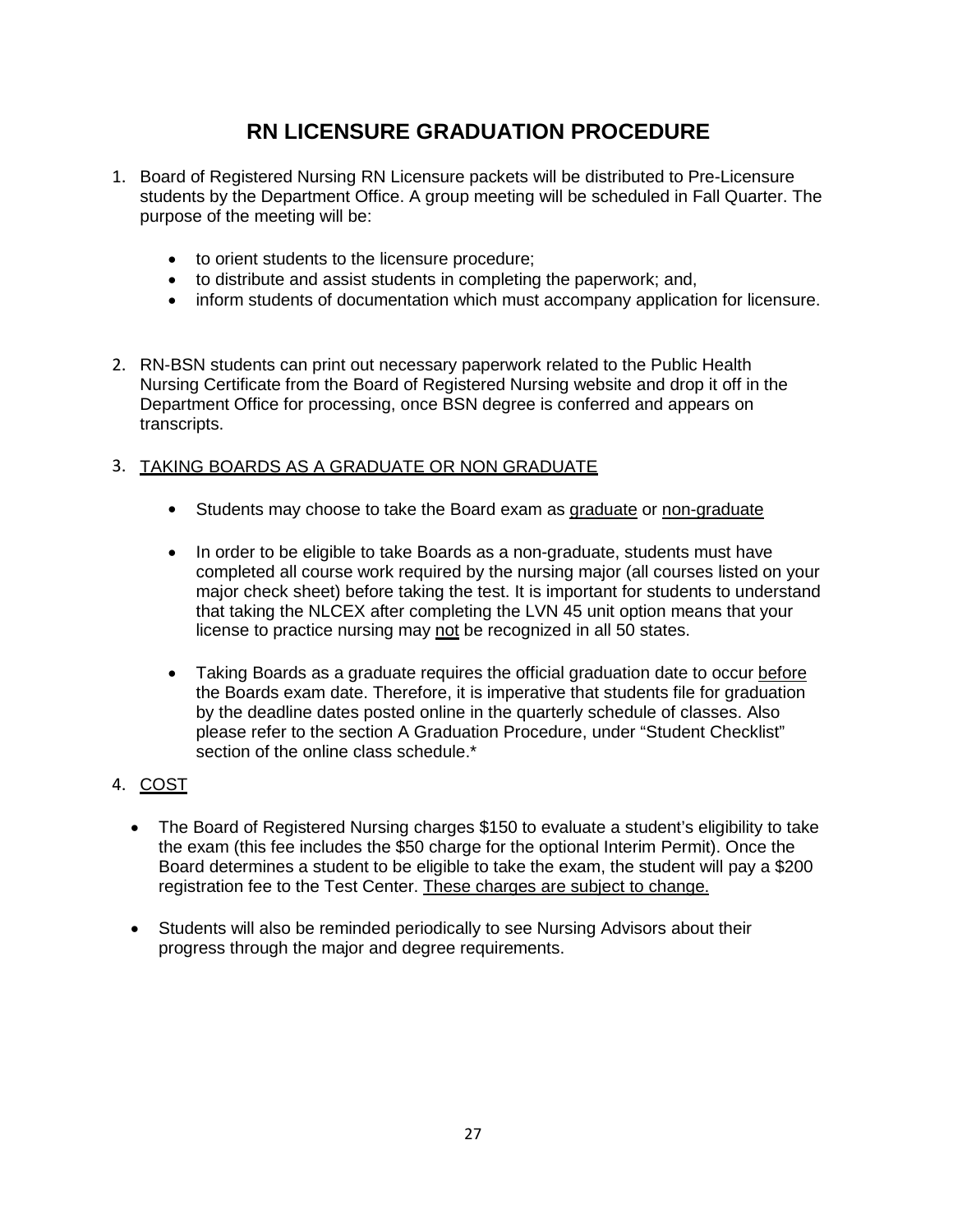# **RN LICENSURE GRADUATION PROCEDURE**

- 1. Board of Registered Nursing RN Licensure packets will be distributed to Pre-Licensure students by the Department Office. A group meeting will be scheduled in Fall Quarter. The purpose of the meeting will be:
	- to orient students to the licensure procedure;
	- to distribute and assist students in completing the paperwork; and,
	- inform students of documentation which must accompany application for licensure.
- 2. RN-BSN students can print out necessary paperwork related to the Public Health Nursing Certificate from the Board of Registered Nursing website and drop it off in the Department Office for processing, once BSN degree is conferred and appears on transcripts.

## 3. TAKING BOARDS AS A GRADUATE OR NON GRADUATE

- Students may choose to take the Board exam as graduate or non-graduate
- In order to be eligible to take Boards as a non-graduate, students must have completed all course work required by the nursing major (all courses listed on your major check sheet) before taking the test. It is important for students to understand that taking the NLCEX after completing the LVN 45 unit option means that your license to practice nursing may not be recognized in all 50 states.
- Taking Boards as a graduate requires the official graduation date to occur before the Boards exam date. Therefore, it is imperative that students file for graduation by the deadline dates posted online in the quarterly schedule of classes. Also please refer to the section A Graduation Procedure, under "Student Checklist" section of the online class schedule.\*
- 4. COST
	- The Board of Registered Nursing charges \$150 to evaluate a student's eligibility to take the exam (this fee includes the \$50 charge for the optional Interim Permit). Once the Board determines a student to be eligible to take the exam, the student will pay a \$200 registration fee to the Test Center. These charges are subject to change.
	- Students will also be reminded periodically to see Nursing Advisors about their progress through the major and degree requirements.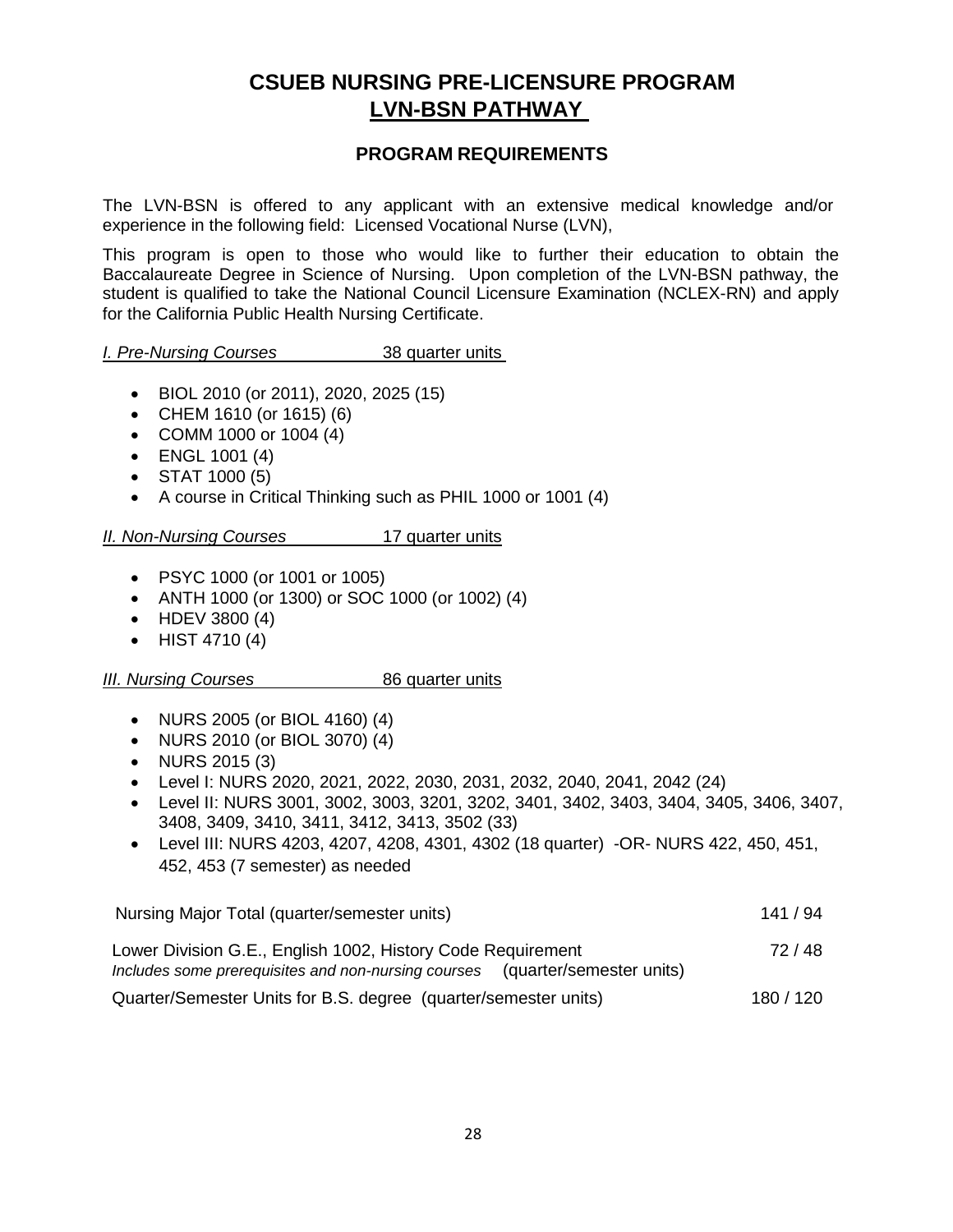# **CSUEB NURSING PRE-LICENSURE PROGRAM LVN-BSN PATHWAY**

#### **PROGRAM REQUIREMENTS**

The LVN-BSN is offered to any applicant with an extensive medical knowledge and/or experience in the following field: Licensed Vocational Nurse (LVN),

This program is open to those who would like to further their education to obtain the Baccalaureate Degree in Science of Nursing. Upon completion of the LVN-BSN pathway, the student is qualified to take the National Council Licensure Examination (NCLEX-RN) and apply for the California Public Health Nursing Certificate.

*I. Pre-Nursing Courses* 38 quarter units

- BIOL 2010 (or 2011), 2020, 2025 (15)
- CHEM 1610 (or 1615) (6)
- COMM 1000 or 1004 (4)
- ENGL 1001 (4)
- STAT 1000 (5)
- A course in Critical Thinking such as PHIL 1000 or 1001 (4)

#### *II. Non-Nursing Courses* 17 quarter units

- PSYC 1000 (or 1001 or 1005)
- ANTH 1000 (or 1300) or SOC 1000 (or 1002) (4)
- HDEV 3800 (4)
- HIST 4710 $(4)$

#### *III. Nursing Courses* 86 quarter units

- NURS 2005 (or BIOL 4160) (4)
- NURS 2010 (or BIOL 3070) (4)
- NURS 2015 (3)
- Level I: NURS 2020, 2021, 2022, 2030, 2031, 2032, 2040, 2041, 2042 (24)
- Level II: NURS 3001, 3002, 3003, 3201, 3202, 3401, 3402, 3403, 3404, 3405, 3406, 3407, 3408, 3409, 3410, 3411, 3412, 3413, 3502 (33)
- Level III: NURS 4203, 4207, 4208, 4301, 4302 (18 quarter) -OR- NURS 422, 450, 451, 452, 453 (7 semester) as needed

| Nursing Major Total (quarter/semester units)                                                                                                | 141 / 94 |
|---------------------------------------------------------------------------------------------------------------------------------------------|----------|
| Lower Division G.E., English 1002, History Code Requirement<br>Includes some prerequisites and non-nursing courses (quarter/semester units) | 72/48    |
| Quarter/Semester Units for B.S. degree (quarter/semester units)                                                                             | 180/120  |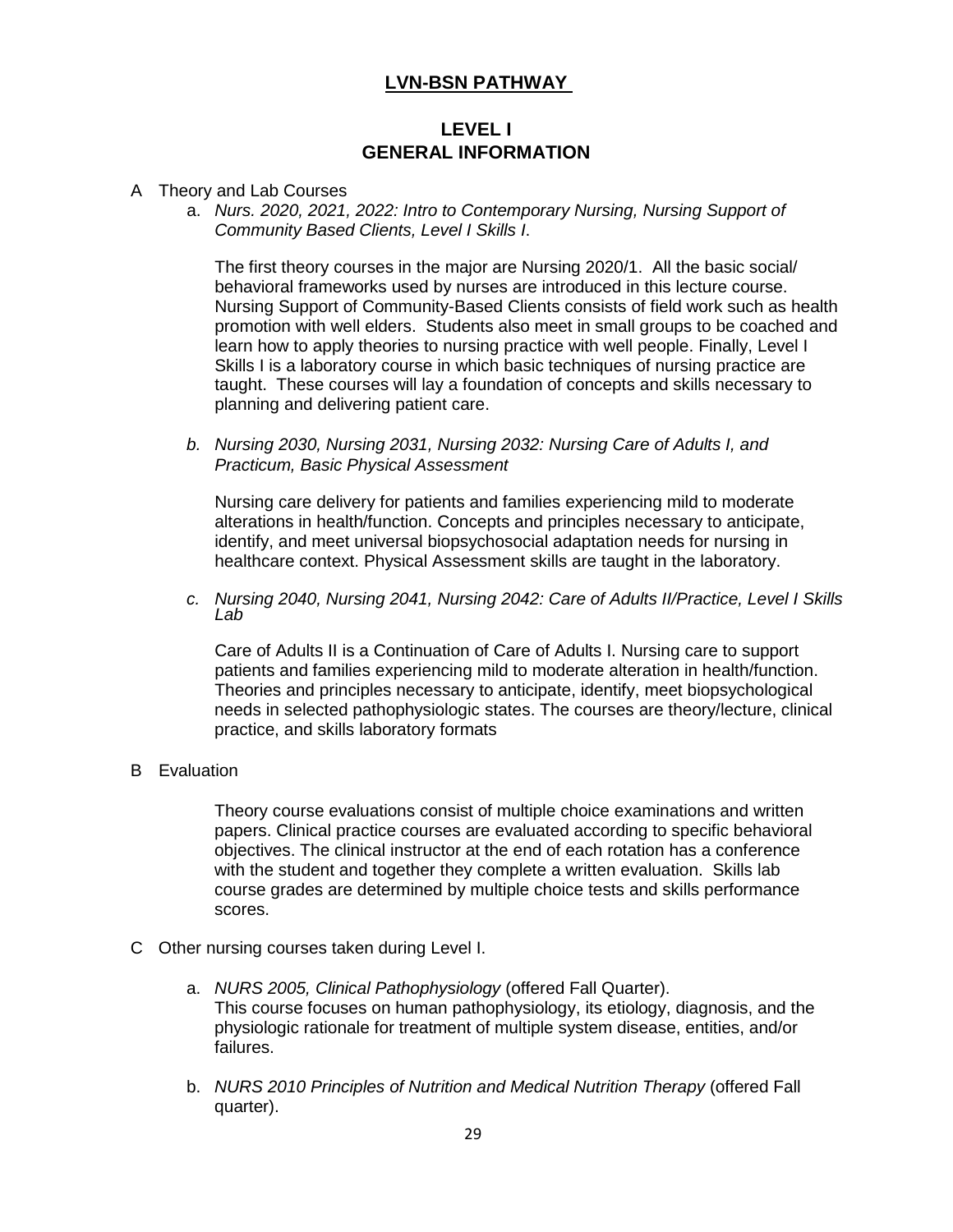## **LVN-BSN PATHWAY**

# **LEVEL I GENERAL INFORMATION**

#### A Theory and Lab Courses

a. *Nurs. 2020, 2021, 2022: Intro to Contemporary Nursing, Nursing Support of Community Based Clients, Level I Skills I*.

The first theory courses in the major are Nursing 2020/1. All the basic social/ behavioral frameworks used by nurses are introduced in this lecture course. Nursing Support of Community-Based Clients consists of field work such as health promotion with well elders. Students also meet in small groups to be coached and learn how to apply theories to nursing practice with well people. Finally, Level I Skills I is a laboratory course in which basic techniques of nursing practice are taught. These courses will lay a foundation of concepts and skills necessary to planning and delivering patient care.

*b. Nursing 2030, Nursing 2031, Nursing 2032: Nursing Care of Adults I, and Practicum, Basic Physical Assessment*

Nursing care delivery for patients and families experiencing mild to moderate alterations in health/function. Concepts and principles necessary to anticipate, identify, and meet universal biopsychosocial adaptation needs for nursing in healthcare context. Physical Assessment skills are taught in the laboratory.

*c. Nursing 2040, Nursing 2041, Nursing 2042: Care of Adults II/Practice, Level I Skills Lab* 

Care of Adults II is a Continuation of Care of Adults I. Nursing care to support patients and families experiencing mild to moderate alteration in health/function. Theories and principles necessary to anticipate, identify, meet biopsychological needs in selected pathophysiologic states. The courses are theory/lecture, clinical practice, and skills laboratory formats

B Evaluation

Theory course evaluations consist of multiple choice examinations and written papers. Clinical practice courses are evaluated according to specific behavioral objectives. The clinical instructor at the end of each rotation has a conference with the student and together they complete a written evaluation. Skills lab course grades are determined by multiple choice tests and skills performance scores.

- C Other nursing courses taken during Level I.
	- a. *NURS 2005, Clinical Pathophysiology* (offered Fall Quarter). This course focuses on human pathophysiology, its etiology, diagnosis, and the physiologic rationale for treatment of multiple system disease, entities, and/or failures.
	- b. *NURS 2010 Principles of Nutrition and Medical Nutrition Therapy* (offered Fall quarter).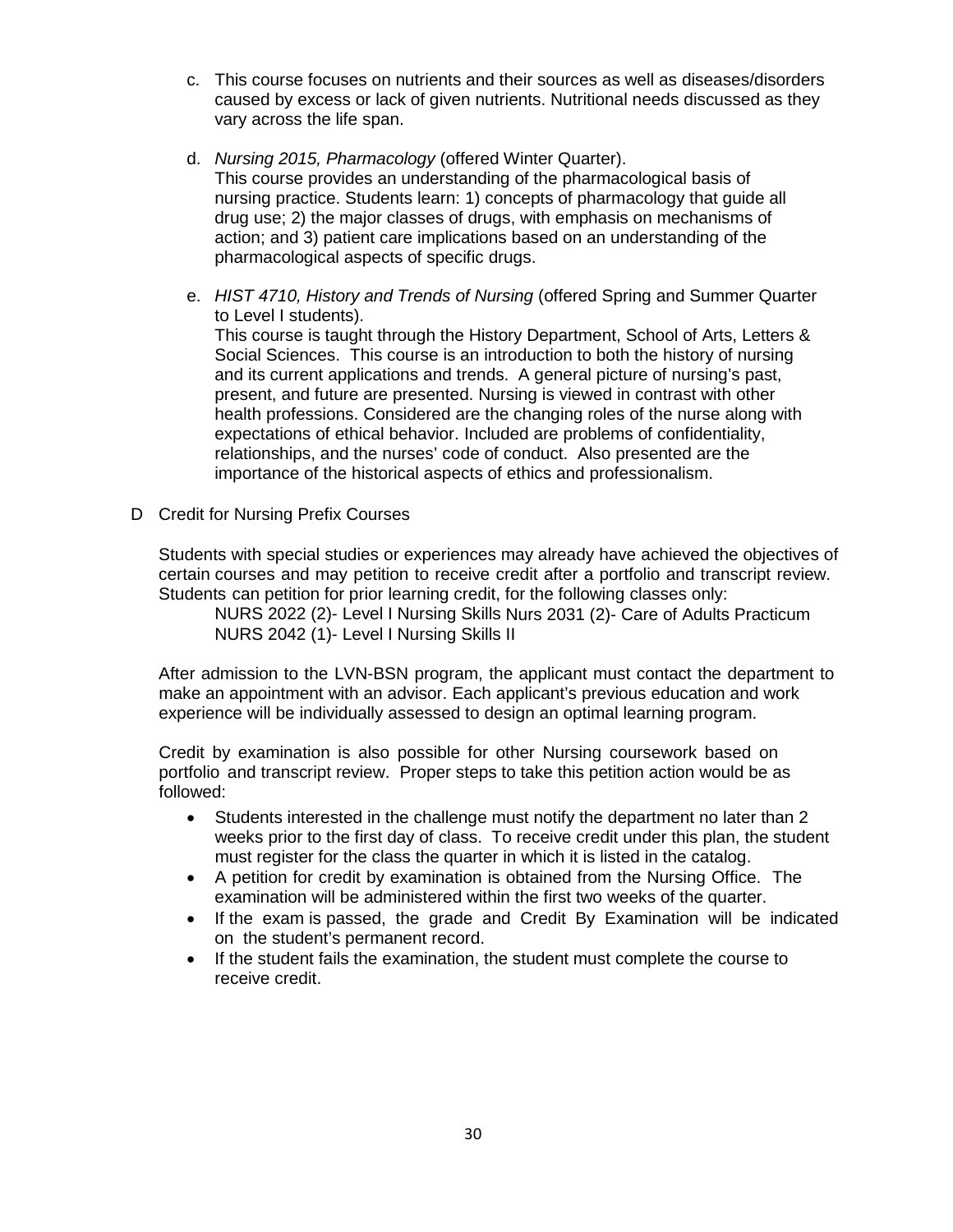- c. This course focuses on nutrients and their sources as well as diseases/disorders caused by excess or lack of given nutrients. Nutritional needs discussed as they vary across the life span.
- d. *Nursing 2015, Pharmacology* (offered Winter Quarter). This course provides an understanding of the pharmacological basis of nursing practice. Students learn: 1) concepts of pharmacology that guide all drug use; 2) the major classes of drugs, with emphasis on mechanisms of action; and 3) patient care implications based on an understanding of the pharmacological aspects of specific drugs.
- e. *HIST 4710, History and Trends of Nursing* (offered Spring and Summer Quarter to Level I students).

This course is taught through the History Department, School of Arts, Letters & Social Sciences. This course is an introduction to both the history of nursing and its current applications and trends. A general picture of nursing's past, present, and future are presented. Nursing is viewed in contrast with other health professions. Considered are the changing roles of the nurse along with expectations of ethical behavior. Included are problems of confidentiality, relationships, and the nurses' code of conduct. Also presented are the importance of the historical aspects of ethics and professionalism.

D Credit for Nursing Prefix Courses

Students with special studies or experiences may already have achieved the objectives of certain courses and may petition to receive credit after a portfolio and transcript review. Students can petition for prior learning credit, for the following classes only:

NURS 2022 (2)- Level I Nursing Skills Nurs 2031 (2)- Care of Adults Practicum NURS 2042 (1)- Level I Nursing Skills II

After admission to the LVN-BSN program, the applicant must contact the department to make an appointment with an advisor. Each applicant's previous education and work experience will be individually assessed to design an optimal learning program.

Credit by examination is also possible for other Nursing coursework based on portfolio and transcript review. Proper steps to take this petition action would be as followed:

- Students interested in the challenge must notify the department no later than 2 weeks prior to the first day of class. To receive credit under this plan, the student must register for the class the quarter in which it is listed in the catalog.
- A petition for credit by examination is obtained from the Nursing Office. The examination will be administered within the first two weeks of the quarter.
- If the exam is passed, the grade and Credit By Examination will be indicated on the student's permanent record.
- If the student fails the examination, the student must complete the course to receive credit.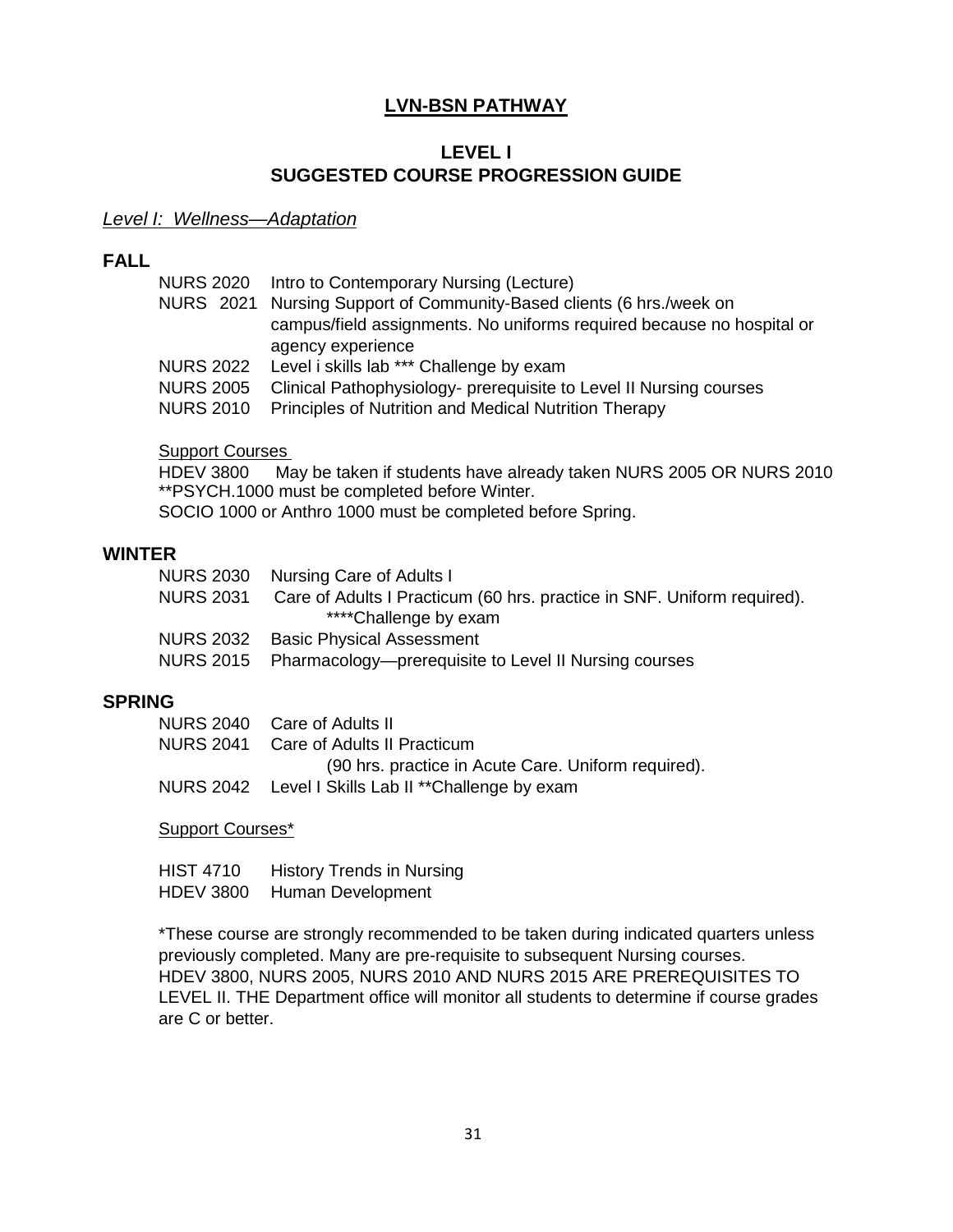# **LVN-BSN PATHWAY**

# **LEVEL I SUGGESTED COURSE PROGRESSION GUIDE**

#### *Level I: Wellness—Adaptation*

## **FALL**

| <b>NURS 2020</b> | Intro to Contemporary Nursing (Lecture)                               |  |
|------------------|-----------------------------------------------------------------------|--|
| <b>NURS 2021</b> | Nursing Support of Community-Based clients (6 hrs./week on            |  |
|                  | campus/field assignments. No uniforms required because no hospital or |  |
|                  | agency experience                                                     |  |
| <b>NURS 2022</b> | Level i skills lab *** Challenge by exam                              |  |
| <b>NURS 2005</b> | Clinical Pathophysiology- prerequisite to Level II Nursing courses    |  |
| <b>NURS 2010</b> | Principles of Nutrition and Medical Nutrition Therapy                 |  |

#### **Support Courses**

HDEV 3800 May be taken if students have already taken NURS 2005 OR NURS 2010 \*\*PSYCH.1000 must be completed before Winter.

SOCIO 1000 or Anthro 1000 must be completed before Spring.

## **WINTER**

|                  | NURS 2030 Nursing Care of Adults I                                      |
|------------------|-------------------------------------------------------------------------|
| <b>NURS 2031</b> | Care of Adults I Practicum (60 hrs. practice in SNF. Uniform required). |
|                  | ****Challenge by exam                                                   |
|                  | NURS 2032 Basic Physical Assessment                                     |
|                  | NURS 2015 Pharmacology—prerequisite to Level II Nursing courses         |

## **SPRING**

| NURS 2040 Care of Adults II                          |
|------------------------------------------------------|
| NURS 2041 Care of Adults II Practicum                |
| (90 hrs. practice in Acute Care. Uniform required).  |
| NURS 2042 Level I Skills Lab II ** Challenge by exam |
|                                                      |

#### Support Courses\*

HIST 4710 History Trends in Nursing HDEV 3800 Human Development

\*These course are strongly recommended to be taken during indicated quarters unless previously completed. Many are pre-requisite to subsequent Nursing courses. HDEV 3800, NURS 2005, NURS 2010 AND NURS 2015 ARE PREREQUISITES TO LEVEL II. THE Department office will monitor all students to determine if course grades are C or better.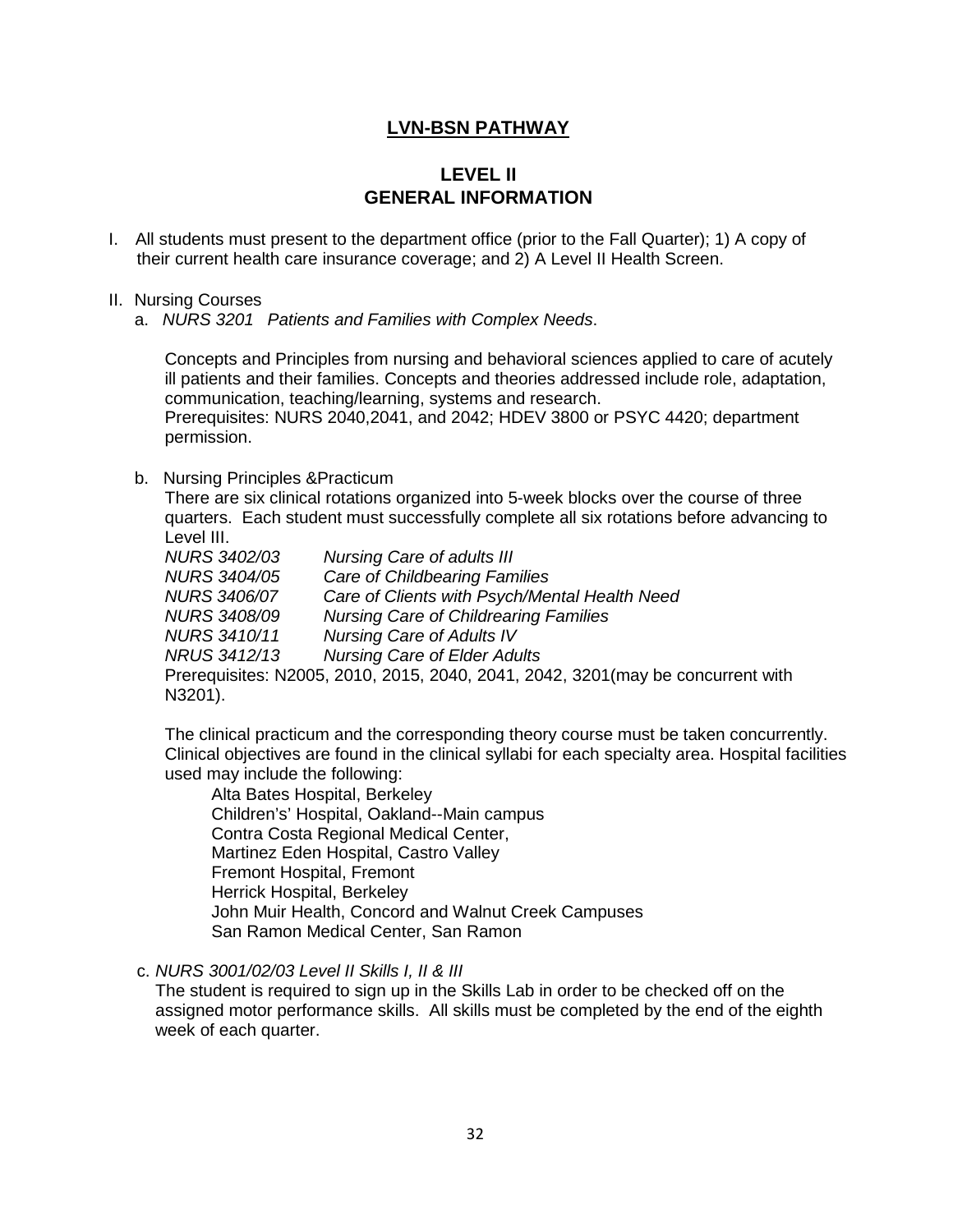# **LVN-BSN PATHWAY**

# **LEVEL II GENERAL INFORMATION**

I. All students must present to the department office (prior to the Fall Quarter); 1) A copy of their current health care insurance coverage; and 2) A Level II Health Screen.

#### II. Nursing Courses

a. *NURS 3201 Patients and Families with Complex Needs*.

Concepts and Principles from nursing and behavioral sciences applied to care of acutely ill patients and their families. Concepts and theories addressed include role, adaptation, communication, teaching/learning, systems and research.

Prerequisites: NURS 2040,2041, and 2042; HDEV 3800 or PSYC 4420; department permission.

#### b. Nursing Principles &Practicum

There are six clinical rotations organized into 5-week blocks over the course of three quarters. Each student must successfully complete all six rotations before advancing to Level III.

| NURS 3402/03        | <b>Nursing Care of adults III</b>                                               |
|---------------------|---------------------------------------------------------------------------------|
| NURS 3404/05        | <b>Care of Childbearing Families</b>                                            |
| <b>NURS 3406/07</b> | Care of Clients with Psych/Mental Health Need                                   |
| <b>NURS 3408/09</b> | <b>Nursing Care of Childrearing Families</b>                                    |
| NURS 3410/11        | <b>Nursing Care of Adults IV</b>                                                |
| NRUS 3412/13        | <b>Nursing Care of Elder Adults</b>                                             |
| N3201).             | Prerequisites: N2005, 2010, 2015, 2040, 2041, 2042, 3201(may be concurrent with |

The clinical practicum and the corresponding theory course must be taken concurrently. Clinical objectives are found in the clinical syllabi for each specialty area. Hospital facilities used may include the following:

Alta Bates Hospital, Berkeley Children's' Hospital, Oakland--Main campus Contra Costa Regional Medical Center, Martinez Eden Hospital, Castro Valley Fremont Hospital, Fremont Herrick Hospital, Berkeley John Muir Health, Concord and Walnut Creek Campuses San Ramon Medical Center, San Ramon

c. *NURS 3001/02/03 Level II Skills I, II & III*

The student is required to sign up in the Skills Lab in order to be checked off on the assigned motor performance skills. All skills must be completed by the end of the eighth week of each quarter.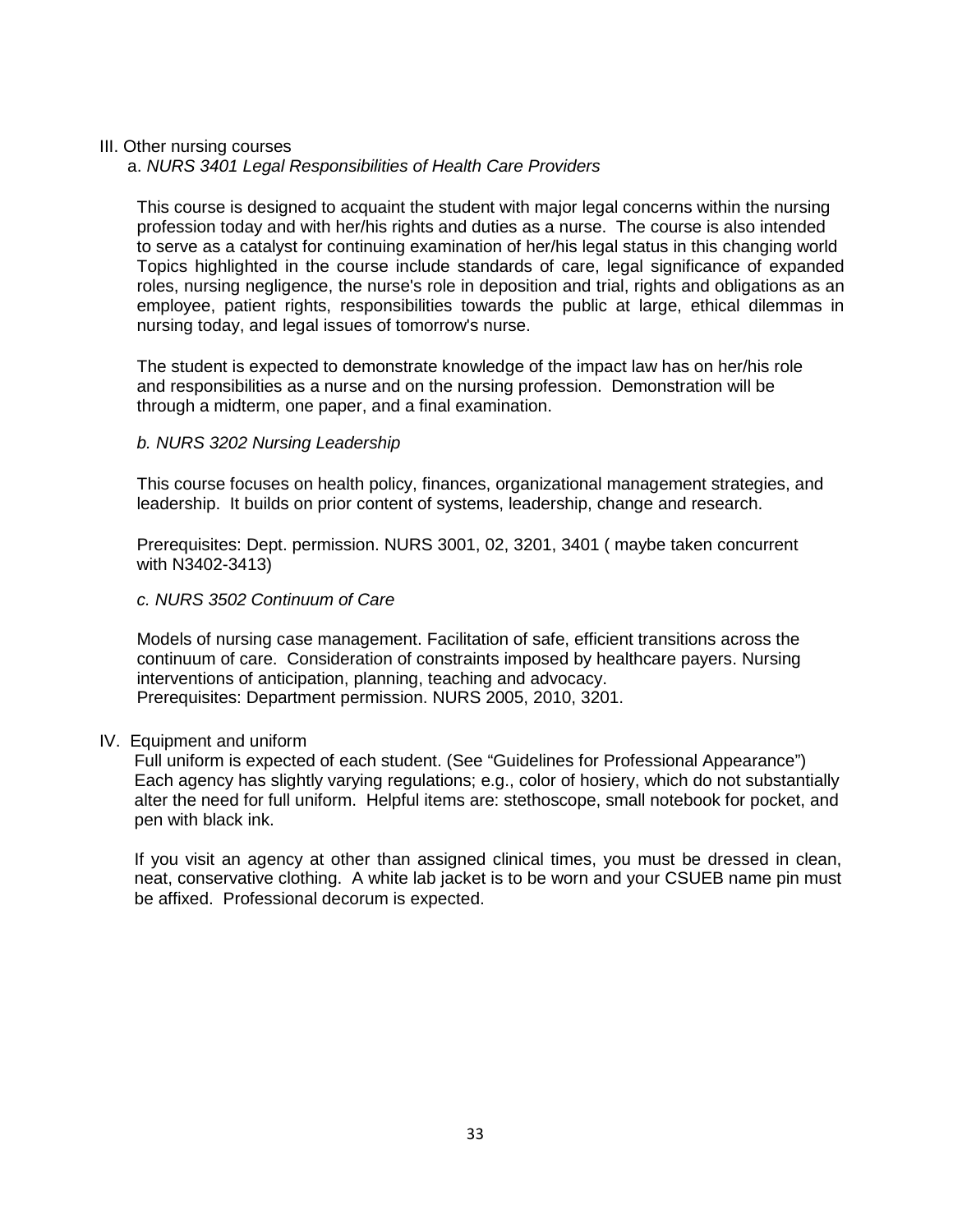#### III. Other nursing courses

a. *NURS 3401 Legal Responsibilities of Health Care Providers*

This course is designed to acquaint the student with major legal concerns within the nursing profession today and with her/his rights and duties as a nurse. The course is also intended to serve as a catalyst for continuing examination of her/his legal status in this changing world Topics highlighted in the course include standards of care, legal significance of expanded roles, nursing negligence, the nurse's role in deposition and trial, rights and obligations as an employee, patient rights, responsibilities towards the public at large, ethical dilemmas in nursing today, and legal issues of tomorrow's nurse.

The student is expected to demonstrate knowledge of the impact law has on her/his role and responsibilities as a nurse and on the nursing profession. Demonstration will be through a midterm, one paper, and a final examination.

#### *b. NURS 3202 Nursing Leadership*

This course focuses on health policy, finances, organizational management strategies, and leadership. It builds on prior content of systems, leadership, change and research.

Prerequisites: Dept. permission. NURS 3001, 02, 3201, 3401 ( maybe taken concurrent with N3402-3413)

#### *c. NURS 3502 Continuum of Care*

Models of nursing case management. Facilitation of safe, efficient transitions across the continuum of care. Consideration of constraints imposed by healthcare payers. Nursing interventions of anticipation, planning, teaching and advocacy. Prerequisites: Department permission. NURS 2005, 2010, 3201.

#### IV. Equipment and uniform

Full uniform is expected of each student. (See "Guidelines for Professional Appearance") Each agency has slightly varying regulations; e.g., color of hosiery, which do not substantially alter the need for full uniform. Helpful items are: stethoscope, small notebook for pocket, and pen with black ink.

If you visit an agency at other than assigned clinical times, you must be dressed in clean, neat, conservative clothing. A white lab jacket is to be worn and your CSUEB name pin must be affixed. Professional decorum is expected.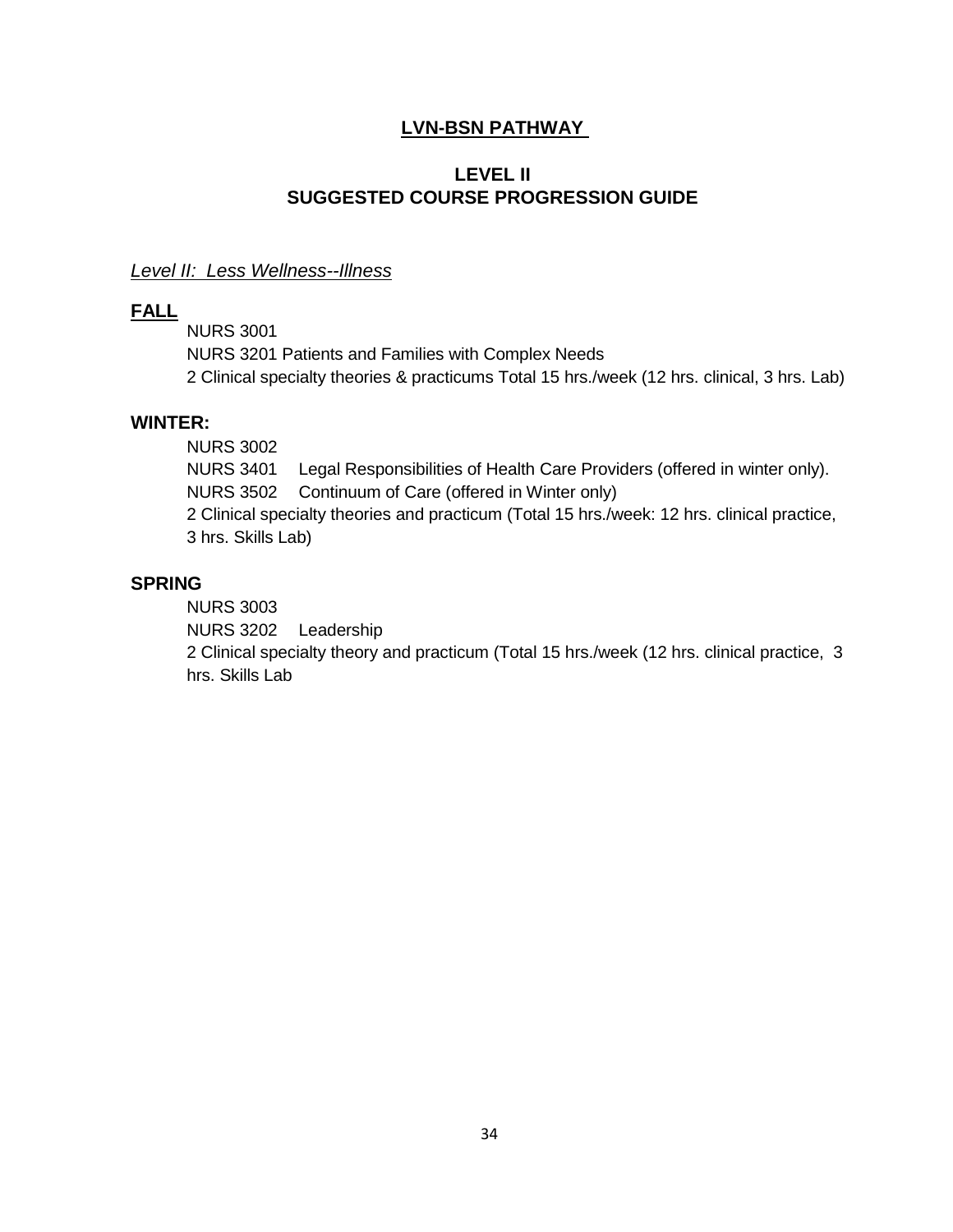# **LVN-BSN PATHWAY**

# **LEVEL II SUGGESTED COURSE PROGRESSION GUIDE**

#### *Level II: Less Wellness--Illness*

## **FALL**

NURS 3001 NURS 3201 Patients and Families with Complex Needs 2 Clinical specialty theories & practicums Total 15 hrs./week (12 hrs. clinical, 3 hrs. Lab)

## **WINTER:**

NURS 3002 NURS 3401 Legal Responsibilities of Health Care Providers (offered in winter only). NURS 3502 Continuum of Care (offered in Winter only) 2 Clinical specialty theories and practicum (Total 15 hrs./week: 12 hrs. clinical practice, 3 hrs. Skills Lab)

#### **SPRING**

NURS 3003 NURS 3202 Leadership 2 Clinical specialty theory and practicum (Total 15 hrs./week (12 hrs. clinical practice, 3 hrs. Skills Lab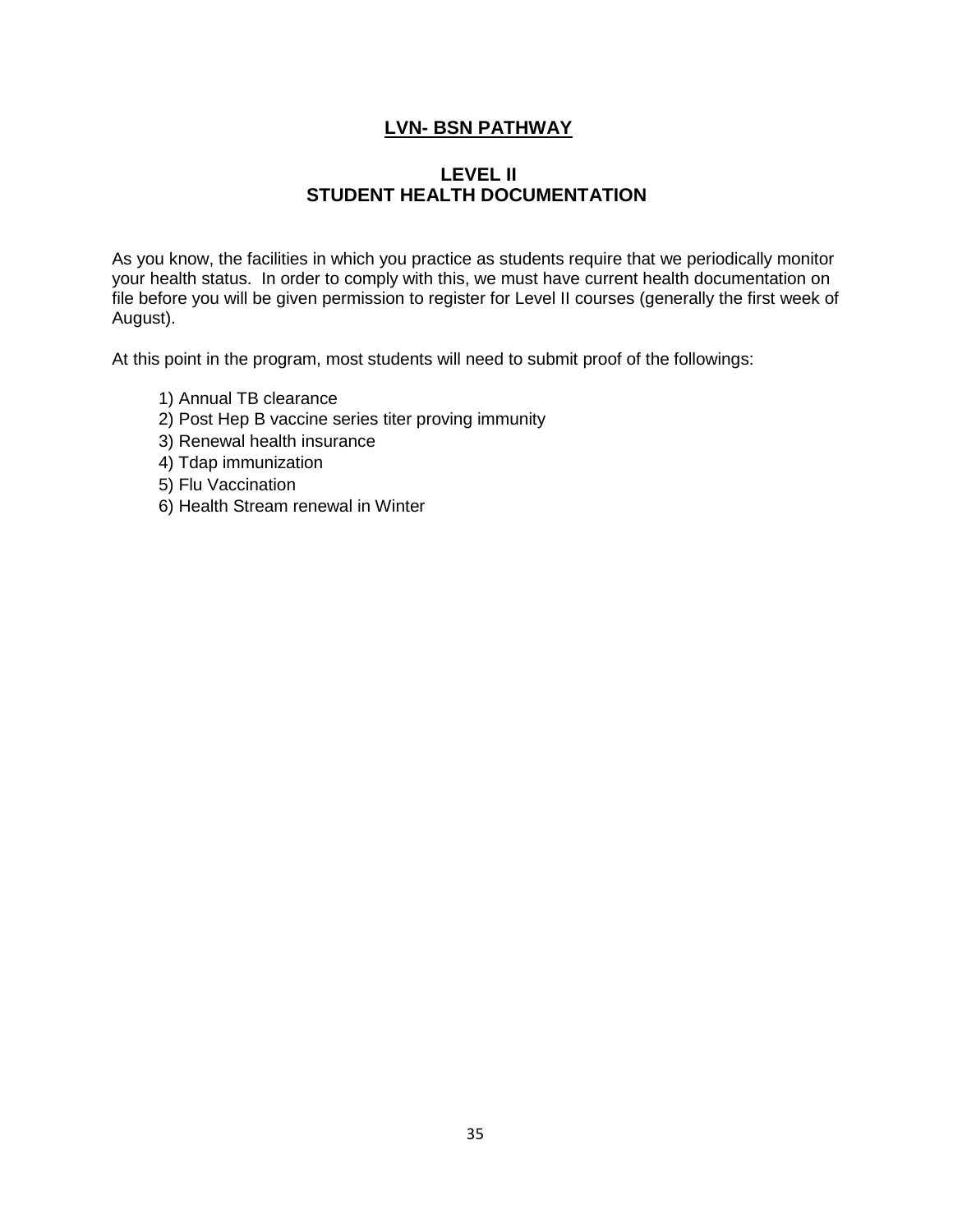# **LVN- BSN PATHWAY**

## **LEVEL II STUDENT HEALTH DOCUMENTATION**

As you know, the facilities in which you practice as students require that we periodically monitor your health status. In order to comply with this, we must have current health documentation on file before you will be given permission to register for Level II courses (generally the first week of August).

At this point in the program, most students will need to submit proof of the followings:

- 1) Annual TB clearance
- 2) Post Hep B vaccine series titer proving immunity
- 3) Renewal health insurance
- 4) Tdap immunization
- 5) Flu Vaccination
- 6) Health Stream renewal in Winter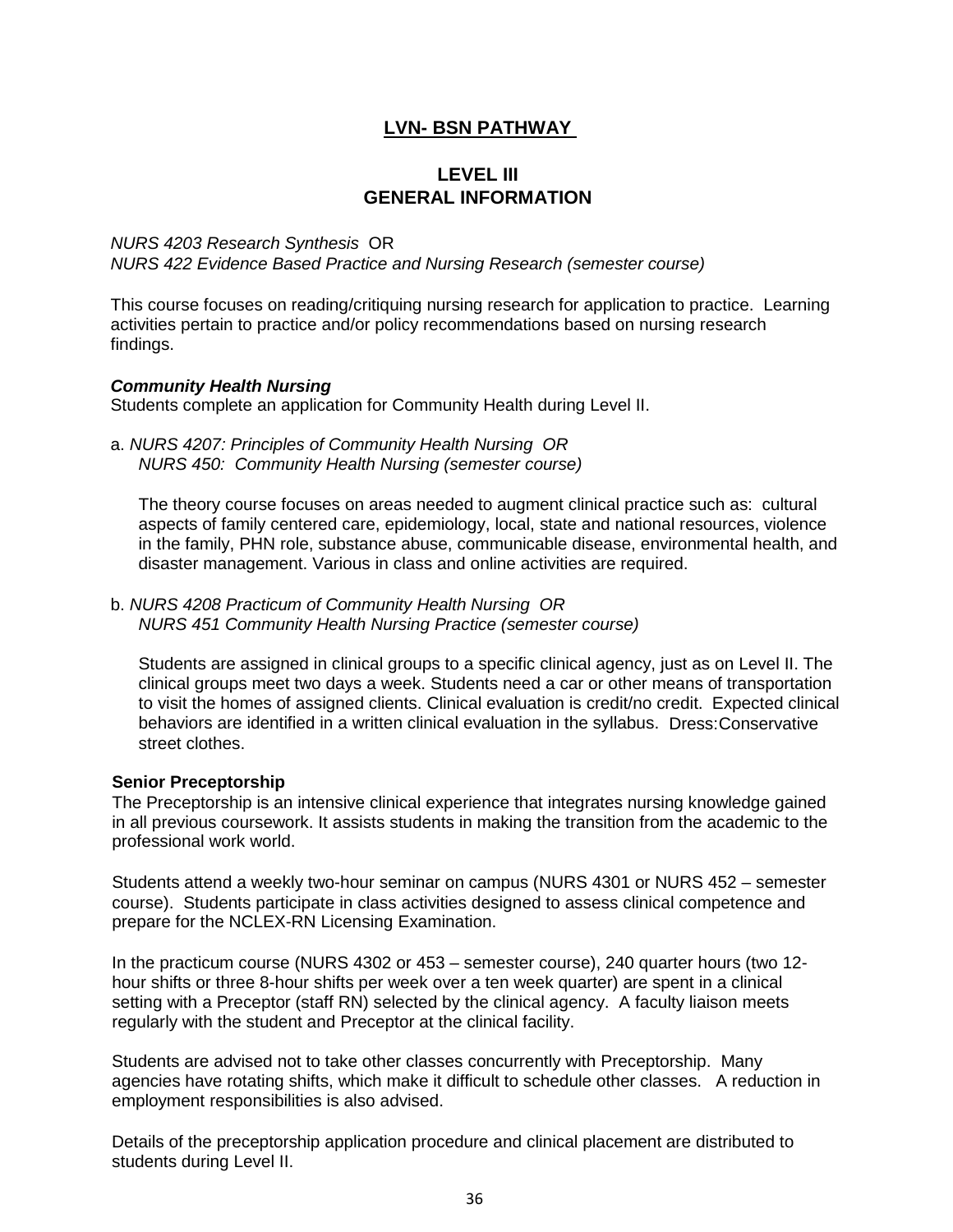# **LVN- BSN PATHWAY**

# **LEVEL III GENERAL INFORMATION**

#### *NURS 4203 Research Synthesis* OR *NURS 422 Evidence Based Practice and Nursing Research (semester course)*

This course focuses on reading/critiquing nursing research for application to practice. Learning activities pertain to practice and/or policy recommendations based on nursing research findings.

#### *Community Health Nursing*

Students complete an application for Community Health during Level II.

a. *NURS 4207: Principles of Community Health Nursing OR NURS 450: Community Health Nursing (semester course)*

The theory course focuses on areas needed to augment clinical practice such as: cultural aspects of family centered care, epidemiology, local, state and national resources, violence in the family, PHN role, substance abuse, communicable disease, environmental health, and disaster management. Various in class and online activities are required.

#### b. *NURS 4208 Practicum of Community Health Nursing OR NURS 451 Community Health Nursing Practice (semester course)*

Students are assigned in clinical groups to a specific clinical agency, just as on Level II. The clinical groups meet two days a week. Students need a car or other means of transportation to visit the homes of assigned clients. Clinical evaluation is credit/no credit. Expected clinical behaviors are identified in a written clinical evaluation in the syllabus. Dress:Conservative street clothes.

#### **Senior Preceptorship**

The Preceptorship is an intensive clinical experience that integrates nursing knowledge gained in all previous coursework. It assists students in making the transition from the academic to the professional work world.

Students attend a weekly two-hour seminar on campus (NURS 4301 or NURS 452 – semester course). Students participate in class activities designed to assess clinical competence and prepare for the NCLEX-RN Licensing Examination.

In the practicum course (NURS 4302 or 453 – semester course), 240 quarter hours (two 12 hour shifts or three 8-hour shifts per week over a ten week quarter) are spent in a clinical setting with a Preceptor (staff RN) selected by the clinical agency. A faculty liaison meets regularly with the student and Preceptor at the clinical facility.

Students are advised not to take other classes concurrently with Preceptorship. Many agencies have rotating shifts, which make it difficult to schedule other classes. A reduction in employment responsibilities is also advised.

Details of the preceptorship application procedure and clinical placement are distributed to students during Level II.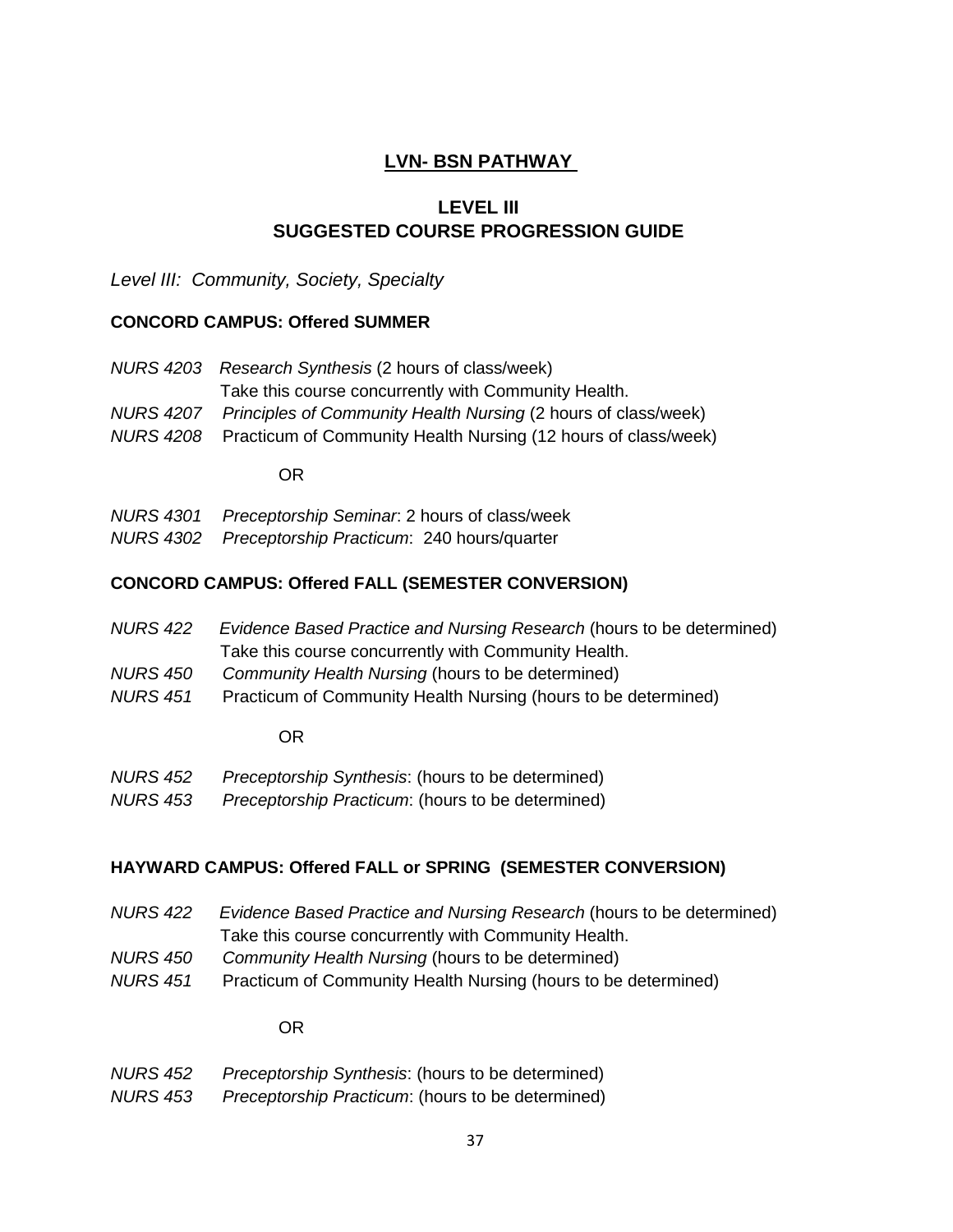#### **LVN- BSN PATHWAY**

#### **LEVEL III SUGGESTED COURSE PROGRESSION GUIDE**

*Level III: Community, Society, Specialty*

#### **CONCORD CAMPUS: Offered SUMMER**

- *NURS 4203 Research Synthesis* (2 hours of class/week) Take this course concurrently with Community Health.
- *NURS 4207 Principles of Community Health Nursing* (2 hours of class/week)
- *NURS 4208* Practicum of Community Health Nursing (12 hours of class/week)

OR

- *NURS 4301 Preceptorship Seminar*: 2 hours of class/week
- *NURS 4302 Preceptorship Practicum*: 240 hours/quarter

#### **CONCORD CAMPUS: Offered FALL (SEMESTER CONVERSION)**

- *NURS 422 Evidence Based Practice and Nursing Research* (hours to be determined) Take this course concurrently with Community Health.
- *NURS 450 Community Health Nursing* (hours to be determined)
- *NURS 451* Practicum of Community Health Nursing (hours to be determined)

#### OR

- *NURS 452 Preceptorship Synthesis*: (hours to be determined)
- *NURS 453 Preceptorship Practicum*: (hours to be determined)

#### **HAYWARD CAMPUS: Offered FALL or SPRING (SEMESTER CONVERSION)**

- *NURS 422 Evidence Based Practice and Nursing Research* (hours to be determined) Take this course concurrently with Community Health.
- *NURS 450 Community Health Nursing* (hours to be determined)
- *NURS 451* Practicum of Community Health Nursing (hours to be determined)

OR

- *NURS 452 Preceptorship Synthesis*: (hours to be determined)
- *NURS 453 Preceptorship Practicum*: (hours to be determined)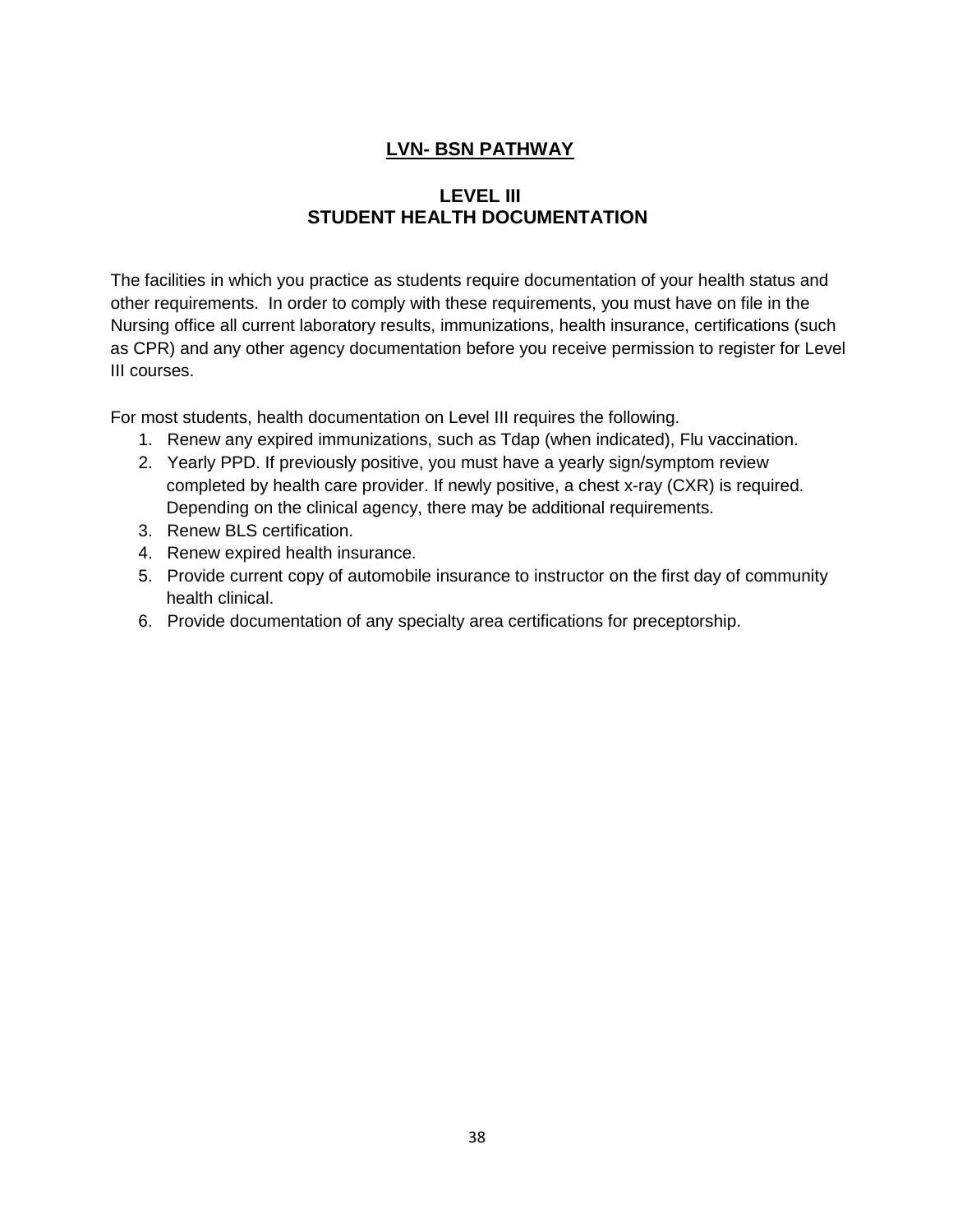### **LVN- BSN PATHWAY**

#### **LEVEL III STUDENT HEALTH DOCUMENTATION**

The facilities in which you practice as students require documentation of your health status and other requirements. In order to comply with these requirements, you must have on file in the Nursing office all current laboratory results, immunizations, health insurance, certifications (such as CPR) and any other agency documentation before you receive permission to register for Level III courses.

For most students, health documentation on Level III requires the following.

- 1. Renew any expired immunizations, such as Tdap (when indicated), Flu vaccination.
- 2. Yearly PPD. If previously positive, you must have a yearly sign/symptom review completed by health care provider. If newly positive, a chest x-ray (CXR) is required. Depending on the clinical agency, there may be additional requirements.
- 3. Renew BLS certification.
- 4. Renew expired health insurance.
- 5. Provide current copy of automobile insurance to instructor on the first day of community health clinical.
- 6. Provide documentation of any specialty area certifications for preceptorship.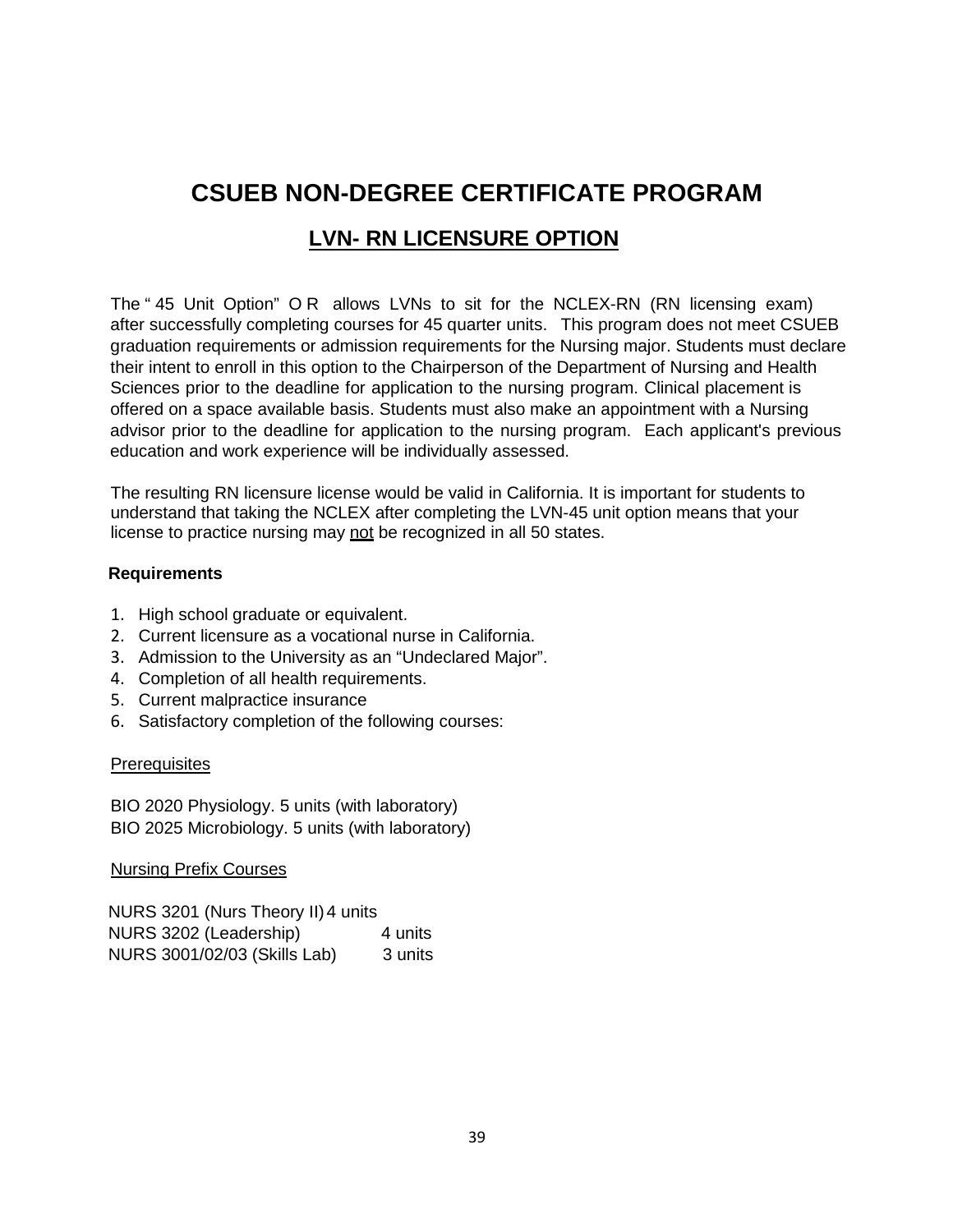# **CSUEB NON-DEGREE CERTIFICATE PROGRAM LVN- RN LICENSURE OPTION**

The " 45 Unit Option" OR allows LVNs to sit for the NCLEX-RN (RN licensing exam) after successfully completing courses for 45 quarter units. This program does not meet CSUEB graduation requirements or admission requirements for the Nursing major. Students must declare their intent to enroll in this option to the Chairperson of the Department of Nursing and Health Sciences prior to the deadline for application to the nursing program. Clinical placement is offered on a space available basis. Students must also make an appointment with a Nursing advisor prior to the deadline for application to the nursing program. Each applicant's previous education and work experience will be individually assessed.

The resulting RN licensure license would be valid in California. It is important for students to understand that taking the NCLEX after completing the LVN-45 unit option means that your license to practice nursing may not be recognized in all 50 states.

#### **Requirements**

- 1. High school graduate or equivalent.
- 2. Current licensure as a vocational nurse in California.
- 3. Admission to the University as an "Undeclared Major".
- 4. Completion of all health requirements.
- 5. Current malpractice insurance
- 6. Satisfactory completion of the following courses:

#### **Prerequisites**

BIO 2020 Physiology. 5 units (with laboratory) BIO 2025 Microbiology. 5 units (with laboratory)

Nursing Prefix Courses

NURS 3201 (Nurs Theory II) 4 units NURS 3202 (Leadership) 4 units NURS 3001/02/03 (Skills Lab) 3 units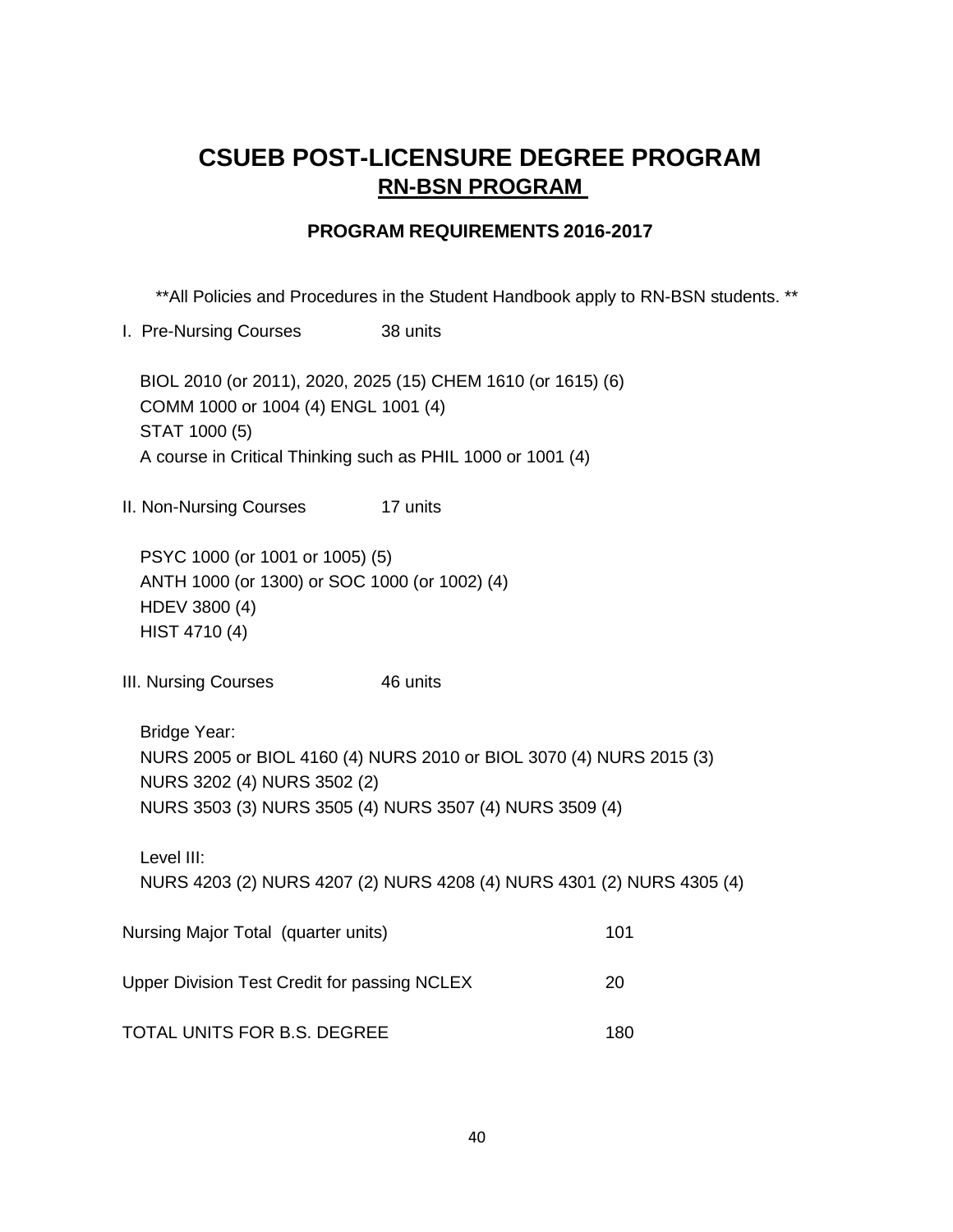## **CSUEB POST-LICENSURE DEGREE PROGRAM RN-BSN PROGRAM**

#### **PROGRAM REQUIREMENTS 2016-2017**

\*\*All Policies and Procedures in the Student Handbook apply to RN-BSN students. \*\*

I. Pre-Nursing Courses 38 units BIOL 2010 (or 2011), 2020, 2025 (15) CHEM 1610 (or 1615) (6) COMM 1000 or 1004 (4) ENGL 1001 (4) STAT 1000 (5) A course in Critical Thinking such as PHIL 1000 or 1001 (4)

II. Non-Nursing Courses 17 units

PSYC 1000 (or 1001 or 1005) (5) ANTH 1000 (or 1300) or SOC 1000 (or 1002) (4) HDEV 3800 (4) HIST 4710 (4)

III. Nursing Courses 46 units

Bridge Year: NURS 2005 or BIOL 4160 (4) NURS 2010 or BIOL 3070 (4) NURS 2015 (3) NURS 3202 (4) NURS 3502 (2) NURS 3503 (3) NURS 3505 (4) NURS 3507 (4) NURS 3509 (4)

Level III:

NURS 4203 (2) NURS 4207 (2) NURS 4208 (4) NURS 4301 (2) NURS 4305 (4)

| Nursing Major Total (quarter units) |  |  |
|-------------------------------------|--|--|
|-------------------------------------|--|--|

Upper Division Test Credit for passing NCLEX 20

| TOTAL UNITS FOR B.S. DEGREE |  |
|-----------------------------|--|
|-----------------------------|--|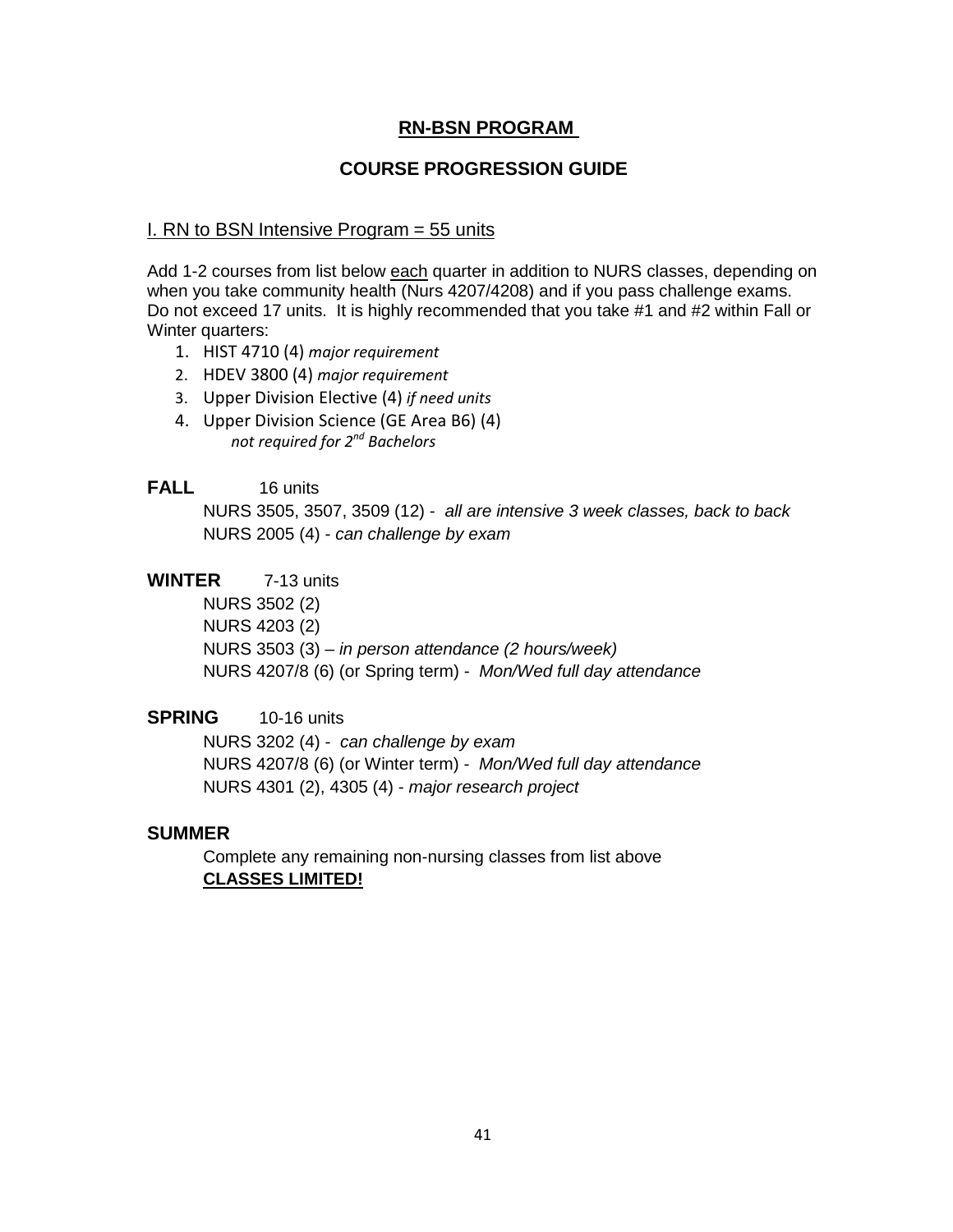#### **RN-BSN PROGRAM**

#### **COURSE PROGRESSION GUIDE**

#### I. RN to BSN Intensive Program = 55 units

Add 1-2 courses from list below each quarter in addition to NURS classes, depending on when you take community health (Nurs 4207/4208) and if you pass challenge exams. Do not exceed 17 units. It is highly recommended that you take #1 and #2 within Fall or Winter quarters:

- 1. HIST 4710 (4) *major requirement*
- 2. HDEV 3800 (4) *major requirement*
- 3. Upper Division Elective (4) *if need units*
- 4. Upper Division Science (GE Area B6) (4) *not required for 2nd Bachelors*

#### **FALL** 16 units

NURS 3505, 3507, 3509 (12) - *all are intensive 3 week classes, back to back* NURS 2005 (4) - *can challenge by exam*

#### **WINTER** 7-13 units

NURS 3502 (2) NURS 4203 (2) NURS 3503 (3) – *in person attendance (2 hours/week)* NURS 4207/8 (6) (or Spring term) - *Mon/Wed full day attendance*

#### **SPRING** 10-16 units

NURS 3202 (4) - *can challenge by exam* NURS 4207/8 (6) (or Winter term) - *Mon/Wed full day attendance* NURS 4301 (2), 4305 (4) - *major research project*

#### **SUMMER**

Complete any remaining non-nursing classes from list above **CLASSES LIMITED!**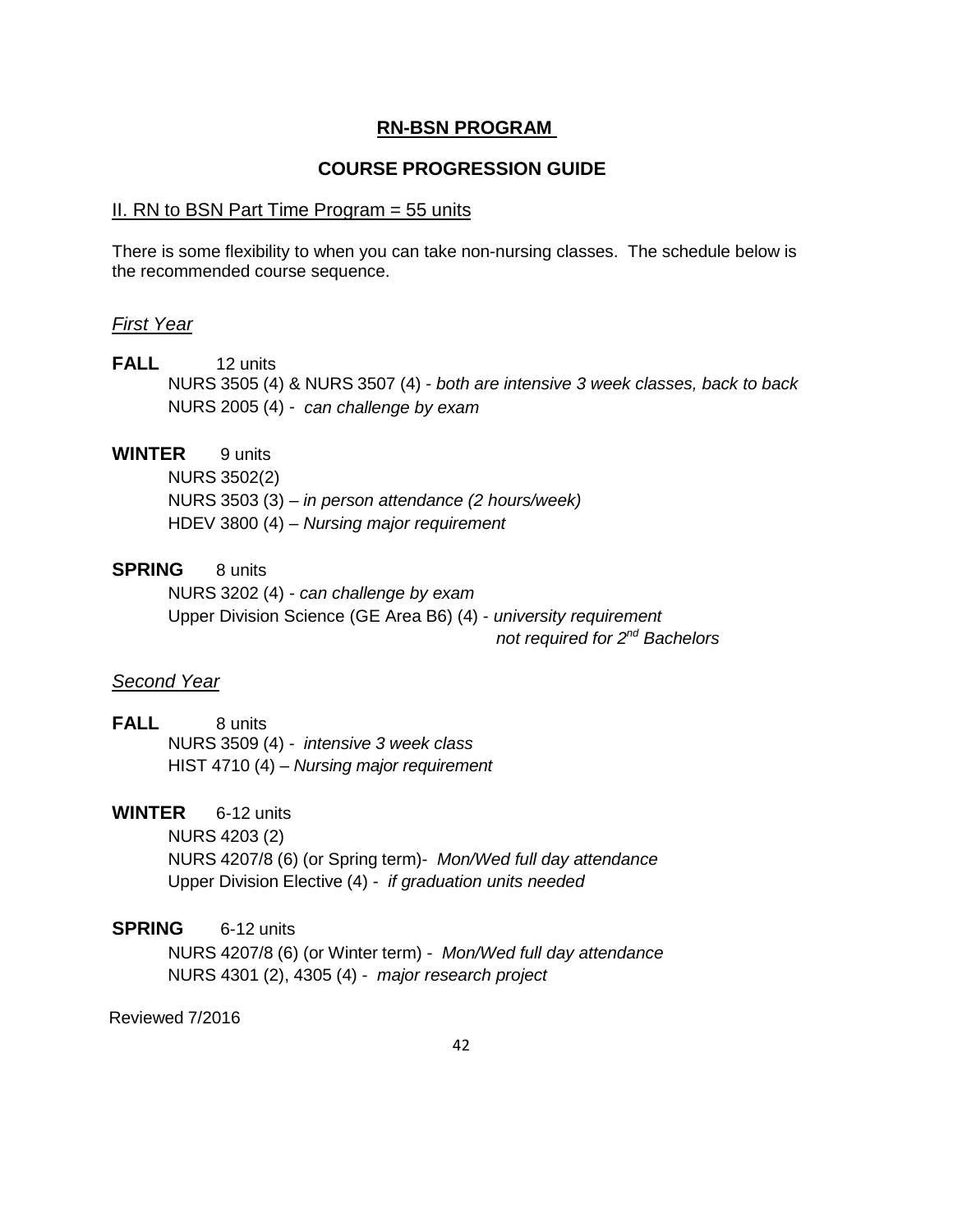#### **RN-BSN PROGRAM**

#### **COURSE PROGRESSION GUIDE**

#### II. RN to BSN Part Time Program = 55 units

There is some flexibility to when you can take non-nursing classes. The schedule below is the recommended course sequence.

#### *First Year*

**FALL** 12 units NURS 3505 (4) & NURS 3507 (4) - *both are intensive 3 week classes, back to back* NURS 2005 (4) - *can challenge by exam*

#### **WINTER** 9 units

NURS 3502(2) NURS 3503 (3) – *in person attendance (2 hours/week)* HDEV 3800 (4) – *Nursing major requirement*

#### **SPRING** 8 units

NURS 3202 (4) - *can challenge by exam* Upper Division Science (GE Area B6) (4) - *university requirement not required for 2nd Bachelors*

#### *Second Year*

**FALL** 8 units NURS 3509 (4) - *intensive 3 week class* HIST 4710 (4) – *Nursing major requirement*

**WINTER** 6-12 units

NURS 4203 (2) NURS 4207/8 (6) (or Spring term)- *Mon/Wed full day attendance* Upper Division Elective (4) - *if graduation units needed*

**SPRING** 6-12 units

NURS 4207/8 (6) (or Winter term) - *Mon/Wed full day attendance* NURS 4301 (2), 4305 (4) - *major research project* 

Reviewed 7/2016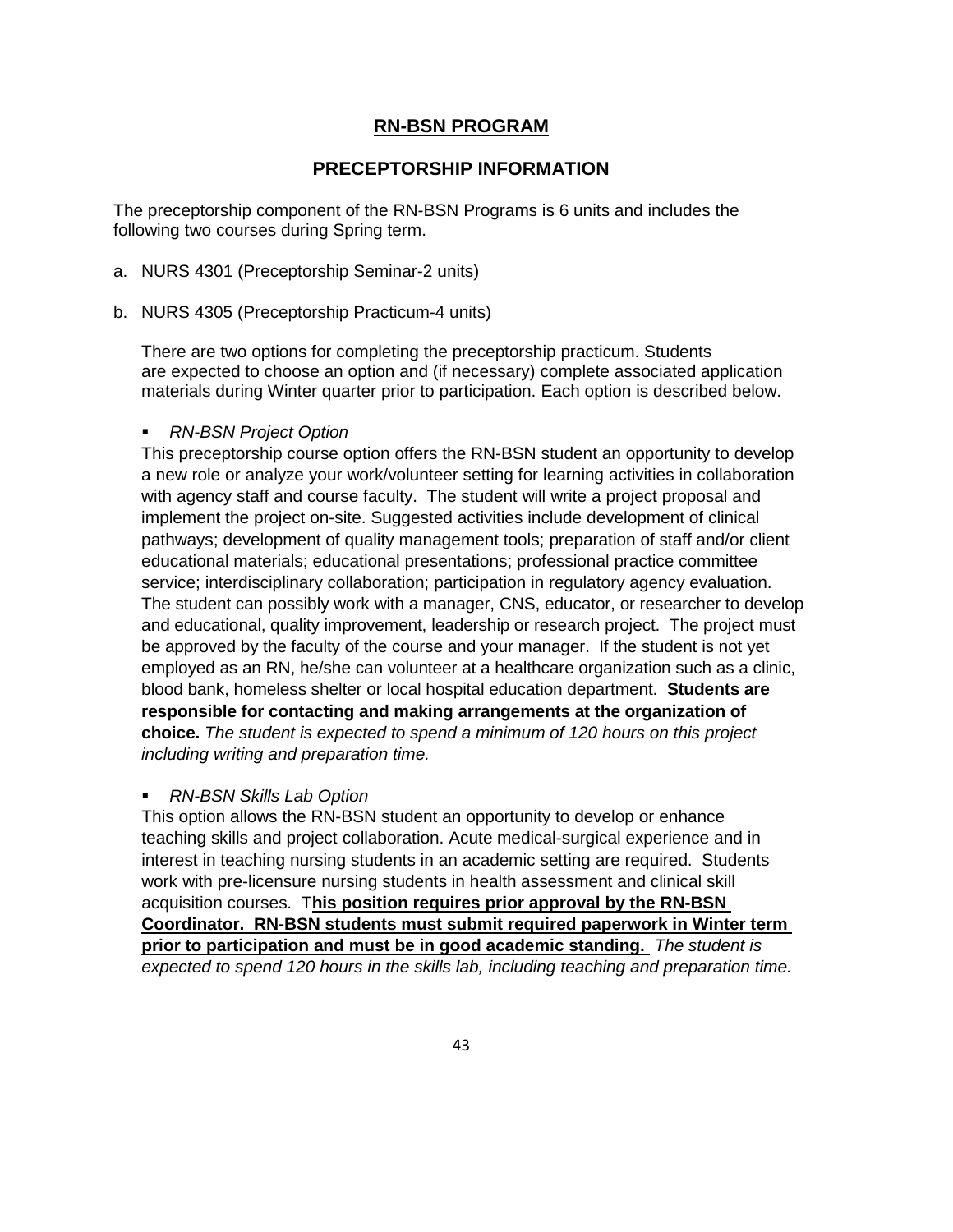#### **RN-BSN PROGRAM**

#### **PRECEPTORSHIP INFORMATION**

The preceptorship component of the RN-BSN Programs is 6 units and includes the following two courses during Spring term.

- a. NURS 4301 (Preceptorship Seminar-2 units)
- b. NURS 4305 (Preceptorship Practicum-4 units)

There are two options for completing the preceptorship practicum. Students are expected to choose an option and (if necessary) complete associated application materials during Winter quarter prior to participation. Each option is described below.

#### *RN-BSN Project Option*

This preceptorship course option offers the RN-BSN student an opportunity to develop a new role or analyze your work/volunteer setting for learning activities in collaboration with agency staff and course faculty. The student will write a project proposal and implement the project on-site. Suggested activities include development of clinical pathways; development of quality management tools; preparation of staff and/or client educational materials; educational presentations; professional practice committee service; interdisciplinary collaboration; participation in regulatory agency evaluation. The student can possibly work with a manager, CNS, educator, or researcher to develop and educational, quality improvement, leadership or research project. The project must be approved by the faculty of the course and your manager. If the student is not yet employed as an RN, he/she can volunteer at a healthcare organization such as a clinic, blood bank, homeless shelter or local hospital education department. **Students are responsible for contacting and making arrangements at the organization of choice.** *The student is expected to spend a minimum of 120 hours on this project including writing and preparation time.*

#### *RN-BSN Skills Lab Option*

This option allows the RN-BSN student an opportunity to develop or enhance teaching skills and project collaboration. Acute medical-surgical experience and in interest in teaching nursing students in an academic setting are required. Students work with pre-licensure nursing students in health assessment and clinical skill acquisition courses. T**his position requires prior approval by the RN-BSN Coordinator. RN-BSN students must submit required paperwork in Winter term prior to participation and must be in good academic standing.** *The student is expected to spend 120 hours in the skills lab, including teaching and preparation time.*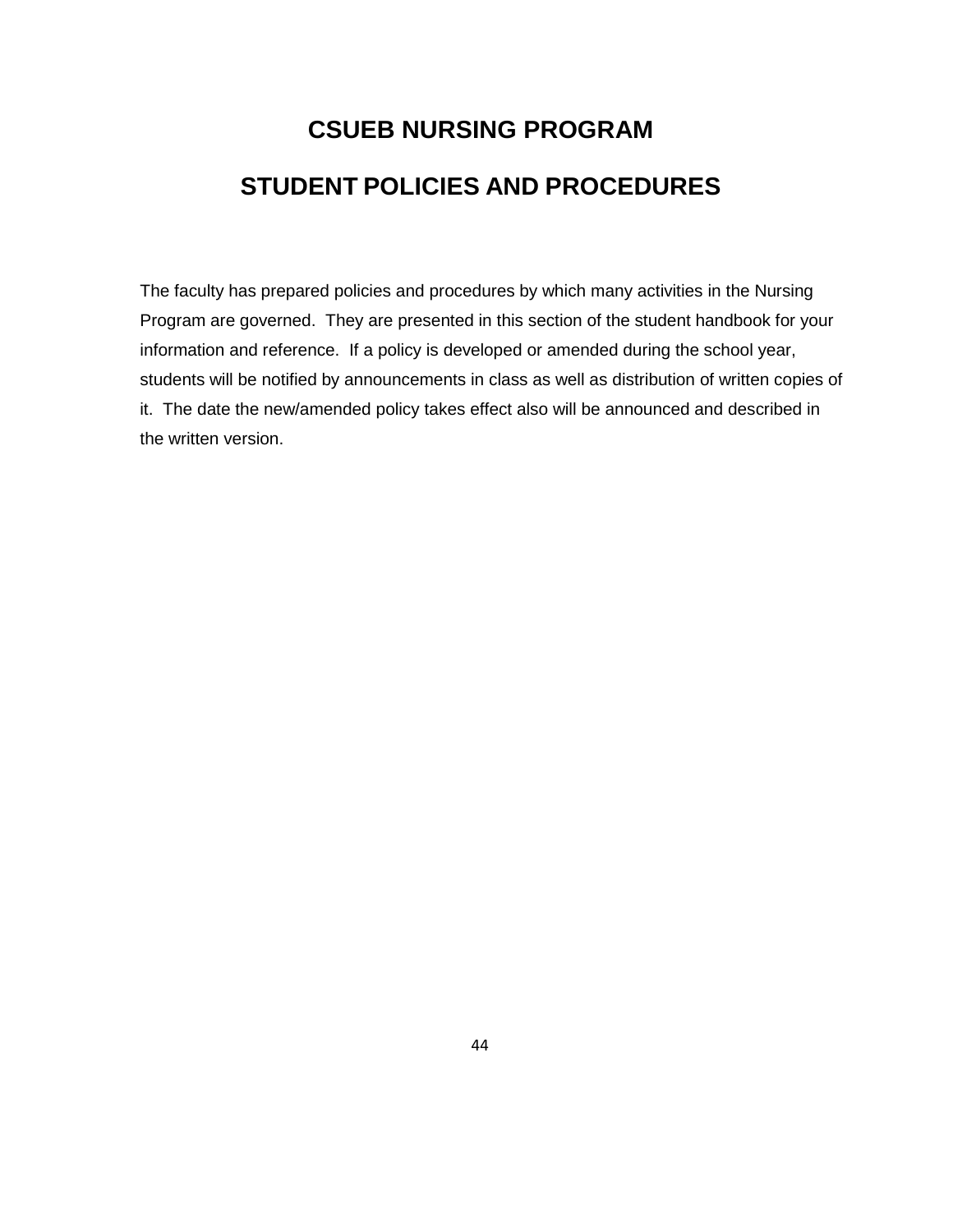# **CSUEB NURSING PROGRAM STUDENT POLICIES AND PROCEDURES**

The faculty has prepared policies and procedures by which many activities in the Nursing Program are governed. They are presented in this section of the student handbook for your information and reference. If a policy is developed or amended during the school year, students will be notified by announcements in class as well as distribution of written copies of it. The date the new/amended policy takes effect also will be announced and described in the written version.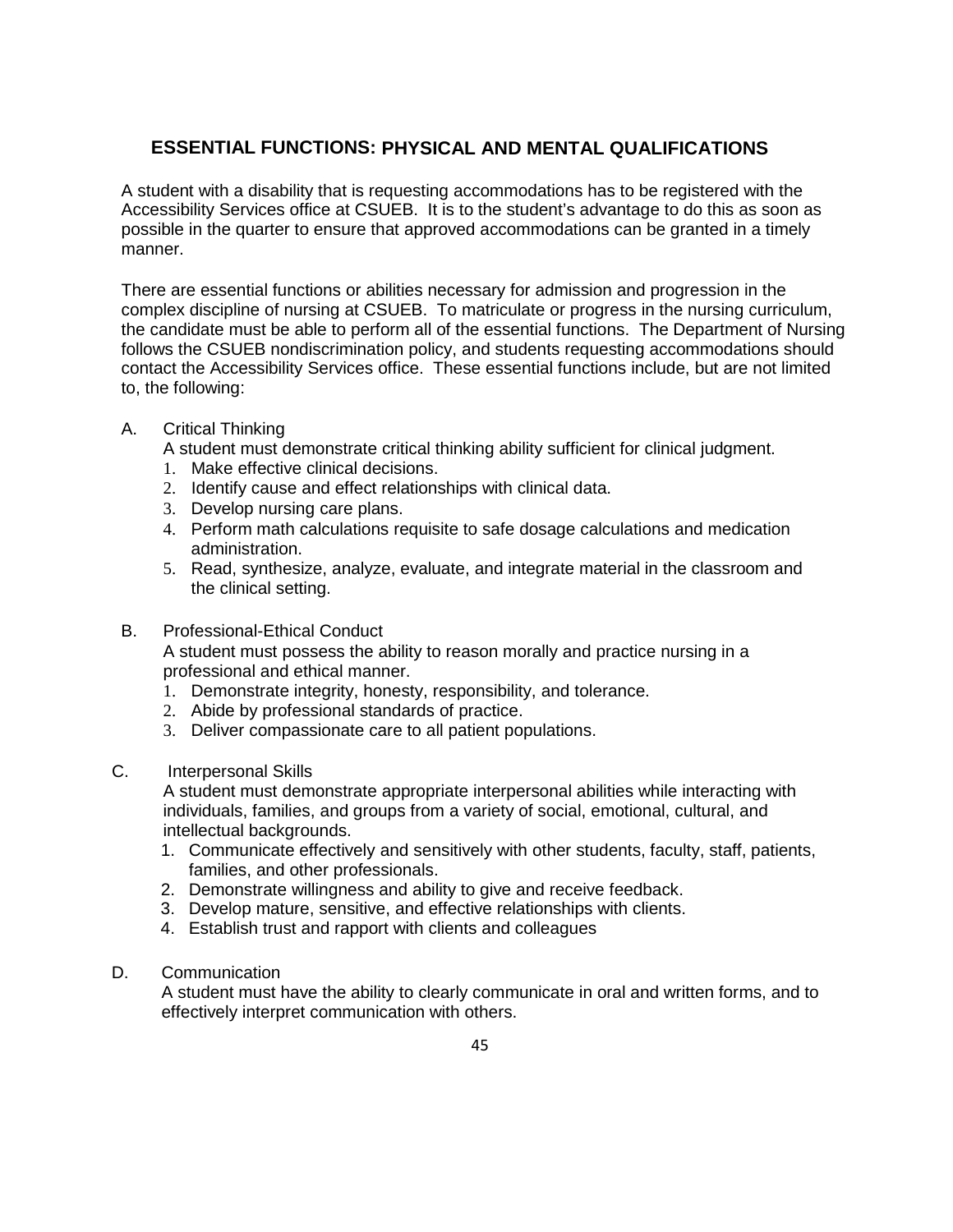#### **ESSENTIAL FUNCTIONS: PHYSICAL AND MENTAL QUALIFICATIONS**

A student with a disability that is requesting accommodations has to be registered with the Accessibility Services office at CSUEB. It is to the student's advantage to do this as soon as possible in the quarter to ensure that approved accommodations can be granted in a timely manner.

There are essential functions or abilities necessary for admission and progression in the complex discipline of nursing at CSUEB. To matriculate or progress in the nursing curriculum, the candidate must be able to perform all of the essential functions. The Department of Nursing follows the CSUEB nondiscrimination policy, and students requesting accommodations should contact the Accessibility Services office. These essential functions include, but are not limited to, the following:

#### A. Critical Thinking

A student must demonstrate critical thinking ability sufficient for clinical judgment.

- 1. Make effective clinical decisions.
- 2. Identify cause and effect relationships with clinical data.
- 3. Develop nursing care plans.
- 4. Perform math calculations requisite to safe dosage calculations and medication administration.
- 5. Read, synthesize, analyze, evaluate, and integrate material in the classroom and the clinical setting.
- B. Professional-Ethical Conduct

A student must possess the ability to reason morally and practice nursing in a professional and ethical manner.

- 1. Demonstrate integrity, honesty, responsibility, and tolerance.
- 2. Abide by professional standards of practice.
- 3. Deliver compassionate care to all patient populations.
- C. Interpersonal Skills

A student must demonstrate appropriate interpersonal abilities while interacting with individuals, families, and groups from a variety of social, emotional, cultural, and intellectual backgrounds.

- 1. Communicate effectively and sensitively with other students, faculty, staff, patients, families, and other professionals.
- 2. Demonstrate willingness and ability to give and receive feedback.
- 3. Develop mature, sensitive, and effective relationships with clients.
- 4. Establish trust and rapport with clients and colleagues
- D. Communication

A student must have the ability to clearly communicate in oral and written forms, and to effectively interpret communication with others.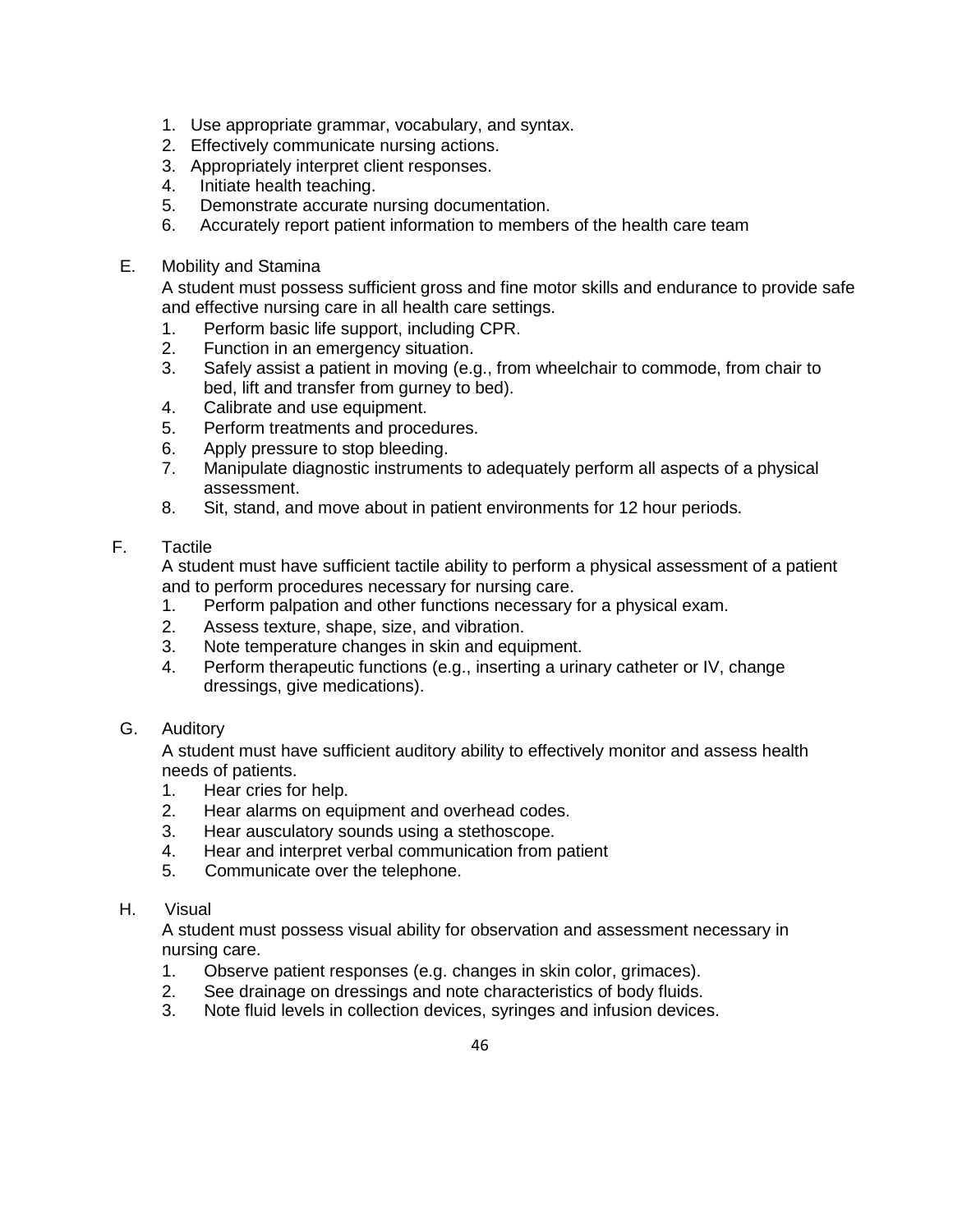- 1. Use appropriate grammar, vocabulary, and syntax.
- 2. Effectively communicate nursing actions.
- 3. Appropriately interpret client responses.
- 4. Initiate health teaching.<br>5. Demonstrate accurate r
- 5. Demonstrate accurate nursing documentation.
- 6. Accurately report patient information to members of the health care team
- E. Mobility and Stamina

A student must possess sufficient gross and fine motor skills and endurance to provide safe and effective nursing care in all health care settings.

- 1. Perform basic life support, including CPR.
- 2. Function in an emergency situation.
- 3. Safely assist a patient in moving (e.g., from wheelchair to commode, from chair to bed, lift and transfer from gurney to bed).
- 4. Calibrate and use equipment.
- 5. Perform treatments and procedures.
- 6. Apply pressure to stop bleeding.
- 7. Manipulate diagnostic instruments to adequately perform all aspects of a physical assessment.
- 8. Sit, stand, and move about in patient environments for 12 hour periods.
- F. Tactile

A student must have sufficient tactile ability to perform a physical assessment of a patient and to perform procedures necessary for nursing care.

- 1. Perform palpation and other functions necessary for a physical exam.
- 2. Assess texture, shape, size, and vibration.
- 3. Note temperature changes in skin and equipment.
- 4. Perform therapeutic functions (e.g., inserting a urinary catheter or IV, change dressings, give medications).
- G. Auditory

A student must have sufficient auditory ability to effectively monitor and assess health needs of patients.

- 1. Hear cries for help.
- 2. Hear alarms on equipment and overhead codes.
- 3. Hear ausculatory sounds using a stethoscope.
- 4. Hear and interpret verbal communication from patient
- 5. Communicate over the telephone.
- H. Visual

A student must possess visual ability for observation and assessment necessary in nursing care.

- 1. Observe patient responses (e.g. changes in skin color, grimaces).
- 2. See drainage on dressings and note characteristics of body fluids.<br>3. Note fluid levels in collection devices, svringes and infusion device
- Note fluid levels in collection devices, syringes and infusion devices.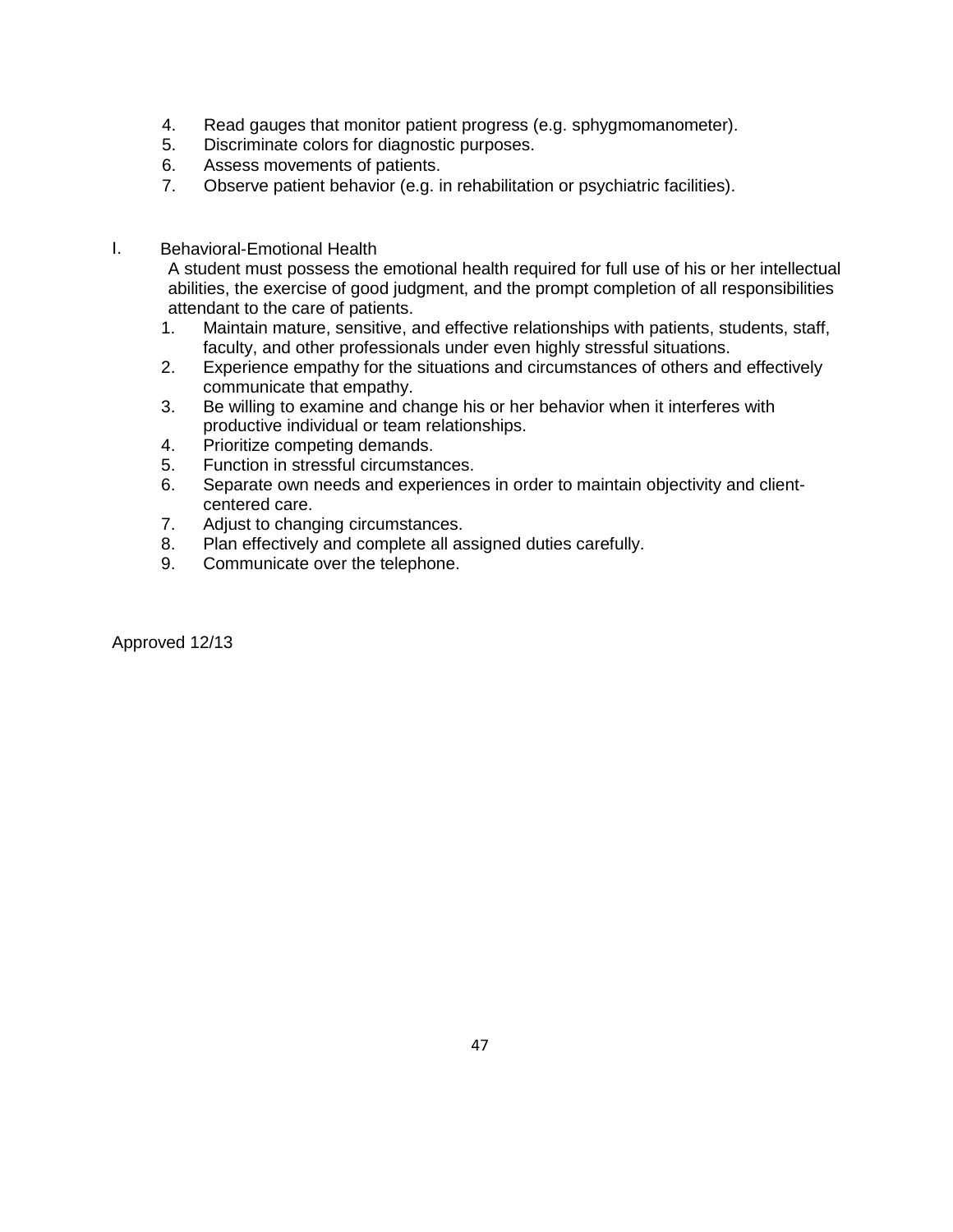- 4. Read gauges that monitor patient progress (e.g. sphygmomanometer).
- 5. Discriminate colors for diagnostic purposes.
- 6. Assess movements of patients.
- 7. Observe patient behavior (e.g. in rehabilitation or psychiatric facilities).
- I. Behavioral-Emotional Health

A student must possess the emotional health required for full use of his or her intellectual abilities, the exercise of good judgment, and the prompt completion of all responsibilities attendant to the care of patients.

- 1. Maintain mature, sensitive, and effective relationships with patients, students, staff, faculty, and other professionals under even highly stressful situations.
- 2. Experience empathy for the situations and circumstances of others and effectively communicate that empathy.
- 3. Be willing to examine and change his or her behavior when it interferes with productive individual or team relationships.
- 4. Prioritize competing demands.
- 5. Function in stressful circumstances.
- 6. Separate own needs and experiences in order to maintain objectivity and clientcentered care.
- 7. Adjust to changing circumstances.
- 8. Plan effectively and complete all assigned duties carefully.<br>9. Communicate over the telephone.
- Communicate over the telephone.

Approved 12/13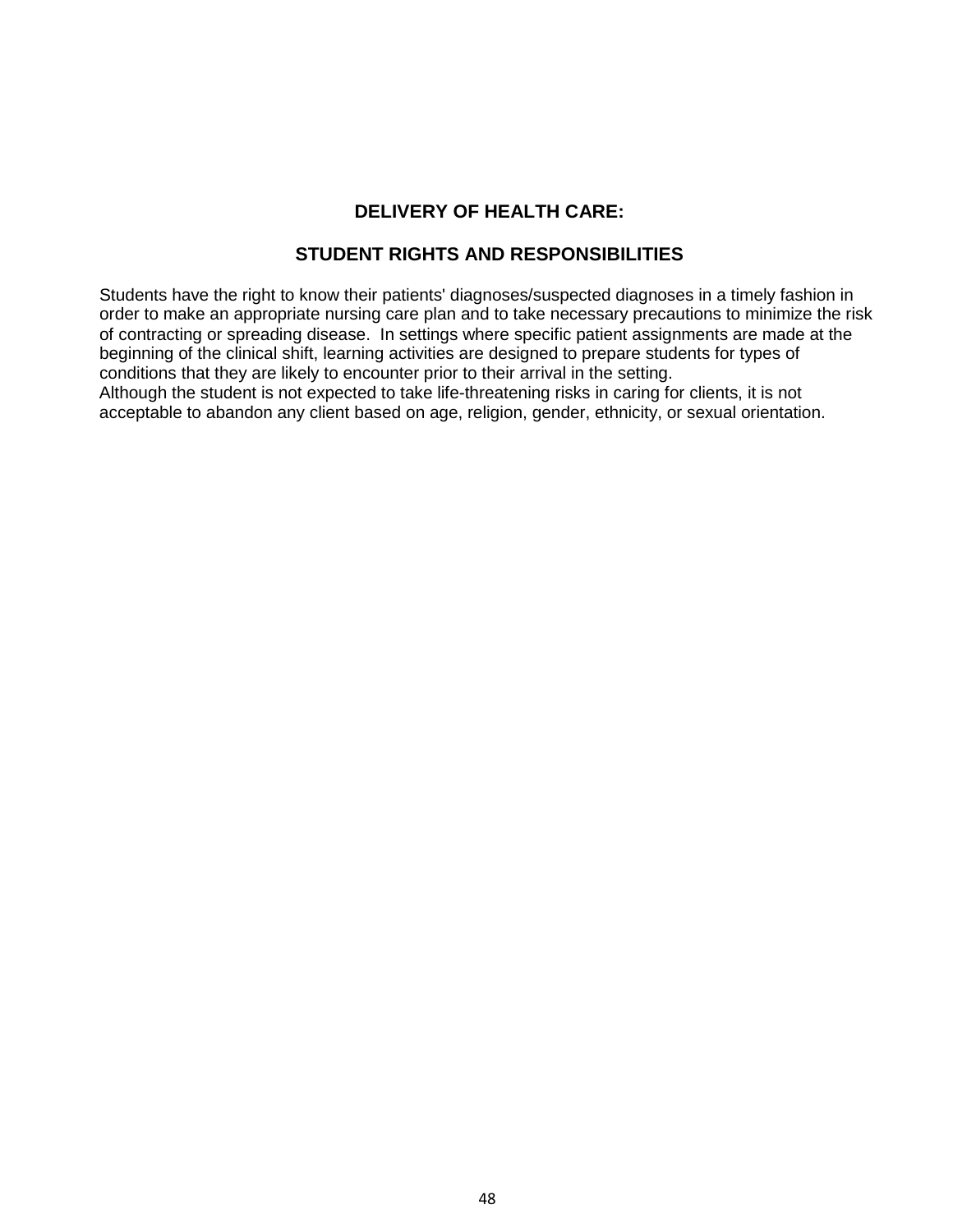#### **DELIVERY OF HEALTH CARE:**

#### **STUDENT RIGHTS AND RESPONSIBILITIES**

Students have the right to know their patients' diagnoses/suspected diagnoses in a timely fashion in order to make an appropriate nursing care plan and to take necessary precautions to minimize the risk of contracting or spreading disease. In settings where specific patient assignments are made at the beginning of the clinical shift, learning activities are designed to prepare students for types of conditions that they are likely to encounter prior to their arrival in the setting.

Although the student is not expected to take life-threatening risks in caring for clients, it is not acceptable to abandon any client based on age, religion, gender, ethnicity, or sexual orientation.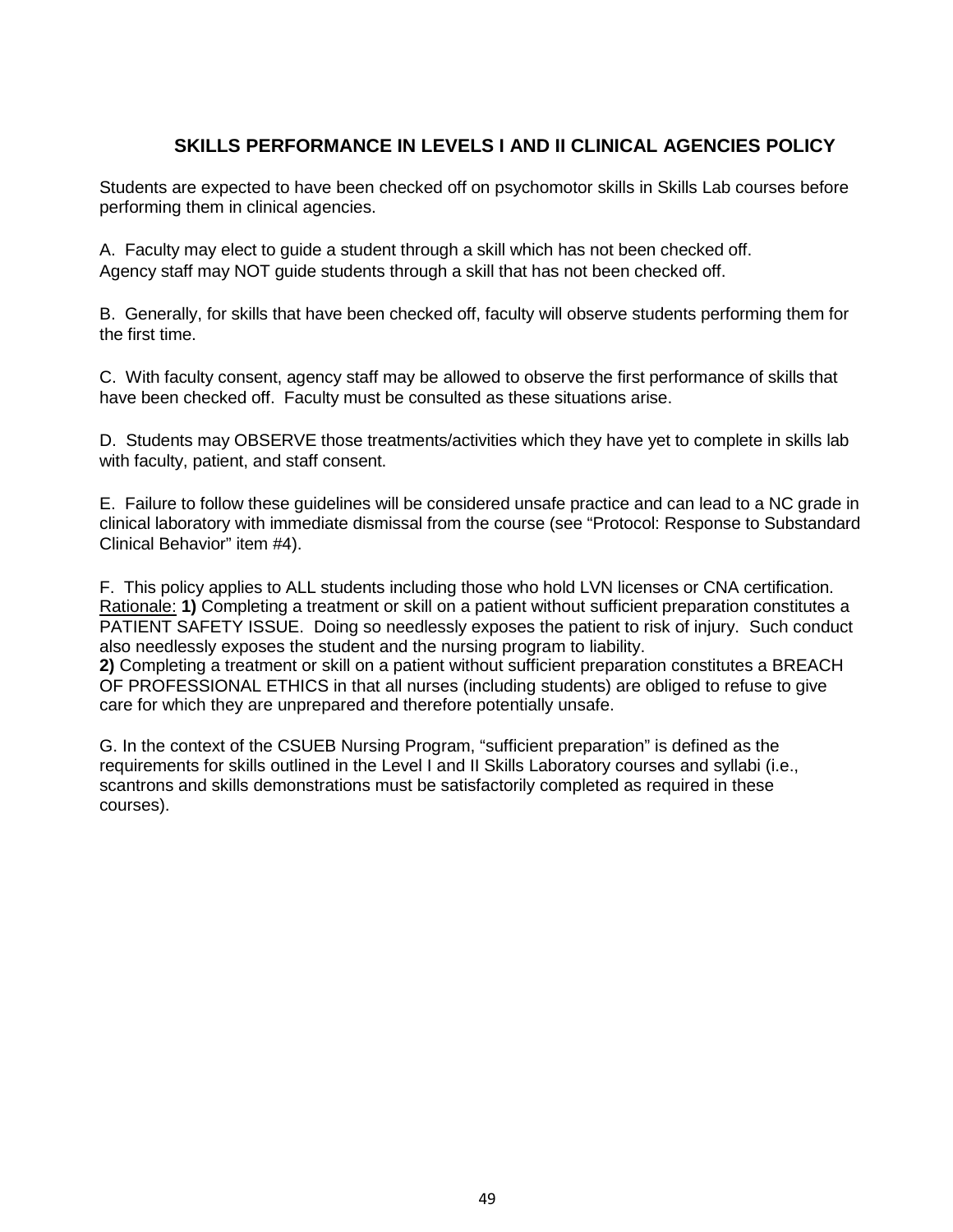#### **SKILLS PERFORMANCE IN LEVELS I AND II CLINICAL AGENCIES POLICY**

Students are expected to have been checked off on psychomotor skills in Skills Lab courses before performing them in clinical agencies.

A. Faculty may elect to guide a student through a skill which has not been checked off. Agency staff may NOT guide students through a skill that has not been checked off.

B. Generally, for skills that have been checked off, faculty will observe students performing them for the first time.

C. With faculty consent, agency staff may be allowed to observe the first performance of skills that have been checked off. Faculty must be consulted as these situations arise.

D. Students may OBSERVE those treatments/activities which they have yet to complete in skills lab with faculty, patient, and staff consent.

E. Failure to follow these guidelines will be considered unsafe practice and can lead to a NC grade in clinical laboratory with immediate dismissal from the course (see "Protocol: Response to Substandard Clinical Behavior" item #4).

F. This policy applies to ALL students including those who hold LVN licenses or CNA certification. Rationale: **1)** Completing a treatment or skill on a patient without sufficient preparation constitutes a PATIENT SAFETY ISSUE. Doing so needlessly exposes the patient to risk of injury. Such conduct also needlessly exposes the student and the nursing program to liability. **2)** Completing a treatment or skill on a patient without sufficient preparation constitutes a BREACH OF PROFESSIONAL ETHICS in that all nurses (including students) are obliged to refuse to give

care for which they are unprepared and therefore potentially unsafe.

G. In the context of the CSUEB Nursing Program, "sufficient preparation" is defined as the requirements for skills outlined in the Level I and II Skills Laboratory courses and syllabi (i.e., scantrons and skills demonstrations must be satisfactorily completed as required in these courses).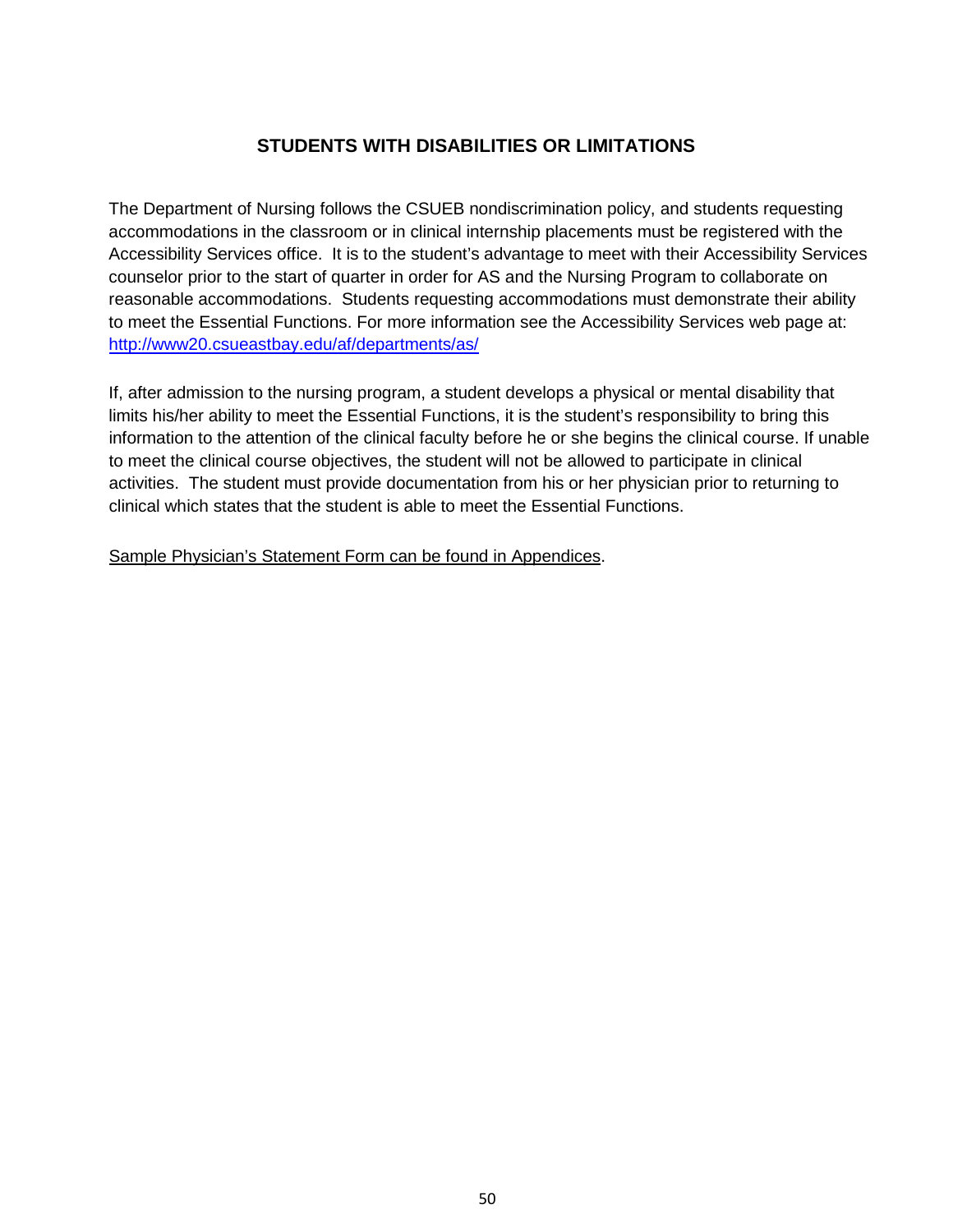#### **STUDENTS WITH DISABILITIES OR LIMITATIONS**

The Department of Nursing follows the CSUEB nondiscrimination policy, and students requesting accommodations in the classroom or in clinical internship placements must be registered with the Accessibility Services office. It is to the student's advantage to meet with their Accessibility Services counselor prior to the start of quarter in order for AS and the Nursing Program to collaborate on reasonable accommodations. Students requesting accommodations must demonstrate their ability to meet the Essential Functions. For more information see the Accessibility Services web page at: <http://www20.csueastbay.edu/af/departments/as/>

If, after admission to the nursing program, a student develops a physical or mental disability that limits his/her ability to meet the Essential Functions, it is the student's responsibility to bring this information to the attention of the clinical faculty before he or she begins the clinical course. If unable to meet the clinical course objectives, the student will not be allowed to participate in clinical activities. The student must provide documentation from his or her physician prior to returning to clinical which states that the student is able to meet the Essential Functions.

Sample Physician's Statement Form can be found in Appendices.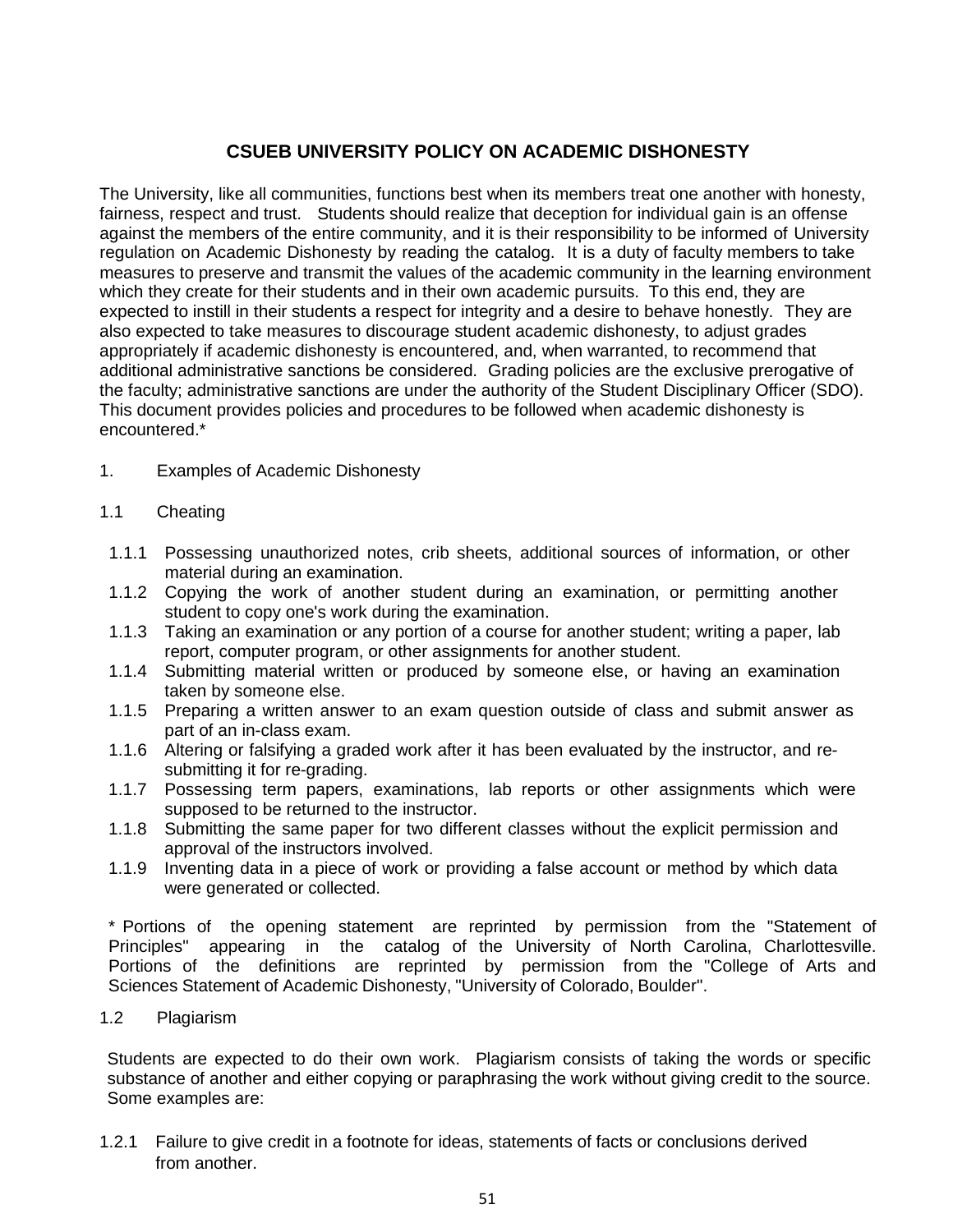#### **CSUEB UNIVERSITY POLICY ON ACADEMIC DISHONESTY**

The University, like all communities, functions best when its members treat one another with honesty, fairness, respect and trust. Students should realize that deception for individual gain is an offense against the members of the entire community, and it is their responsibility to be informed of University regulation on Academic Dishonesty by reading the catalog. It is a duty of faculty members to take measures to preserve and transmit the values of the academic community in the learning environment which they create for their students and in their own academic pursuits. To this end, they are expected to instill in their students a respect for integrity and a desire to behave honestly. They are also expected to take measures to discourage student academic dishonesty, to adjust grades appropriately if academic dishonesty is encountered, and, when warranted, to recommend that additional administrative sanctions be considered. Grading policies are the exclusive prerogative of the faculty; administrative sanctions are under the authority of the Student Disciplinary Officer (SDO). This document provides policies and procedures to be followed when academic dishonesty is encountered.\*

#### 1. Examples of Academic Dishonesty

#### 1.1 Cheating

- 1.1.1 Possessing unauthorized notes, crib sheets, additional sources of information, or other material during an examination.
- 1.1.2 Copying the work of another student during an examination, or permitting another student to copy one's work during the examination.
- 1.1.3 Taking an examination or any portion of a course for another student; writing a paper, lab report, computer program, or other assignments for another student.
- 1.1.4 Submitting material written or produced by someone else, or having an examination taken by someone else.
- 1.1.5 Preparing a written answer to an exam question outside of class and submit answer as part of an in-class exam.
- 1.1.6 Altering or falsifying a graded work after it has been evaluated by the instructor, and resubmitting it for re-grading.
- 1.1.7 Possessing term papers, examinations, lab reports or other assignments which were supposed to be returned to the instructor.
- 1.1.8 Submitting the same paper for two different classes without the explicit permission and approval of the instructors involved.
- 1.1.9 Inventing data in a piece of work or providing a false account or method by which data were generated or collected.

\* Portions of the opening statement are reprinted by permission from the "Statement of Principles" appearing in the catalog of the University of North Carolina, Charlottesville. Portions of the definitions are reprinted by permission from the "College of Arts and Sciences Statement of Academic Dishonesty, "University of Colorado, Boulder".

#### 1.2 Plagiarism

Students are expected to do their own work. Plagiarism consists of taking the words or specific substance of another and either copying or paraphrasing the work without giving credit to the source. Some examples are:

1.2.1 Failure to give credit in a footnote for ideas, statements of facts or conclusions derived from another.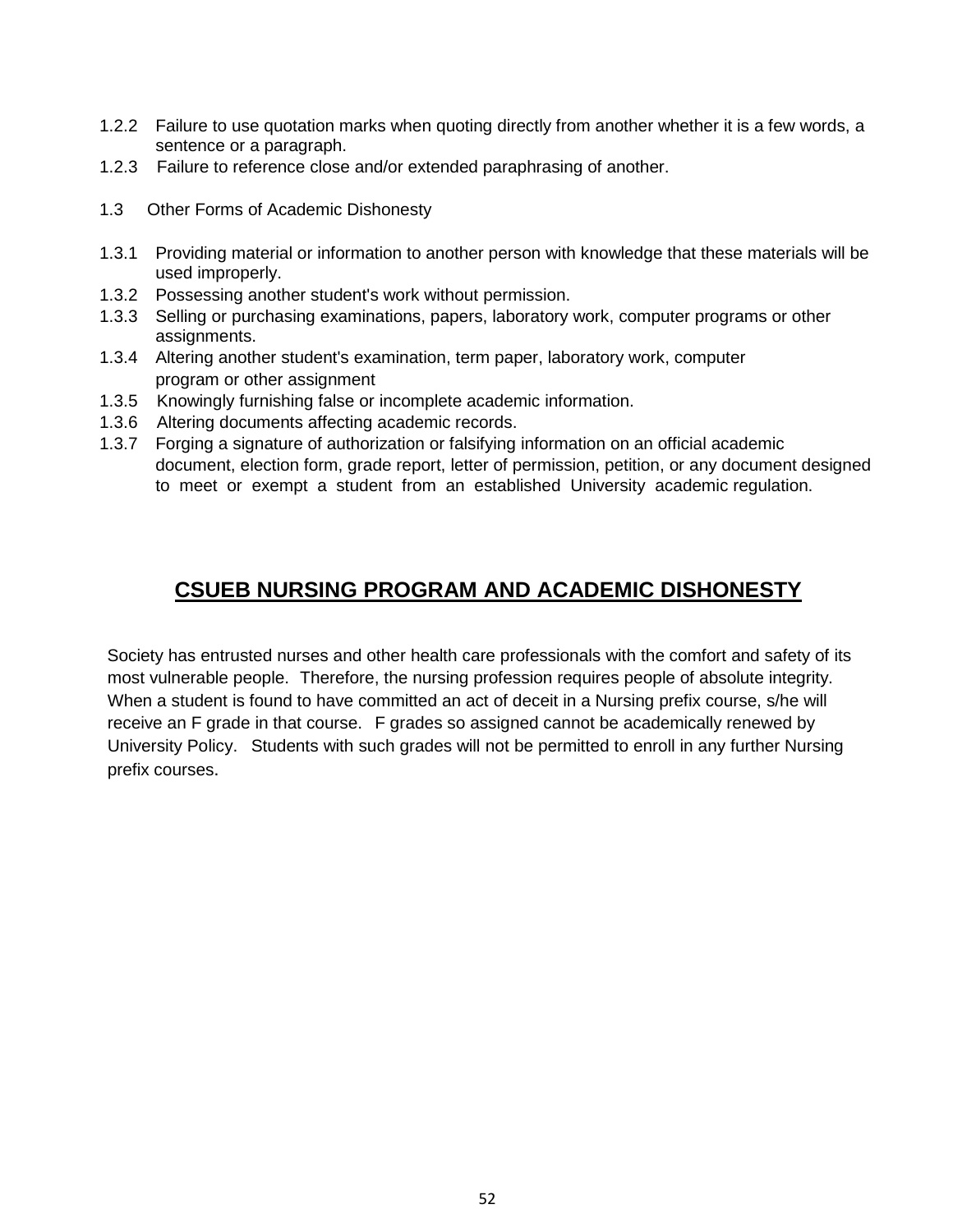- 1.2.2 Failure to use quotation marks when quoting directly from another whether it is a few words, a sentence or a paragraph.
- 1.2.3 Failure to reference close and/or extended paraphrasing of another.
- 1.3 Other Forms of Academic Dishonesty
- 1.3.1 Providing material or information to another person with knowledge that these materials will be used improperly.
- 1.3.2 Possessing another student's work without permission.
- 1.3.3 Selling or purchasing examinations, papers, laboratory work, computer programs or other assignments.
- 1.3.4 Altering another student's examination, term paper, laboratory work, computer program or other assignment
- 1.3.5 Knowingly furnishing false or incomplete academic information.
- 1.3.6 Altering documents affecting academic records.
- 1.3.7 Forging a signature of authorization or falsifying information on an official academic document, election form, grade report, letter of permission, petition, or any document designed to meet or exempt a student from an established University academic regulation.

## **CSUEB NURSING PROGRAM AND ACADEMIC DISHONESTY**

Society has entrusted nurses and other health care professionals with the comfort and safety of its most vulnerable people. Therefore, the nursing profession requires people of absolute integrity. When a student is found to have committed an act of deceit in a Nursing prefix course, s/he will receive an F grade in that course. F grades so assigned cannot be academically renewed by University Policy. Students with such grades will not be permitted to enroll in any further Nursing prefix courses.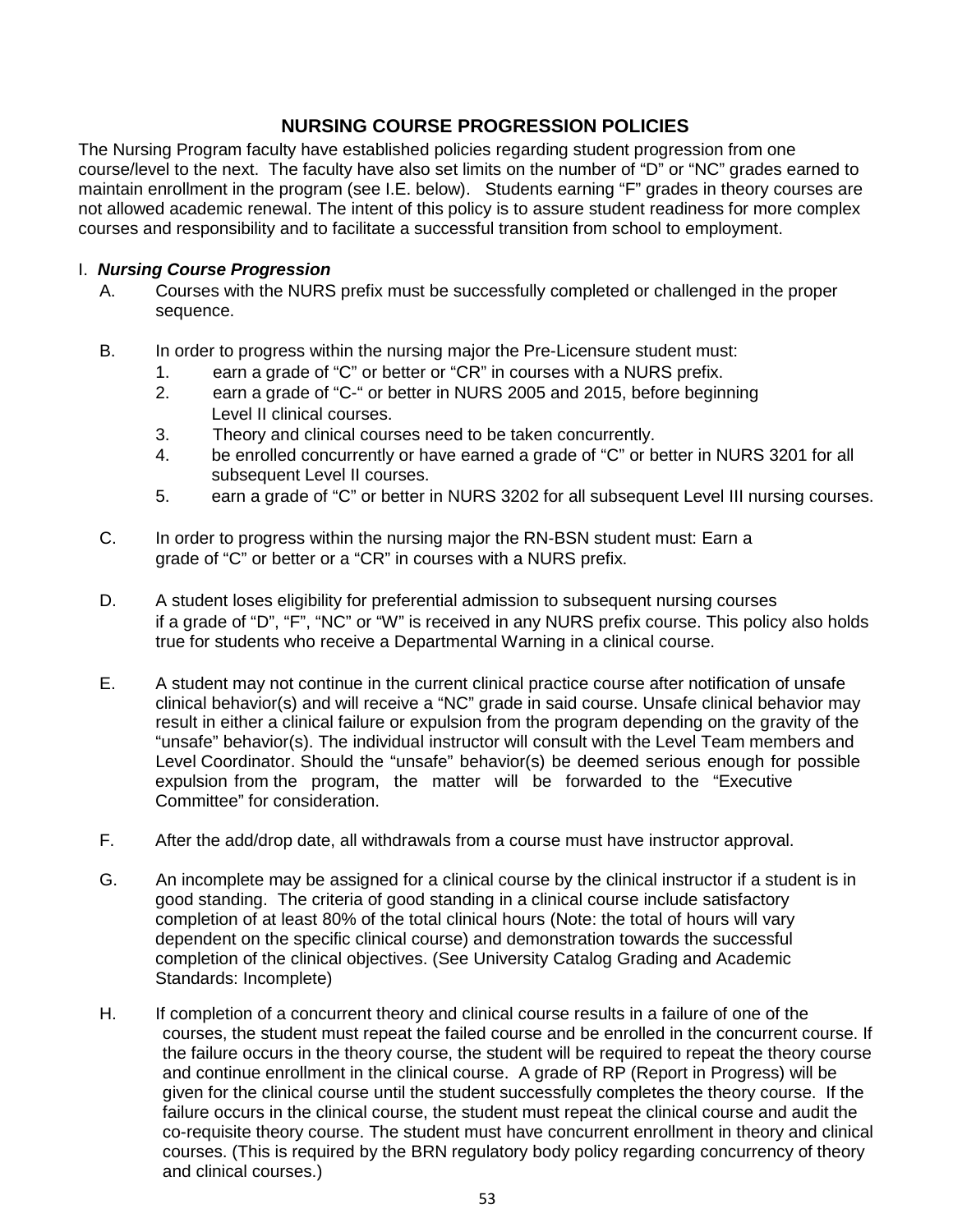#### **NURSING COURSE PROGRESSION POLICIES**

The Nursing Program faculty have established policies regarding student progression from one course/level to the next. The faculty have also set limits on the number of "D" or "NC" grades earned to maintain enrollment in the program (see I.E. below). Students earning "F" grades in theory courses are not allowed academic renewal. The intent of this policy is to assure student readiness for more complex courses and responsibility and to facilitate a successful transition from school to employment.

#### I. *Nursing Course Progression*

- A. Courses with the NURS prefix must be successfully completed or challenged in the proper sequence.
- B. In order to progress within the nursing major the Pre-Licensure student must:
	- 1. earn a grade of "C" or better or "CR" in courses with a NURS prefix.
	- 2. earn a grade of "C-" or better in NURS 2005 and 2015, before beginning Level II clinical courses.
	- 3. Theory and clinical courses need to be taken concurrently.
	- 4. be enrolled concurrently or have earned a grade of "C" or better in NURS 3201 for all subsequent Level II courses.
	- 5. earn a grade of "C" or better in NURS 3202 for all subsequent Level III nursing courses.
- C. In order to progress within the nursing major the RN-BSN student must: Earn a grade of "C" or better or a "CR" in courses with a NURS prefix.
- D. A student loses eligibility for preferential admission to subsequent nursing courses if a grade of "D", "F", "NC" or "W" is received in any NURS prefix course. This policy also holds true for students who receive a Departmental Warning in a clinical course.
- E. A student may not continue in the current clinical practice course after notification of unsafe clinical behavior(s) and will receive a "NC" grade in said course. Unsafe clinical behavior may result in either a clinical failure or expulsion from the program depending on the gravity of the "unsafe" behavior(s). The individual instructor will consult with the Level Team members and Level Coordinator. Should the "unsafe" behavior(s) be deemed serious enough for possible expulsion from the program, the matter will be forwarded to the "Executive Committee" for consideration.
- F. After the add/drop date, all withdrawals from a course must have instructor approval.
- G. An incomplete may be assigned for a clinical course by the clinical instructor if a student is in good standing. The criteria of good standing in a clinical course include satisfactory completion of at least 80% of the total clinical hours (Note: the total of hours will vary dependent on the specific clinical course) and demonstration towards the successful completion of the clinical objectives. (See University Catalog Grading and Academic Standards: Incomplete)
- H. If completion of a concurrent theory and clinical course results in a failure of one of the courses, the student must repeat the failed course and be enrolled in the concurrent course. If the failure occurs in the theory course, the student will be required to repeat the theory course and continue enrollment in the clinical course. A grade of RP (Report in Progress) will be given for the clinical course until the student successfully completes the theory course. If the failure occurs in the clinical course, the student must repeat the clinical course and audit the co-requisite theory course. The student must have concurrent enrollment in theory and clinical courses. (This is required by the BRN regulatory body policy regarding concurrency of theory and clinical courses.)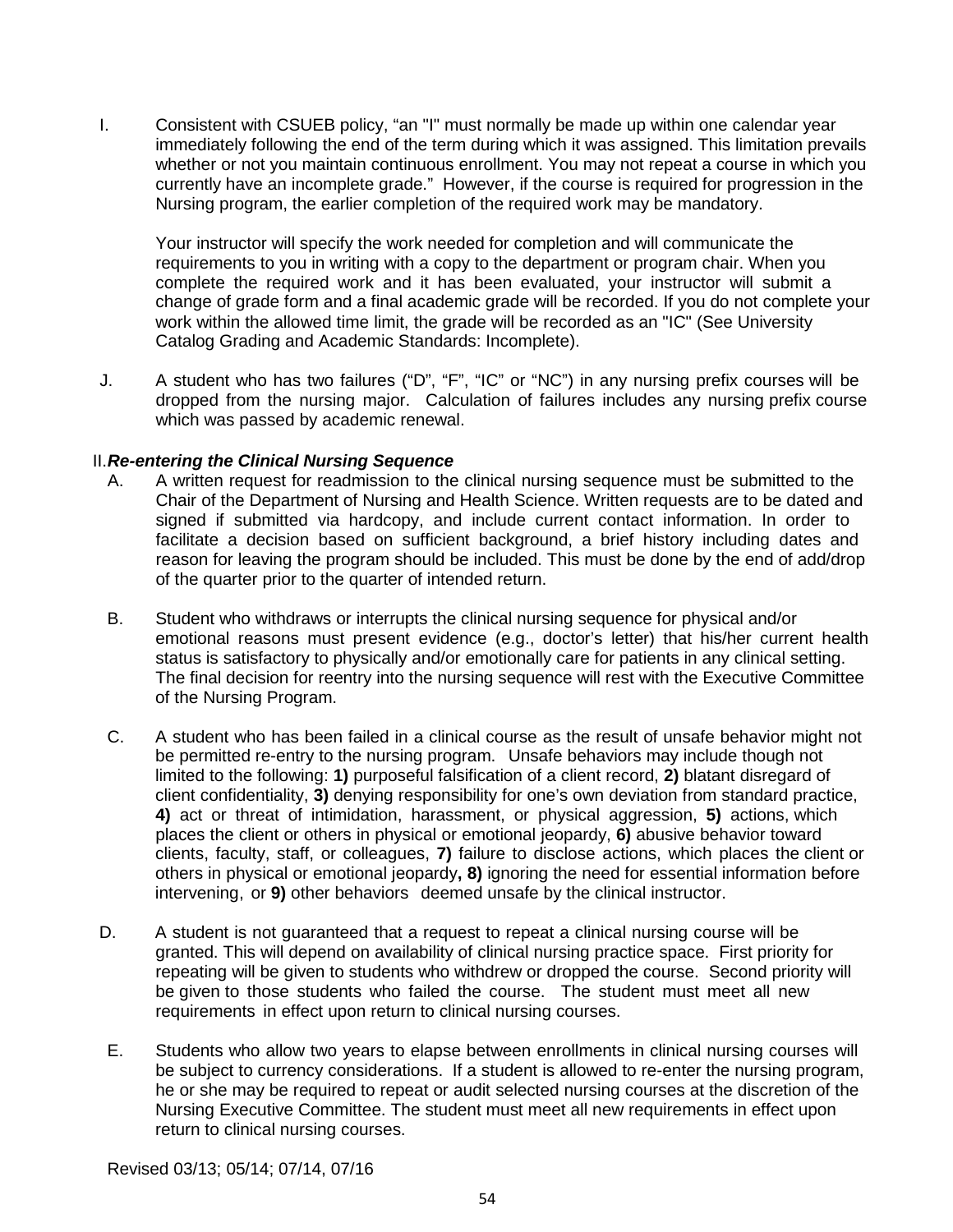I. Consistent with CSUEB policy, "an "I" must normally be made up within one calendar year immediately following the end of the term during which it was assigned. This limitation prevails whether or not you maintain continuous enrollment. You may not repeat a course in which you currently have an incomplete grade." However, if the course is required for progression in the Nursing program, the earlier completion of the required work may be mandatory.

Your instructor will specify the work needed for completion and will communicate the requirements to you in writing with a copy to the department or program chair. When you complete the required work and it has been evaluated, your instructor will submit a change of grade form and a final academic grade will be recorded. If you do not complete your work within the allowed time limit, the grade will be recorded as an "IC" (See University Catalog Grading and Academic Standards: Incomplete).

J. A student who has two failures ("D", "F", "IC" or "NC") in any nursing prefix courses will be dropped from the nursing major. Calculation of failures includes any nursing prefix course which was passed by academic renewal.

#### II.*Re-entering the Clinical Nursing Sequence*

- A. A written request for readmission to the clinical nursing sequence must be submitted to the Chair of the Department of Nursing and Health Science. Written requests are to be dated and signed if submitted via hardcopy, and include current contact information. In order to facilitate a decision based on sufficient background, a brief history including dates and reason for leaving the program should be included. This must be done by the end of add/drop of the quarter prior to the quarter of intended return.
- B. Student who withdraws or interrupts the clinical nursing sequence for physical and/or emotional reasons must present evidence (e.g., doctor's letter) that his/her current health status is satisfactory to physically and/or emotionally care for patients in any clinical setting. The final decision for reentry into the nursing sequence will rest with the Executive Committee of the Nursing Program.
- C. A student who has been failed in a clinical course as the result of unsafe behavior might not be permitted re-entry to the nursing program. Unsafe behaviors may include though not limited to the following: **1)** purposeful falsification of a client record, **2)** blatant disregard of client confidentiality, **3)** denying responsibility for one's own deviation from standard practice, **4)** act or threat of intimidation, harassment, or physical aggression, **5)** actions, which places the client or others in physical or emotional jeopardy, **6)** abusive behavior toward clients, faculty, staff, or colleagues, **7)** failure to disclose actions, which places the client or others in physical or emotional jeopardy**, 8)** ignoring the need for essential information before intervening, or **9)** other behaviors deemed unsafe by the clinical instructor.
- D. A student is not guaranteed that a request to repeat a clinical nursing course will be granted. This will depend on availability of clinical nursing practice space. First priority for repeating will be given to students who withdrew or dropped the course. Second priority will be given to those students who failed the course. The student must meet all new requirements in effect upon return to clinical nursing courses.
- E. Students who allow two years to elapse between enrollments in clinical nursing courses will be subject to currency considerations. If a student is allowed to re-enter the nursing program, he or she may be required to repeat or audit selected nursing courses at the discretion of the Nursing Executive Committee. The student must meet all new requirements in effect upon return to clinical nursing courses.

Revised 03/13; 05/14; 07/14, 07/16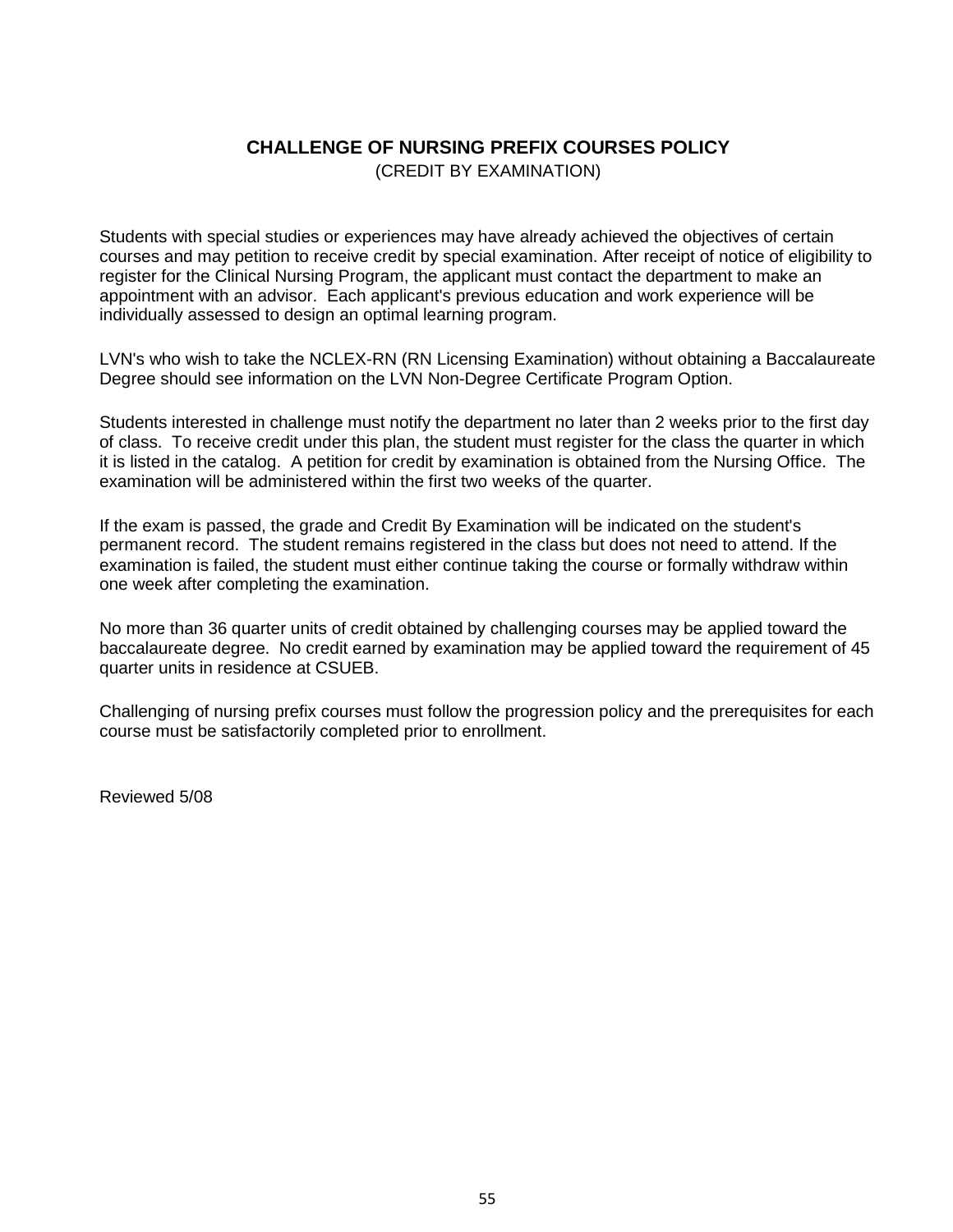#### **CHALLENGE OF NURSING PREFIX COURSES POLICY** (CREDIT BY EXAMINATION)

Students with special studies or experiences may have already achieved the objectives of certain courses and may petition to receive credit by special examination. After receipt of notice of eligibility to register for the Clinical Nursing Program, the applicant must contact the department to make an appointment with an advisor. Each applicant's previous education and work experience will be individually assessed to design an optimal learning program.

LVN's who wish to take the NCLEX-RN (RN Licensing Examination) without obtaining a Baccalaureate Degree should see information on the LVN Non-Degree Certificate Program Option.

Students interested in challenge must notify the department no later than 2 weeks prior to the first day of class. To receive credit under this plan, the student must register for the class the quarter in which it is listed in the catalog. A petition for credit by examination is obtained from the Nursing Office. The examination will be administered within the first two weeks of the quarter.

If the exam is passed, the grade and Credit By Examination will be indicated on the student's permanent record. The student remains registered in the class but does not need to attend. If the examination is failed, the student must either continue taking the course or formally withdraw within one week after completing the examination.

No more than 36 quarter units of credit obtained by challenging courses may be applied toward the baccalaureate degree. No credit earned by examination may be applied toward the requirement of 45 quarter units in residence at CSUEB.

Challenging of nursing prefix courses must follow the progression policy and the prerequisites for each course must be satisfactorily completed prior to enrollment.

Reviewed 5/08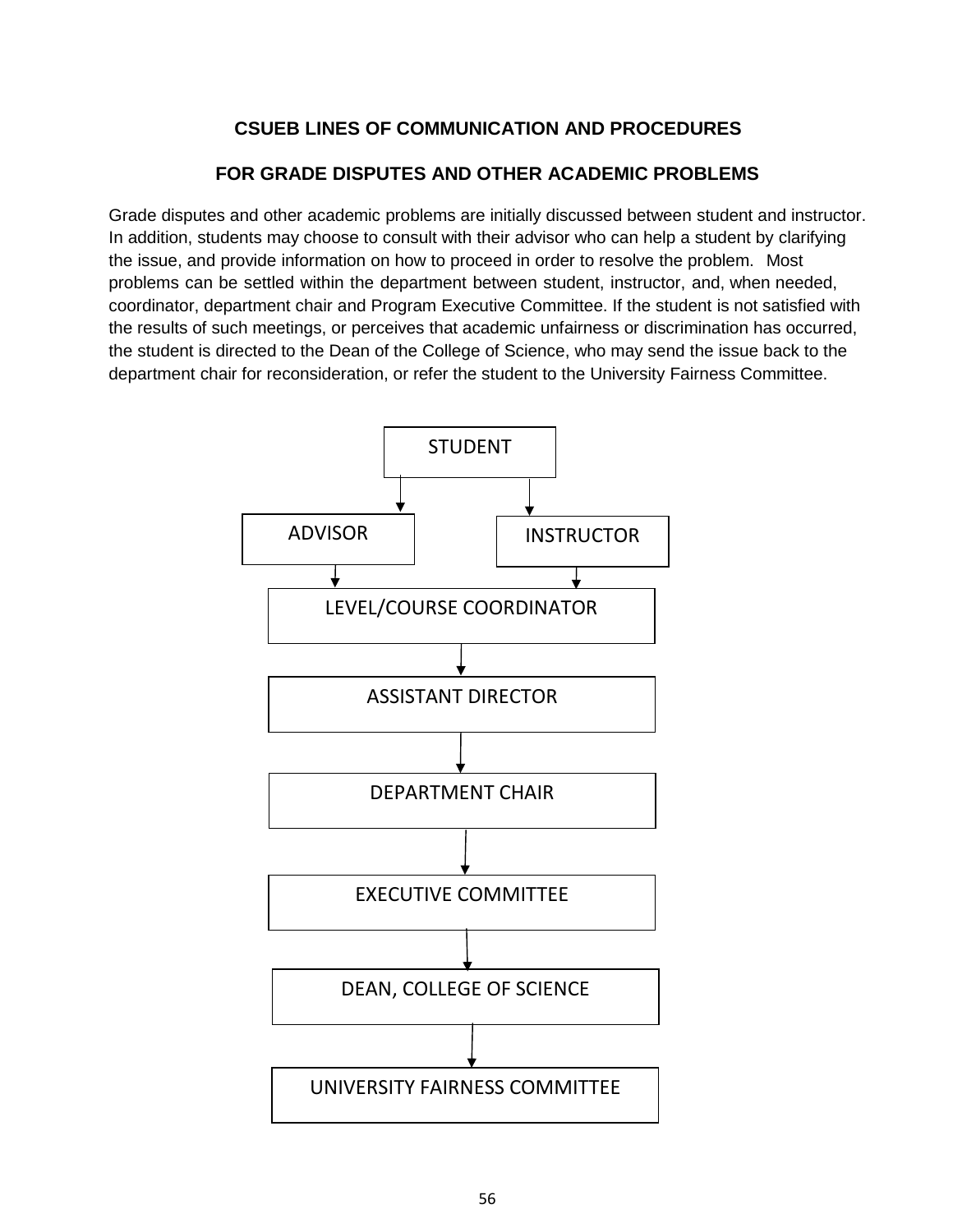#### **CSUEB LINES OF COMMUNICATION AND PROCEDURES**

#### **FOR GRADE DISPUTES AND OTHER ACADEMIC PROBLEMS**

Grade disputes and other academic problems are initially discussed between student and instructor. In addition, students may choose to consult with their advisor who can help a student by clarifying the issue, and provide information on how to proceed in order to resolve the problem. Most problems can be settled within the department between student, instructor, and, when needed, coordinator, department chair and Program Executive Committee. If the student is not satisfied with the results of such meetings, or perceives that academic unfairness or discrimination has occurred, the student is directed to the Dean of the College of Science, who may send the issue back to the department chair for reconsideration, or refer the student to the University Fairness Committee.

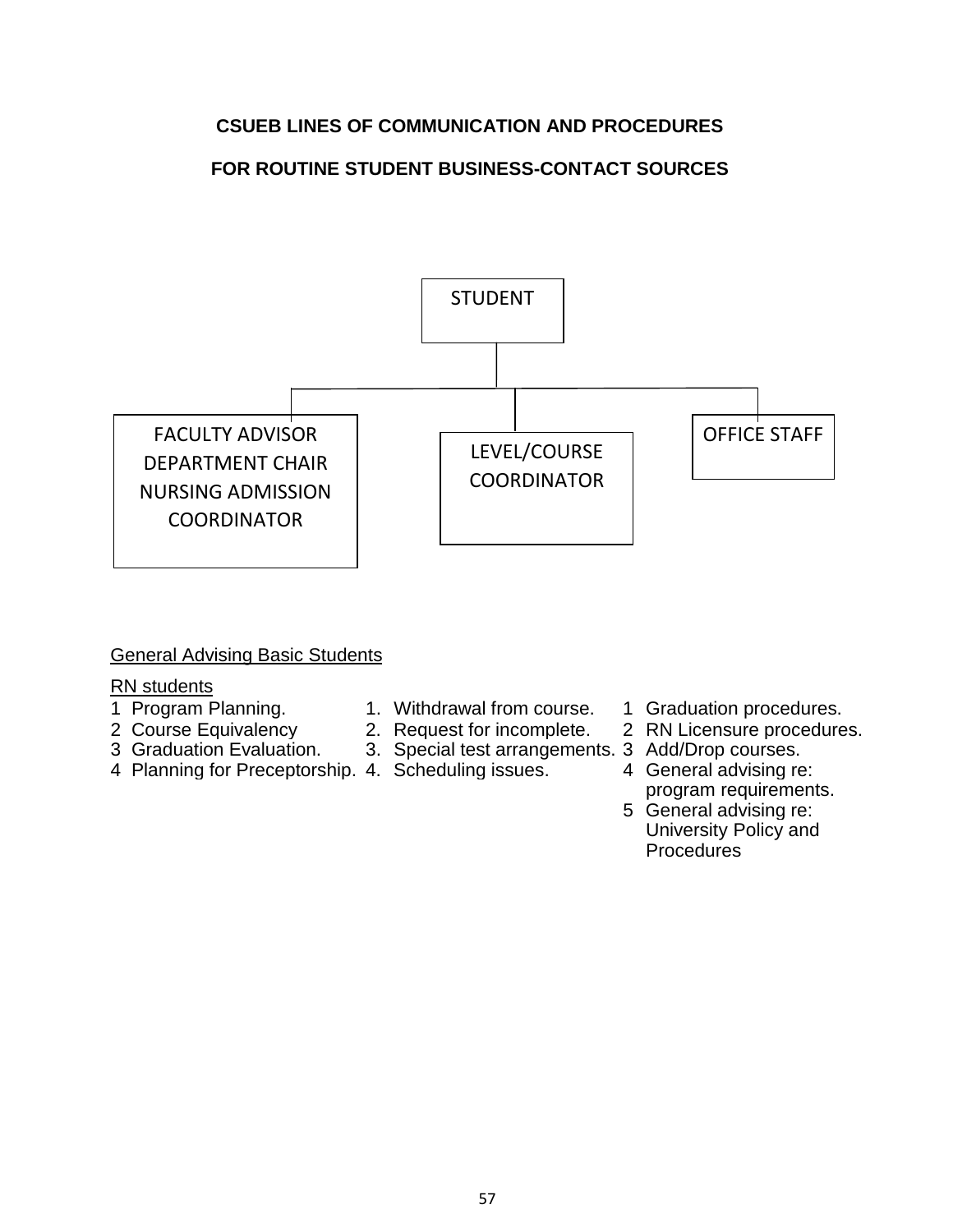### **CSUEB LINES OF COMMUNICATION AND PROCEDURES**

#### **FOR ROUTINE STUDENT BUSINESS-CONTACT SOURCES**



#### General Advising Basic Students

- RN students<br>1 Program Planning.
- 
- 
- 4 Planning for Preceptorship. 4. Scheduling issues.
- 1 Program Planning. 1. Withdrawal from course. 1 Graduation procedures.<br>2 Course Equivalency 2. Request for incomplete. 2 RN Licensure procedure
	-
	- 3. Special test arrangements. 3 Add/Drop courses.<br>4. Scheduling issues. 4 General advising re:
		-
- 
- 2 Course Equivalency 2. Request for incomplete. 2 RN Licensure procedures.<br>3 Graduation Evaluation. 3. Special test arrangements. 3 Add/Drop courses.
	-
	- program requirements.
	- 5 General advising re: University Policy and Procedures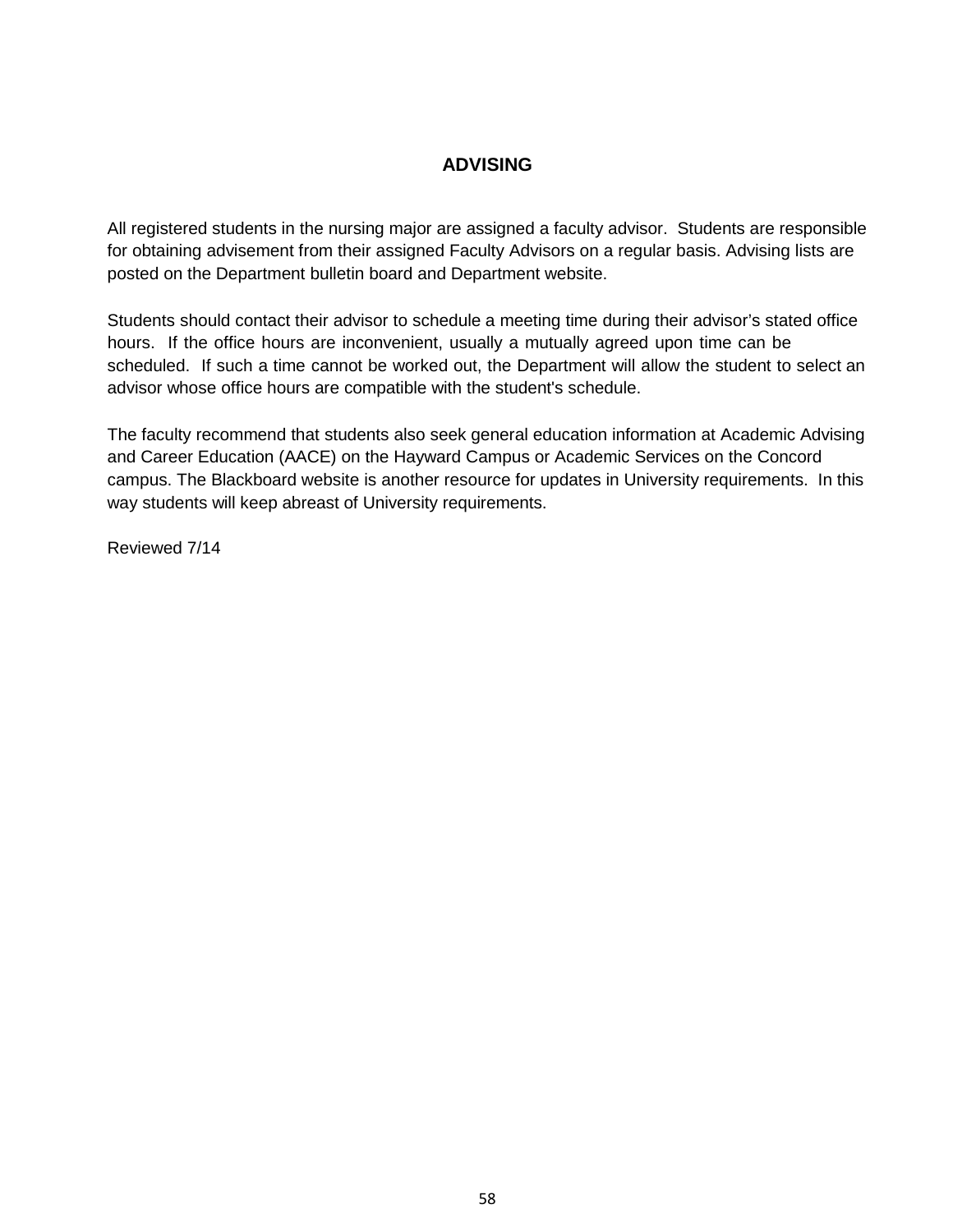#### **ADVISING**

All registered students in the nursing major are assigned a faculty advisor. Students are responsible for obtaining advisement from their assigned Faculty Advisors on a regular basis. Advising lists are posted on the Department bulletin board and Department website.

Students should contact their advisor to schedule a meeting time during their advisor's stated office hours. If the office hours are inconvenient, usually a mutually agreed upon time can be scheduled. If such a time cannot be worked out, the Department will allow the student to select an advisor whose office hours are compatible with the student's schedule.

The faculty recommend that students also seek general education information at Academic Advising and Career Education (AACE) on the Hayward Campus or Academic Services on the Concord campus. The Blackboard website is another resource for updates in University requirements. In this way students will keep abreast of University requirements.

Reviewed 7/14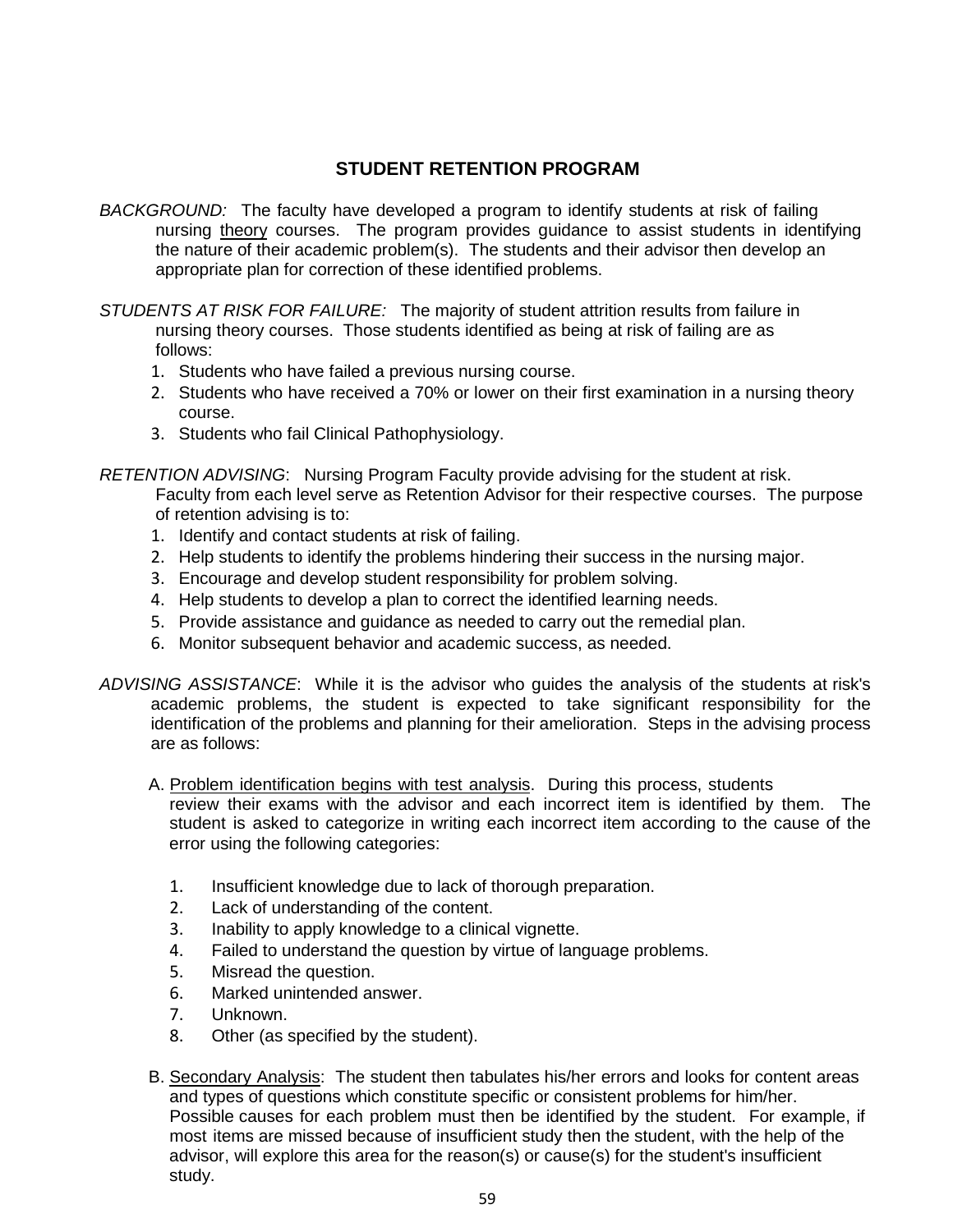#### **STUDENT RETENTION PROGRAM**

- *BACKGROUND:* The faculty have developed a program to identify students at risk of failing nursing theory courses. The program provides guidance to assist students in identifying the nature of their academic problem(s). The students and their advisor then develop an appropriate plan for correction of these identified problems.
- *STUDENTS AT RISK FOR FAILURE:* The majority of student attrition results from failure in nursing theory courses. Those students identified as being at risk of failing are as follows:
	- 1. Students who have failed a previous nursing course.
	- 2. Students who have received a 70% or lower on their first examination in a nursing theory course.
	- 3. Students who fail Clinical Pathophysiology.

#### *RETENTION ADVISING*: Nursing Program Faculty provide advising for the student at risk.

Faculty from each level serve as Retention Advisor for their respective courses. The purpose of retention advising is to:

- 1. Identify and contact students at risk of failing.
- 2. Help students to identify the problems hindering their success in the nursing major.
- 3. Encourage and develop student responsibility for problem solving.
- 4. Help students to develop a plan to correct the identified learning needs.
- 5. Provide assistance and guidance as needed to carry out the remedial plan.
- 6. Monitor subsequent behavior and academic success, as needed.
- *ADVISING ASSISTANCE*: While it is the advisor who guides the analysis of the students at risk's academic problems, the student is expected to take significant responsibility for the identification of the problems and planning for their amelioration. Steps in the advising process are as follows:
	- A. Problem identification begins with test analysis. During this process, students

review their exams with the advisor and each incorrect item is identified by them. The student is asked to categorize in writing each incorrect item according to the cause of the error using the following categories:

- 1. Insufficient knowledge due to lack of thorough preparation.
- 2. Lack of understanding of the content.
- 3. Inability to apply knowledge to a clinical vignette.
- 4. Failed to understand the question by virtue of language problems.
- 5. Misread the question.
- 6. Marked unintended answer.
- 7. Unknown.
- 8. Other (as specified by the student).
- B. Secondary Analysis: The student then tabulates his/her errors and looks for content areas and types of questions which constitute specific or consistent problems for him/her. Possible causes for each problem must then be identified by the student. For example, if most items are missed because of insufficient study then the student, with the help of the advisor, will explore this area for the reason(s) or cause(s) for the student's insufficient study.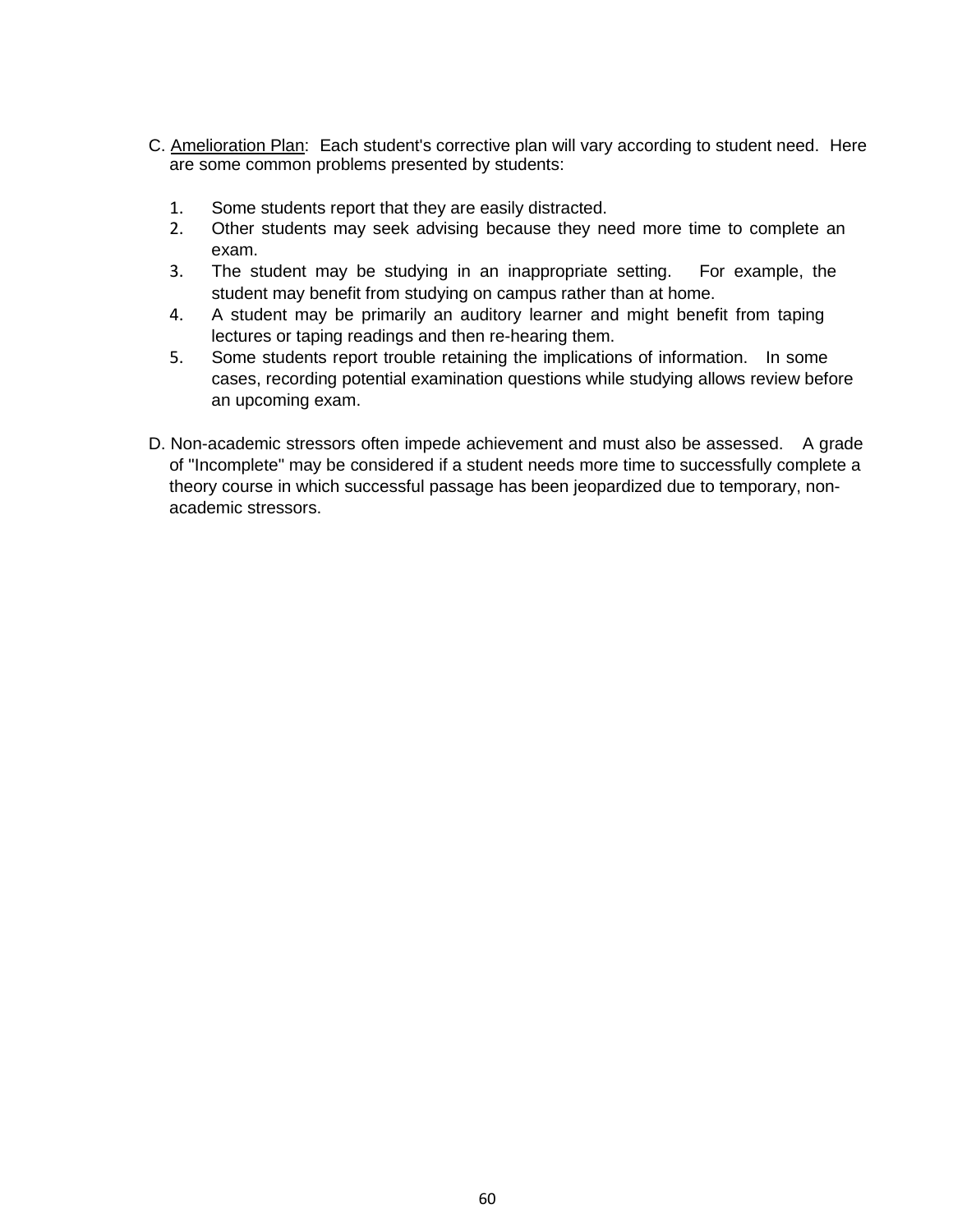- C. Amelioration Plan: Each student's corrective plan will vary according to student need. Here are some common problems presented by students:
	- 1. Some students report that they are easily distracted.
	- 2. Other students may seek advising because they need more time to complete an exam.
	- 3. The student may be studying in an inappropriate setting. For example, the student may benefit from studying on campus rather than at home.
	- 4. A student may be primarily an auditory learner and might benefit from taping lectures or taping readings and then re-hearing them.
	- 5. Some students report trouble retaining the implications of information. In some cases, recording potential examination questions while studying allows review before an upcoming exam.
- D. Non-academic stressors often impede achievement and must also be assessed. A grade of "Incomplete" may be considered if a student needs more time to successfully complete a theory course in which successful passage has been jeopardized due to temporary, nonacademic stressors.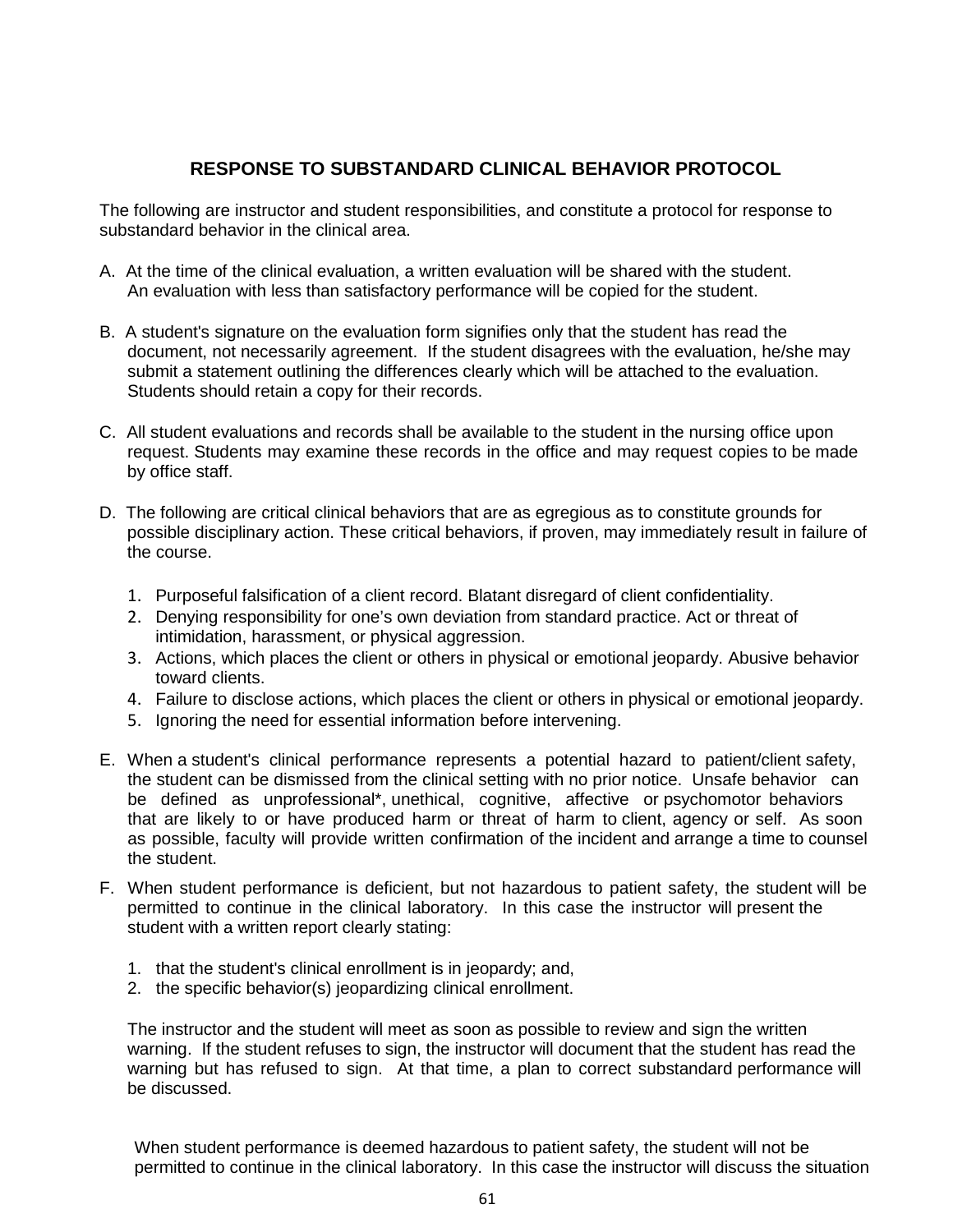#### **RESPONSE TO SUBSTANDARD CLINICAL BEHAVIOR PROTOCOL**

The following are instructor and student responsibilities, and constitute a protocol for response to substandard behavior in the clinical area.

- A. At the time of the clinical evaluation, a written evaluation will be shared with the student. An evaluation with less than satisfactory performance will be copied for the student.
- B. A student's signature on the evaluation form signifies only that the student has read the document, not necessarily agreement. If the student disagrees with the evaluation, he/she may submit a statement outlining the differences clearly which will be attached to the evaluation. Students should retain a copy for their records.
- C. All student evaluations and records shall be available to the student in the nursing office upon request. Students may examine these records in the office and may request copies to be made by office staff.
- D. The following are critical clinical behaviors that are as egregious as to constitute grounds for possible disciplinary action. These critical behaviors, if proven, may immediately result in failure of the course.
	- 1. Purposeful falsification of a client record. Blatant disregard of client confidentiality.
	- 2. Denying responsibility for one's own deviation from standard practice. Act or threat of intimidation, harassment, or physical aggression.
	- 3. Actions, which places the client or others in physical or emotional jeopardy. Abusive behavior toward clients.
	- 4. Failure to disclose actions, which places the client or others in physical or emotional jeopardy.
	- 5. Ignoring the need for essential information before intervening.
- E. When a student's clinical performance represents a potential hazard to patient/client safety, the student can be dismissed from the clinical setting with no prior notice. Unsafe behavior can be defined as unprofessional\*, unethical, cognitive, affective or psychomotor behaviors that are likely to or have produced harm or threat of harm to client, agency or self. As soon as possible, faculty will provide written confirmation of the incident and arrange a time to counsel the student.
- F. When student performance is deficient, but not hazardous to patient safety, the student will be permitted to continue in the clinical laboratory. In this case the instructor will present the student with a written report clearly stating:
	- 1. that the student's clinical enrollment is in jeopardy; and,
	- 2. the specific behavior(s) jeopardizing clinical enrollment.

The instructor and the student will meet as soon as possible to review and sign the written warning. If the student refuses to sign, the instructor will document that the student has read the warning but has refused to sign. At that time, a plan to correct substandard performance will be discussed.

When student performance is deemed hazardous to patient safety, the student will not be permitted to continue in the clinical laboratory. In this case the instructor will discuss the situation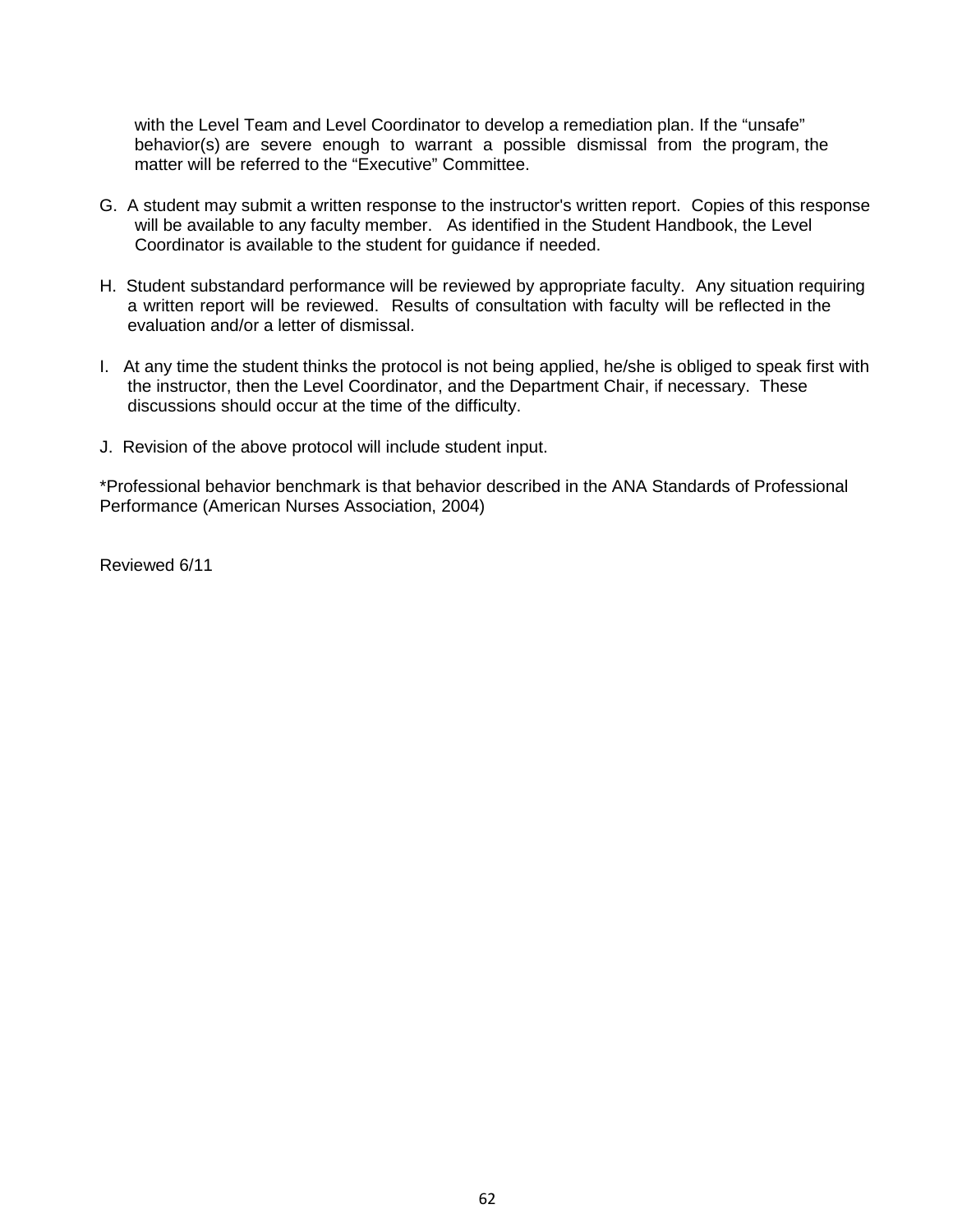with the Level Team and Level Coordinator to develop a remediation plan. If the "unsafe" behavior(s) are severe enough to warrant a possible dismissal from the program, the matter will be referred to the "Executive" Committee.

- G. A student may submit a written response to the instructor's written report. Copies of this response will be available to any faculty member. As identified in the Student Handbook, the Level Coordinator is available to the student for guidance if needed.
- H. Student substandard performance will be reviewed by appropriate faculty. Any situation requiring a written report will be reviewed. Results of consultation with faculty will be reflected in the evaluation and/or a letter of dismissal.
- I. At any time the student thinks the protocol is not being applied, he/she is obliged to speak first with the instructor, then the Level Coordinator, and the Department Chair, if necessary. These discussions should occur at the time of the difficulty.
- J. Revision of the above protocol will include student input.

\*Professional behavior benchmark is that behavior described in the ANA Standards of Professional Performance (American Nurses Association, 2004)

Reviewed 6/11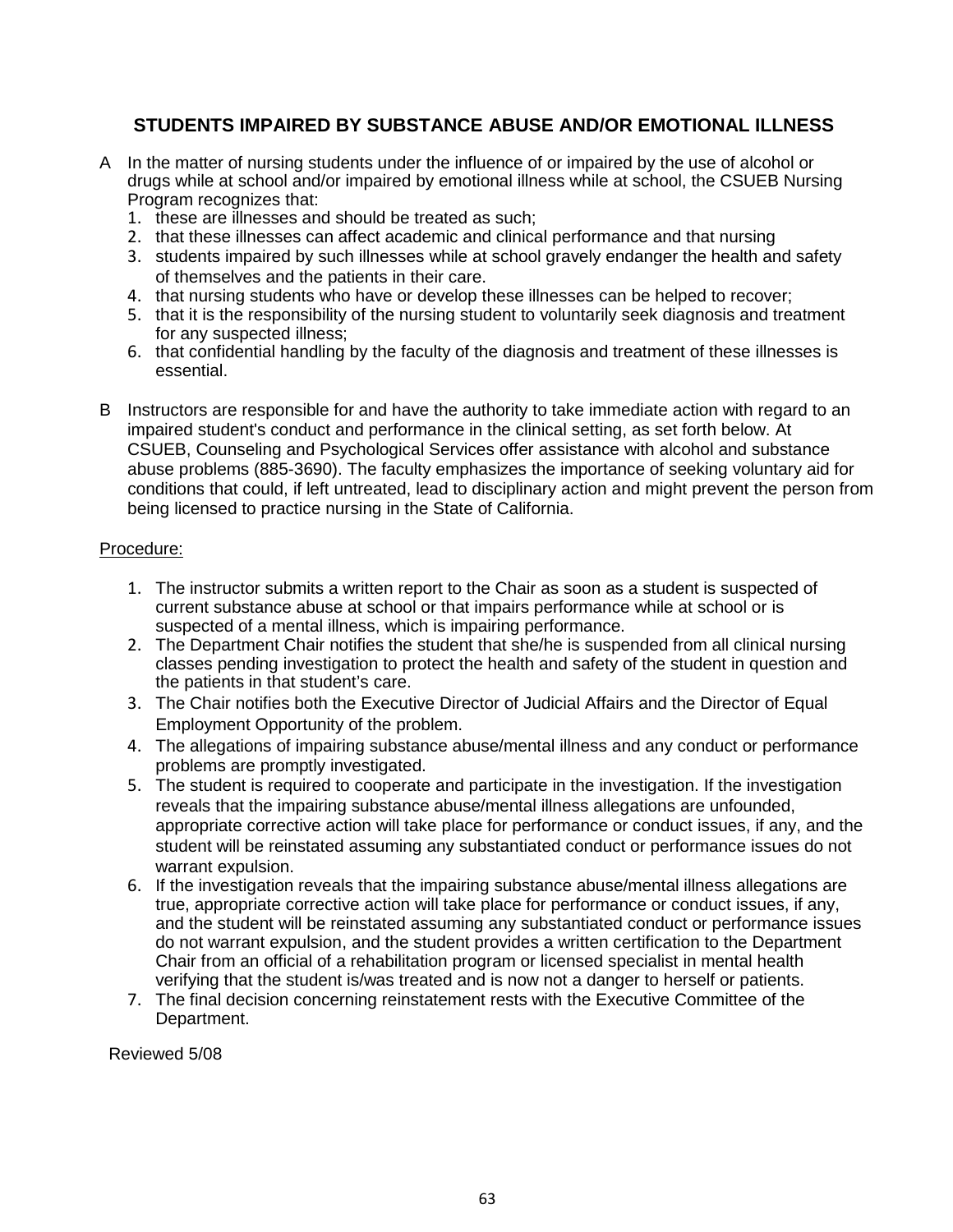#### **STUDENTS IMPAIRED BY SUBSTANCE ABUSE AND/OR EMOTIONAL ILLNESS**

- A In the matter of nursing students under the influence of or impaired by the use of alcohol or drugs while at school and/or impaired by emotional illness while at school, the CSUEB Nursing Program recognizes that:
	- 1. these are illnesses and should be treated as such;
	- 2. that these illnesses can affect academic and clinical performance and that nursing
	- 3. students impaired by such illnesses while at school gravely endanger the health and safety of themselves and the patients in their care.
	- 4. that nursing students who have or develop these illnesses can be helped to recover;
	- 5. that it is the responsibility of the nursing student to voluntarily seek diagnosis and treatment for any suspected illness;
	- 6. that confidential handling by the faculty of the diagnosis and treatment of these illnesses is essential.
- B Instructors are responsible for and have the authority to take immediate action with regard to an impaired student's conduct and performance in the clinical setting, as set forth below. At CSUEB, Counseling and Psychological Services offer assistance with alcohol and substance abuse problems (885-3690). The faculty emphasizes the importance of seeking voluntary aid for conditions that could, if left untreated, lead to disciplinary action and might prevent the person from being licensed to practice nursing in the State of California.

#### Procedure:

- 1. The instructor submits a written report to the Chair as soon as a student is suspected of current substance abuse at school or that impairs performance while at school or is suspected of a mental illness, which is impairing performance.
- 2. The Department Chair notifies the student that she/he is suspended from all clinical nursing classes pending investigation to protect the health and safety of the student in question and the patients in that student's care.
- 3. The Chair notifies both the Executive Director of Judicial Affairs and the Director of Equal Employment Opportunity of the problem.
- 4. The allegations of impairing substance abuse/mental illness and any conduct or performance problems are promptly investigated.
- 5. The student is required to cooperate and participate in the investigation. If the investigation reveals that the impairing substance abuse/mental illness allegations are unfounded, appropriate corrective action will take place for performance or conduct issues, if any, and the student will be reinstated assuming any substantiated conduct or performance issues do not warrant expulsion.
- 6. If the investigation reveals that the impairing substance abuse/mental illness allegations are true, appropriate corrective action will take place for performance or conduct issues, if any, and the student will be reinstated assuming any substantiated conduct or performance issues do not warrant expulsion, and the student provides a written certification to the Department Chair from an official of a rehabilitation program or licensed specialist in mental health verifying that the student is/was treated and is now not a danger to herself or patients.
- 7. The final decision concerning reinstatement rests with the Executive Committee of the Department.

Reviewed 5/08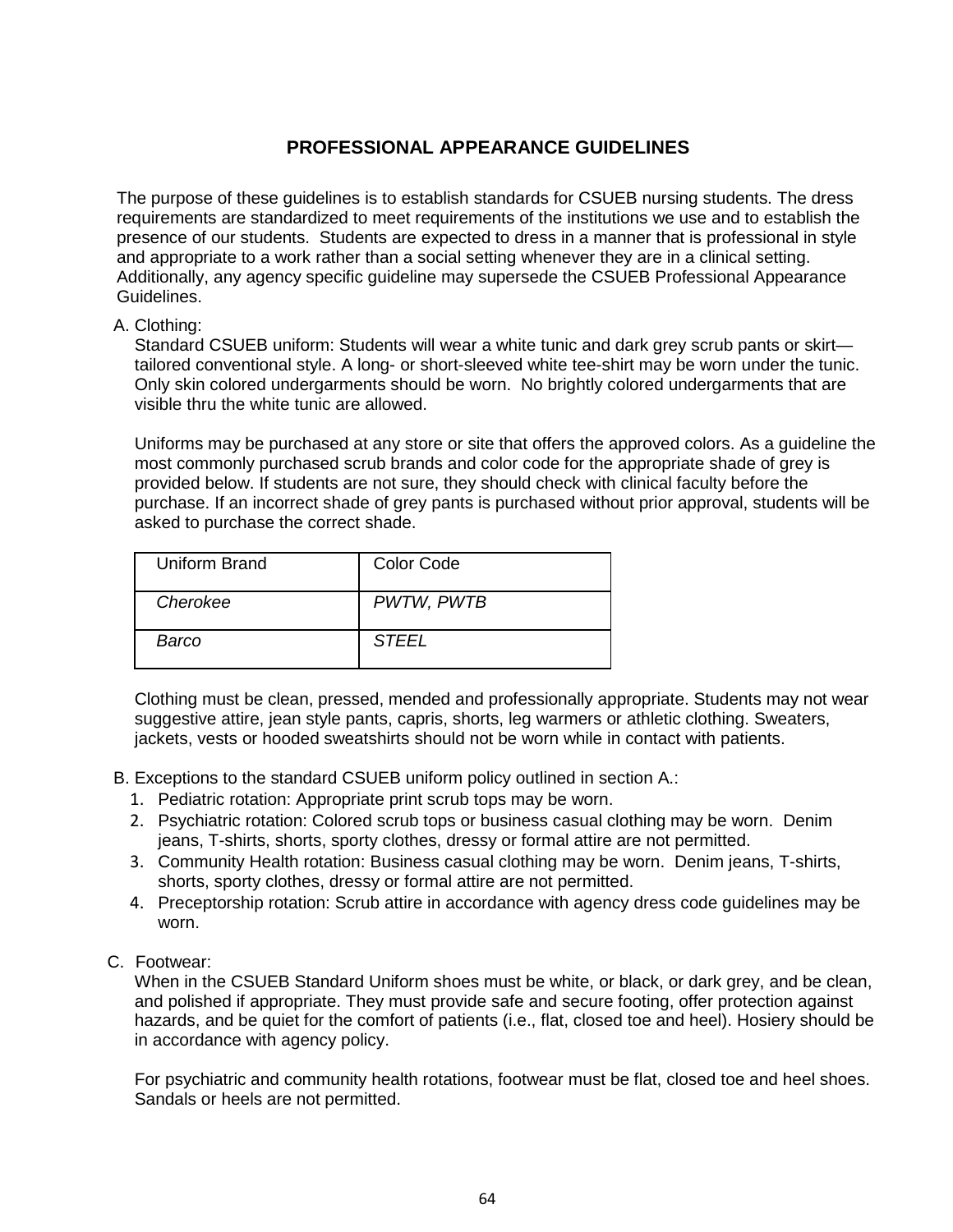#### **PROFESSIONAL APPEARANCE GUIDELINES**

The purpose of these guidelines is to establish standards for CSUEB nursing students. The dress requirements are standardized to meet requirements of the institutions we use and to establish the presence of our students. Students are expected to dress in a manner that is professional in style and appropriate to a work rather than a social setting whenever they are in a clinical setting. Additionally, any agency specific guideline may supersede the CSUEB Professional Appearance Guidelines.

A. Clothing:

Standard CSUEB uniform: Students will wear a white tunic and dark grey scrub pants or skirt tailored conventional style. A long- or short-sleeved white tee-shirt may be worn under the tunic. Only skin colored undergarments should be worn. No brightly colored undergarments that are visible thru the white tunic are allowed.

Uniforms may be purchased at any store or site that offers the approved colors. As a guideline the most commonly purchased scrub brands and color code for the appropriate shade of grey is provided below. If students are not sure, they should check with clinical faculty before the purchase. If an incorrect shade of grey pants is purchased without prior approval, students will be asked to purchase the correct shade.

| Uniform Brand | Color Code   |
|---------------|--------------|
| Cherokee      | PWTW, PWTB   |
| Barco         | <b>STEEL</b> |

Clothing must be clean, pressed, mended and professionally appropriate. Students may not wear suggestive attire, jean style pants, capris, shorts, leg warmers or athletic clothing. Sweaters, jackets, vests or hooded sweatshirts should not be worn while in contact with patients.

- B. Exceptions to the standard CSUEB uniform policy outlined in section A.:
	- 1. Pediatric rotation: Appropriate print scrub tops may be worn.
	- 2. Psychiatric rotation: Colored scrub tops or business casual clothing may be worn. Denim jeans, T-shirts, shorts, sporty clothes, dressy or formal attire are not permitted.
	- 3. Community Health rotation: Business casual clothing may be worn. Denim jeans, T-shirts, shorts, sporty clothes, dressy or formal attire are not permitted.
	- 4. Preceptorship rotation: Scrub attire in accordance with agency dress code guidelines may be worn.
- C. Footwear:

When in the CSUEB Standard Uniform shoes must be white, or black, or dark grey, and be clean, and polished if appropriate. They must provide safe and secure footing, offer protection against hazards, and be quiet for the comfort of patients (i.e., flat, closed toe and heel). Hosiery should be in accordance with agency policy.

For psychiatric and community health rotations, footwear must be flat, closed toe and heel shoes. Sandals or heels are not permitted.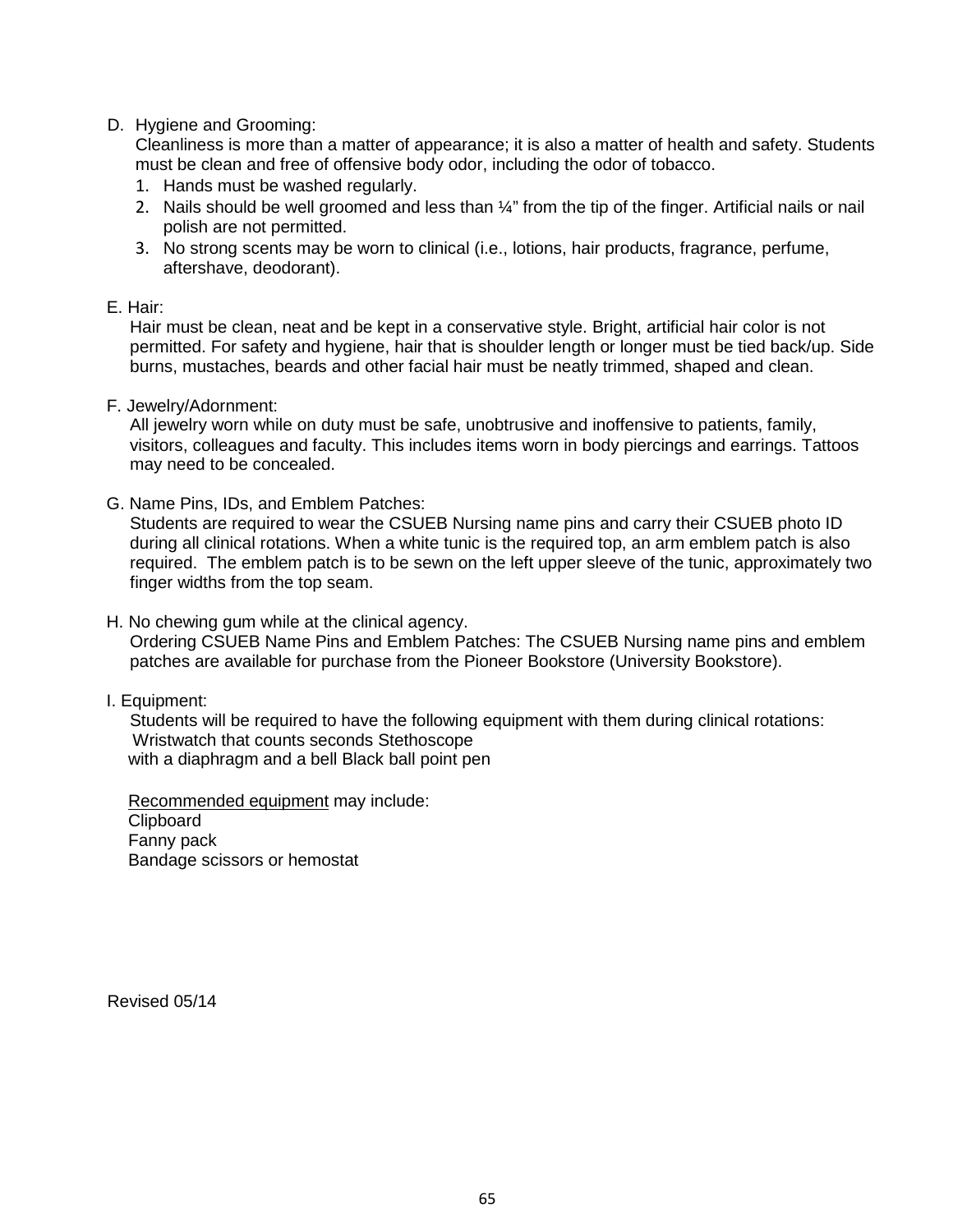#### D. Hygiene and Grooming:

Cleanliness is more than a matter of appearance; it is also a matter of health and safety. Students must be clean and free of offensive body odor, including the odor of tobacco.

- 1. Hands must be washed regularly.
- 2. Nails should be well groomed and less than ¼" from the tip of the finger. Artificial nails or nail polish are not permitted.
- 3. No strong scents may be worn to clinical (i.e., lotions, hair products, fragrance, perfume, aftershave, deodorant).

#### E. Hair:

Hair must be clean, neat and be kept in a conservative style. Bright, artificial hair color is not permitted. For safety and hygiene, hair that is shoulder length or longer must be tied back/up. Side burns, mustaches, beards and other facial hair must be neatly trimmed, shaped and clean.

F. Jewelry/Adornment:

All jewelry worn while on duty must be safe, unobtrusive and inoffensive to patients, family, visitors, colleagues and faculty. This includes items worn in body piercings and earrings. Tattoos may need to be concealed.

G. Name Pins, IDs, and Emblem Patches:

Students are required to wear the CSUEB Nursing name pins and carry their CSUEB photo ID during all clinical rotations. When a white tunic is the required top, an arm emblem patch is also required. The emblem patch is to be sewn on the left upper sleeve of the tunic, approximately two finger widths from the top seam.

H. No chewing gum while at the clinical agency.

Ordering CSUEB Name Pins and Emblem Patches: The CSUEB Nursing name pins and emblem patches are available for purchase from the Pioneer Bookstore (University Bookstore).

I. Equipment:

Students will be required to have the following equipment with them during clinical rotations: Wristwatch that counts seconds Stethoscope with a diaphragm and a bell Black ball point pen

Recommended equipment may include: **Clipboard** Fanny pack Bandage scissors or hemostat

Revised 05/14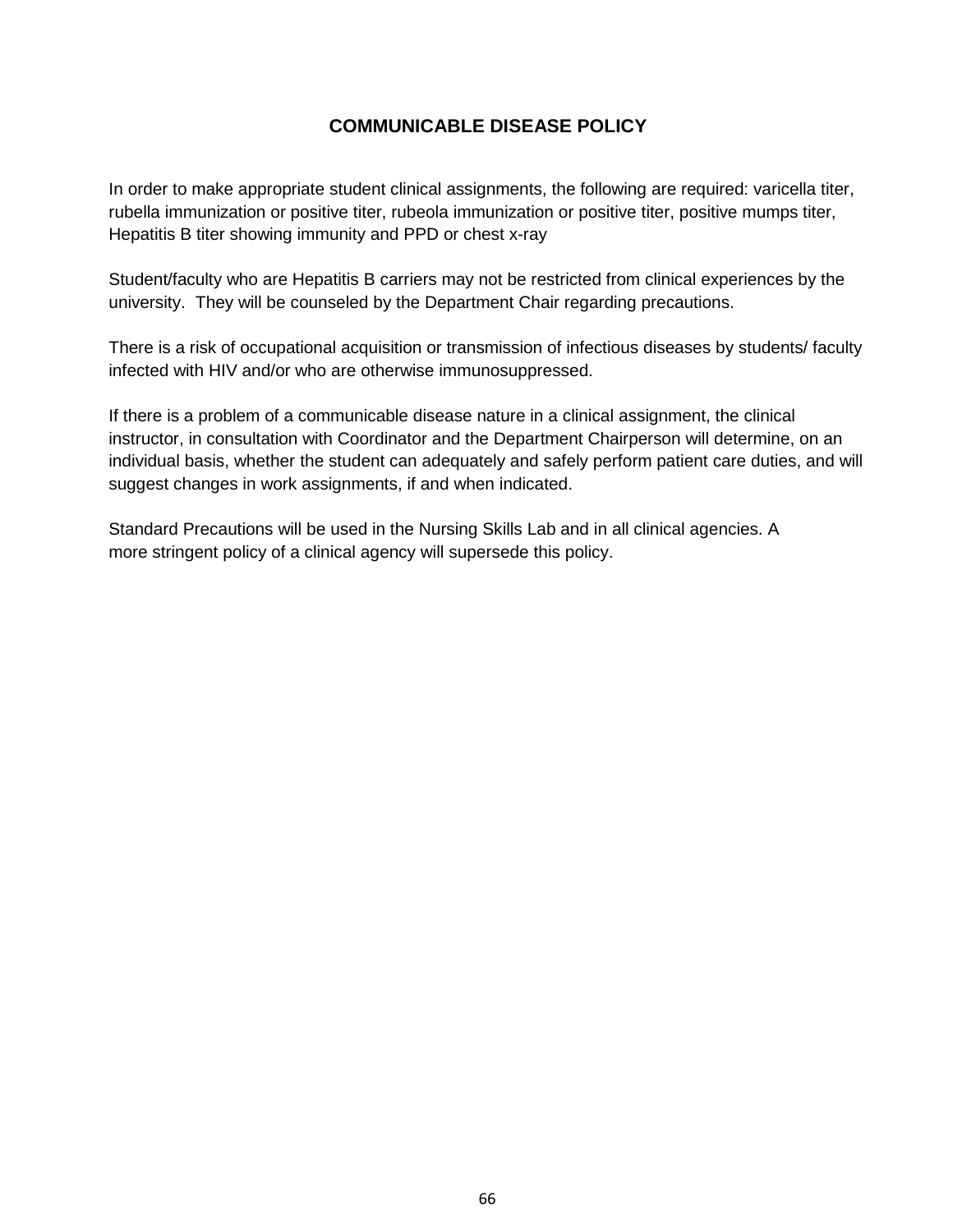#### **COMMUNICABLE DISEASE POLICY**

In order to make appropriate student clinical assignments, the following are required: varicella titer, rubella immunization or positive titer, rubeola immunization or positive titer, positive mumps titer, Hepatitis B titer showing immunity and PPD or chest x-ray

Student/faculty who are Hepatitis B carriers may not be restricted from clinical experiences by the university. They will be counseled by the Department Chair regarding precautions.

There is a risk of occupational acquisition or transmission of infectious diseases by students/ faculty infected with HIV and/or who are otherwise immunosuppressed.

If there is a problem of a communicable disease nature in a clinical assignment, the clinical instructor, in consultation with Coordinator and the Department Chairperson will determine, on an individual basis, whether the student can adequately and safely perform patient care duties, and will suggest changes in work assignments, if and when indicated.

Standard Precautions will be used in the Nursing Skills Lab and in all clinical agencies. A more stringent policy of a clinical agency will supersede this policy.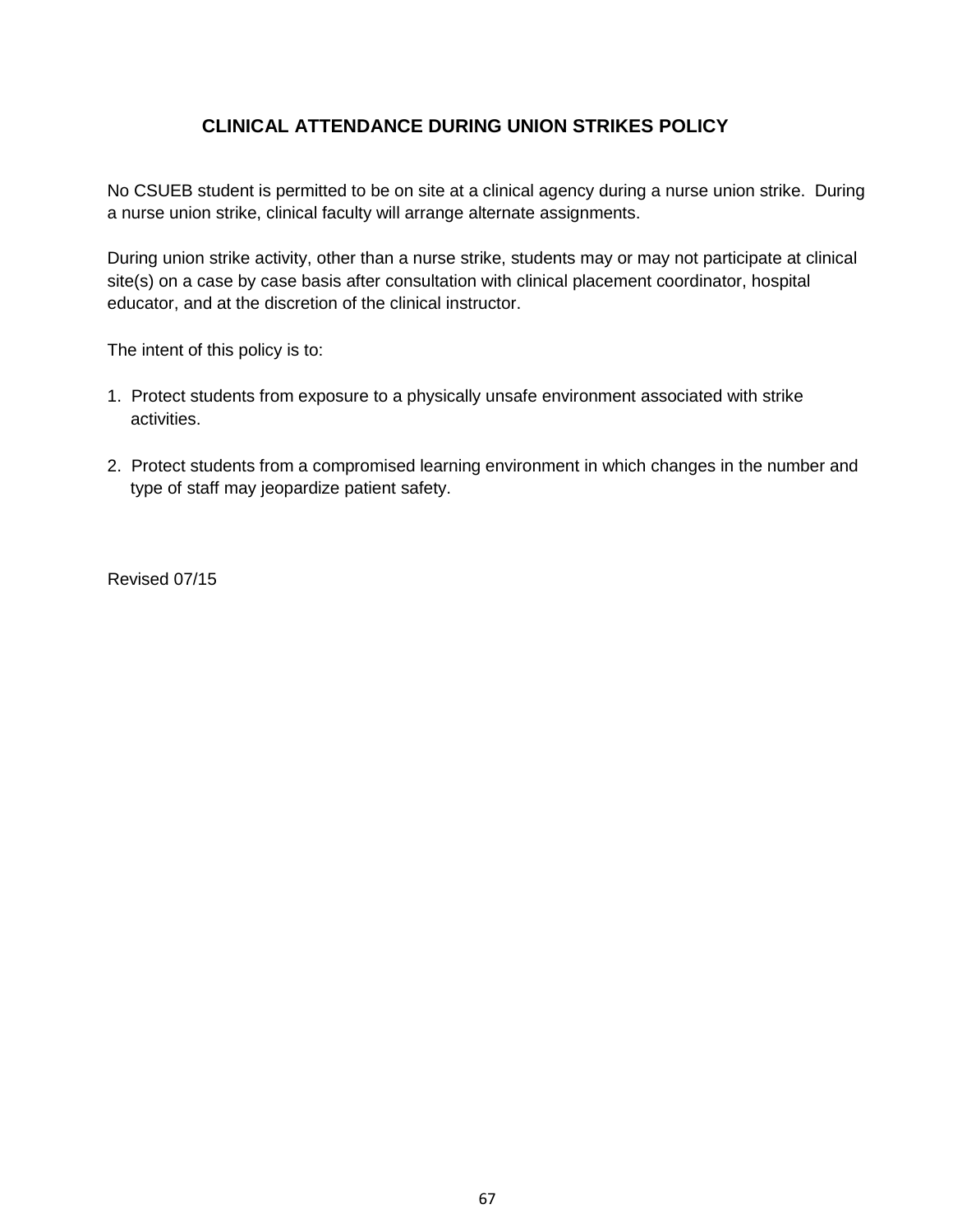#### **CLINICAL ATTENDANCE DURING UNION STRIKES POLICY**

No CSUEB student is permitted to be on site at a clinical agency during a nurse union strike. During a nurse union strike, clinical faculty will arrange alternate assignments.

During union strike activity, other than a nurse strike, students may or may not participate at clinical site(s) on a case by case basis after consultation with clinical placement coordinator, hospital educator, and at the discretion of the clinical instructor.

The intent of this policy is to:

- 1. Protect students from exposure to a physically unsafe environment associated with strike activities.
- 2. Protect students from a compromised learning environment in which changes in the number and type of staff may jeopardize patient safety.

Revised 07/15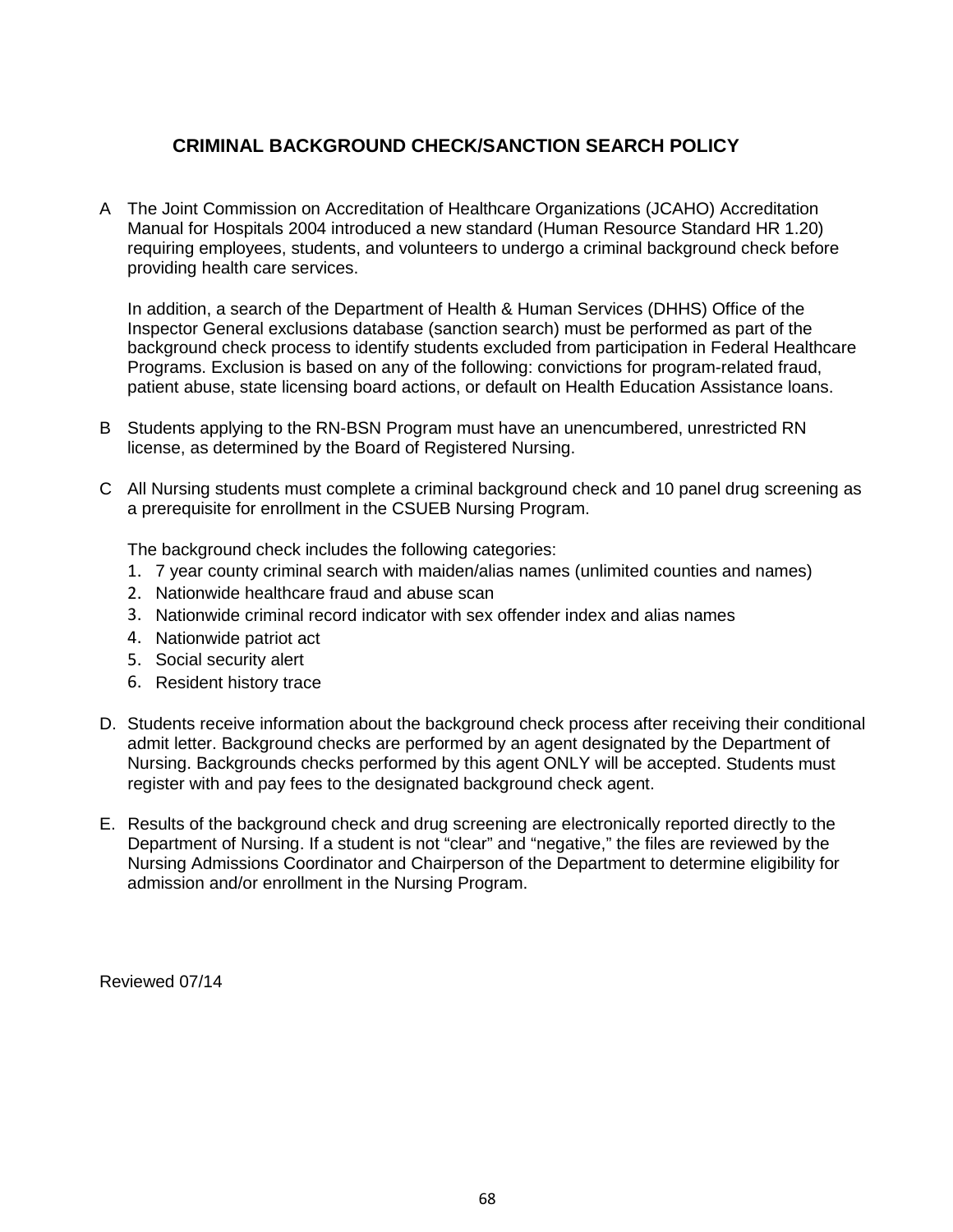#### **CRIMINAL BACKGROUND CHECK/SANCTION SEARCH POLICY**

A The Joint Commission on Accreditation of Healthcare Organizations (JCAHO) Accreditation Manual for Hospitals 2004 introduced a new standard (Human Resource Standard HR 1.20) requiring employees, students, and volunteers to undergo a criminal background check before providing health care services.

In addition, a search of the Department of Health & Human Services (DHHS) Office of the Inspector General exclusions database (sanction search) must be performed as part of the background check process to identify students excluded from participation in Federal Healthcare Programs. Exclusion is based on any of the following: convictions for program-related fraud, patient abuse, state licensing board actions, or default on Health Education Assistance loans.

- B Students applying to the RN-BSN Program must have an unencumbered, unrestricted RN license, as determined by the Board of Registered Nursing.
- C All Nursing students must complete a criminal background check and 10 panel drug screening as a prerequisite for enrollment in the CSUEB Nursing Program.

The background check includes the following categories:

- 1. 7 year county criminal search with maiden/alias names (unlimited counties and names)
- 2. Nationwide healthcare fraud and abuse scan
- 3. Nationwide criminal record indicator with sex offender index and alias names
- 4. Nationwide patriot act
- 5. Social security alert
- 6. Resident history trace
- D. Students receive information about the background check process after receiving their conditional admit letter. Background checks are performed by an agent designated by the Department of Nursing. Backgrounds checks performed by this agent ONLY will be accepted. Students must register with and pay fees to the designated background check agent.
- E. Results of the background check and drug screening are electronically reported directly to the Department of Nursing. If a student is not "clear" and "negative," the files are reviewed by the Nursing Admissions Coordinator and Chairperson of the Department to determine eligibility for admission and/or enrollment in the Nursing Program.

Reviewed 07/14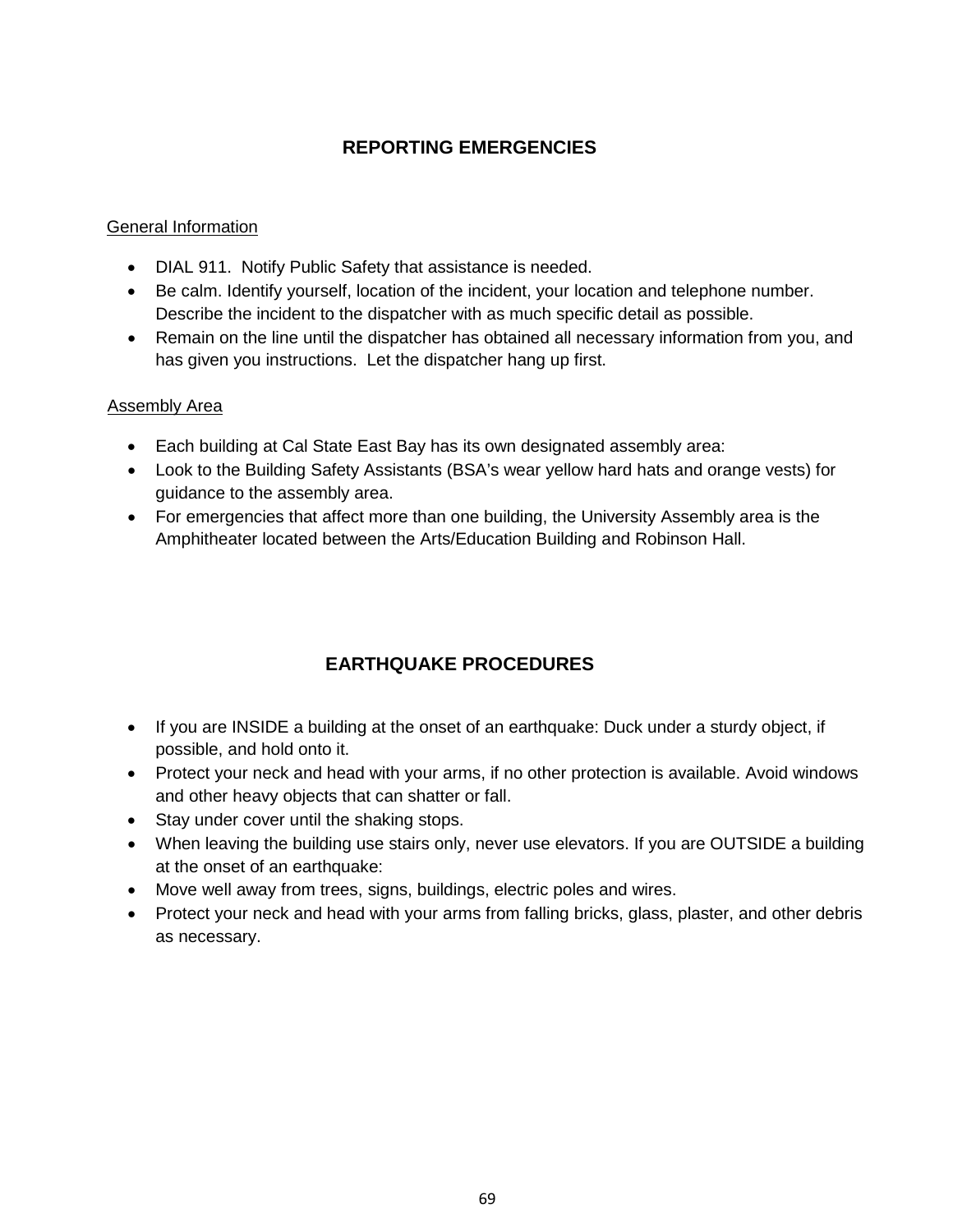#### **REPORTING EMERGENCIES**

#### General Information

- DIAL 911. Notify Public Safety that assistance is needed.
- Be calm. Identify yourself, location of the incident, your location and telephone number. Describe the incident to the dispatcher with as much specific detail as possible.
- Remain on the line until the dispatcher has obtained all necessary information from you, and has given you instructions. Let the dispatcher hang up first.

#### Assembly Area

- Each building at Cal State East Bay has its own designated assembly area:
- Look to the Building Safety Assistants (BSA's wear yellow hard hats and orange vests) for guidance to the assembly area.
- For emergencies that affect more than one building, the University Assembly area is the Amphitheater located between the Arts/Education Building and Robinson Hall.

#### **EARTHQUAKE PROCEDURES**

- If you are INSIDE a building at the onset of an earthquake: Duck under a sturdy object, if possible, and hold onto it.
- Protect your neck and head with your arms, if no other protection is available. Avoid windows and other heavy objects that can shatter or fall.
- Stay under cover until the shaking stops.
- When leaving the building use stairs only, never use elevators. If you are OUTSIDE a building at the onset of an earthquake:
- Move well away from trees, signs, buildings, electric poles and wires.
- Protect your neck and head with your arms from falling bricks, glass, plaster, and other debris as necessary.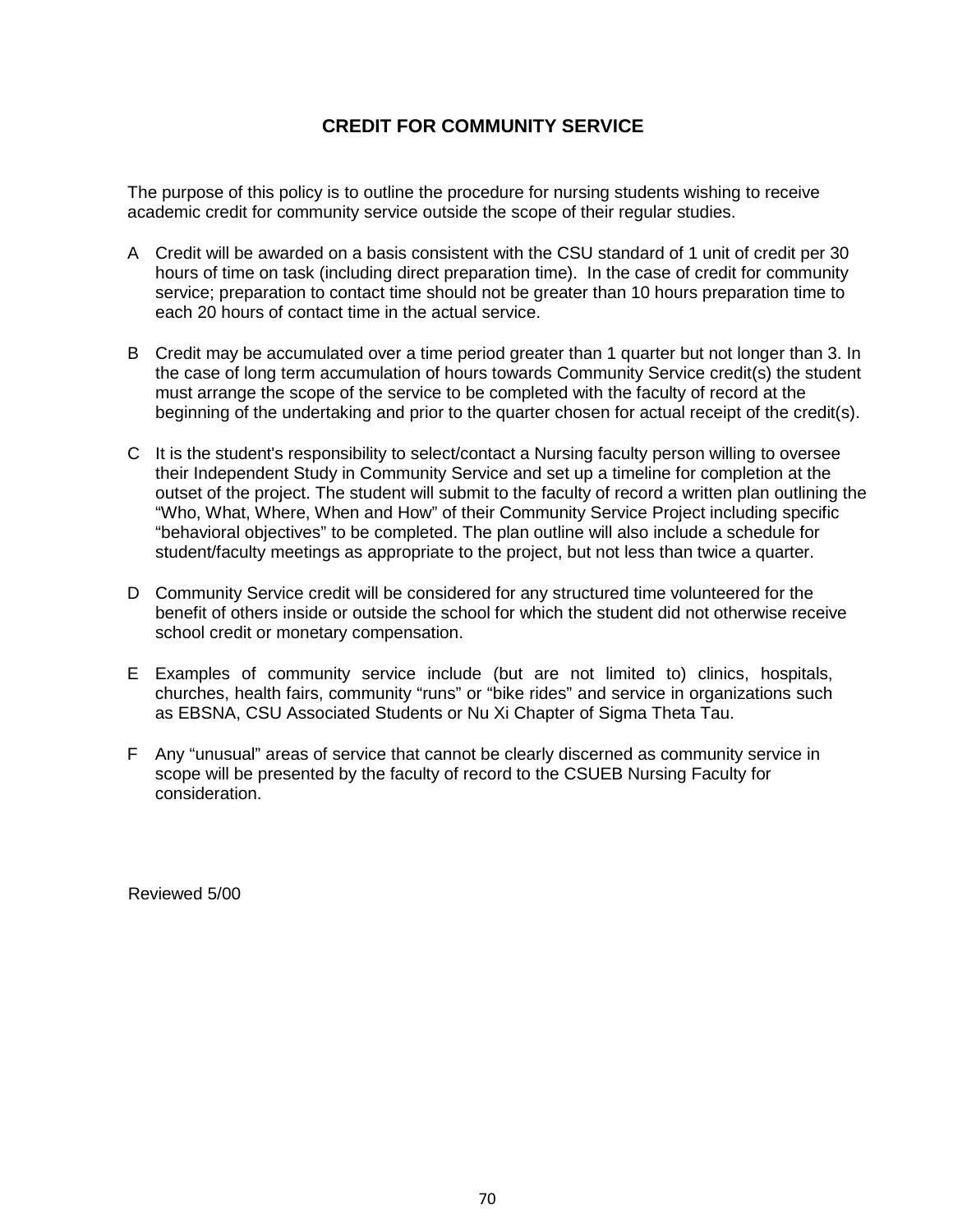#### **CREDIT FOR COMMUNITY SERVICE**

The purpose of this policy is to outline the procedure for nursing students wishing to receive academic credit for community service outside the scope of their regular studies.

- A Credit will be awarded on a basis consistent with the CSU standard of 1 unit of credit per 30 hours of time on task (including direct preparation time). In the case of credit for community service; preparation to contact time should not be greater than 10 hours preparation time to each 20 hours of contact time in the actual service.
- B Credit may be accumulated over a time period greater than 1 quarter but not longer than 3. In the case of long term accumulation of hours towards Community Service credit(s) the student must arrange the scope of the service to be completed with the faculty of record at the beginning of the undertaking and prior to the quarter chosen for actual receipt of the credit(s).
- C It is the student's responsibility to select/contact a Nursing faculty person willing to oversee their Independent Study in Community Service and set up a timeline for completion at the outset of the project. The student will submit to the faculty of record a written plan outlining the "Who, What, Where, When and How" of their Community Service Project including specific "behavioral objectives" to be completed. The plan outline will also include a schedule for student/faculty meetings as appropriate to the project, but not less than twice a quarter.
- D Community Service credit will be considered for any structured time volunteered for the benefit of others inside or outside the school for which the student did not otherwise receive school credit or monetary compensation.
- E Examples of community service include (but are not limited to) clinics, hospitals, churches, health fairs, community "runs" or "bike rides" and service in organizations such as EBSNA, CSU Associated Students or Nu Xi Chapter of Sigma Theta Tau.
- F Any "unusual" areas of service that cannot be clearly discerned as community service in scope will be presented by the faculty of record to the CSUEB Nursing Faculty for consideration.

Reviewed 5/00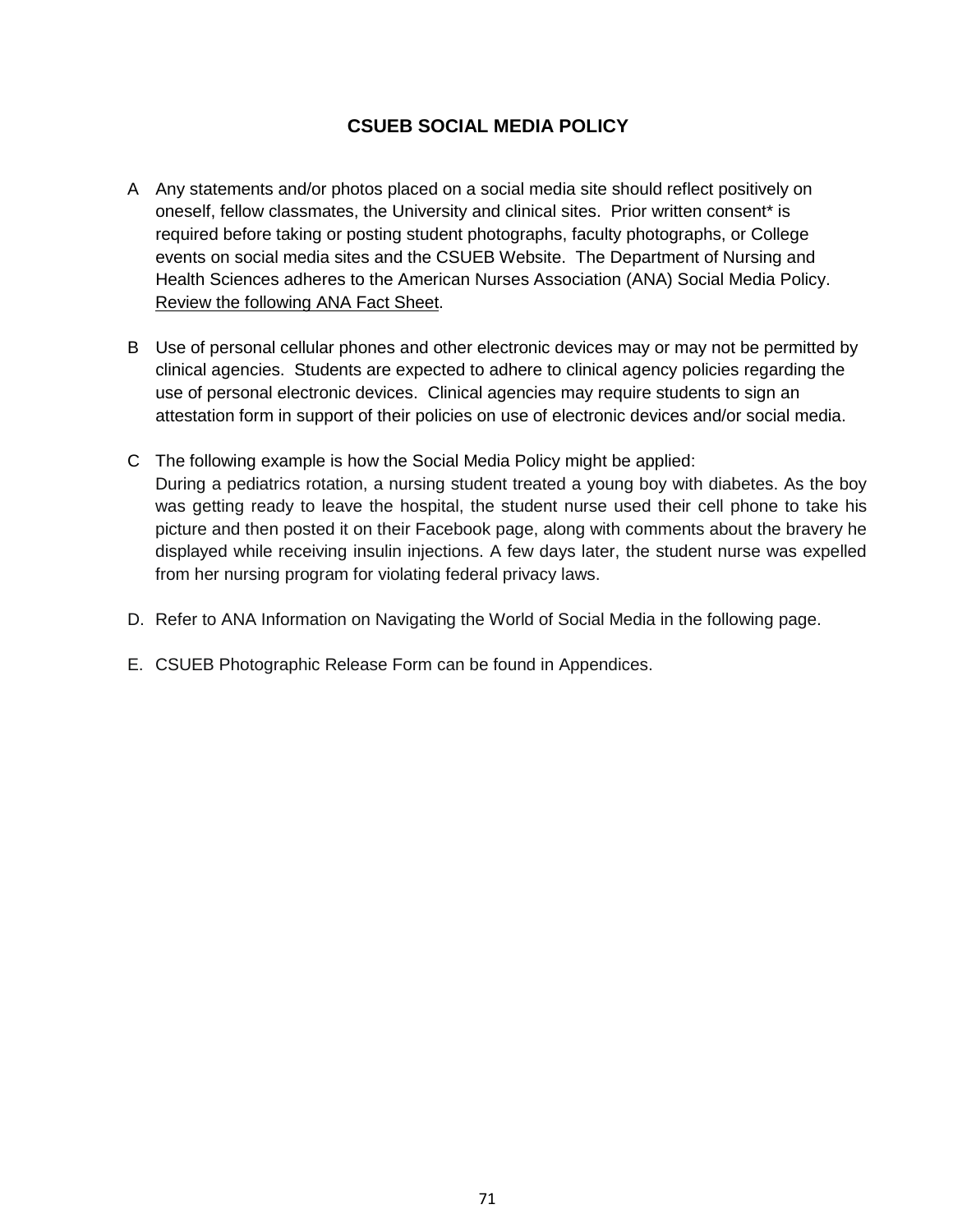#### **CSUEB SOCIAL MEDIA POLICY**

- A Any statements and/or photos placed on a social media site should reflect positively on oneself, fellow classmates, the University and clinical sites. Prior written consent\* is required before taking or posting student photographs, faculty photographs, or College events on social media sites and the CSUEB Website. The Department of Nursing and Health Sciences adheres to the American Nurses Association (ANA) Social Media Policy. Review the following ANA Fact Sheet.
- B Use of personal cellular phones and other electronic devices may or may not be permitted by clinical agencies. Students are expected to adhere to clinical agency policies regarding the use of personal electronic devices. Clinical agencies may require students to sign an attestation form in support of their policies on use of electronic devices and/or social media.
- C The following example is how the Social Media Policy might be applied: During a pediatrics rotation, a nursing student treated a young boy with diabetes. As the boy was getting ready to leave the hospital, the student nurse used their cell phone to take his picture and then posted it on their Facebook page, along with comments about the bravery he displayed while receiving insulin injections. A few days later, the student nurse was expelled from her nursing program for violating federal privacy laws.
- D. Refer to ANA Information on Navigating the World of Social Media in the following page.
- E. CSUEB Photographic Release Form can be found in Appendices.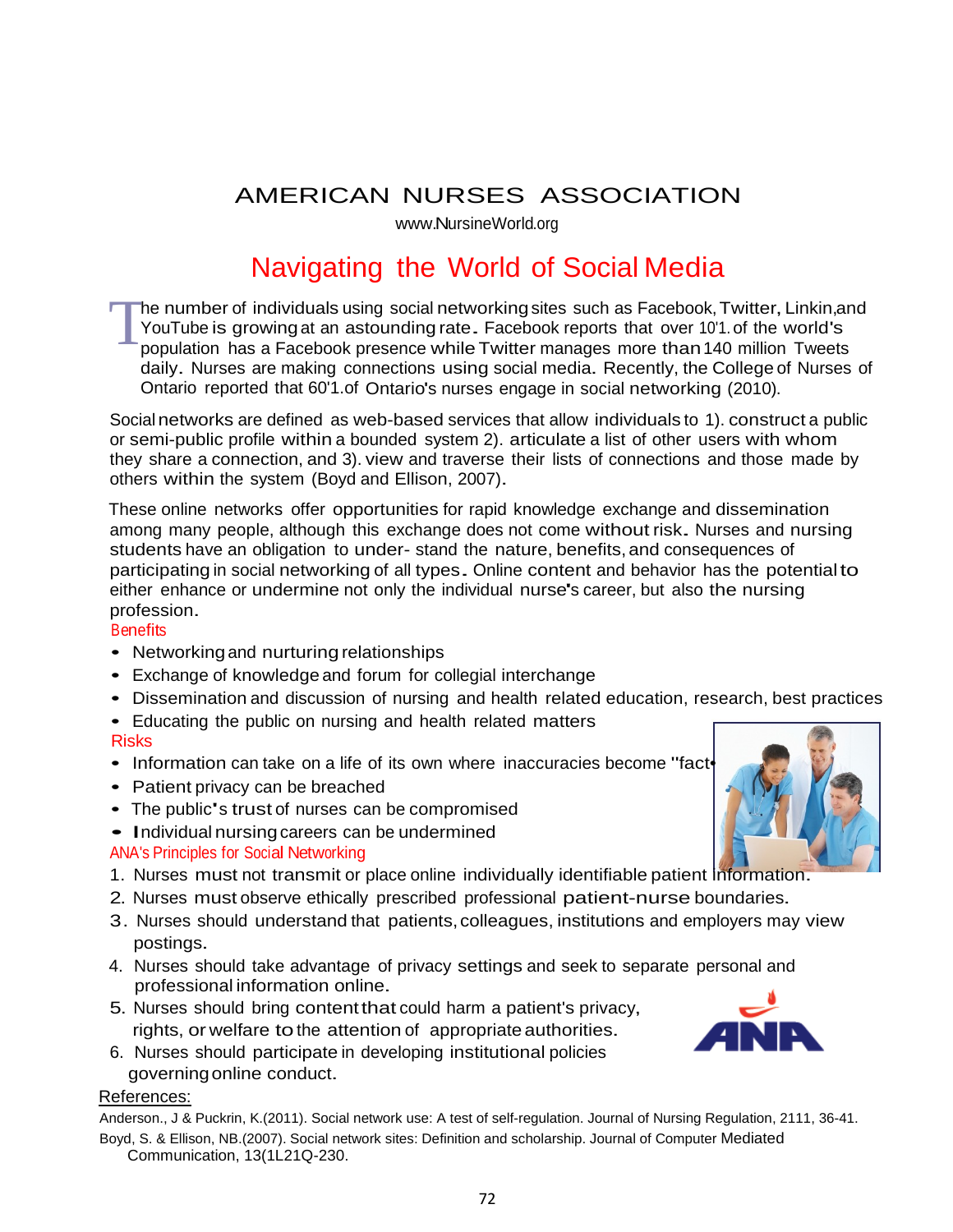# AMERICAN NURSES ASSOCIATION

www.NursineWorld.org

# Navigating the World of Social Media

 $\prod_{p}^{h}$ he number of individuals using social networkingsites such as Facebook,Twitter, Linkin,and YouTube is growing at an astounding rate. Facebook reports that over 10'1 of the world's population has a Facebook presence while Twitter manages more than140 million Tweets daily. Nurses are making connections using social media. Recently, the College of Nurses of Ontario reported that 60'1.of Ontario's nurses engage in social networking (2010).

Social networks are defined as web-based services that allow individuals to 1). construct a public or semi-public profile within a bounded system 2). articulate a list of other users with whom they share a connection, and 3). view and traverse their lists of connections and those made by others within the system (Boyd and Ellison, 2007).

These online networks offer opportunities for rapid knowledge exchange and dissemination among many people, although this exchange does not come without risk. Nurses and nursing students have an obligation to under- stand the nature, benefits, and consequences of participating in social networking of all types. Online content and behavior has the potential to either enhance or undermine not only the individual nurse's career, but also the nursing profession.

#### **Benefits**

- Networking and nurturing relationships
- Exchange of knowledge and forum for collegial interchange
- Dissemination and discussion of nursing and health related education, research, best practices
- Educating the public on nursing and health related matters Risks
- Information can take on a life of its own where inaccuracies become "fact
- Patient privacy can be breached
- The public's trust of nurses can be compromised
- Individual nursing careers can be undermined

#### ANA's Principles for Social Networking

- 1. Nurses must not transmit or place online individually identifiable patient information.
- 2. Nurses must observe ethically prescribed professional patient-nurse boundaries.
- 3. Nurses should understand that patients,colleagues, institutions and employers may view postings.
- 4. Nurses should take advantage of privacy settings and seek to separate personal and professional information online.
- 5. Nurses should bring contentthat could harm a patient's privacy, rights, or welfare tothe attention of appropriate authorities.
- 6. Nurses should participate in developing institutional policies governingonline conduct.

#### References:

Anderson., J & Puckrin, K.(2011). Social network use: A test of self-regulation. Journal of Nursing Regulation, 2111, 36-41. Boyd, S. & Ellison, NB.(2007). Social network sites: Definition and scholarship. Journal of Computer Mediated Communication, 13(1L21Q-230.

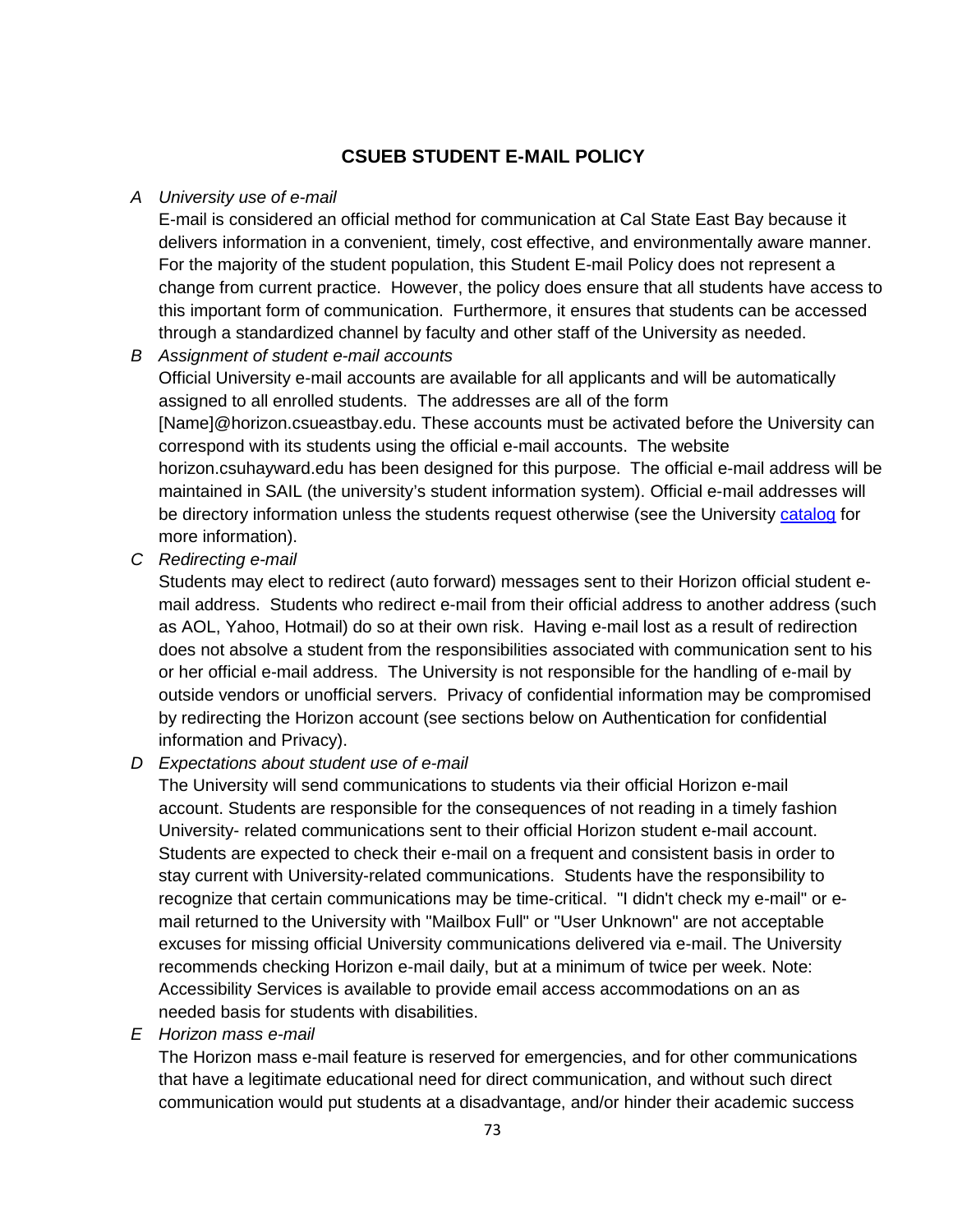## **CSUEB STUDENT E-MAIL POLICY**

#### *A University use of e-mail*

E-mail is considered an official method for communication at Cal State East Bay because it delivers information in a convenient, timely, cost effective, and environmentally aware manner. For the majority of the student population, this Student E-mail Policy does not represent a change from current practice. However, the policy does ensure that all students have access to this important form of communication. Furthermore, it ensures that students can be accessed through a standardized channel by faculty and other staff of the University as needed.

#### *B Assignment of student e-mail accounts*

Official University e-mail accounts are available for all applicants and will be automatically assigned to all enrolled students. The addresses are all of the form [Name]@horizon.csueastbay.edu. These accounts must be activated before the University can correspond with its students using the official e-mail accounts. The website horizon.csuhayward.edu has been designed for this purpose. The official e-mail address will be maintained in SAIL (the university's student information system). Official e-mail addresses will be directory information unless the students request otherwise (see the University catalog for more information).

#### *C Redirecting e-mail*

Students may elect to redirect (auto forward) messages sent to their Horizon official student email address. Students who redirect e-mail from their official address to another address (such as AOL, Yahoo, Hotmail) do so at their own risk. Having e-mail lost as a result of redirection does not absolve a student from the responsibilities associated with communication sent to his or her official e-mail address. The University is not responsible for the handling of e-mail by outside vendors or unofficial servers. Privacy of confidential information may be compromised by redirecting the Horizon account (see sections below on Authentication for confidential information and Privacy).

#### *D Expectations about student use of e-mail*

The University will send communications to students via their official Horizon e-mail account. Students are responsible for the consequences of not reading in a timely fashion University- related communications sent to their official Horizon student e-mail account. Students are expected to check their e-mail on a frequent and consistent basis in order to stay current with University-related communications. Students have the responsibility to recognize that certain communications may be time-critical. "I didn't check my e-mail" or email returned to the University with "Mailbox Full" or "User Unknown" are not acceptable excuses for missing official University communications delivered via e-mail. The University recommends checking Horizon e-mail daily, but at a minimum of twice per week. Note: Accessibility Services is available to provide email access accommodations on an as needed basis for students with disabilities.

#### *E Horizon mass e-mail*

The Horizon mass e-mail feature is reserved for emergencies, and for other communications that have a legitimate educational need for direct communication, and without such direct communication would put students at a disadvantage, and/or hinder their academic success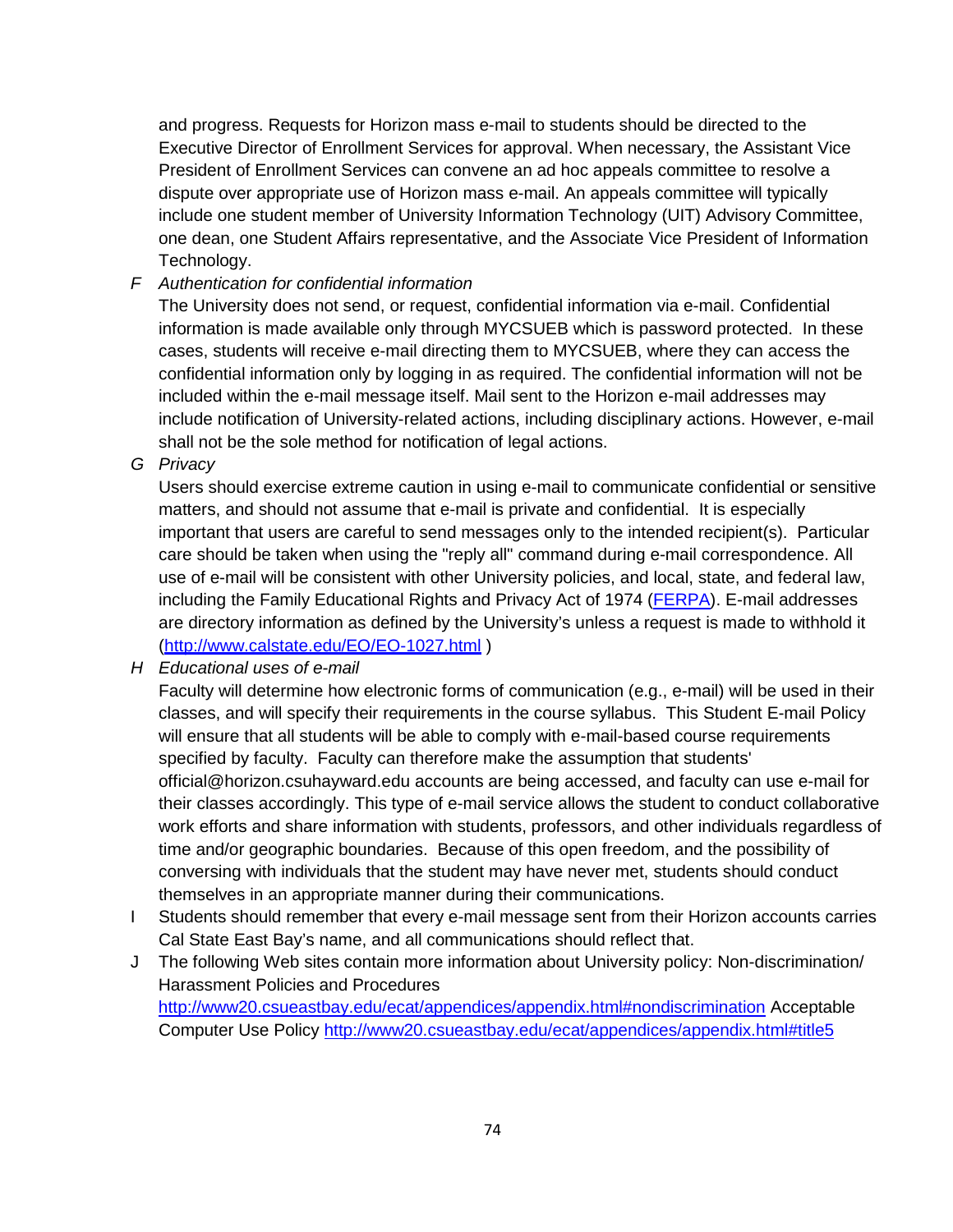and progress. Requests for Horizon mass e-mail to students should be directed to the Executive Director of Enrollment Services for approval. When necessary, the Assistant Vice President of Enrollment Services can convene an ad hoc appeals committee to resolve a dispute over appropriate use of Horizon mass e-mail. An appeals committee will typically include one student member of University Information Technology (UIT) Advisory Committee, one dean, one Student Affairs representative, and the Associate Vice President of Information Technology.

*F Authentication for confidential information*

The University does not send, or request, confidential information via e-mail. Confidential information is made available only through MYCSUEB which is password protected. In these cases, students will receive e-mail directing them to MYCSUEB, where they can access the confidential information only by logging in as required. The confidential information will not be included within the e-mail message itself. Mail sent to the Horizon e-mail addresses may include notification of University-related actions, including disciplinary actions. However, e-mail shall not be the sole method for notification of legal actions.

*G Privacy*

Users should exercise extreme caution in using e-mail to communicate confidential or sensitive matters, and should not assume that e-mail is private and confidential. It is especially important that users are careful to send messages only to the intended recipient(s). Particular care should be taken when using the "reply all" command during e-mail correspondence. All use of e-mail will be consistent with other University policies, and local, state, and federal law, including the Family Educational Rights and Privacy Act of 1974 (FERPA). E-mail addresses are directory information as defined by the University's unless a request is made to withhold it [\(http://www.calstate.edu/EO/EO-1027.html](http://www.calstate.edu/EO/EO-1027.html) )

*H Educational uses of e-mail*

Faculty will determine how electronic forms of communication (e.g., e-mail) will be used in their classes, and will specify their requirements in the course syllabus. This Student E-mail Policy will ensure that all students will be able to comply with e-mail-based course requirements specified by faculty. Faculty can therefore make the assumption that students' official@horizon.csuhayward.edu accounts are being accessed, and faculty can use e-mail for their classes accordingly. This type of e-mail service allows the student to conduct collaborative work efforts and share information with students, professors, and other individuals regardless of time and/or geographic boundaries. Because of this open freedom, and the possibility of conversing with individuals that the student may have never met, students should conduct themselves in an appropriate manner during their communications.

- I Students should remember that every e-mail message sent from their Horizon accounts carries Cal State East Bay's name, and all communications should reflect that.
- J The following Web sites contain more information about University policy: Non-discrimination/ Harassment Policies and Procedures <http://www20.csueastbay.edu/ecat/appendices/appendix.html#nondiscrimination> Acceptable Computer Use Policy<http://www20.csueastbay.edu/ecat/appendices/appendix.html#title5>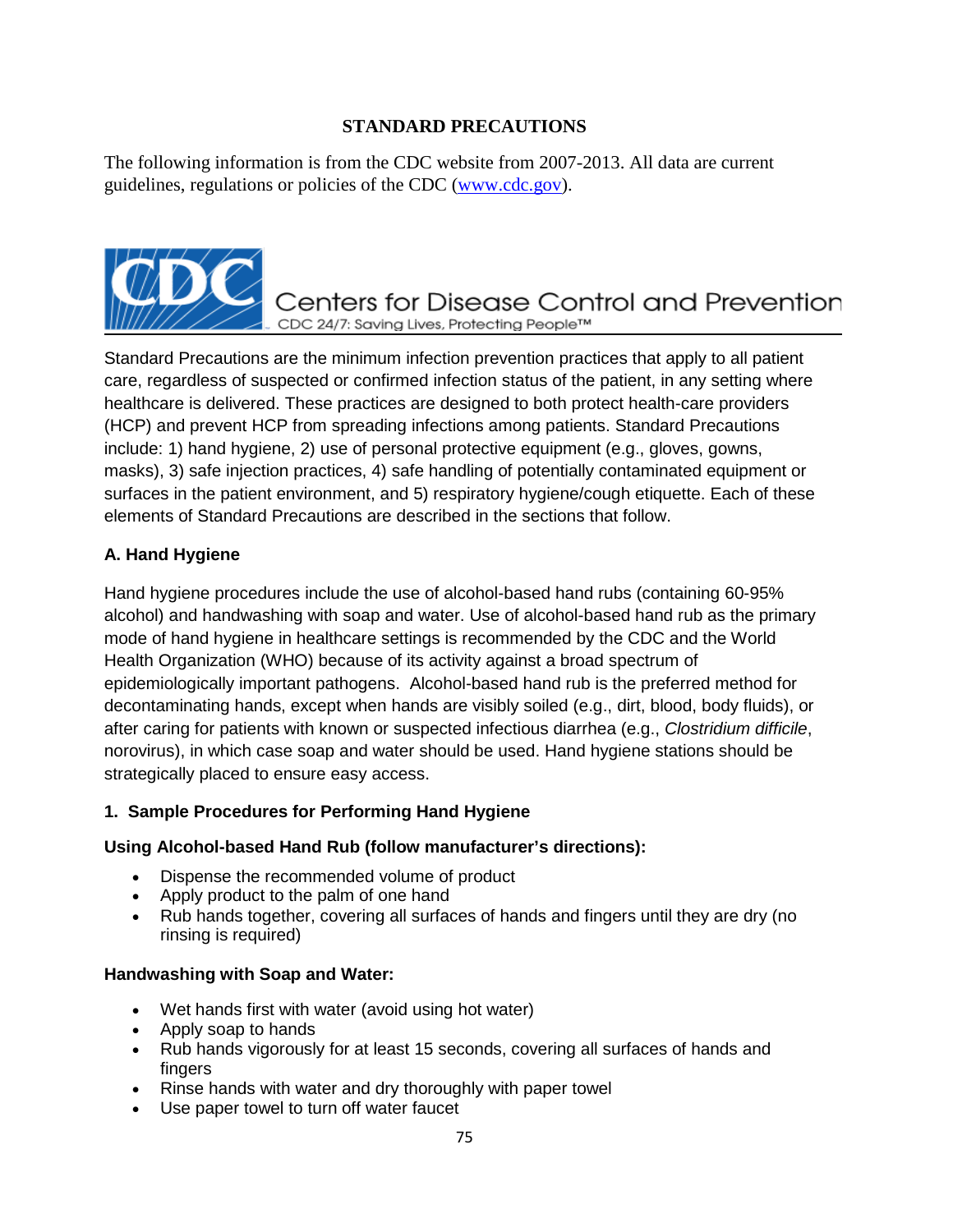#### **STANDARD PRECAUTIONS**

The following information is from the CDC website from 2007-2013. All data are current guidelines, regulations or policies of the CDC [\(www.cdc.gov\)](http://www.cdc.gov/).



Centers for Disease Control and Prevention CDC 24/7: Saving Lives, Protecting People™

Standard Precautions are the minimum infection prevention practices that apply to all patient care, regardless of suspected or confirmed infection status of the patient, in any setting where healthcare is delivered. These practices are designed to both protect health-care providers (HCP) and prevent HCP from spreading infections among patients. Standard Precautions include: 1) hand hygiene, 2) use of personal protective equipment (e.g., gloves, gowns, masks), 3) safe injection practices, 4) safe handling of potentially contaminated equipment or surfaces in the patient environment, and 5) respiratory hygiene/cough etiquette. Each of these elements of Standard Precautions are described in the sections that follow.

#### **A. Hand Hygiene**

Hand hygiene procedures include the use of alcohol-based hand rubs (containing 60-95% alcohol) and handwashing with soap and water. Use of alcohol-based hand rub as the primary mode of hand hygiene in healthcare settings is recommended by the CDC and the World Health Organization (WHO) because of its activity against a broad spectrum of epidemiologically important pathogens. Alcohol-based hand rub is the preferred method for decontaminating hands, except when hands are visibly soiled (e.g., dirt, blood, body fluids), or after caring for patients with known or suspected infectious diarrhea (e.g., *Clostridium difficile*, norovirus), in which case soap and water should be used. Hand hygiene stations should be strategically placed to ensure easy access.

#### **1. Sample Procedures for Performing Hand Hygiene**

#### **Using Alcohol-based Hand Rub (follow manufacturer's directions):**

- Dispense the recommended volume of product
- Apply product to the palm of one hand
- Rub hands together, covering all surfaces of hands and fingers until they are dry (no rinsing is required)

#### **Handwashing with Soap and Water:**

- Wet hands first with water (avoid using hot water)
- Apply soap to hands
- Rub hands vigorously for at least 15 seconds, covering all surfaces of hands and fingers
- Rinse hands with water and dry thoroughly with paper towel
- Use paper towel to turn off water faucet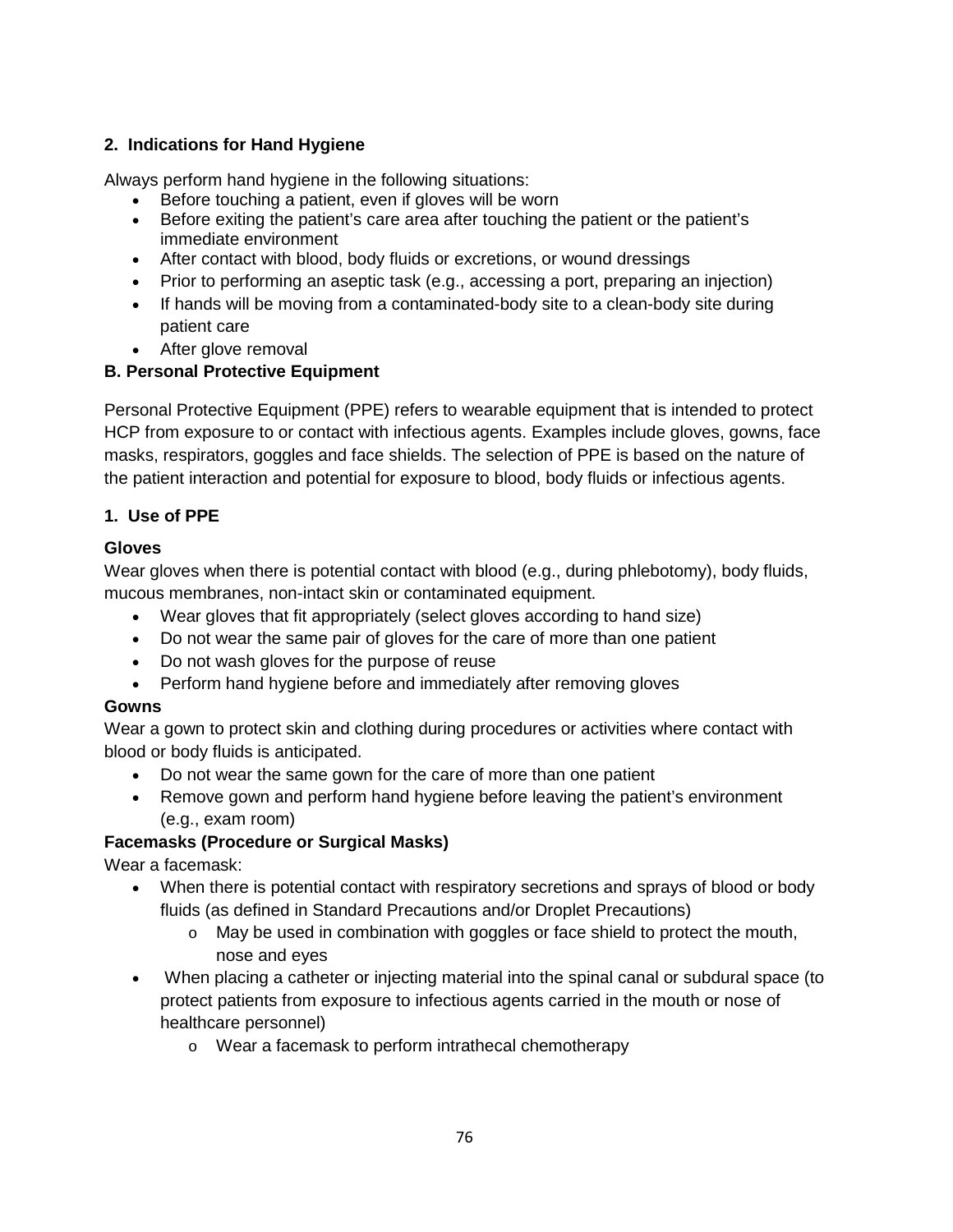## **2. Indications for Hand Hygiene**

Always perform hand hygiene in the following situations:

- Before touching a patient, even if gloves will be worn
- Before exiting the patient's care area after touching the patient or the patient's immediate environment
- After contact with blood, body fluids or excretions, or wound dressings
- Prior to performing an aseptic task (e.g., accessing a port, preparing an injection)
- If hands will be moving from a contaminated-body site to a clean-body site during patient care
- After glove removal

## **B. Personal Protective Equipment**

Personal Protective Equipment (PPE) refers to wearable equipment that is intended to protect HCP from exposure to or contact with infectious agents. Examples include gloves, gowns, face masks, respirators, goggles and face shields. The selection of PPE is based on the nature of the patient interaction and potential for exposure to blood, body fluids or infectious agents.

## **1. Use of PPE**

## **Gloves**

Wear gloves when there is potential contact with blood (e.g., during phlebotomy), body fluids, mucous membranes, non-intact skin or contaminated equipment.

- Wear gloves that fit appropriately (select gloves according to hand size)
- Do not wear the same pair of gloves for the care of more than one patient
- Do not wash gloves for the purpose of reuse
- Perform hand hygiene before and immediately after removing gloves

#### **Gowns**

Wear a gown to protect skin and clothing during procedures or activities where contact with blood or body fluids is anticipated.

- Do not wear the same gown for the care of more than one patient
- Remove gown and perform hand hygiene before leaving the patient's environment (e.g., exam room)

# **Facemasks (Procedure or Surgical Masks)**

Wear a facemask:

- When there is potential contact with respiratory secretions and sprays of blood or body fluids (as defined in Standard Precautions and/or Droplet Precautions)
	- o May be used in combination with goggles or face shield to protect the mouth, nose and eyes
- When placing a catheter or injecting material into the spinal canal or subdural space (to protect patients from exposure to infectious agents carried in the mouth or nose of healthcare personnel)
	- o Wear a facemask to perform intrathecal chemotherapy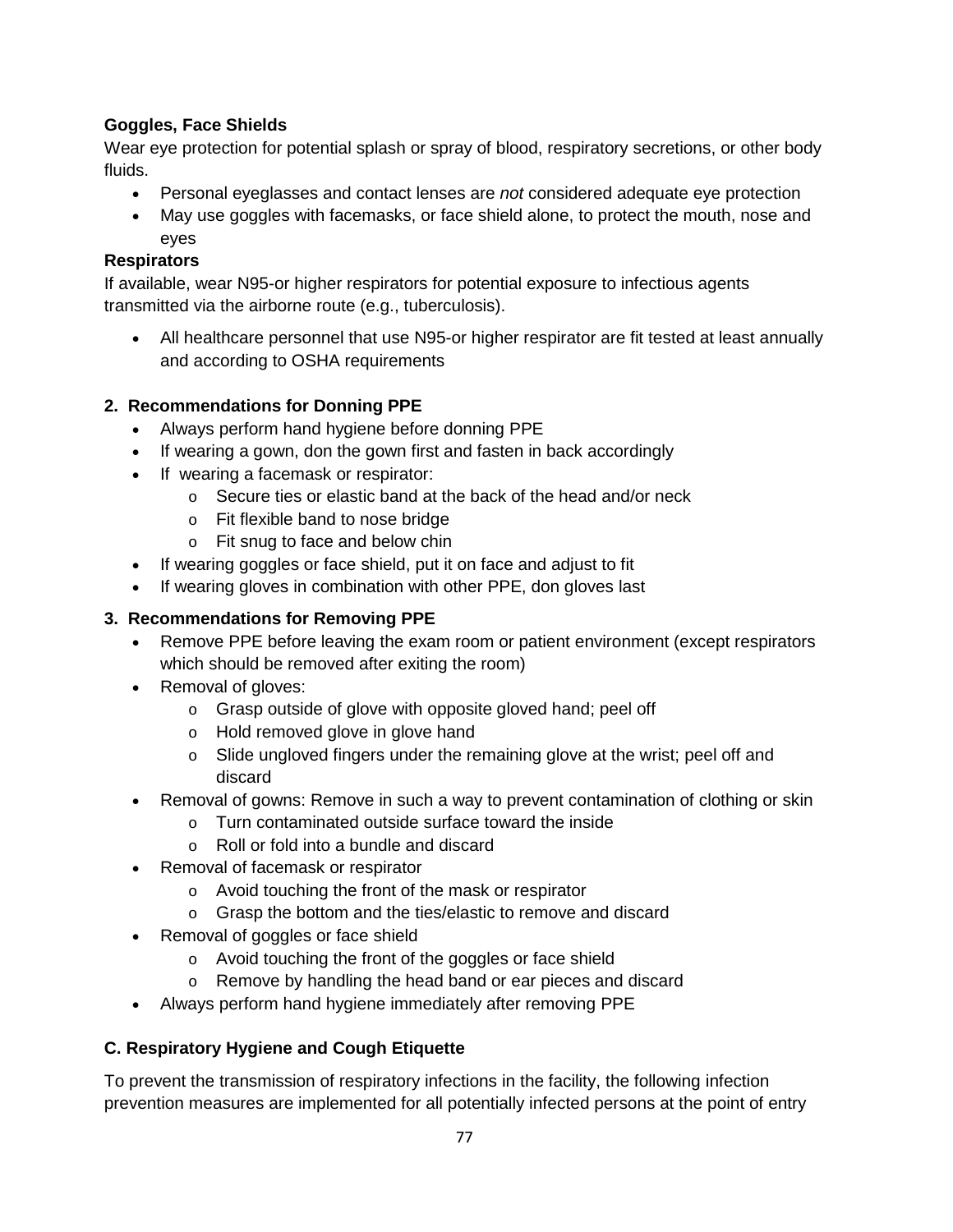## **Goggles, Face Shields**

Wear eye protection for potential splash or spray of blood, respiratory secretions, or other body fluids.

- Personal eyeglasses and contact lenses are *not* considered adequate eye protection
- May use goggles with facemasks, or face shield alone, to protect the mouth, nose and eyes

#### **Respirators**

If available, wear N95-or higher respirators for potential exposure to infectious agents transmitted via the airborne route (e.g., tuberculosis).

• All healthcare personnel that use N95-or higher respirator are fit tested at least annually and according to OSHA requirements

#### **2. Recommendations for Donning PPE**

- Always perform hand hygiene before donning PPE
- If wearing a gown, don the gown first and fasten in back accordingly
- If wearing a facemask or respirator:
	- o Secure ties or elastic band at the back of the head and/or neck
	- o Fit flexible band to nose bridge
	- o Fit snug to face and below chin
- If wearing goggles or face shield, put it on face and adjust to fit
- If wearing gloves in combination with other PPE, don gloves last

## **3. Recommendations for Removing PPE**

- Remove PPE before leaving the exam room or patient environment (except respirators which should be removed after exiting the room)
- Removal of gloves:
	- o Grasp outside of glove with opposite gloved hand; peel off
	- o Hold removed glove in glove hand
	- $\circ$  Slide ungloved fingers under the remaining glove at the wrist; peel off and discard
- Removal of gowns: Remove in such a way to prevent contamination of clothing or skin
	- o Turn contaminated outside surface toward the inside
	- o Roll or fold into a bundle and discard
- Removal of facemask or respirator
	- o Avoid touching the front of the mask or respirator
	- o Grasp the bottom and the ties/elastic to remove and discard
- Removal of goggles or face shield
	- o Avoid touching the front of the goggles or face shield
	- o Remove by handling the head band or ear pieces and discard
- Always perform hand hygiene immediately after removing PPE

# **C. Respiratory Hygiene and Cough Etiquette**

To prevent the transmission of respiratory infections in the facility, the following infection prevention measures are implemented for all potentially infected persons at the point of entry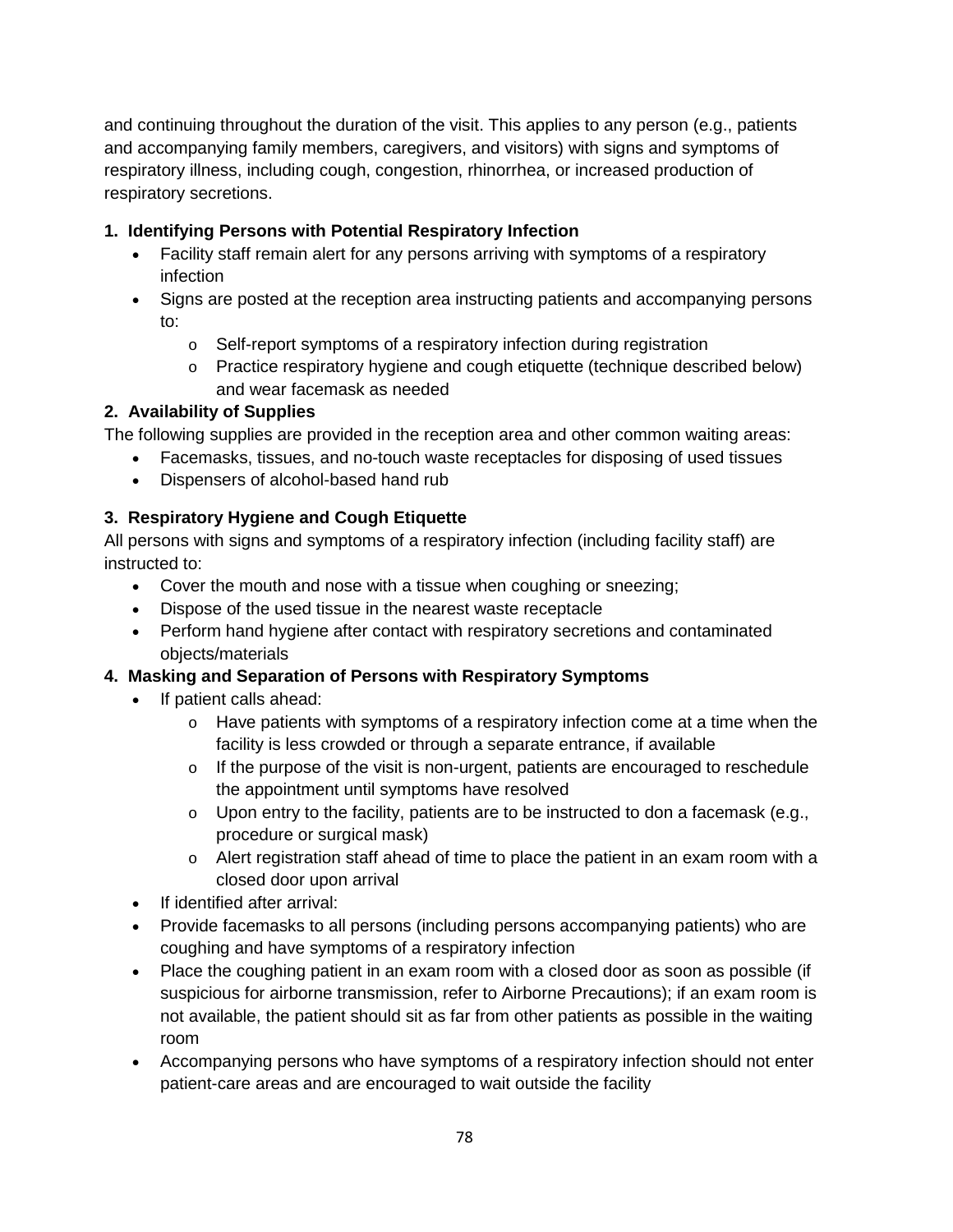and continuing throughout the duration of the visit. This applies to any person (e.g., patients and accompanying family members, caregivers, and visitors) with signs and symptoms of respiratory illness, including cough, congestion, rhinorrhea, or increased production of respiratory secretions.

## **1. Identifying Persons with Potential Respiratory Infection**

- Facility staff remain alert for any persons arriving with symptoms of a respiratory infection
- Signs are posted at the reception area instructing patients and accompanying persons to:
	- o Self-report symptoms of a respiratory infection during registration
	- o Practice respiratory hygiene and cough etiquette (technique described below) and wear facemask as needed

## **2. Availability of Supplies**

The following supplies are provided in the reception area and other common waiting areas:

- Facemasks, tissues, and no-touch waste receptacles for disposing of used tissues
- Dispensers of alcohol-based hand rub

# **3. Respiratory Hygiene and Cough Etiquette**

All persons with signs and symptoms of a respiratory infection (including facility staff) are instructed to:

- Cover the mouth and nose with a tissue when coughing or sneezing;
- Dispose of the used tissue in the nearest waste receptacle
- Perform hand hygiene after contact with respiratory secretions and contaminated objects/materials

# **4. Masking and Separation of Persons with Respiratory Symptoms**

- If patient calls ahead:
	- $\circ$  Have patients with symptoms of a respiratory infection come at a time when the facility is less crowded or through a separate entrance, if available
	- $\circ$  If the purpose of the visit is non-urgent, patients are encouraged to reschedule the appointment until symptoms have resolved
	- o Upon entry to the facility, patients are to be instructed to don a facemask (e.g., procedure or surgical mask)
	- $\circ$  Alert registration staff ahead of time to place the patient in an exam room with a closed door upon arrival
- If identified after arrival:
- Provide facemasks to all persons (including persons accompanying patients) who are coughing and have symptoms of a respiratory infection
- Place the coughing patient in an exam room with a closed door as soon as possible (if suspicious for airborne transmission, refer to Airborne Precautions); if an exam room is not available, the patient should sit as far from other patients as possible in the waiting room
- Accompanying persons who have symptoms of a respiratory infection should not enter patient-care areas and are encouraged to wait outside the facility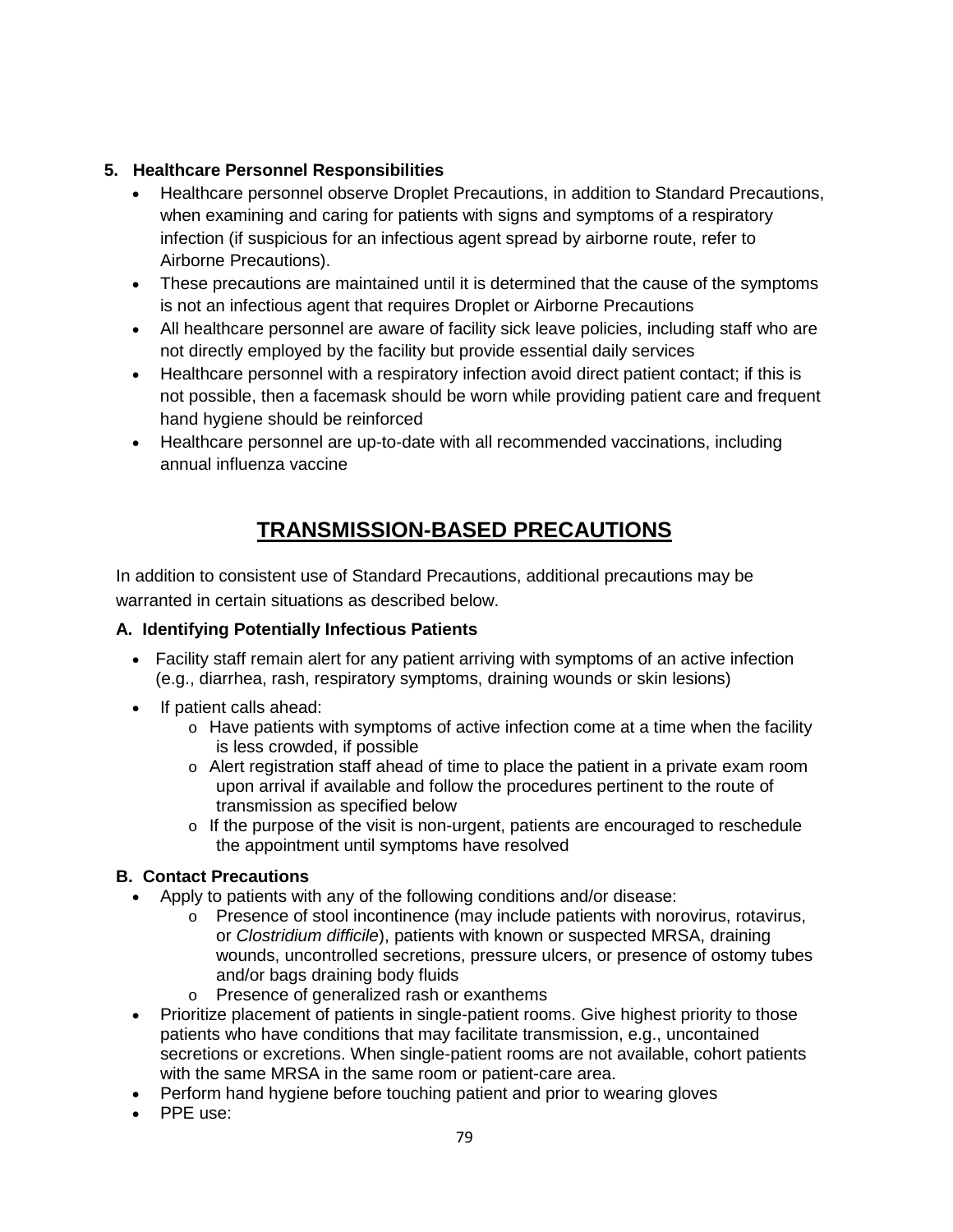#### **5. Healthcare Personnel Responsibilities**

- Healthcare personnel observe Droplet Precautions, in addition to Standard Precautions, when examining and caring for patients with signs and symptoms of a respiratory infection (if suspicious for an infectious agent spread by airborne route, refer to Airborne Precautions).
- These precautions are maintained until it is determined that the cause of the symptoms is not an infectious agent that requires Droplet or Airborne Precautions
- All healthcare personnel are aware of facility sick leave policies, including staff who are not directly employed by the facility but provide essential daily services
- Healthcare personnel with a respiratory infection avoid direct patient contact; if this is not possible, then a facemask should be worn while providing patient care and frequent hand hygiene should be reinforced
- Healthcare personnel are up-to-date with all recommended vaccinations, including annual influenza vaccine

# **TRANSMISSION-BASED PRECAUTIONS**

In addition to consistent use of Standard Precautions, additional precautions may be warranted in certain situations as described below.

#### **A. Identifying Potentially Infectious Patients**

- Facility staff remain alert for any patient arriving with symptoms of an active infection (e.g., diarrhea, rash, respiratory symptoms, draining wounds or skin lesions)
- If patient calls ahead:
	- o Have patients with symptoms of active infection come at a time when the facility is less crowded, if possible
	- $\circ$  Alert registration staff ahead of time to place the patient in a private exam room upon arrival if available and follow the procedures pertinent to the route of transmission as specified below
	- $\circ$  If the purpose of the visit is non-urgent, patients are encouraged to reschedule the appointment until symptoms have resolved

#### **B. Contact Precautions**

- Apply to patients with any of the following conditions and/or disease:
	- o Presence of stool incontinence (may include patients with norovirus, rotavirus, or *Clostridium difficile*), patients with known or suspected MRSA, draining wounds, uncontrolled secretions, pressure ulcers, or presence of ostomy tubes and/or bags draining body fluids
	- o Presence of generalized rash or exanthems
- Prioritize placement of patients in single-patient rooms. Give highest priority to those patients who have conditions that may facilitate transmission, e.g., uncontained secretions or excretions. When single-patient rooms are not available, cohort patients with the same MRSA in the same room or patient-care area.
- Perform hand hygiene before touching patient and prior to wearing gloves
- PPE use: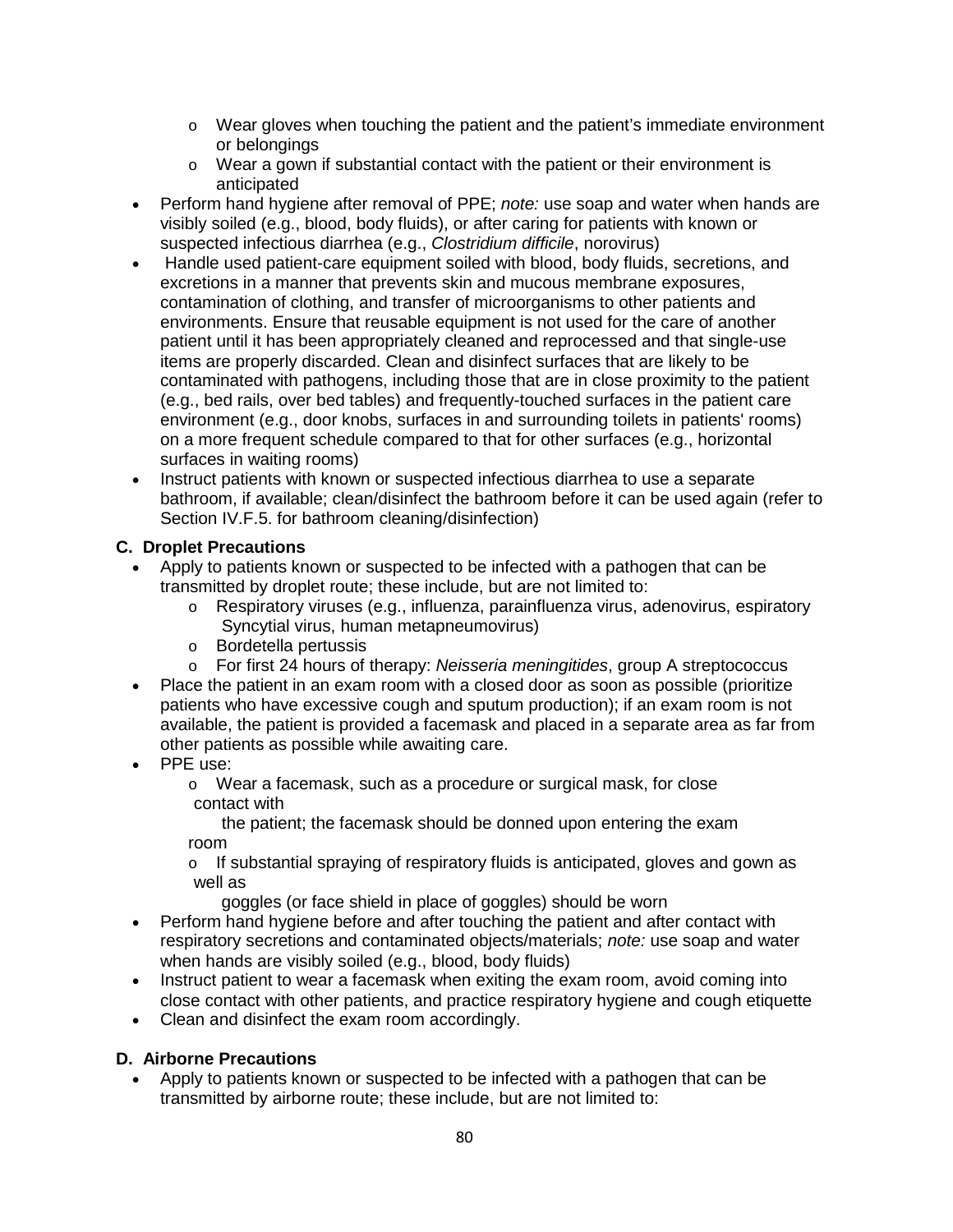- $\circ$  Wear gloves when touching the patient and the patient's immediate environment or belongings
- $\circ$  Wear a gown if substantial contact with the patient or their environment is anticipated
- Perform hand hygiene after removal of PPE; *note:* use soap and water when hands are visibly soiled (e.g., blood, body fluids), or after caring for patients with known or suspected infectious diarrhea (e.g., *Clostridium difficile*, norovirus)
- Handle used patient-care equipment soiled with blood, body fluids, secretions, and excretions in a manner that prevents skin and mucous membrane exposures, contamination of clothing, and transfer of microorganisms to other patients and environments. Ensure that reusable equipment is not used for the care of another patient until it has been appropriately cleaned and reprocessed and that single-use items are properly discarded. Clean and disinfect surfaces that are likely to be contaminated with pathogens, including those that are in close proximity to the patient (e.g., bed rails, over bed tables) and frequently-touched surfaces in the patient care environment (e.g., door knobs, surfaces in and surrounding toilets in patients' rooms) on a more frequent schedule compared to that for other surfaces (e.g., horizontal surfaces in waiting rooms)
- Instruct patients with known or suspected infectious diarrhea to use a separate bathroom, if available; clean/disinfect the bathroom before it can be used again (refer to Section IV.F.5. for bathroom cleaning/disinfection)

#### **C. Droplet Precautions**

- Apply to patients known or suspected to be infected with a pathogen that can be transmitted by droplet route; these include, but are not limited to:
	- o Respiratory viruses (e.g., influenza, parainfluenza virus, adenovirus, espiratory Syncytial virus, human metapneumovirus)
	- $\circ$  Bordetella pertussis<br> $\circ$  For first 24 hours of the
	- For first 24 hours of therapy: *Neisseria meningitides*, group A streptococcus
- Place the patient in an exam room with a closed door as soon as possible (prioritize patients who have excessive cough and sputum production); if an exam room is not available, the patient is provided a facemask and placed in a separate area as far from other patients as possible while awaiting care.
- PPE use:

o Wear a facemask, such as a procedure or surgical mask, for close contact with

 the patient; the facemask should be donned upon entering the exam room

 $\circ$  If substantial spraying of respiratory fluids is anticipated, gloves and gown as well as

goggles (or face shield in place of goggles) should be worn

- Perform hand hygiene before and after touching the patient and after contact with respiratory secretions and contaminated objects/materials; *note:* use soap and water when hands are visibly soiled (e.g., blood, body fluids)
- Instruct patient to wear a facemask when exiting the exam room, avoid coming into close contact with other patients, and practice respiratory hygiene and cough etiquette
- Clean and disinfect the exam room accordingly.

#### **D. Airborne Precautions**

• Apply to patients known or suspected to be infected with a pathogen that can be transmitted by airborne route; these include, but are not limited to: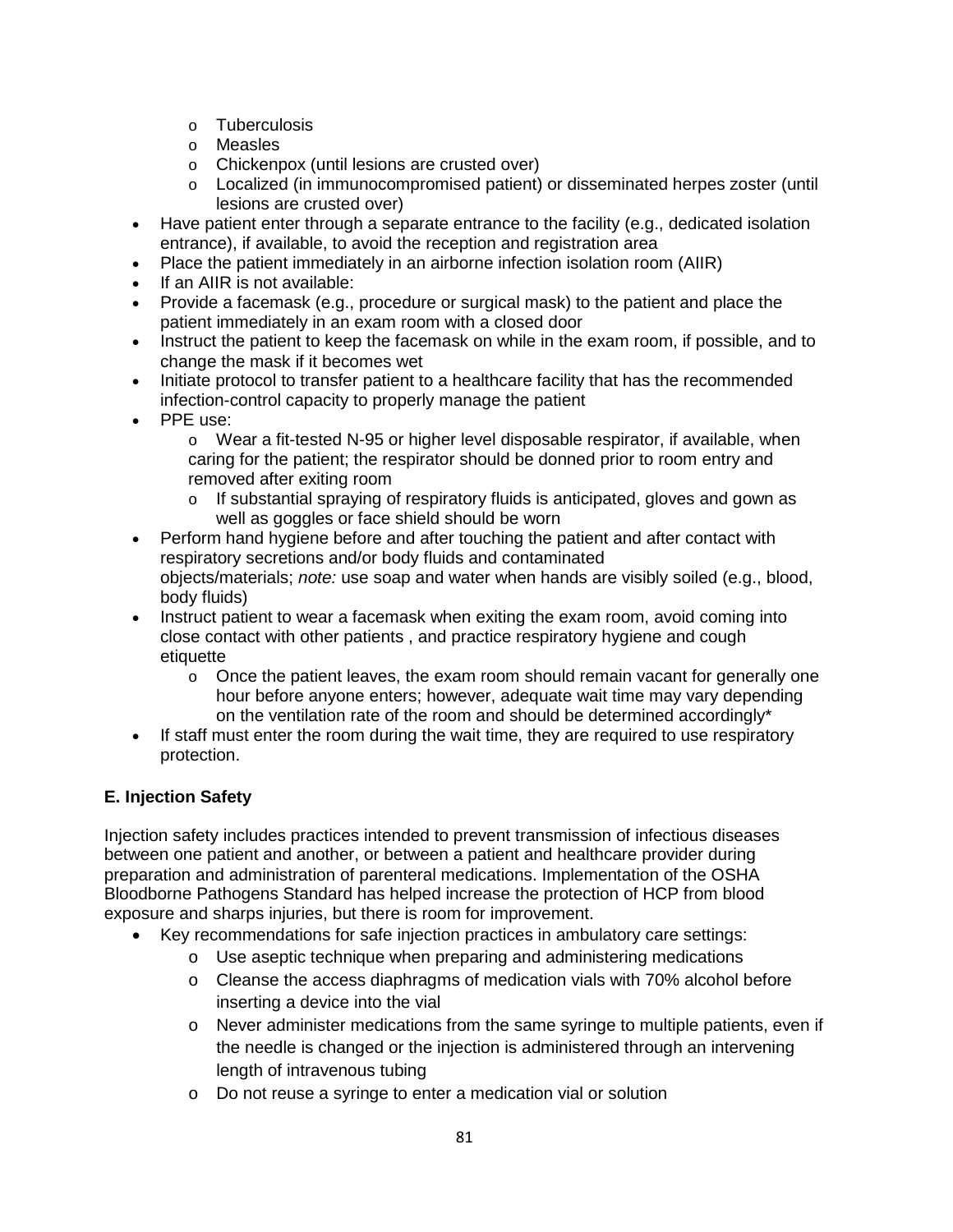- o Tuberculosis
- o Measles
- o Chickenpox (until lesions are crusted over)
- o Localized (in immunocompromised patient) or disseminated herpes zoster (until lesions are crusted over)
- Have patient enter through a separate entrance to the facility (e.g., dedicated isolation entrance), if available, to avoid the reception and registration area
- Place the patient immediately in an airborne infection isolation room (AIIR)
- If an AIIR is not available:
- Provide a facemask (e.g., procedure or surgical mask) to the patient and place the patient immediately in an exam room with a closed door
- Instruct the patient to keep the facemask on while in the exam room, if possible, and to change the mask if it becomes wet
- Initiate protocol to transfer patient to a healthcare facility that has the recommended infection-control capacity to properly manage the patient
- PPE use:

 $\circ$  Wear a fit-tested N-95 or higher level disposable respirator, if available, when caring for the patient; the respirator should be donned prior to room entry and removed after exiting room

- $\circ$  If substantial spraying of respiratory fluids is anticipated, gloves and gown as well as goggles or face shield should be worn
- Perform hand hygiene before and after touching the patient and after contact with respiratory secretions and/or body fluids and contaminated objects/materials; *note:* use soap and water when hands are visibly soiled (e.g., blood, body fluids)
- Instruct patient to wear a facemask when exiting the exam room, avoid coming into close contact with other patients , and practice respiratory hygiene and cough etiquette
	- o Once the patient leaves, the exam room should remain vacant for generally one hour before anyone enters; however, adequate wait time may vary depending on the ventilation rate of the room and should be determined accordingly\*
- If staff must enter the room during the wait time, they are required to use respiratory protection.

# **E. Injection Safety**

Injection safety includes practices intended to prevent transmission of infectious diseases between one patient and another, or between a patient and healthcare provider during preparation and administration of parenteral medications. Implementation of the OSHA Bloodborne Pathogens Standard has helped increase the protection of HCP from blood exposure and sharps injuries, but there is room for improvement.

- Key recommendations for safe injection practices in ambulatory care settings:
	- o Use aseptic technique when preparing and administering medications
	- $\circ$  Cleanse the access diaphragms of medication vials with 70% alcohol before inserting a device into the vial
	- o Never administer medications from the same syringe to multiple patients, even if the needle is changed or the injection is administered through an intervening length of intravenous tubing
	- o Do not reuse a syringe to enter a medication vial or solution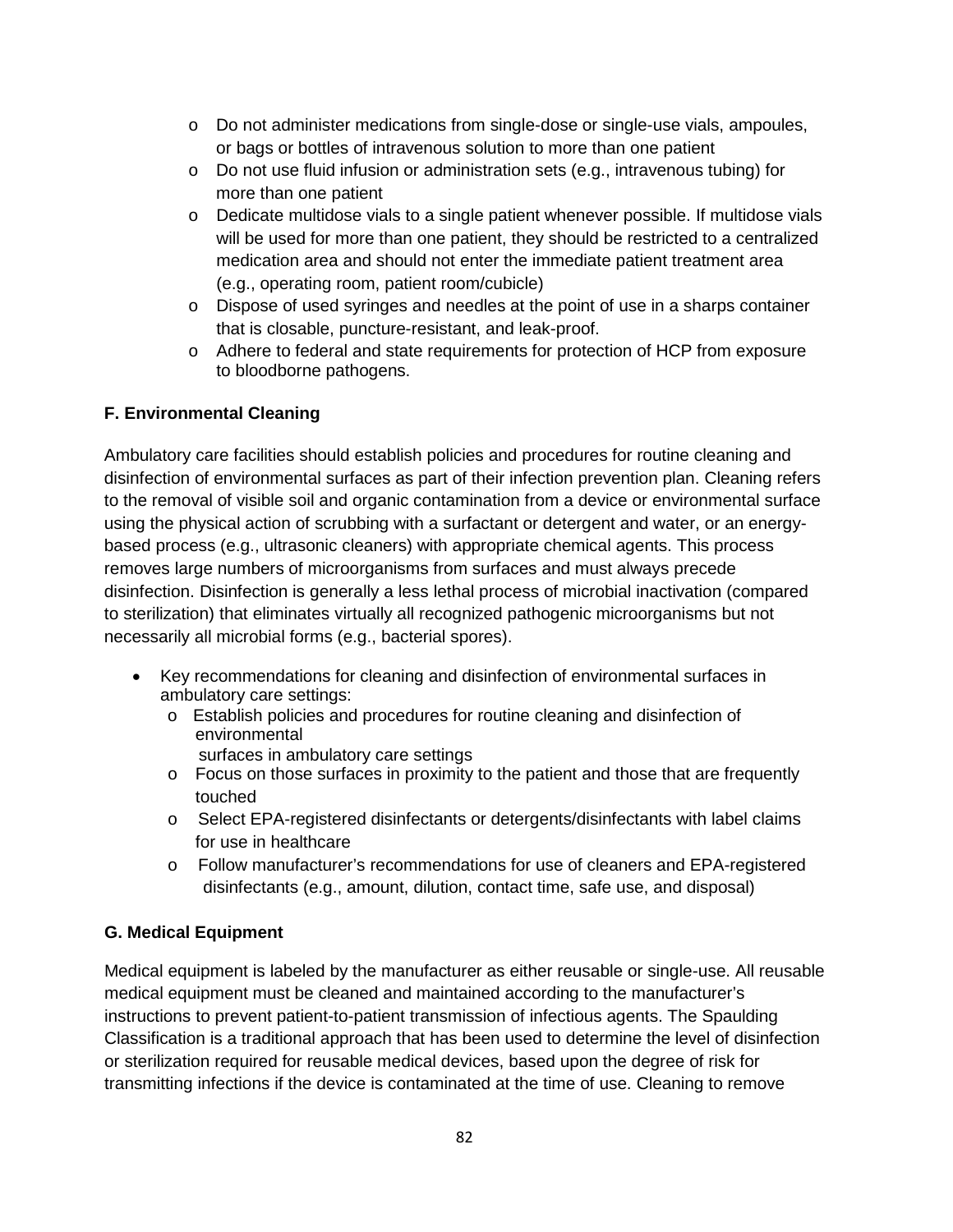- o Do not administer medications from single-dose or single-use vials, ampoules, or bags or bottles of intravenous solution to more than one patient
- o Do not use fluid infusion or administration sets (e.g., intravenous tubing) for more than one patient
- o Dedicate multidose vials to a single patient whenever possible. If multidose vials will be used for more than one patient, they should be restricted to a centralized medication area and should not enter the immediate patient treatment area (e.g., operating room, patient room/cubicle)
- o Dispose of used syringes and needles at the point of use in a sharps container that is closable, puncture-resistant, and leak-proof.
- o Adhere to federal and state requirements for protection of HCP from exposure to bloodborne pathogens.

#### **F. Environmental Cleaning**

Ambulatory care facilities should establish policies and procedures for routine cleaning and disinfection of environmental surfaces as part of their infection prevention plan. Cleaning refers to the removal of visible soil and organic contamination from a device or environmental surface using the physical action of scrubbing with a surfactant or detergent and water, or an energybased process (e.g., ultrasonic cleaners) with appropriate chemical agents. This process removes large numbers of microorganisms from surfaces and must always precede disinfection. Disinfection is generally a less lethal process of microbial inactivation (compared to sterilization) that eliminates virtually all recognized pathogenic microorganisms but not necessarily all microbial forms (e.g., bacterial spores).

- Key recommendations for cleaning and disinfection of environmental surfaces in ambulatory care settings:
	- o Establish policies and procedures for routine cleaning and disinfection of environmental
		- surfaces in ambulatory care settings
	- $\circ$  Focus on those surfaces in proximity to the patient and those that are frequently touched
	- o Select EPA-registered disinfectants or detergents/disinfectants with label claims for use in healthcare
	- o Follow manufacturer's recommendations for use of cleaners and EPA-registered disinfectants (e.g., amount, dilution, contact time, safe use, and disposal)

#### **G. Medical Equipment**

Medical equipment is labeled by the manufacturer as either reusable or single-use. All reusable medical equipment must be cleaned and maintained according to the manufacturer's instructions to prevent patient-to-patient transmission of infectious agents. The Spaulding Classification is a traditional approach that has been used to determine the level of disinfection or sterilization required for reusable medical devices, based upon the degree of risk for transmitting infections if the device is contaminated at the time of use. Cleaning to remove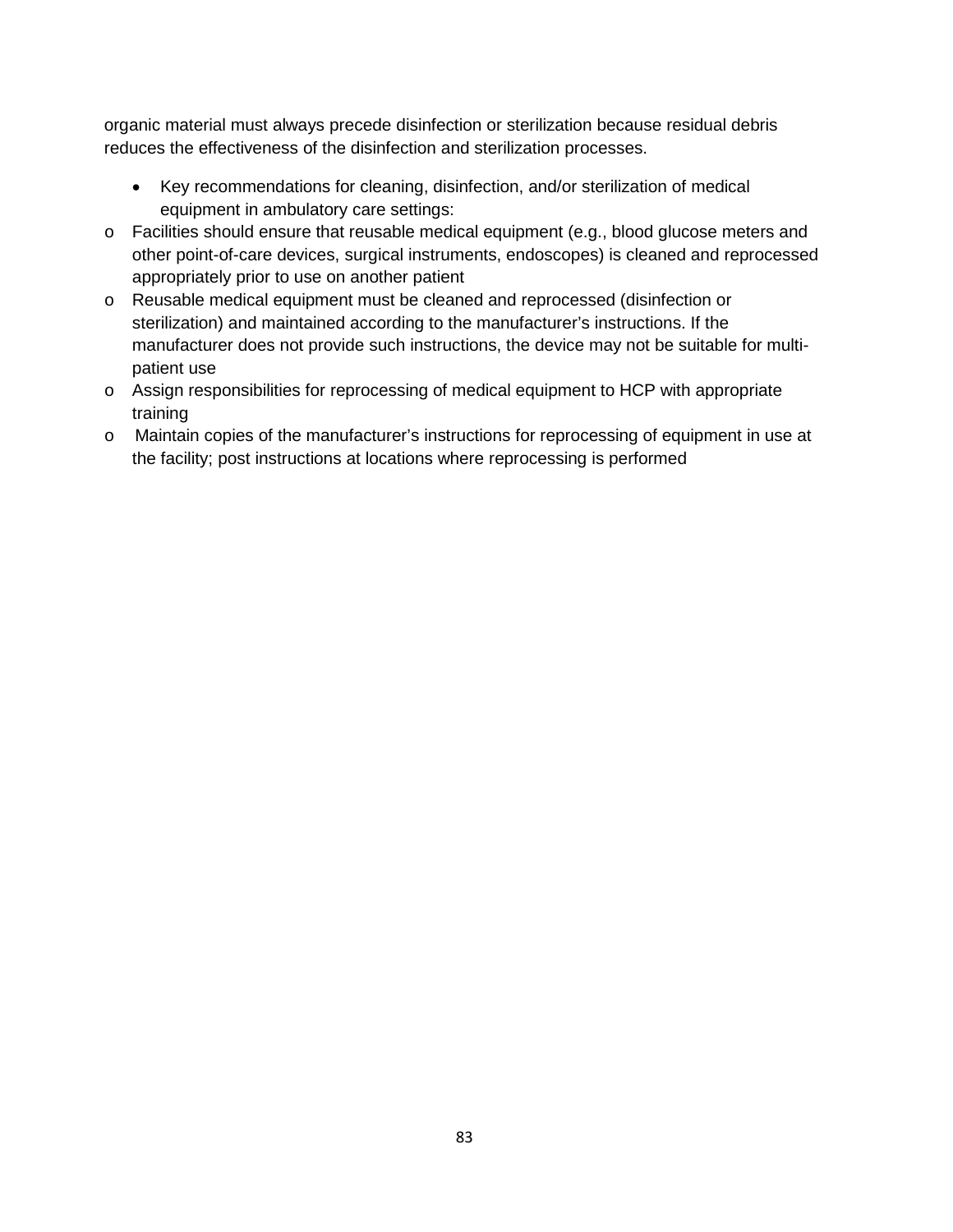organic material must always precede disinfection or sterilization because residual debris reduces the effectiveness of the disinfection and sterilization processes.

- Key recommendations for cleaning, disinfection, and/or sterilization of medical equipment in ambulatory care settings:
- o Facilities should ensure that reusable medical equipment (e.g., blood glucose meters and other point-of-care devices, surgical instruments, endoscopes) is cleaned and reprocessed appropriately prior to use on another patient
- o Reusable medical equipment must be cleaned and reprocessed (disinfection or sterilization) and maintained according to the manufacturer's instructions. If the manufacturer does not provide such instructions, the device may not be suitable for multipatient use
- o Assign responsibilities for reprocessing of medical equipment to HCP with appropriate training
- o Maintain copies of the manufacturer's instructions for reprocessing of equipment in use at the facility; post instructions at locations where reprocessing is performed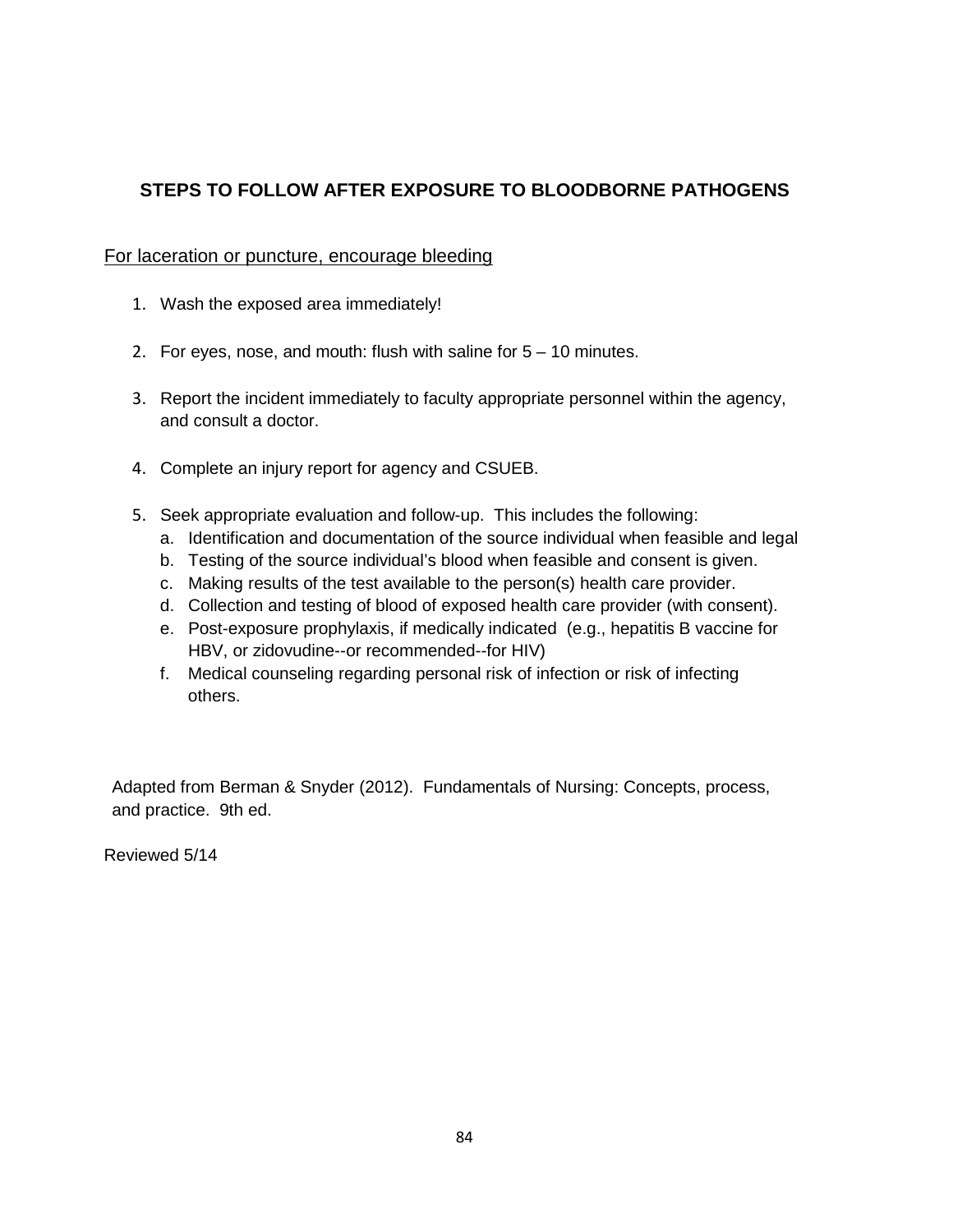# **STEPS TO FOLLOW AFTER EXPOSURE TO BLOODBORNE PATHOGENS**

#### For laceration or puncture, encourage bleeding

- 1. Wash the exposed area immediately!
- 2. For eyes, nose, and mouth: flush with saline for 5 10 minutes.
- 3. Report the incident immediately to faculty appropriate personnel within the agency, and consult a doctor.
- 4. Complete an injury report for agency and CSUEB.
- 5. Seek appropriate evaluation and follow-up. This includes the following:
	- a. Identification and documentation of the source individual when feasible and legal
	- b. Testing of the source individual's blood when feasible and consent is given.
	- c. Making results of the test available to the person(s) health care provider.
	- d. Collection and testing of blood of exposed health care provider (with consent).
	- e. Post-exposure prophylaxis, if medically indicated (e.g., hepatitis B vaccine for HBV, or zidovudine--or recommended--for HIV)
	- f. Medical counseling regarding personal risk of infection or risk of infecting others.

Adapted from Berman & Snyder (2012). Fundamentals of Nursing: Concepts, process, and practice. 9th ed.

Reviewed 5/14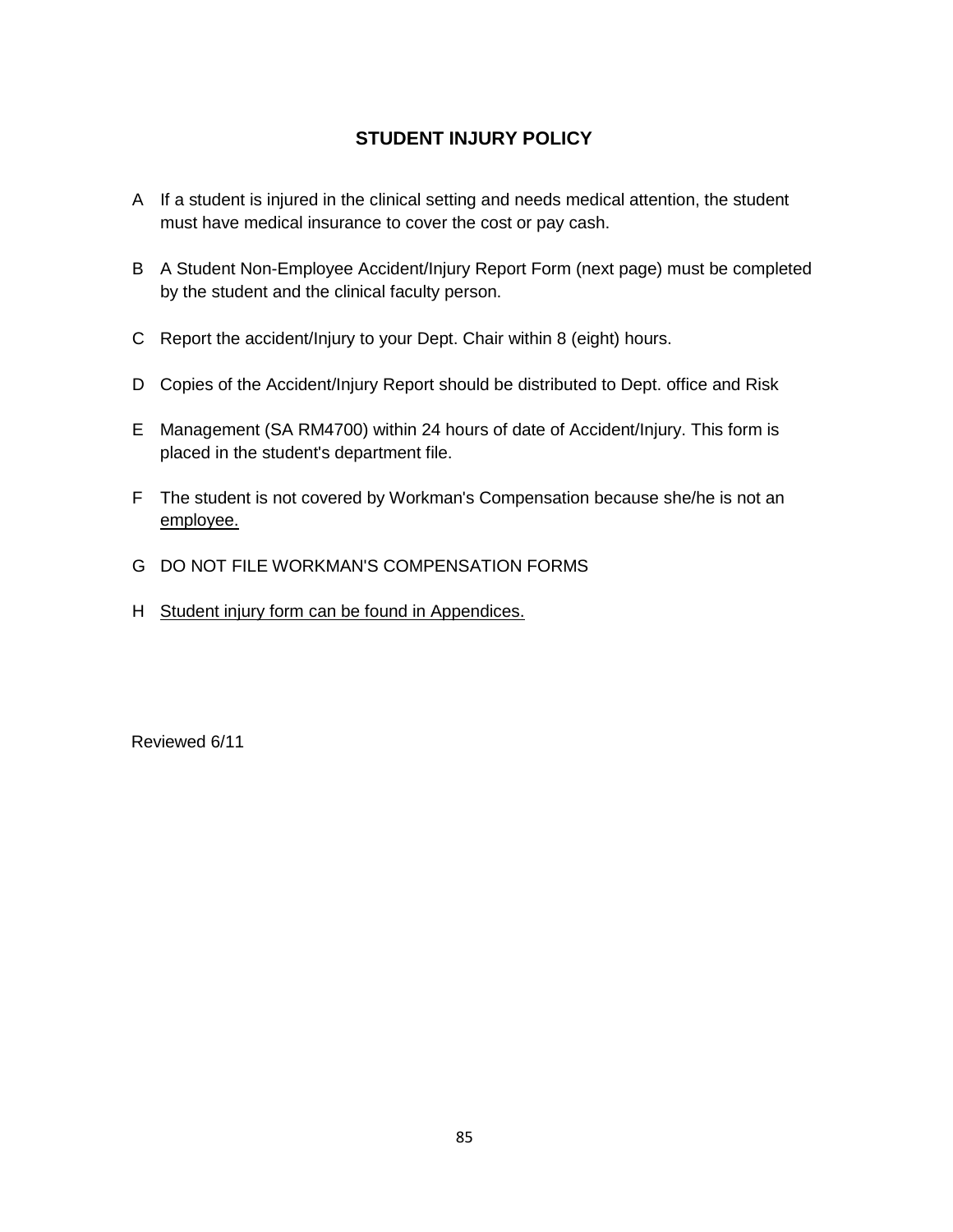# **STUDENT INJURY POLICY**

- A If a student is injured in the clinical setting and needs medical attention, the student must have medical insurance to cover the cost or pay cash.
- B A Student Non-Employee Accident/Injury Report Form (next page) must be completed by the student and the clinical faculty person.
- C Report the accident/Injury to your Dept. Chair within 8 (eight) hours.
- D Copies of the Accident/Injury Report should be distributed to Dept. office and Risk
- E Management (SA RM4700) within 24 hours of date of Accident/Injury. This form is placed in the student's department file.
- F The student is not covered by Workman's Compensation because she/he is not an employee.
- G DO NOT FILE WORKMAN'S COMPENSATION FORMS
- H Student injury form can be found in Appendices.

Reviewed 6/11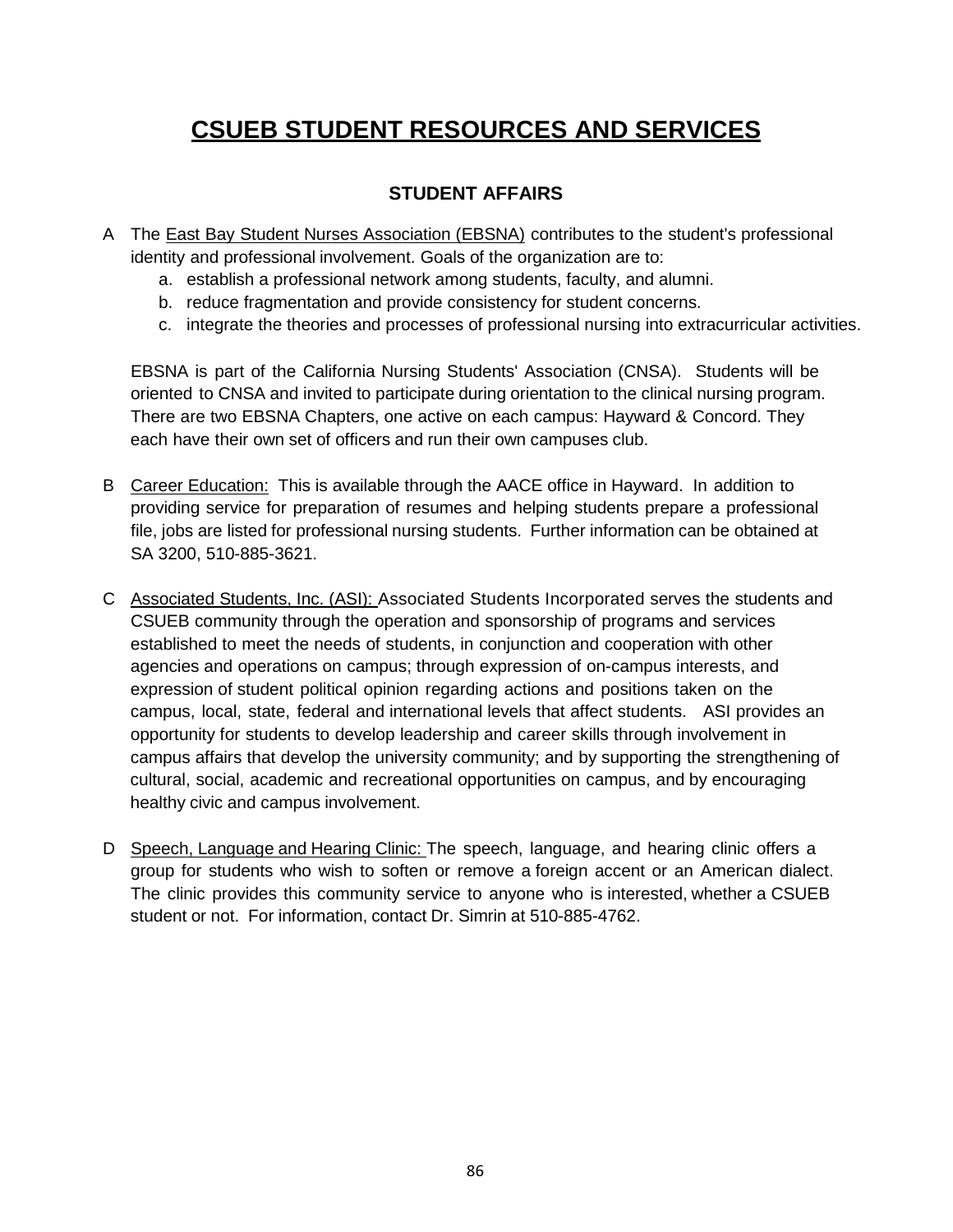# **CSUEB STUDENT RESOURCES AND SERVICES**

# **STUDENT AFFAIRS**

- A The East Bay Student Nurses Association (EBSNA) contributes to the student's professional identity and professional involvement. Goals of the organization are to:
	- a. establish a professional network among students, faculty, and alumni.
	- b. reduce fragmentation and provide consistency for student concerns.
	- c. integrate the theories and processes of professional nursing into extracurricular activities.

EBSNA is part of the California Nursing Students' Association (CNSA). Students will be oriented to CNSA and invited to participate during orientation to the clinical nursing program. There are two EBSNA Chapters, one active on each campus: Hayward & Concord. They each have their own set of officers and run their own campuses club.

- B Career Education: This is available through the AACE office in Hayward. In addition to providing service for preparation of resumes and helping students prepare a professional file, jobs are listed for professional nursing students. Further information can be obtained at SA 3200, 510-885-3621.
- C Associated Students, Inc. (ASI): Associated Students Incorporated serves the students and CSUEB community through the operation and sponsorship of programs and services established to meet the needs of students, in conjunction and cooperation with other agencies and operations on campus; through expression of on-campus interests, and expression of student political opinion regarding actions and positions taken on the campus, local, state, federal and international levels that affect students. ASI provides an opportunity for students to develop leadership and career skills through involvement in campus affairs that develop the university community; and by supporting the strengthening of cultural, social, academic and recreational opportunities on campus, and by encouraging healthy civic and campus involvement.
- D Speech, Language and Hearing Clinic: The speech, language, and hearing clinic offers a group for students who wish to soften or remove a foreign accent or an American dialect. The clinic provides this community service to anyone who is interested, whether a CSUEB student or not. For information, contact Dr. Simrin at 510-885-4762.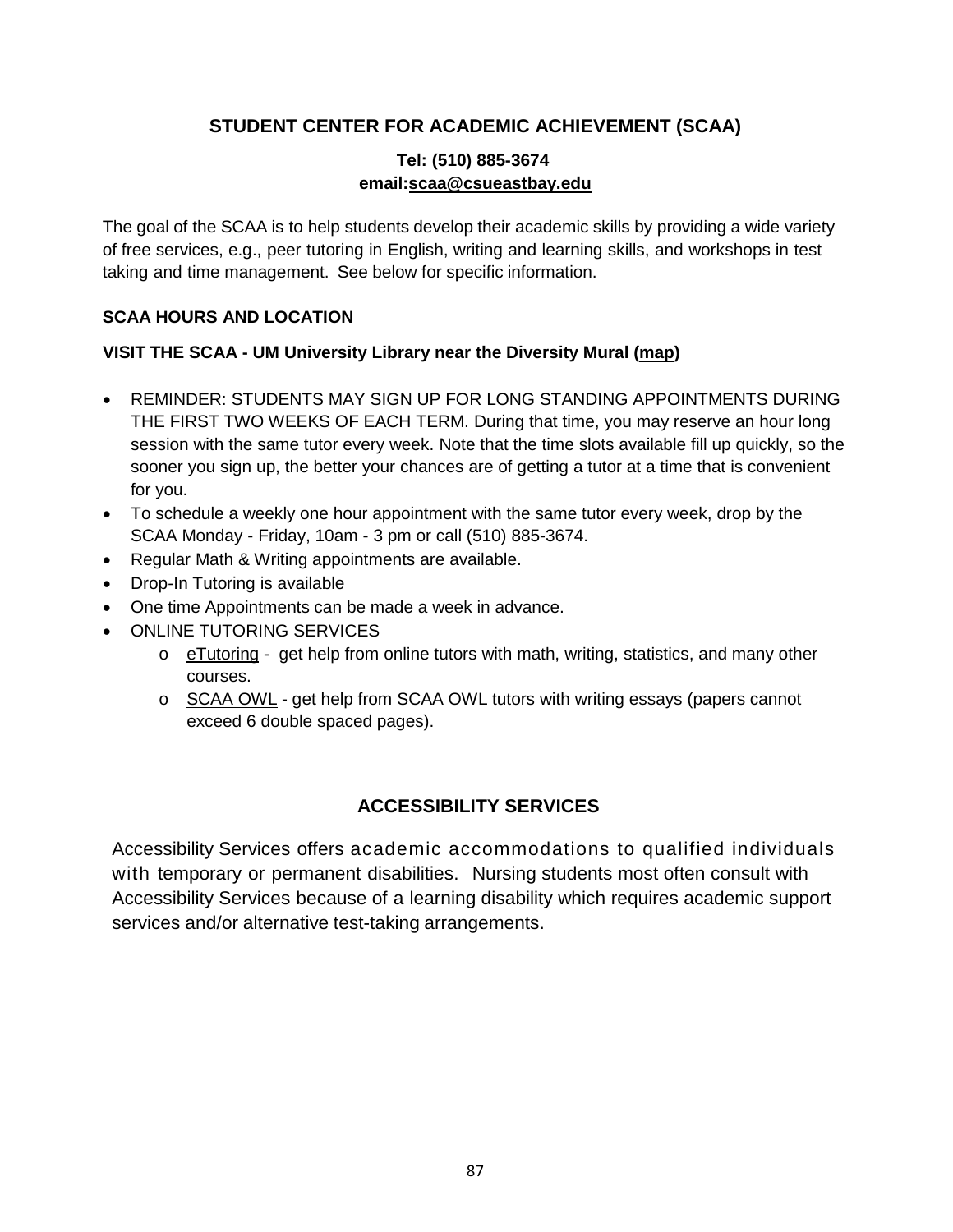# **STUDENT CENTER FOR ACADEMIC ACHIEVEMENT (SCAA)**

#### **Tel: (510) 885-3674 email[:scaa@csueastbay.edu](mailto:scaa@csueastbay.edu)**

The goal of the SCAA is to help students develop their academic skills by providing a wide variety of free services, e.g., peer tutoring in English, writing and learning skills, and workshops in test taking and time management. See below for specific information.

#### **SCAA HOURS AND LOCATION**

#### **VISIT THE SCAA - UM University Library near the Diversity Mural [\(map\)](http://www20.csueastbay.edu/library/scaa/files/images/library%20map.jpg)**

- REMINDER: STUDENTS MAY SIGN UP FOR LONG STANDING APPOINTMENTS DURING THE FIRST TWO WEEKS OF EACH TERM. During that time, you may reserve an hour long session with the same tutor every week. Note that the time slots available fill up quickly, so the sooner you sign up, the better your chances are of getting a tutor at a time that is convenient for you.
- To schedule a weekly one hour appointment with the same tutor every week, drop by the SCAA Monday - Friday, 10am - 3 pm or call (510) 885-3674.
- Regular Math & Writing appointments are available.
- Drop-In Tutoring is available
- One time Appointments can be made a week in advance.
- ONLINE TUTORING SERVICES
	- $\circ$  [eTutoring](https://www.etutoring.org/login.cfm?institutionid=293&returnPage=) get help from online tutors with math, writing, statistics, and many other courses.
	- $\circ$  [SCAA OWL](http://www20.csueastbay.edu/library/scaa/ONLINE%20TUTORING%20SERVICES/submit%20your%20paper.html) get help from SCAA OWL tutors with writing essays (papers cannot exceed 6 double spaced pages).

#### **ACCESSIBILITY SERVICES**

Accessibility Services offers academic accommodations to qualified individuals with temporary or permanent disabilities. Nursing students most often consult with Accessibility Services because of a learning disability which requires academic support services and/or alternative test-taking arrangements.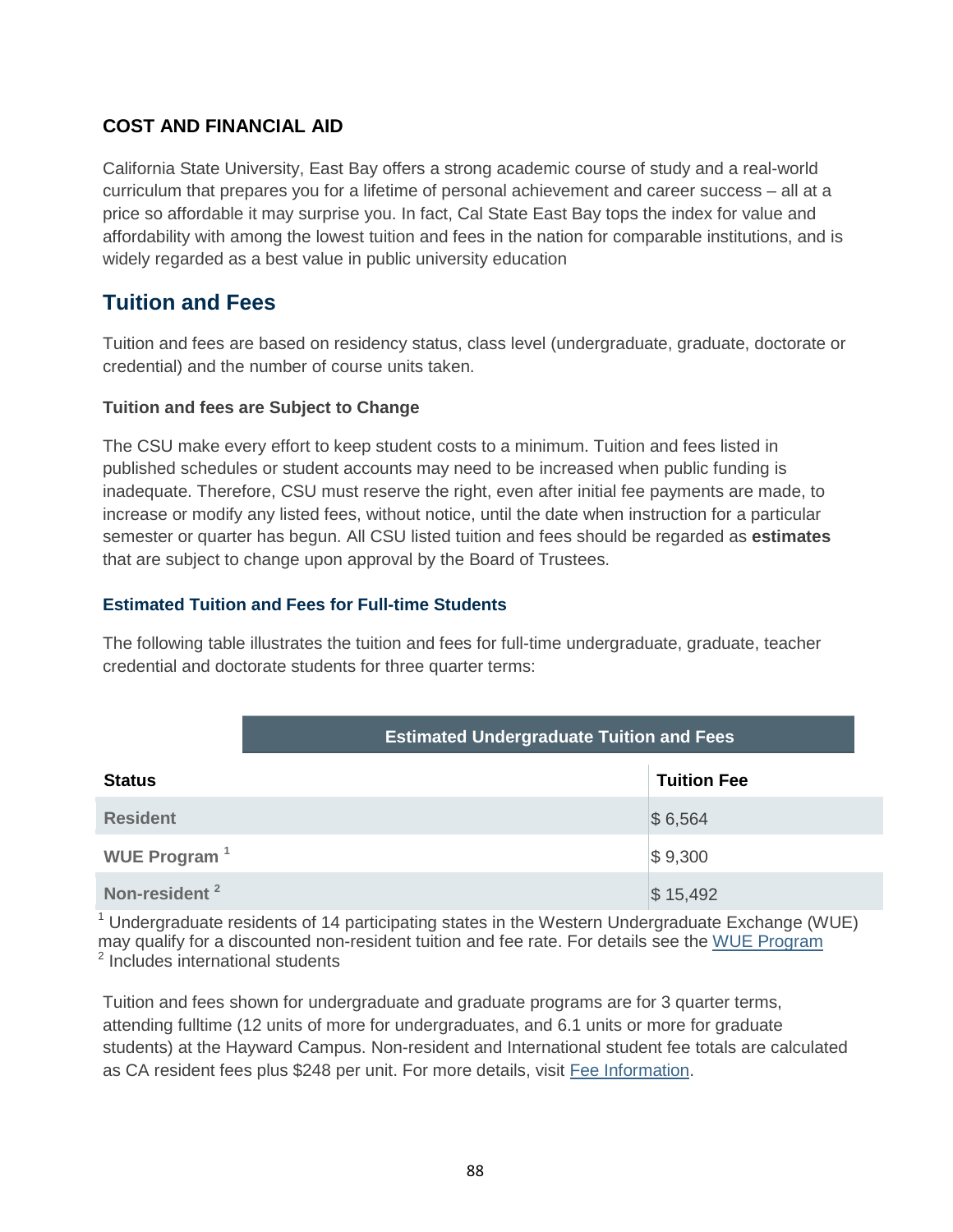# **COST AND FINANCIAL AID**

California State University, East Bay offers a strong academic course of study and a real-world curriculum that prepares you for a lifetime of personal achievement and career success – all at a price so affordable it may surprise you. In fact, Cal State East Bay tops the index for value and affordability with among the lowest tuition and fees in the nation for comparable institutions, and is widely regarded as a best value in public university education

# **Tuition and Fees**

Tuition and fees are based on residency status, class level (undergraduate, graduate, doctorate or credential) and the number of course units taken.

#### **Tuition and fees are Subject to Change**

The CSU make every effort to keep student costs to a minimum. Tuition and fees listed in published schedules or student accounts may need to be increased when public funding is inadequate. Therefore, CSU must reserve the right, even after initial fee payments are made, to increase or modify any listed fees, without notice, until the date when instruction for a particular semester or quarter has begun. All CSU listed tuition and fees should be regarded as **estimates** that are subject to change upon approval by the Board of Trustees.

#### **Estimated Tuition and Fees for Full-time Students**

The following table illustrates the tuition and fees for full-time undergraduate, graduate, teacher credential and doctorate students for three quarter terms:

|                           | <b>Estimated Undergraduate Tuition and Fees</b> |  |  |
|---------------------------|-------------------------------------------------|--|--|
| <b>Status</b>             | <b>Tuition Fee</b>                              |  |  |
| <b>Resident</b>           | \$6,564                                         |  |  |
| WUE Program <sup>1</sup>  | \$9,300                                         |  |  |
| Non-resident <sup>2</sup> | \$15,492                                        |  |  |

<sup>1</sup> Undergraduate residents of 14 participating states in the Western Undergraduate Exchange (WUE) may qualify for a discounted non-resident tuition and fee rate. For details see the [WUE Program](http://www20.csueastbay.edu/prospective/cost-and-financial-aid/discount-programs/wue-program.html) <sup>2</sup> Includes international students

Tuition and fees shown for undergraduate and graduate programs are for 3 quarter terms, attending fulltime (12 units of more for undergraduates, and 6.1 units or more for graduate students) at the Hayward Campus. Non-resident and International student fee totals are calculated as CA resident fees plus \$248 per unit. For more details, visit [Fee Information.](http://www20.csueastbay.edu/students/financing-your-education/paying-fees/index.html)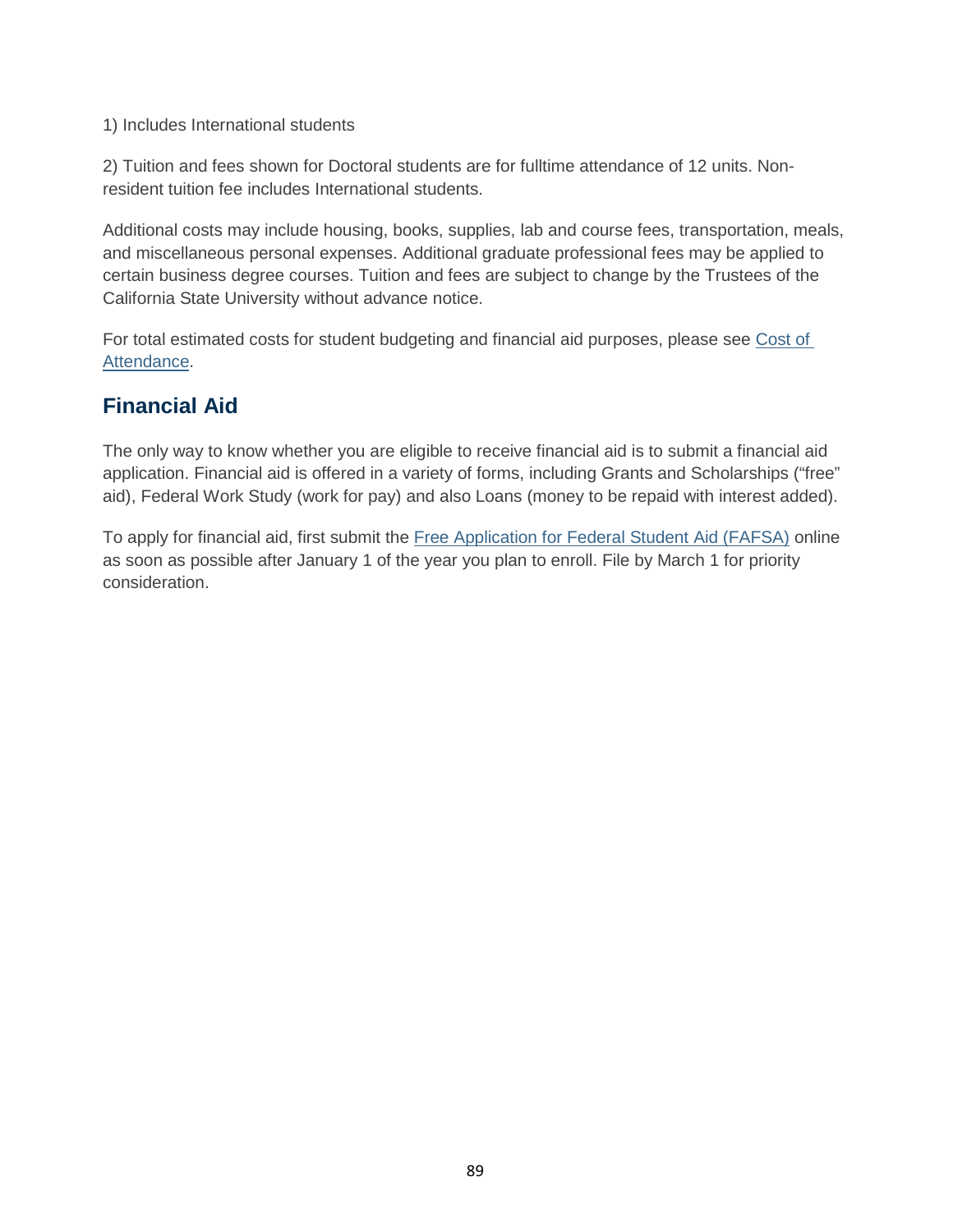1) Includes International students

2) Tuition and fees shown for Doctoral students are for fulltime attendance of 12 units. Nonresident tuition fee includes International students.

Additional costs may include housing, books, supplies, lab and course fees, transportation, meals, and miscellaneous personal expenses. Additional graduate professional fees may be applied to certain business degree courses. Tuition and fees are subject to change by the Trustees of the California State University without advance notice.

For total estimated costs for student budgeting and financial aid purposes, please see [Cost of](http://www20.csueastbay.edu/prospective/cost-and-financial-aid/cost-of-attendance/index.html)  [Attendance.](http://www20.csueastbay.edu/prospective/cost-and-financial-aid/cost-of-attendance/index.html)

# **Financial Aid**

The only way to know whether you are eligible to receive financial aid is to submit a financial aid application. Financial aid is offered in a variety of forms, including Grants and Scholarships ("free" aid), Federal Work Study (work for pay) and also Loans (money to be repaid with interest added).

To apply for financial aid, first submit the [Free Application for Federal Student Aid \(FAFSA\)](http://www.fafsa.ed.gov/) online as soon as possible after January 1 of the year you plan to enroll. File by March 1 for priority consideration.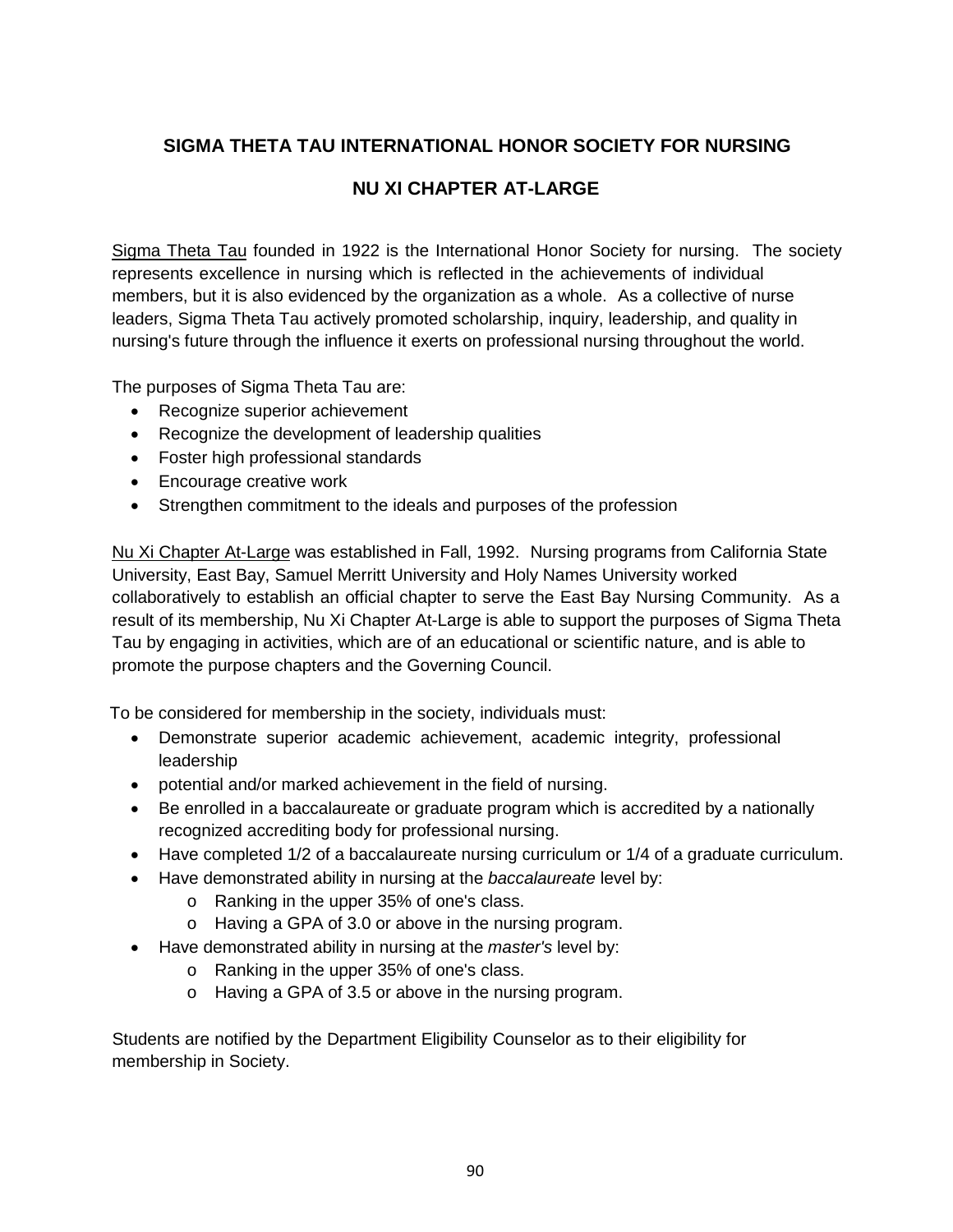# **SIGMA THETA TAU INTERNATIONAL HONOR SOCIETY FOR NURSING**

# **NU XI CHAPTER AT-LARGE**

Sigma Theta Tau founded in 1922 is the International Honor Society for nursing. The society represents excellence in nursing which is reflected in the achievements of individual members, but it is also evidenced by the organization as a whole. As a collective of nurse leaders, Sigma Theta Tau actively promoted scholarship, inquiry, leadership, and quality in nursing's future through the influence it exerts on professional nursing throughout the world.

The purposes of Sigma Theta Tau are:

- Recognize superior achievement
- Recognize the development of leadership qualities
- Foster high professional standards
- Encourage creative work
- Strengthen commitment to the ideals and purposes of the profession

Nu Xi Chapter At-Large was established in Fall, 1992. Nursing programs from California State University, East Bay, Samuel Merritt University and Holy Names University worked collaboratively to establish an official chapter to serve the East Bay Nursing Community. As a result of its membership, Nu Xi Chapter At-Large is able to support the purposes of Sigma Theta Tau by engaging in activities, which are of an educational or scientific nature, and is able to promote the purpose chapters and the Governing Council.

To be considered for membership in the society, individuals must:

- Demonstrate superior academic achievement, academic integrity, professional leadership
- potential and/or marked achievement in the field of nursing.
- Be enrolled in a baccalaureate or graduate program which is accredited by a nationally recognized accrediting body for professional nursing.
- Have completed 1/2 of a baccalaureate nursing curriculum or 1/4 of a graduate curriculum.
- Have demonstrated ability in nursing at the *baccalaureate* level by:
	- o Ranking in the upper 35% of one's class.
	- o Having a GPA of 3.0 or above in the nursing program.
- Have demonstrated ability in nursing at the *master's* level by:
	- o Ranking in the upper 35% of one's class.
	- o Having a GPA of 3.5 or above in the nursing program.

Students are notified by the Department Eligibility Counselor as to their eligibility for membership in Society.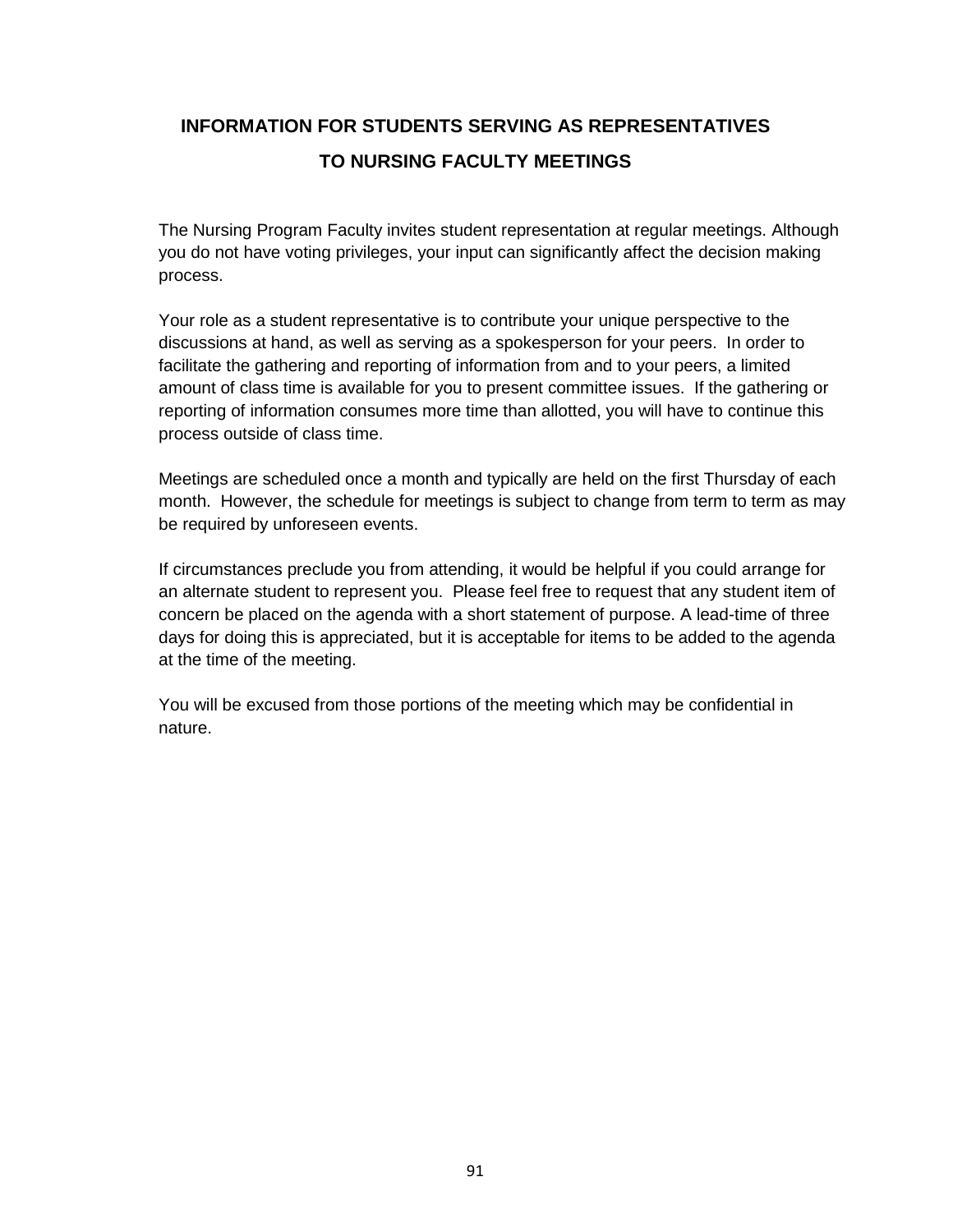# **INFORMATION FOR STUDENTS SERVING AS REPRESENTATIVES TO NURSING FACULTY MEETINGS**

The Nursing Program Faculty invites student representation at regular meetings. Although you do not have voting privileges, your input can significantly affect the decision making process.

Your role as a student representative is to contribute your unique perspective to the discussions at hand, as well as serving as a spokesperson for your peers. In order to facilitate the gathering and reporting of information from and to your peers, a limited amount of class time is available for you to present committee issues. If the gathering or reporting of information consumes more time than allotted, you will have to continue this process outside of class time.

Meetings are scheduled once a month and typically are held on the first Thursday of each month. However, the schedule for meetings is subject to change from term to term as may be required by unforeseen events.

If circumstances preclude you from attending, it would be helpful if you could arrange for an alternate student to represent you. Please feel free to request that any student item of concern be placed on the agenda with a short statement of purpose. A lead-time of three days for doing this is appreciated, but it is acceptable for items to be added to the agenda at the time of the meeting.

You will be excused from those portions of the meeting which may be confidential in nature.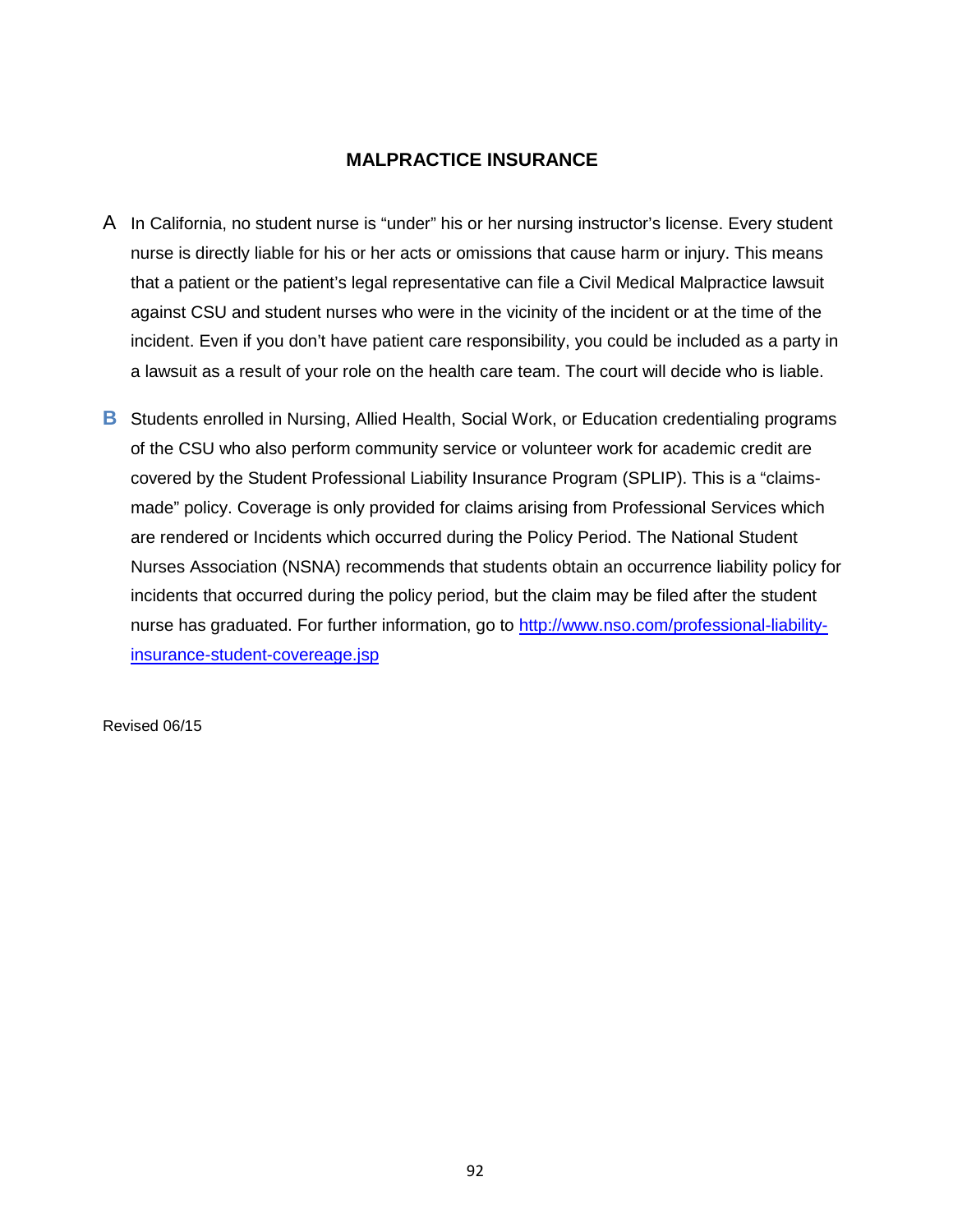#### **MALPRACTICE INSURANCE**

- A In California, no student nurse is "under" his or her nursing instructor's license. Every student nurse is directly liable for his or her acts or omissions that cause harm or injury. This means that a patient or the patient's legal representative can file a Civil Medical Malpractice lawsuit against CSU and student nurses who were in the vicinity of the incident or at the time of the incident. Even if you don't have patient care responsibility, you could be included as a party in a lawsuit as a result of your role on the health care team. The court will decide who is liable.
- **B** Students enrolled in Nursing, Allied Health, Social Work, or Education credentialing programs of the CSU who also perform community service or volunteer work for academic credit are covered by the Student Professional Liability Insurance Program (SPLIP). This is a "claimsmade" policy. Coverage is only provided for claims arising from Professional Services which are rendered or Incidents which occurred during the Policy Period. The National Student Nurses Association (NSNA) recommends that students obtain an occurrence liability policy for incidents that occurred during the policy period, but the claim may be filed after the student nurse has graduated. For further information, go to [http://www.nso.com/professional-liability](http://www.nso.com/professional-liability-insurance-student-covereage.jsp)[insurance-student-covereage.jsp](http://www.nso.com/professional-liability-insurance-student-covereage.jsp)

Revised 06/15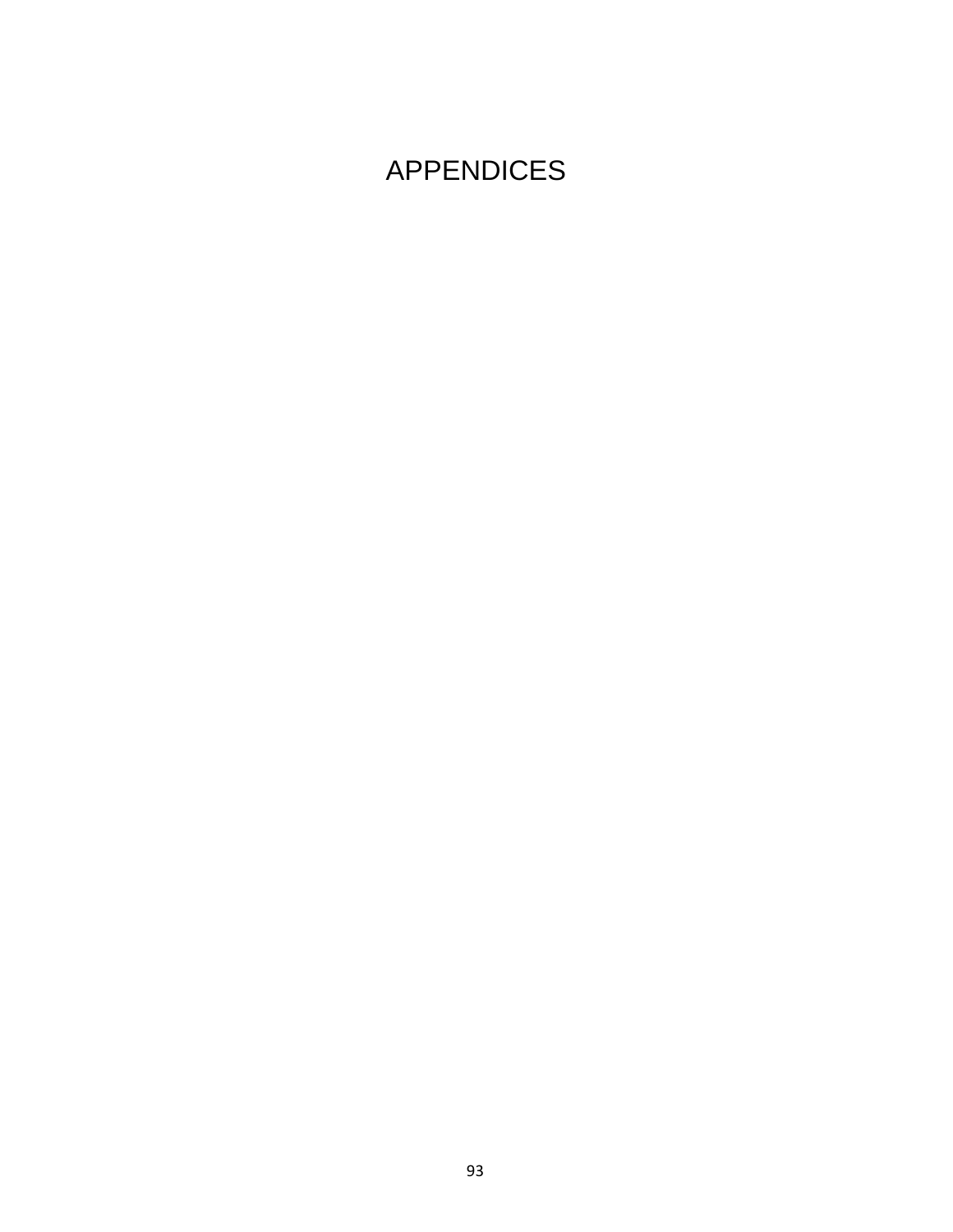# APPENDICES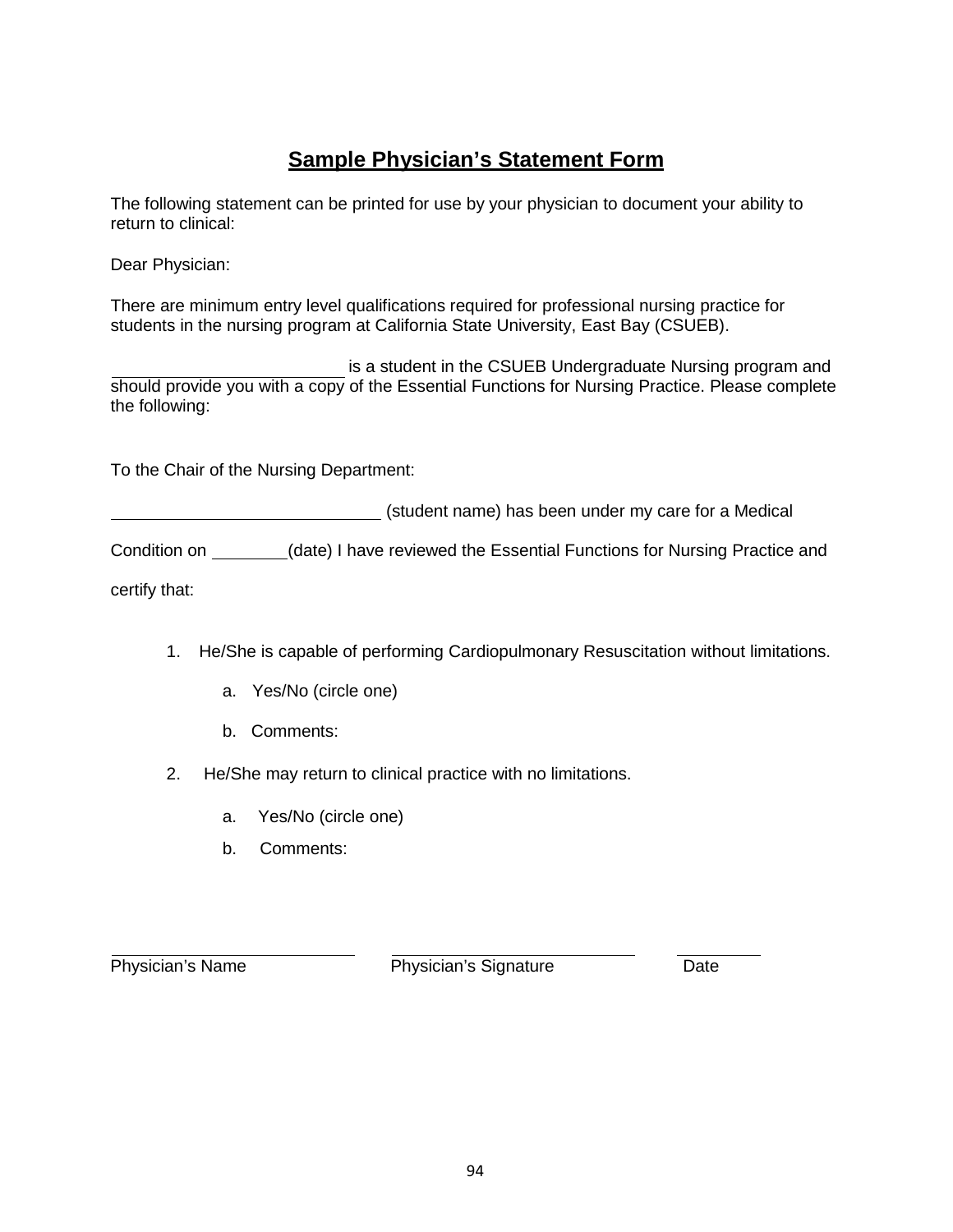# **Sample Physician's Statement Form**

The following statement can be printed for use by your physician to document your ability to return to clinical:

Dear Physician:

There are minimum entry level qualifications required for professional nursing practice for students in the nursing program at California State University, East Bay (CSUEB).

is a student in the CSUEB Undergraduate Nursing program and should provide you with a copy of the Essential Functions for Nursing Practice. Please complete the following:

To the Chair of the Nursing Department:

(student name) has been under my care for a Medical

Condition on \_\_\_\_\_\_\_(date) I have reviewed the Essential Functions for Nursing Practice and

certify that:

- 1. He/She is capable of performing Cardiopulmonary Resuscitation without limitations.
	- a. Yes/No (circle one)
	- b. Comments:
- 2. He/She may return to clinical practice with no limitations.
	- a. Yes/No (circle one)
	- b. Comments:

Physician's Name **Physician's Signature** Date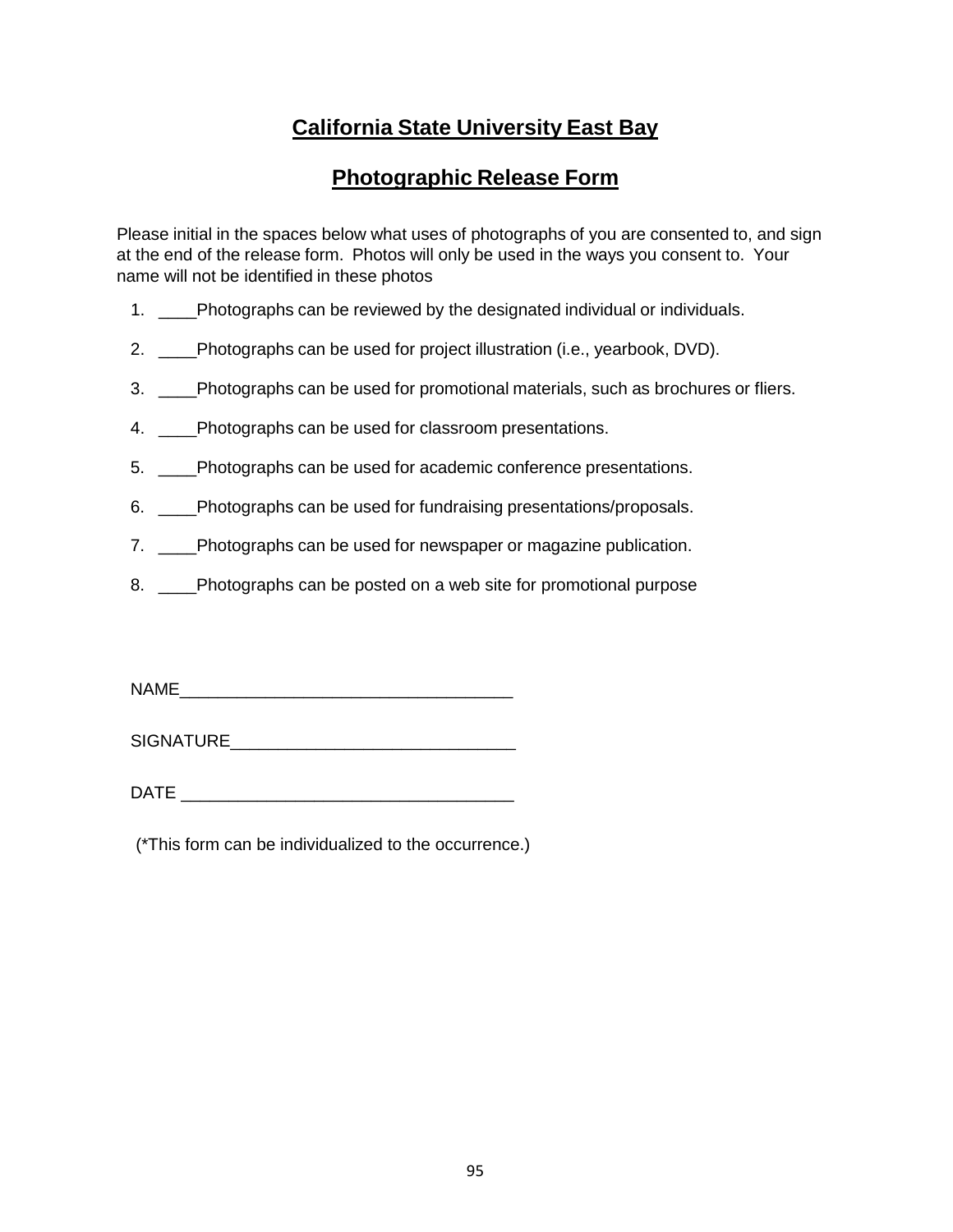# **California State University East Bay**

# **Photographic Release Form**

Please initial in the spaces below what uses of photographs of you are consented to, and sign at the end of the release form. Photos will only be used in the ways you consent to. Your name will not be identified in these photos

- 1. \_\_\_\_Photographs can be reviewed by the designated individual or individuals.
- 2. \_\_\_\_Photographs can be used for project illustration (i.e., yearbook, DVD).
- 3. \_\_\_\_Photographs can be used for promotional materials, such as brochures or fliers.
- 4. \_\_\_\_Photographs can be used for classroom presentations.
- 5. \_\_\_\_Photographs can be used for academic conference presentations.
- 6. \_\_\_\_Photographs can be used for fundraising presentations/proposals.
- 7. \_\_\_\_Photographs can be used for newspaper or magazine publication.
- 8. Photographs can be posted on a web site for promotional purpose

NAME\_\_\_\_\_\_\_\_\_\_\_\_\_\_\_\_\_\_\_\_\_\_\_\_\_\_\_\_\_\_\_\_\_\_\_

| <b>SIGNATURE</b> |
|------------------|
|------------------|

DATE \_\_\_\_\_\_\_\_\_\_\_\_\_\_\_\_\_\_\_\_\_\_\_\_\_\_\_\_\_\_\_\_\_\_\_

(\*This form can be individualized to the occurrence.)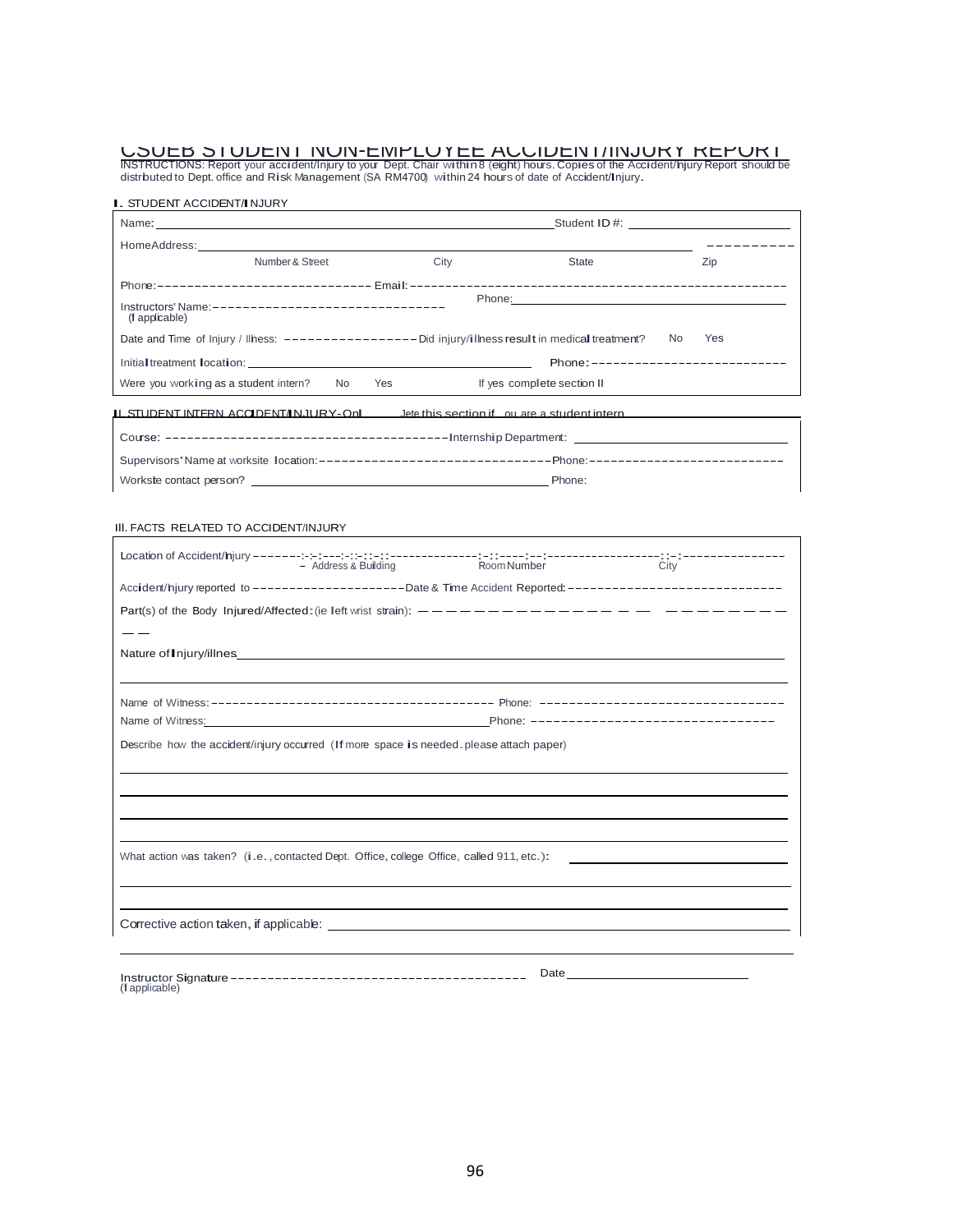UDED SI UDENI I NUN-EIVIPLU YEE AUUIDENI/INJUK Y KEPUKI<br>INSTRUCTIONS: Report your accident/Injury to your Dept. Chair within 8 (eight) hours. Copies of the Accident/hjury Report should be<br>distrbuted to Dept. office and Ris

#### **I. STUDENT ACCIDENT/I NJURY**

| Name: Name: Name: Name: Name: Name: Name: Name: Name: Name: Name: Name: Name: Name: Name: Name: Name: Name: Name: Name: Name: Name: Name: Name: Name: Name: Name: Name: Name: Name: Name: Name: Name: Name: Name: Name: Name: |            | Student ID #: |                                                                                                               |  |     |
|-------------------------------------------------------------------------------------------------------------------------------------------------------------------------------------------------------------------------------|------------|---------------|---------------------------------------------------------------------------------------------------------------|--|-----|
| HomeAddress: North Science of the Science of the Science of the Science of the Science of the Science of the Science of the Science of the Science of the Science of the Science of the Science of the Science of the Science |            |               |                                                                                                               |  |     |
| Number & Street                                                                                                                                                                                                               |            | City          | State                                                                                                         |  | Zip |
|                                                                                                                                                                                                                               |            |               |                                                                                                               |  |     |
| Instructors' Name:-------------------------------<br>(f applicable)                                                                                                                                                           |            |               | Phone: 2008 - 2009 - 2009 - 2010 - 2010 - 2010 - 2010 - 2010 - 2010 - 2010 - 2010 - 2010 - 2010 - 2010 - 2010 |  |     |
| Yes<br>Date and Time of Injury / Ilhess: -----------------Did injury/illness result in medical treatment?<br><b>No</b>                                                                                                        |            |               |                                                                                                               |  |     |
| Phone:------------------------<br>Initial treatment location:                                                                                                                                                                 |            |               |                                                                                                               |  |     |
| Were you working as a student intern?                                                                                                                                                                                         | No.<br>Yes |               | If yes complete section II                                                                                    |  |     |

# II.STUDENT INTERN ACCIDENT/INJURY-Onl Jete this section if ou are <sup>a</sup> student intern

| Workste contact person? | Phone: |
|-------------------------|--------|

## III. FACTS RELATED TO ACCIDENT/INJURY

|                                                                                          |                                                                                                                                                                                                                                | Accident/hjury reported to --------------------Date & Time Accident Reported: ------------------------------                                                                                                                         |
|------------------------------------------------------------------------------------------|--------------------------------------------------------------------------------------------------------------------------------------------------------------------------------------------------------------------------------|--------------------------------------------------------------------------------------------------------------------------------------------------------------------------------------------------------------------------------------|
|                                                                                          |                                                                                                                                                                                                                                |                                                                                                                                                                                                                                      |
|                                                                                          |                                                                                                                                                                                                                                |                                                                                                                                                                                                                                      |
|                                                                                          | Nature of Injury/illnes and the control of the control of the control of the control of the control of the control of the control of the control of the control of the control of the control of the control of the control of |                                                                                                                                                                                                                                      |
|                                                                                          |                                                                                                                                                                                                                                |                                                                                                                                                                                                                                      |
|                                                                                          |                                                                                                                                                                                                                                |                                                                                                                                                                                                                                      |
|                                                                                          |                                                                                                                                                                                                                                | Name of Witness: <u>2000 Contract Communications and Communications and Communications and Communications and Communications and Communications and Communications and Communications and Communications and Communications and </u> |
| Describe how the accident/injury occurred (If more space is needed please attach paper)  |                                                                                                                                                                                                                                |                                                                                                                                                                                                                                      |
|                                                                                          |                                                                                                                                                                                                                                |                                                                                                                                                                                                                                      |
|                                                                                          |                                                                                                                                                                                                                                |                                                                                                                                                                                                                                      |
|                                                                                          |                                                                                                                                                                                                                                |                                                                                                                                                                                                                                      |
|                                                                                          |                                                                                                                                                                                                                                |                                                                                                                                                                                                                                      |
| What action was taken? (i.e., contacted Dept. Office, college Office, called 911, etc.): |                                                                                                                                                                                                                                |                                                                                                                                                                                                                                      |
|                                                                                          |                                                                                                                                                                                                                                |                                                                                                                                                                                                                                      |
|                                                                                          |                                                                                                                                                                                                                                |                                                                                                                                                                                                                                      |
|                                                                                          |                                                                                                                                                                                                                                |                                                                                                                                                                                                                                      |
|                                                                                          |                                                                                                                                                                                                                                |                                                                                                                                                                                                                                      |

Instructor Signature---------------------------------------- (fIapplicable) Date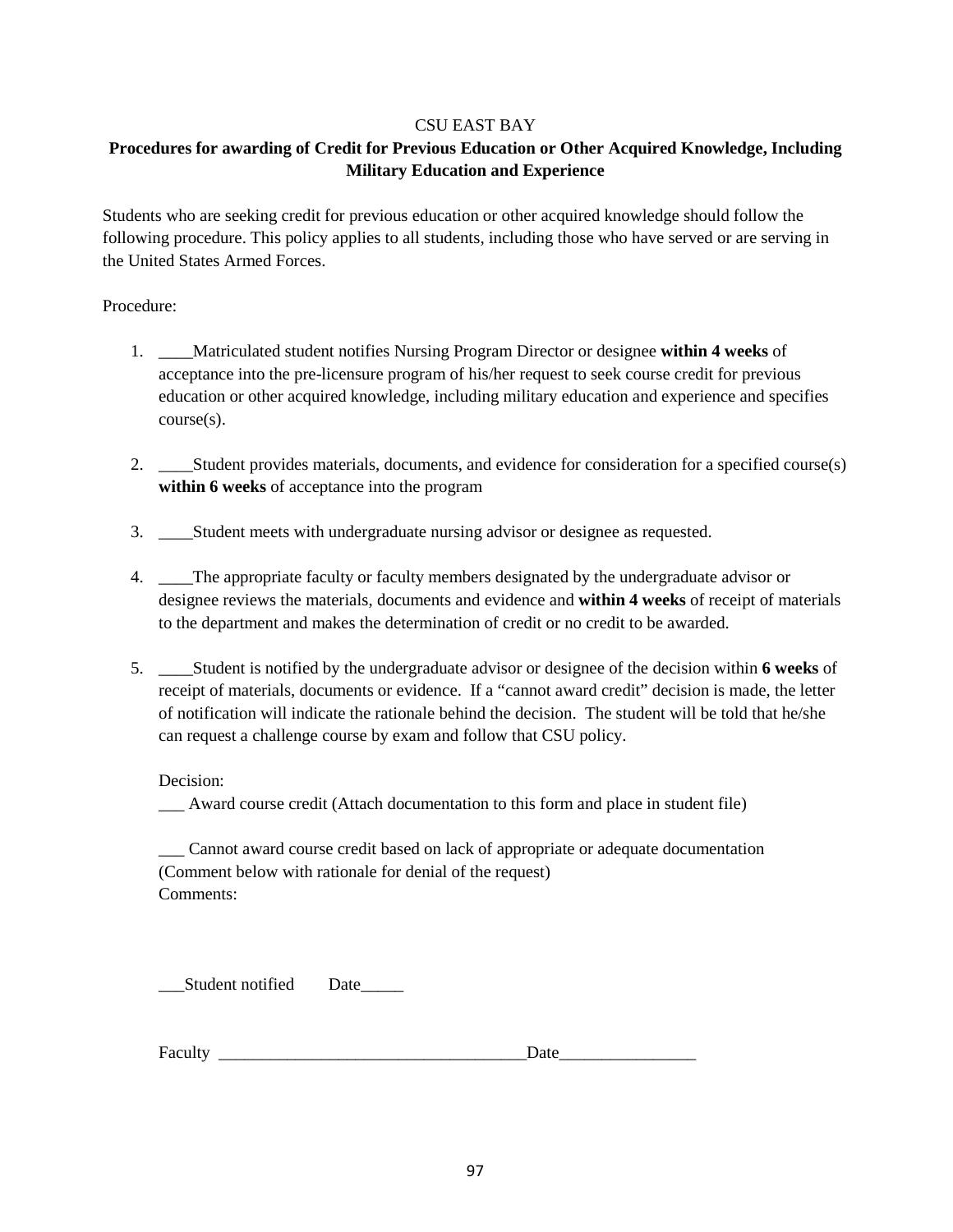#### CSU EAST BAY

#### **Procedures for awarding of Credit for Previous Education or Other Acquired Knowledge, Including Military Education and Experience**

Students who are seeking credit for previous education or other acquired knowledge should follow the following procedure. This policy applies to all students, including those who have served or are serving in the United States Armed Forces.

Procedure:

- 1. \_\_\_\_Matriculated student notifies Nursing Program Director or designee **within 4 weeks** of acceptance into the pre-licensure program of his/her request to seek course credit for previous education or other acquired knowledge, including military education and experience and specifies course(s).
- 2. \_\_\_\_\_Student provides materials, documents, and evidence for consideration for a specified course(s) **within 6 weeks** of acceptance into the program
- 3. \_\_\_\_Student meets with undergraduate nursing advisor or designee as requested.
- 4. \_\_\_\_The appropriate faculty or faculty members designated by the undergraduate advisor or designee reviews the materials, documents and evidence and **within 4 weeks** of receipt of materials to the department and makes the determination of credit or no credit to be awarded.
- 5. \_\_\_\_Student is notified by the undergraduate advisor or designee of the decision within **6 weeks** of receipt of materials, documents or evidence. If a "cannot award credit" decision is made, the letter of notification will indicate the rationale behind the decision. The student will be told that he/she can request a challenge course by exam and follow that CSU policy.

Decision:

\_\_\_ Award course credit (Attach documentation to this form and place in student file)

\_\_\_ Cannot award course credit based on lack of appropriate or adequate documentation (Comment below with rationale for denial of the request) Comments:

Student notified Date

| Fa<br><b>Facult</b> |  |
|---------------------|--|
|---------------------|--|